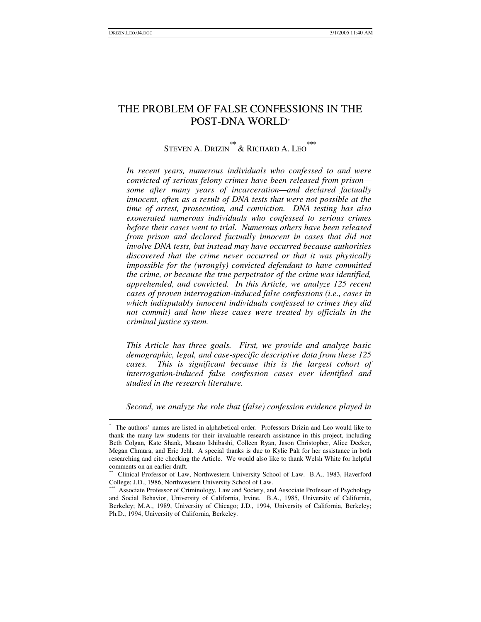# THE PROBLEM OF FALSE CONFESSIONS IN THE POST-DNA WORLD\*

# Steven A. Drizin $\stackrel{**}{\phantom{*}}$  & Richard A. Leo $\stackrel{***}{\phantom{*}}$

*In recent years, numerous individuals who confessed to and were convicted of serious felony crimes have been released from prison some after many years of incarceration—and declared factually innocent, often as a result of DNA tests that were not possible at the time of arrest, prosecution, and conviction. DNA testing has also exonerated numerous individuals who confessed to serious crimes before their cases went to trial. Numerous others have been released from prison and declared factually innocent in cases that did not involve DNA tests, but instead may have occurred because authorities discovered that the crime never occurred or that it was physically impossible for the (wrongly) convicted defendant to have committed the crime, or because the true perpetrator of the crime was identified, apprehended, and convicted. In this Article, we analyze 125 recent cases of proven interrogation-induced false confessions (i.e., cases in which indisputably innocent individuals confessed to crimes they did not commit) and how these cases were treated by officials in the criminal justice system.*

*This Article has three goals. First, we provide and analyze basic demographic, legal, and case-specific descriptive data from these 125 cases. This is significant because this is the largest cohort of interrogation-induced false confession cases ever identified and studied in the research literature.*

*Second, we analyze the role that (false) confession evidence played in*

<sup>\*</sup> The authors' names are listed in alphabetical order. Professors Drizin and Leo would like to thank the many law students for their invaluable research assistance in this project, including Beth Colgan, Kate Shank, Masato Ishibashi, Colleen Ryan, Jason Christopher, Alice Decker, Megan Chmura, and Eric Jehl. A special thanks is due to Kylie Pak for her assistance in both researching and cite checking the Article. We would also like to thank Welsh White for helpful comments on an earlier draft.

<sup>\*\*</sup> Clinical Professor of Law, Northwestern University School of Law. B.A., 1983, Haverford College; J.D., 1986, Northwestern University School of Law.

Associate Professor of Criminology, Law and Society, and Associate Professor of Psychology and Social Behavior, University of California, Irvine. B.A., 1985, University of California, Berkeley; M.A., 1989, University of Chicago; J.D., 1994, University of California, Berkeley; Ph.D., 1994, University of California, Berkeley.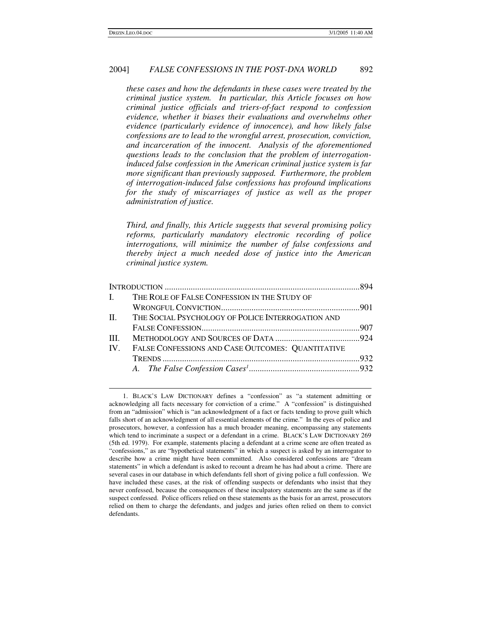*these cases and how the defendants in these cases were treated by the criminal justice system. In particular, this Article focuses on how criminal justice officials and triers-of-fact respond to confession evidence, whether it biases their evaluations and overwhelms other evidence (particularly evidence of innocence), and how likely false confessions are to lead to the wrongful arrest, prosecution, conviction, and incarceration of the innocent. Analysis of the aforementioned questions leads to the conclusion that the problem of interrogationinduced false confession in the American criminal justice system is far more significant than previously supposed. Furthermore, the problem of interrogation-induced false confessions has profound implications for the study of miscarriages of justice as well as the proper administration of justice.*

*Third, and finally, this Article suggests that several promising policy reforms, particularly mandatory electronic recording of police interrogations, will minimize the number of false confessions and thereby inject a much needed dose of justice into the American criminal justice system.*

|                         | I. THE ROLE OF FALSE CONFESSION IN THE STUDY OF       |  |
|-------------------------|-------------------------------------------------------|--|
|                         |                                                       |  |
|                         | II. THE SOCIAL PSYCHOLOGY OF POLICE INTERROGATION AND |  |
|                         |                                                       |  |
| III                     |                                                       |  |
| $\mathbf{I} \mathbf{V}$ | FALSE CONFESSIONS AND CASE OUTCOMES: QUANTITATIVE     |  |
|                         |                                                       |  |
|                         |                                                       |  |
|                         |                                                       |  |

<sup>1.</sup> BLACK'S LAW DICTIONARY defines a "confession" as "a statement admitting or acknowledging all facts necessary for conviction of a crime." A "confession" is distinguished from an "admission" which is "an acknowledgment of a fact or facts tending to prove guilt which falls short of an acknowledgment of all essential elements of the crime." In the eyes of police and prosecutors, however, a confession has a much broader meaning, encompassing any statements which tend to incriminate a suspect or a defendant in a crime. BLACK'S LAW DICTIONARY 269 (5th ed. 1979). For example, statements placing a defendant at a crime scene are often treated as "confessions," as are "hypothetical statements" in which a suspect is asked by an interrogator to describe how a crime might have been committed. Also considered confessions are "dream statements" in which a defendant is asked to recount a dream he has had about a crime. There are several cases in our database in which defendants fell short of giving police a full confession. We have included these cases, at the risk of offending suspects or defendants who insist that they never confessed, because the consequences of these inculpatory statements are the same as if the suspect confessed. Police officers relied on these statements as the basis for an arrest, prosecutors relied on them to charge the defendants, and judges and juries often relied on them to convict defendants.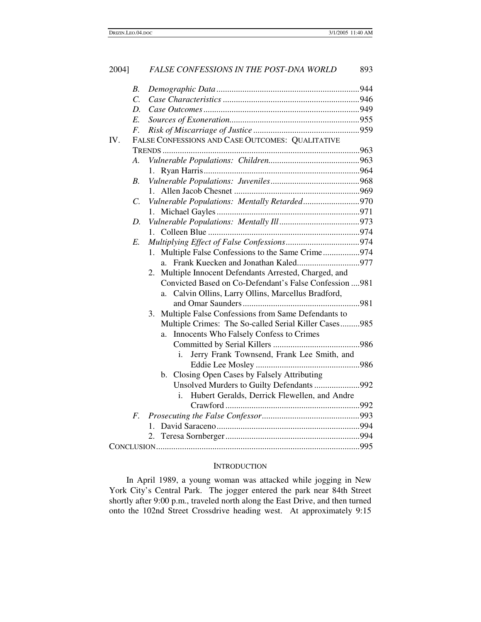| 2004] |                  | FALSE CONFESSIONS IN THE POST-DNA WORLD                   |  |  |  |
|-------|------------------|-----------------------------------------------------------|--|--|--|
|       | B.               |                                                           |  |  |  |
|       | $\overline{C}$ . |                                                           |  |  |  |
|       | D.               |                                                           |  |  |  |
|       | E.               |                                                           |  |  |  |
|       | $F_{\cdot}$      |                                                           |  |  |  |
| IV.   |                  | FALSE CONFESSIONS AND CASE OUTCOMES: QUALITATIVE          |  |  |  |
|       |                  |                                                           |  |  |  |
|       | A.               |                                                           |  |  |  |
|       |                  |                                                           |  |  |  |
|       | B.               |                                                           |  |  |  |
|       |                  |                                                           |  |  |  |
|       | $\mathcal{C}$ .  | Vulnerable Populations: Mentally Retarded970              |  |  |  |
|       |                  |                                                           |  |  |  |
|       | D.               |                                                           |  |  |  |
|       |                  |                                                           |  |  |  |
|       | E.               |                                                           |  |  |  |
|       |                  | Multiple False Confessions to the Same Crime974<br>1.     |  |  |  |
|       |                  | $a_{-}$                                                   |  |  |  |
|       |                  | Multiple Innocent Defendants Arrested, Charged, and<br>2. |  |  |  |
|       |                  | Convicted Based on Co-Defendant's False Confession  981   |  |  |  |
|       |                  | Calvin Ollins, Larry Ollins, Marcellus Bradford,<br>a.    |  |  |  |
|       |                  |                                                           |  |  |  |
|       |                  | 3. Multiple False Confessions from Same Defendants to     |  |  |  |
|       |                  | Multiple Crimes: The So-called Serial Killer Cases985     |  |  |  |
|       |                  | Innocents Who Falsely Confess to Crimes<br>a.             |  |  |  |
|       |                  |                                                           |  |  |  |
|       |                  | Jerry Frank Townsend, Frank Lee Smith, and<br>i.          |  |  |  |
|       |                  |                                                           |  |  |  |
|       |                  | b. Closing Open Cases by Falsely Attributing              |  |  |  |
|       |                  | Unsolved Murders to Guilty Defendants 992                 |  |  |  |
|       |                  | Hubert Geralds, Derrick Flewellen, and Andre<br>i.        |  |  |  |
|       |                  |                                                           |  |  |  |
|       | $F_{\cdot}$      |                                                           |  |  |  |
|       |                  | 1.                                                        |  |  |  |
|       |                  | 2.                                                        |  |  |  |
|       |                  |                                                           |  |  |  |

### INTRODUCTION

In April 1989, a young woman was attacked while jogging in New York City's Central Park. The jogger entered the park near 84th Street shortly after 9:00 p.m., traveled north along the East Drive, and then turned onto the 102nd Street Crossdrive heading west. At approximately 9:15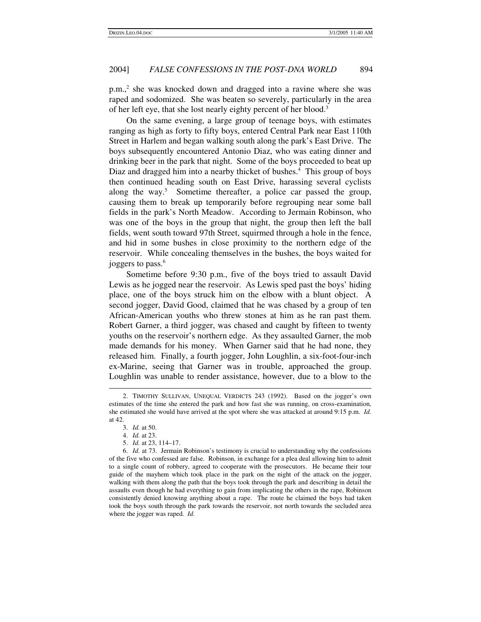p.m., 2 she was knocked down and dragged into a ravine where she was raped and sodomized. She was beaten so severely, particularly in the area of her left eye, that she lost nearly eighty percent of her blood.<sup>3</sup>

On the same evening, a large group of teenage boys, with estimates ranging as high as forty to fifty boys, entered Central Park near East 110th Street in Harlem and began walking south along the park's East Drive. The boys subsequently encountered Antonio Diaz, who was eating dinner and drinking beer in the park that night. Some of the boys proceeded to beat up Diaz and dragged him into a nearby thicket of bushes. <sup>4</sup> This group of boys then continued heading south on East Drive, harassing several cyclists along the way. <sup>5</sup> Sometime thereafter, a police car passed the group, causing them to break up temporarily before regrouping near some ball fields in the park's North Meadow. According to Jermain Robinson, who was one of the boys in the group that night, the group then left the ball fields, went south toward 97th Street, squirmed through a hole in the fence, and hid in some bushes in close proximity to the northern edge of the reservoir. While concealing themselves in the bushes, the boys waited for joggers to pass. 6

Sometime before 9:30 p.m., five of the boys tried to assault David Lewis as he jogged near the reservoir. As Lewis sped past the boys' hiding place, one of the boys struck him on the elbow with a blunt object. A second jogger, David Good, claimed that he was chased by a group of ten African-American youths who threw stones at him as he ran past them. Robert Garner, a third jogger, was chased and caught by fifteen to twenty youths on the reservoir's northern edge. As they assaulted Garner, the mob made demands for his money. When Garner said that he had none, they released him. Finally, a fourth jogger, John Loughlin, a six-foot-four-inch ex-Marine, seeing that Garner was in trouble, approached the group. Loughlin was unable to render assistance, however, due to a blow to the

<sup>2.</sup> TIMOTHY SULLIVAN, UNEQUAL VERDICTS 243 (1992). Based on the jogger's own estimates of the time she entered the park and how fast she was running, on cross-examination, she estimated she would have arrived at the spot where she was attacked at around 9:15 p.m. *Id.* at 42.

<sup>3.</sup> *Id.* at 50.

<sup>4.</sup> *Id.* at 23.

<sup>5.</sup> *Id.* at 23, 114–17.

<sup>6.</sup> *Id.* at 73. Jermain Robinson's testimony is crucial to understanding why the confessions of the five who confessed are false. Robinson, in exchange for a plea deal allowing him to admit to a single count of robbery, agreed to cooperate with the prosecutors. He became their tour guide of the mayhem which took place in the park on the night of the attack on the jogger, walking with them along the path that the boys took through the park and describing in detail the assaults even though he had everything to gain from implicating the others in the rape, Robinson consistently denied knowing anything about a rape. The route he claimed the boys had taken took the boys south through the park towards the reservoir, not north towards the secluded area where the jogger was raped. *Id.*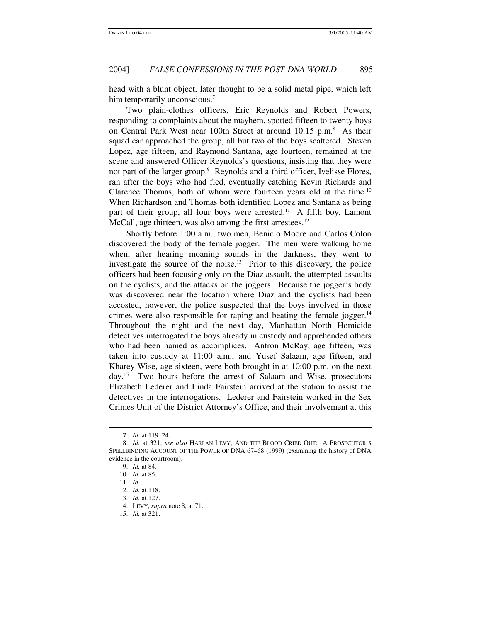head with a blunt object, later thought to be a solid metal pipe, which left him temporarily unconscious.<sup>7</sup>

Two plain-clothes officers, Eric Reynolds and Robert Powers, responding to complaints about the mayhem, spotted fifteen to twenty boys on Central Park West near 100th Street at around 10:15 p.m. <sup>8</sup> As their squad car approached the group, all but two of the boys scattered. Steven Lopez, age fifteen, and Raymond Santana, age fourteen, remained at the scene and answered Officer Reynolds's questions, insisting that they were not part of the larger group. <sup>9</sup> Reynolds and a third officer, Ivelisse Flores, ran after the boys who had fled, eventually catching Kevin Richards and Clarence Thomas, both of whom were fourteen years old at the time.<sup>10</sup> When Richardson and Thomas both identified Lopez and Santana as being part of their group, all four boys were arrested.<sup>11</sup> A fifth boy, Lamont McCall, age thirteen, was also among the first arrestees.<sup>12</sup>

Shortly before 1:00 a.m., two men, Benicio Moore and Carlos Colon discovered the body of the female jogger. The men were walking home when, after hearing moaning sounds in the darkness, they went to investigate the source of the noise. <sup>13</sup> Prior to this discovery, the police officers had been focusing only on the Diaz assault, the attempted assaults on the cyclists, and the attacks on the joggers. Because the jogger's body was discovered near the location where Diaz and the cyclists had been accosted, however, the police suspected that the boys involved in those crimes were also responsible for raping and beating the female jogger.<sup>14</sup> Throughout the night and the next day, Manhattan North Homicide detectives interrogated the boys already in custody and apprehended others who had been named as accomplices. Antron McRay, age fifteen, was taken into custody at 11:00 a.m., and Yusef Salaam, age fifteen, and Kharey Wise, age sixteen, were both brought in at 10:00 p.m. on the next day. <sup>15</sup> Two hours before the arrest of Salaam and Wise, prosecutors Elizabeth Lederer and Linda Fairstein arrived at the station to assist the detectives in the interrogations. Lederer and Fairstein worked in the Sex Crimes Unit of the District Attorney's Office, and their involvement at this

<sup>7.</sup> *Id.* at 119–24.

<sup>8.</sup> *Id.* at 321; *see also* HARLAN LEVY, AND THE BLOOD CRIED OUT: A PROSECUTOR'S SPELLBINDING ACCOUNT OF THE POWER OF DNA 67–68 (1999) (examining the history of DNA evidence in the courtroom).

<sup>9.</sup> *Id.* at 84.

<sup>10.</sup> *Id.* at 85.

<sup>11.</sup> *Id.*

<sup>12.</sup> *Id.* at 118.

<sup>13.</sup> *Id.* at 127.

<sup>14.</sup> LEVY, *supra* note 8, at 71.

<sup>15.</sup> *Id.* at 321.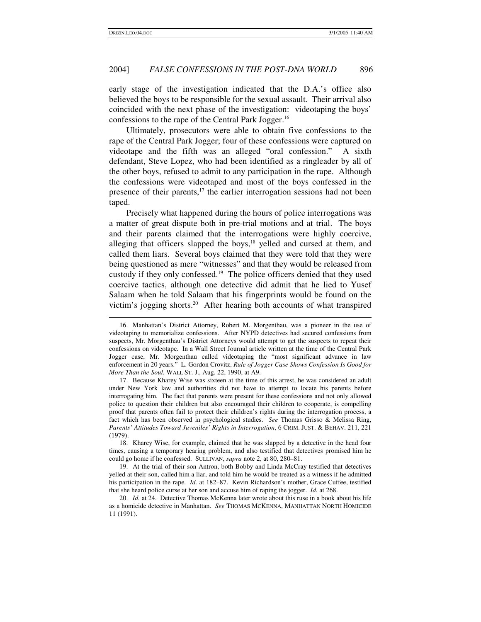early stage of the investigation indicated that the D.A.'s office also believed the boys to be responsible for the sexual assault. Their arrival also coincided with the next phase of the investigation: videotaping the boys' confessions to the rape of the Central Park Jogger. 16

Ultimately, prosecutors were able to obtain five confessions to the rape of the Central Park Jogger; four of these confessions were captured on videotape and the fifth was an alleged "oral confession." A sixth defendant, Steve Lopez, who had been identified as a ringleader by all of the other boys, refused to admit to any participation in the rape. Although the confessions were videotaped and most of the boys confessed in the presence of their parents,<sup>17</sup> the earlier interrogation sessions had not been taped.

Precisely what happened during the hours of police interrogations was a matter of great dispute both in pre-trial motions and at trial. The boys and their parents claimed that the interrogations were highly coercive, alleging that officers slapped the boys, <sup>18</sup> yelled and cursed at them, and called them liars. Several boys claimed that they were told that they were being questioned as mere "witnesses" and that they would be released from custody if they only confessed. <sup>19</sup> The police officers denied that they used coercive tactics, although one detective did admit that he lied to Yusef Salaam when he told Salaam that his fingerprints would be found on the victim's jogging shorts. <sup>20</sup> After hearing both accounts of what transpired

<sup>16.</sup> Manhattan's District Attorney, Robert M. Morgenthau, was a pioneer in the use of videotaping to memorialize confessions. After NYPD detectives had secured confessions from suspects, Mr. Morgenthau's District Attorneys would attempt to get the suspects to repeat their confessions on videotape. In a Wall Street Journal article written at the time of the Central Park Jogger case, Mr. Morgenthau called videotaping the "most significant advance in law enforcement in 20 years." L. Gordon Crovitz, *Rule of Jogger Case Shows Confession Is Good for More Than the Soul*, WALL ST. J., Aug. 22, 1990, at A9.

<sup>17.</sup> Because Kharey Wise was sixteen at the time of this arrest, he was considered an adult under New York law and authorities did not have to attempt to locate his parents before interrogating him. The fact that parents were present for these confessions and not only allowed police to question their children but also encouraged their children to cooperate, is compelling proof that parents often fail to protect their children's rights during the interrogation process, a fact which has been observed in psychological studies. *See* Thomas Grisso & Melissa Ring, *Parents' Attitudes Toward Juveniles' Rights in Interrogation*, 6 CRIM. JUST. & BEHAV. 211, 221 (1979).

<sup>18.</sup> Kharey Wise, for example, claimed that he was slapped by a detective in the head four times, causing a temporary hearing problem, and also testified that detectives promised him he could go home if he confessed. SULLIVAN, *supra* note 2, at 80, 280–81.

<sup>19.</sup> At the trial of their son Antron, both Bobby and Linda McCray testified that detectives yelled at their son, called him a liar, and told him he would be treated as a witness if he admitted his participation in the rape. *Id.* at 182–87. Kevin Richardson's mother, Grace Cuffee, testified that she heard police curse at her son and accuse him of raping the jogger. *Id.* at 268.

<sup>20.</sup> *Id.* at 24. Detective Thomas McKenna later wrote about this ruse in a book about his life as a homicide detective in Manhattan. *See* THOMAS MCKENNA, MANHATTAN NORTH HOMICIDE 11 (1991).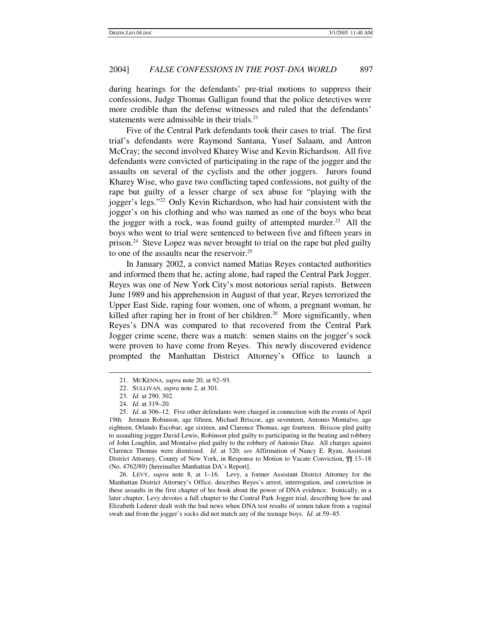during hearings for the defendants' pre-trial motions to suppress their confessions, Judge Thomas Galligan found that the police detectives were more credible than the defense witnesses and ruled that the defendants' statements were admissible in their trials.<sup>21</sup>

Five of the Central Park defendants took their cases to trial. The first trial's defendants were Raymond Santana, Yusef Salaam, and Antron McCray; the second involved Kharey Wise and Kevin Richardson. All five defendants were convicted of participating in the rape of the jogger and the assaults on several of the cyclists and the other joggers. Jurors found Kharey Wise, who gave two conflicting taped confessions, not guilty of the rape but guilty of a lesser charge of sex abuse for "playing with the jogger's legs." <sup>22</sup> Only Kevin Richardson, who had hair consistent with the jogger's on his clothing and who was named as one of the boys who beat the jogger with a rock, was found guilty of attempted murder. <sup>23</sup> All the boys who went to trial were sentenced to between five and fifteen years in prison.<sup>24</sup> Steve Lopez was never brought to trial on the rape but pled guilty to one of the assaults near the reservoir. 25

In January 2002, a convict named Matias Reyes contacted authorities and informed them that he, acting alone, had raped the Central Park Jogger. Reyes was one of New York City's most notorious serial rapists. Between June 1989 and his apprehension in August of that year, Reyes terrorized the Upper East Side, raping four women, one of whom, a pregnant woman, he killed after raping her in front of her children.<sup>26</sup> More significantly, when Reyes's DNA was compared to that recovered from the Central Park Jogger crime scene, there was a match: semen stains on the jogger's sock were proven to have come from Reyes. This newly discovered evidence prompted the Manhattan District Attorney's Office to launch a

26. LEVY, *supra* note 8, at 1–16. Levy, a former Assistant District Attorney for the Manhattan District Attorney's Office, describes Reyes's arrest, interrogation, and conviction in these assaults in the first chapter of his book about the power of DNA evidence. Ironically, in a later chapter, Levy devotes a full chapter to the Central Park Jogger trial, describing how he and Elizabeth Lederer dealt with the bad news when DNA test results of semen taken from a vaginal swab and from the jogger's socks did not match any of the teenage boys. *Id.* at 59–85.

<sup>21.</sup> MCKENNA, *supra* note 20, at 92–93.

<sup>22.</sup> SULLIVAN, *supra* note 2, at 301.

<sup>23.</sup> *Id.* at 290, 302.

<sup>24.</sup> *Id.* at 319–20.

<sup>25.</sup> *Id.* at 306–12. Five other defendants were charged in connection with the events of April 19th: Jermain Robinson, age fifteen, Michael Briscoe, age seventeen, Antonio Montalvo, age eighteen, Orlando Escobar, age sixteen, and Clarence Thomas, age fourteen. Briscoe pled guilty to assaulting jogger David Lewis, Robinson pled guilty to participating in the beating and robbery of John Loughlin, and Montalvo pled guilty to the robbery of Antonio Diaz. All charges against Clarence Thomas were dismissed. *Id.* at 320; *see* Affirmation of Nancy E. Ryan, Assistant District Attorney, County of New York, in Response to Motion to Vacate Conviction, ¶¶ 13–18 (No. 4762/89) [hereinafter Manhattan DA's Report].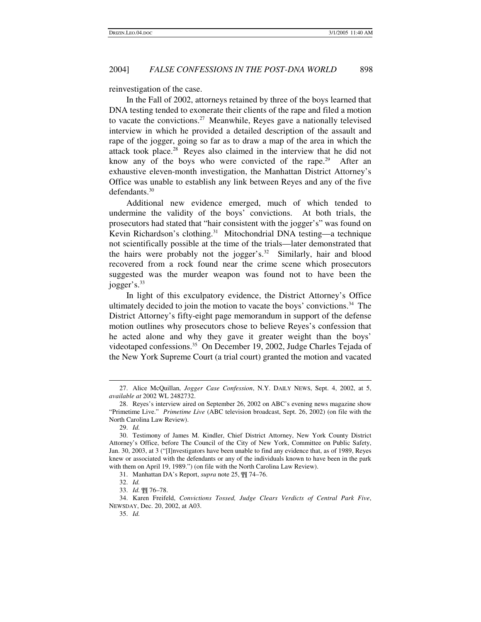reinvestigation of the case.

In the Fall of 2002, attorneys retained by three of the boys learned that DNA testing tended to exonerate their clients of the rape and filed a motion to vacate the convictions. <sup>27</sup> Meanwhile, Reyes gave a nationally televised interview in which he provided a detailed description of the assault and rape of the jogger, going so far as to draw a map of the area in which the attack took place.<sup>28</sup> Reyes also claimed in the interview that he did not know any of the boys who were convicted of the rape.<sup>29</sup> After an exhaustive eleven-month investigation, the Manhattan District Attorney's Office was unable to establish any link between Reyes and any of the five defendants. 30

Additional new evidence emerged, much of which tended to undermine the validity of the boys' convictions. At both trials, the prosecutors had stated that "hair consistent with the jogger's" was found on Kevin Richardson's clothing. <sup>31</sup> Mitochondrial DNA testing—a technique not scientifically possible at the time of the trials—later demonstrated that the hairs were probably not the jogger's.<sup>32</sup> Similarly, hair and blood recovered from a rock found near the crime scene which prosecutors suggested was the murder weapon was found not to have been the jogger's. 33

In light of this exculpatory evidence, the District Attorney's Office ultimately decided to join the motion to vacate the boys' convictions. <sup>34</sup> The District Attorney's fifty-eight page memorandum in support of the defense motion outlines why prosecutors chose to believe Reyes's confession that he acted alone and why they gave it greater weight than the boys' videotaped confessions. <sup>35</sup> On December 19, 2002, Judge Charles Tejada of the New York Supreme Court (a trial court) granted the motion and vacated

<sup>27.</sup> Alice McQuillan, *Jogger Case Confession*, N.Y. DAILY NEWS, Sept. 4, 2002, at 5, *available at* 2002 WL 2482732.

<sup>28.</sup> Reyes's interview aired on September 26, 2002 on ABC's evening news magazine show "Primetime Live." *Primetime Live* (ABC television broadcast, Sept. 26, 2002) (on file with the North Carolina Law Review).

<sup>29.</sup> *Id.*

<sup>30.</sup> Testimony of James M. Kindler, Chief District Attorney, New York County District Attorney's Office, before The Council of the City of New York, Committee on Public Safety, Jan. 30, 2003, at 3 ("[I]nvestigators have been unable to find any evidence that, as of 1989, Reyes knew or associated with the defendants or any of the individuals known to have been in the park with them on April 19, 1989.") (on file with the North Carolina Law Review).

<sup>31.</sup> Manhattan DA's Report, *supra* note 25, ¶¶ 74–76.

<sup>32.</sup> *Id.*

<sup>33.</sup> *Id.* ¶¶ 76–78.

<sup>34.</sup> Karen Freifeld, *Convictions Tossed, Judge Clears Verdicts of Central Park Five*, NEWSDAY, Dec. 20, 2002, at A03.

<sup>35.</sup> *Id.*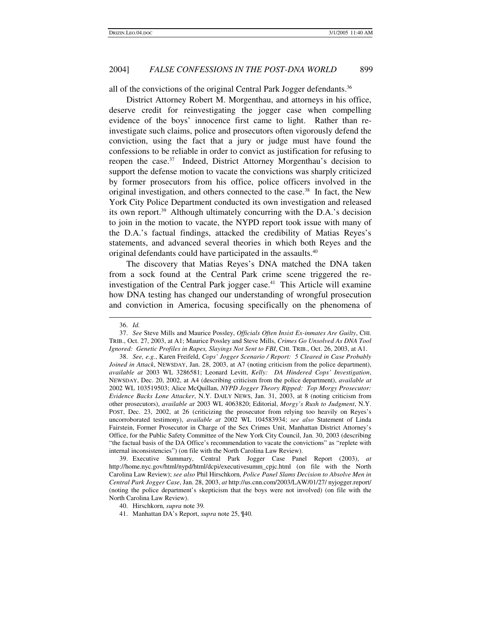all of the convictions of the original Central Park Jogger defendants.<sup>36</sup>

District Attorney Robert M. Morgenthau, and attorneys in his office, deserve credit for reinvestigating the jogger case when compelling evidence of the boys' innocence first came to light. Rather than reinvestigate such claims, police and prosecutors often vigorously defend the conviction, using the fact that a jury or judge must have found the confessions to be reliable in order to convict as justification for refusing to reopen the case.<sup>37</sup> Indeed, District Attorney Morgenthau's decision to support the defense motion to vacate the convictions was sharply criticized by former prosecutors from his office, police officers involved in the original investigation, and others connected to the case. 38 In fact, the New York City Police Department conducted its own investigation and released its own report. <sup>39</sup> Although ultimately concurring with the D.A.'s decision to join in the motion to vacate, the NYPD report took issue with many of the D.A.'s factual findings, attacked the credibility of Matias Reyes's statements, and advanced several theories in which both Reyes and the original defendants could have participated in the assaults. 40

The discovery that Matias Reyes's DNA matched the DNA taken from a sock found at the Central Park crime scene triggered the reinvestigation of the Central Park jogger case. <sup>41</sup> This Article will examine how DNA testing has changed our understanding of wrongful prosecution and conviction in America, focusing specifically on the phenomena of

<sup>36.</sup> *Id.*

<sup>37.</sup> *See* Steve Mills and Maurice Possley, *Officials Often Insist Ex-inmates Are Guilty*, CHI. TRIB., Oct. 27, 2003, at A1; Maurice Possley and Steve Mills, *Crimes Go Unsolved As DNA Tool Ignored: Genetic Profiles in Rapes, Slayings Not Sent to FBI*, CHI. TRIB., Oct. 26, 2003, at A1.

<sup>38.</sup> *See, e.g.*, Karen Freifeld, *Cops' Jogger Scenario / Report: 5 Cleared in Case Probably Joined in Attack*, NEWSDAY, Jan. 28, 2003, at A7 (noting criticism from the police department), *available at* 2003 WL 3286581; Leonard Levitt, *Kelly: DA Hindered Cops' Investigation*, NEWSDAY, Dec. 20, 2002, at A4 (describing criticism from the police department), *available at* 2002 WL 103519503; Alice McQuillan, *NYPD Jogger Theory Ripped: Top Morgy Prosecutor: Evidence Backs Lone Attacker*, N.Y. DAILY NEWS, Jan. 31, 2003, at 8 (noting criticism from other prosecutors), *available at* 2003 WL 4063820; Editorial, *Morgy's Rush to Judgment*, N.Y. POST, Dec. 23, 2002, at 26 (criticizing the prosecutor from relying too heavily on Reyes's uncorroborated testimony), *available at* 2002 WL 104583934; *see also* Statement of Linda Fairstein, Former Prosecutor in Charge of the Sex Crimes Unit, Manhattan District Attorney's Office, for the Public Safety Committee of the New York City Council, Jan. 30, 2003 (describing "the factual basis of the DA Office's recommendation to vacate the convictions" as "replete with internal inconsistencies") (on file with the North Carolina Law Review).

<sup>39.</sup> Executive Summary, Central Park Jogger Case Panel Report (2003), *at* http://home.nyc.gov/html/nypd/html/dcpi/executivesumm\_cpjc.html (on file with the North Carolina Law Review); *see also* Phil Hirschkorn, *Police Panel Slams Decision to Absolve Men in Central Park Jogger Case*, Jan. 28, 2003, *at* http://us.cnn.com/2003/LAW/01/27/ nyjogger.report/ (noting the police department's skepticism that the boys were not involved) (on file with the North Carolina Law Review).

<sup>40.</sup> Hirschkorn, *supra* note 39*.*

<sup>41.</sup> Manhattan DA's Report, *supra* note 25, ¶40.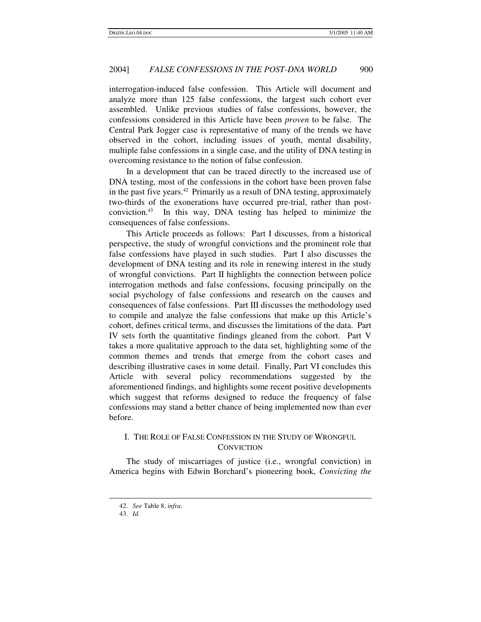interrogation-induced false confession. This Article will document and analyze more than 125 false confessions, the largest such cohort ever assembled. Unlike previous studies of false confessions, however, the confessions considered in this Article have been *proven* to be false. The Central Park Jogger case is representative of many of the trends we have observed in the cohort, including issues of youth, mental disability, multiple false confessions in a single case, and the utility of DNA testing in overcoming resistance to the notion of false confession.

In a development that can be traced directly to the increased use of DNA testing, most of the confessions in the cohort have been proven false in the past five years. <sup>42</sup> Primarily as a result of DNA testing, approximately two-thirds of the exonerations have occurred pre-trial, rather than postconviction. 43 In this way, DNA testing has helped to minimize the consequences of false confessions.

This Article proceeds as follows: Part I discusses, from a historical perspective, the study of wrongful convictions and the prominent role that false confessions have played in such studies. Part I also discusses the development of DNA testing and its role in renewing interest in the study of wrongful convictions. Part II highlights the connection between police interrogation methods and false confessions, focusing principally on the social psychology of false confessions and research on the causes and consequences of false confessions. Part III discusses the methodology used to compile and analyze the false confessions that make up this Article's cohort, defines critical terms, and discusses the limitations of the data. Part IV sets forth the quantitative findings gleaned from the cohort. Part V takes a more qualitative approach to the data set, highlighting some of the common themes and trends that emerge from the cohort cases and describing illustrative cases in some detail. Finally, Part VI concludes this Article with several policy recommendations suggested by the aforementioned findings, and highlights some recent positive developments which suggest that reforms designed to reduce the frequency of false confessions may stand a better chance of being implemented now than ever before.

### I. THE ROLE OF FALSE CONFESSION IN THE STUDY OF WRONGFUL **CONVICTION**

The study of miscarriages of justice (i.e., wrongful conviction) in America begins with Edwin Borchard's pioneering book, *Convicting the*

<sup>42.</sup> *See* Table 8, *infra.*

<sup>43.</sup> *Id.*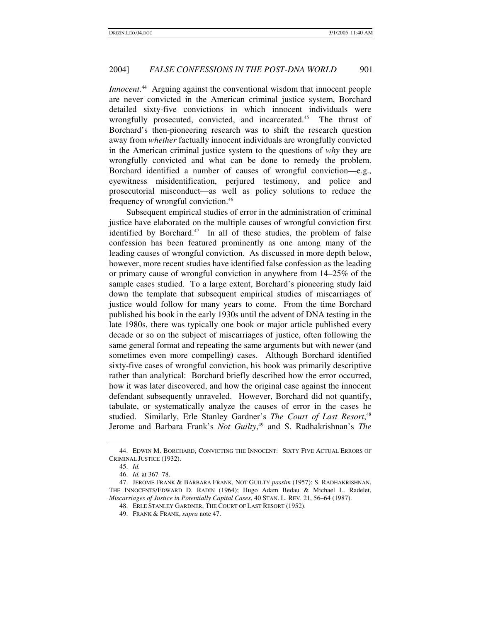*Innocent*. <sup>44</sup> Arguing against the conventional wisdom that innocent people are never convicted in the American criminal justice system, Borchard detailed sixty-five convictions in which innocent individuals were wrongfully prosecuted, convicted, and incarcerated.<sup>45</sup> The thrust of Borchard's then-pioneering research was to shift the research question away from *whether* factually innocent individuals are wrongfully convicted in the American criminal justice system to the questions of *why* they are wrongfully convicted and what can be done to remedy the problem. Borchard identified a number of causes of wrongful conviction—e.g., eyewitness misidentification, perjured testimony, and police and prosecutorial misconduct—as well as policy solutions to reduce the frequency of wrongful conviction. 46

Subsequent empirical studies of error in the administration of criminal justice have elaborated on the multiple causes of wrongful conviction first identified by Borchard.<sup>47</sup> In all of these studies, the problem of false confession has been featured prominently as one among many of the leading causes of wrongful conviction. As discussed in more depth below, however, more recent studies have identified false confession as the leading or primary cause of wrongful conviction in anywhere from 14–25% of the sample cases studied. To a large extent, Borchard's pioneering study laid down the template that subsequent empirical studies of miscarriages of justice would follow for many years to come. From the time Borchard published his book in the early 1930s until the advent of DNA testing in the late 1980s, there was typically one book or major article published every decade or so on the subject of miscarriages of justice, often following the same general format and repeating the same arguments but with newer (and sometimes even more compelling) cases. Although Borchard identified sixty-five cases of wrongful conviction, his book was primarily descriptive rather than analytical: Borchard briefly described how the error occurred, how it was later discovered, and how the original case against the innocent defendant subsequently unraveled. However, Borchard did not quantify, tabulate, or systematically analyze the causes of error in the cases he studied. Similarly, Erle Stanley Gardner's *The Court of Last Resort*, 48 Jerome and Barbara Frank's *Not Guilty*, 49 and S. Radhakrishnan's *The*

<sup>44.</sup> EDWIN M. BORCHARD, CONVICTING THE INNOCENT: SIXTY FIVE ACTUAL ERRORS OF CRIMINAL JUSTICE (1932).

<sup>45.</sup> *Id.*

<sup>46.</sup> *Id.* at 367–78.

<sup>47.</sup> JEROME FRANK & BARBARA FRANK, NOT GUILTY *passim* (1957); S. RADHAKRISHNAN, THE INNOCENTS/EDWARD D. RADIN (1964); Hugo Adam Bedau & Michael L. Radelet, *Miscarriages of Justice in Potentially Capital Cases*, 40 STAN. L. REV. 21, 56–64 (1987).

<sup>48.</sup> ERLE STANLEY GARDNER, THE COURT OF LAST RESORT (1952).

<sup>49.</sup> FRANK & FRANK, *supra* note 47.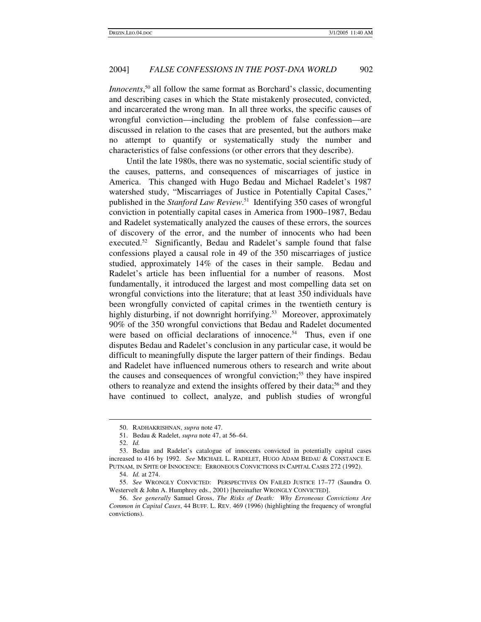*Innocents*, 50 all follow the same format as Borchard's classic, documenting and describing cases in which the State mistakenly prosecuted, convicted, and incarcerated the wrong man. In all three works, the specific causes of wrongful conviction—including the problem of false confession—are discussed in relation to the cases that are presented, but the authors make no attempt to quantify or systematically study the number and characteristics of false confessions (or other errors that they describe).

Until the late 1980s, there was no systematic, social scientific study of the causes, patterns, and consequences of miscarriages of justice in America. This changed with Hugo Bedau and Michael Radelet's 1987 watershed study, "Miscarriages of Justice in Potentially Capital Cases," published in the *Stanford Law Review*. 51 Identifying 350 cases of wrongful conviction in potentially capital cases in America from 1900–1987, Bedau and Radelet systematically analyzed the causes of these errors, the sources of discovery of the error, and the number of innocents who had been executed.<sup>52</sup> Significantly, Bedau and Radelet's sample found that false confessions played a causal role in 49 of the 350 miscarriages of justice studied, approximately 14% of the cases in their sample. Bedau and Radelet's article has been influential for a number of reasons. Most fundamentally, it introduced the largest and most compelling data set on wrongful convictions into the literature; that at least 350 individuals have been wrongfully convicted of capital crimes in the twentieth century is highly disturbing, if not downright horrifying.<sup>53</sup> Moreover, approximately 90% of the 350 wrongful convictions that Bedau and Radelet documented were based on official declarations of innocence. <sup>54</sup> Thus, even if one disputes Bedau and Radelet's conclusion in any particular case, it would be difficult to meaningfully dispute the larger pattern of their findings. Bedau and Radelet have influenced numerous others to research and write about the causes and consequences of wrongful conviction; 55 they have inspired others to reanalyze and extend the insights offered by their data;<sup>56</sup> and they have continued to collect, analyze, and publish studies of wrongful

<sup>50.</sup> RADHAKRISHNAN, *supra* note 47.

<sup>51.</sup> Bedau & Radelet, *supra* note 47, at 56–64.

<sup>52.</sup> *Id.*

<sup>53.</sup> Bedau and Radelet's catalogue of innocents convicted in potentially capital cases increased to 416 by 1992. *See* MICHAEL L. RADELET, HUGO ADAM BEDAU & CONSTANCE E. PUTNAM, IN SPITE OF INNOCENCE: ERRONEOUS CONVICTIONS IN CAPITAL CASES 272 (1992).

<sup>54.</sup> *Id.* at 274.

<sup>55.</sup> *See* WRONGLY CONVICTED: PERSPECTIVES ON FAILED JUSTICE 17–77 (Saundra O. Westervelt & John A. Humphrey eds., 2001) [hereinafter WRONGLY CONVICTED].

<sup>56.</sup> *See generally* Samuel Gross, *The Risks of Death: Why Erroneous Convictions Are Common in Capital Cases*, 44 BUFF. L. REV. 469 (1996) (highlighting the frequency of wrongful convictions).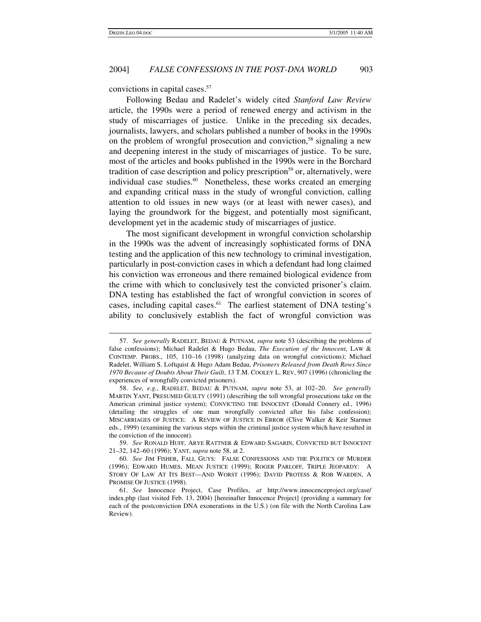convictions in capital cases. 57

Following Bedau and Radelet's widely cited *Stanford Law Review* article, the 1990s were a period of renewed energy and activism in the study of miscarriages of justice. Unlike in the preceding six decades, journalists, lawyers, and scholars published a number of books in the 1990s on the problem of wrongful prosecution and conviction, 58 signaling a new and deepening interest in the study of miscarriages of justice. To be sure, most of the articles and books published in the 1990s were in the Borchard tradition of case description and policy prescription<sup>59</sup> or, alternatively, were individual case studies.<sup>60</sup> Nonetheless, these works created an emerging and expanding critical mass in the study of wrongful conviction, calling attention to old issues in new ways (or at least with newer cases), and laying the groundwork for the biggest, and potentially most significant, development yet in the academic study of miscarriages of justice.

The most significant development in wrongful conviction scholarship in the 1990s was the advent of increasingly sophisticated forms of DNA testing and the application of this new technology to criminal investigation, particularly in post-conviction cases in which a defendant had long claimed his conviction was erroneous and there remained biological evidence from the crime with which to conclusively test the convicted prisoner's claim. DNA testing has established the fact of wrongful conviction in scores of cases, including capital cases. <sup>61</sup> The earliest statement of DNA testing's ability to conclusively establish the fact of wrongful conviction was

<sup>57.</sup> *See generally* RADELET, BEDAU & PUTNAM, *supra* note 53 (describing the problems of false confessions); Michael Radelet & Hugo Bedau, *The Execution of the Innocent*, LAW & CONTEMP. PROBS., 105, 110–16 (1998) (analyzing data on wrongful convictions); Michael Radelet, William S. Loftquist & Hugo Adam Bedau, *Prisoners Released from Death Rows Since 1970 Because of Doubts About Their Guilt*, 13 T.M. COOLEY L. REV, 907 (1996) (chronicling the experiences of wrongfully convicted prisoners).

<sup>58.</sup> *See, e.g.*, RADELET, BEDAU & PUTNAM, *supra* note 53, at 102–20. *See generally* MARTIN YANT, PRESUMED GUILTY (1991) (describing the toll wrongful prosecutions take on the American criminal justice system); CONVICTING THE INNOCENT (Donald Connery ed., 1996) (detailing the struggles of one man wrongfully convicted after his false confession); MISCARRIAGES OF JUSTICE: A REVIEW OF JUSTICE IN ERROR (Clive Walker & Keir Starmer eds., 1999) (examining the various steps within the criminal justice system which have resulted in the conviction of the innocent).

<sup>59.</sup> *See* RONALD HUFF, ARYE RATTNER & EDWARD SAGARIN, CONVICTED BUT INNOCENT 21–32, 142–60 (1996); YANT, *supra* note 58, at 2.

<sup>60.</sup> *See* JIM FISHER, FALL GUYS: FALSE CONFESSIONS AND THE POLITICS OF MURDER (1996); EDWARD HUMES, MEAN JUSTICE (1999); ROGER PARLOFF, TRIPLE JEOPARDY: A STORY OF LAW AT ITS BEST—AND WORST (1996); DAVID PROTESS & ROB WARDEN, A PROMISE OF JUSTICE (1998).

<sup>61.</sup> *See* Innocence Project, Case Profiles, *at* http://www.innocenceproject.org/case/ index.php (last visited Feb. 13, 2004) [hereinafter Innocence Project] (providing a summary for each of the postconviction DNA exonerations in the U.S.) (on file with the North Carolina Law Review).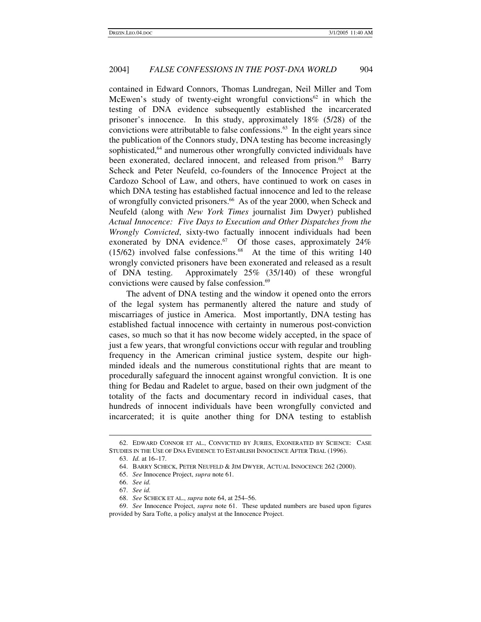contained in Edward Connors, Thomas Lundregan, Neil Miller and Tom McEwen's study of twenty-eight wrongful convictions<sup>62</sup> in which the testing of DNA evidence subsequently established the incarcerated prisoner's innocence. In this study, approximately 18% (5/28) of the convictions were attributable to false confessions. 63 In the eight years since the publication of the Connors study, DNA testing has become increasingly sophisticated,<sup>64</sup> and numerous other wrongfully convicted individuals have been exonerated, declared innocent, and released from prison.<sup>65</sup> Barry Scheck and Peter Neufeld, co-founders of the Innocence Project at the Cardozo School of Law, and others, have continued to work on cases in which DNA testing has established factual innocence and led to the release of wrongfully convicted prisoners. <sup>66</sup> As of the year 2000, when Scheck and Neufeld (along with *New York Times* journalist Jim Dwyer) published *Actual Innocence: Five Days to Execution and Other Dispatches from the Wrongly Convicted*, sixty-two factually innocent individuals had been exonerated by DNA evidence.<sup>67</sup> Of those cases, approximately 24% (15/62) involved false confessions. <sup>68</sup> At the time of this writing 140 wrongly convicted prisoners have been exonerated and released as a result of DNA testing. Approximately 25% (35/140) of these wrongful convictions were caused by false confession. 69

The advent of DNA testing and the window it opened onto the errors of the legal system has permanently altered the nature and study of miscarriages of justice in America. Most importantly, DNA testing has established factual innocence with certainty in numerous post-conviction cases, so much so that it has now become widely accepted, in the space of just a few years, that wrongful convictions occur with regular and troubling frequency in the American criminal justice system, despite our highminded ideals and the numerous constitutional rights that are meant to procedurally safeguard the innocent against wrongful conviction. It is one thing for Bedau and Radelet to argue, based on their own judgment of the totality of the facts and documentary record in individual cases, that hundreds of innocent individuals have been wrongfully convicted and incarcerated; it is quite another thing for DNA testing to establish

<sup>62.</sup> EDWARD CONNOR ET AL., CONVICTED BY JURIES, EXONERATED BY SCIENCE: CASE STUDIES IN THE USE OF DNA EVIDENCE TO ESTABLISH INNOCENCE AFTER TRIAL (1996).

<sup>63.</sup> *Id.* at 16–17.

<sup>64.</sup> BARRY SCHECK, PETER NEUFELD & JIM DWYER, ACTUAL INNOCENCE 262 (2000).

<sup>65.</sup> *See* Innocence Project, *supra* note 61.

<sup>66.</sup> *See id.*

<sup>67.</sup> *See id.*

<sup>68.</sup> *See* SCHECK ET AL., *supra* note 64, at 254–56.

<sup>69.</sup> *See* Innocence Project, *supra* note 61. These updated numbers are based upon figures provided by Sara Tofte, a policy analyst at the Innocence Project.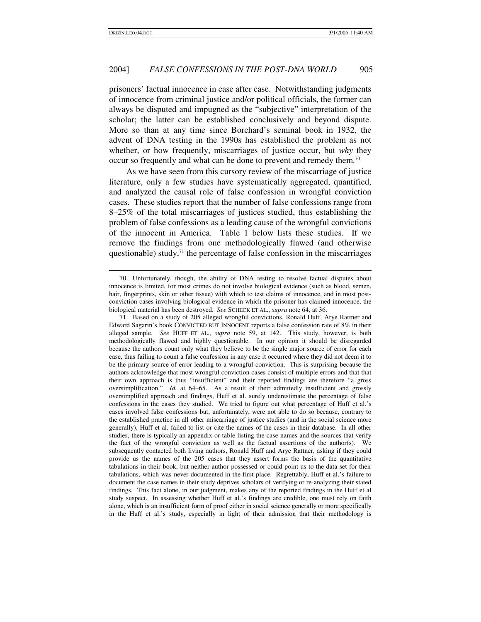prisoners' factual innocence in case after case. Notwithstanding judgments of innocence from criminal justice and/or political officials, the former can always be disputed and impugned as the "subjective" interpretation of the scholar; the latter can be established conclusively and beyond dispute. More so than at any time since Borchard's seminal book in 1932, the advent of DNA testing in the 1990s has established the problem as not whether, or how frequently, miscarriages of justice occur, but *why* they occur so frequently and what can be done to prevent and remedy them.<sup>70</sup>

As we have seen from this cursory review of the miscarriage of justice literature, only a few studies have systematically aggregated, quantified, and analyzed the causal role of false confession in wrongful conviction cases. These studies report that the number of false confessions range from 8–25% of the total miscarriages of justices studied, thus establishing the problem of false confessions as a leading cause of the wrongful convictions of the innocent in America. Table 1 below lists these studies. If we remove the findings from one methodologically flawed (and otherwise questionable) study, 71 the percentage of false confession in the miscarriages

<sup>70.</sup> Unfortunately, though, the ability of DNA testing to resolve factual disputes about innocence is limited, for most crimes do not involve biological evidence (such as blood, semen, hair, fingerprints, skin or other tissue) with which to test claims of innocence, and in most postconviction cases involving biological evidence in which the prisoner has claimed innocence, the biological material has been destroyed. *See* SCHECK ET AL., *supra* note 64, at 36.

<sup>71.</sup> Based on a study of 205 alleged wrongful convictions, Ronald Huff, Arye Rattner and Edward Sagarin's book CONVICTED BUT INNOCENT reports a false confession rate of 8% in their alleged sample. *See* HUFF ET AL., *supra* note 59, at 142. This study, however, is both methodologically flawed and highly questionable. In our opinion it should be disregarded because the authors count only what they believe to be the single major source of error for each case, thus failing to count a false confession in any case it occurred where they did not deem it to be the primary source of error leading to a wrongful conviction. This is surprising because the authors acknowledge that most wrongful conviction cases consist of multiple errors and that that their own approach is thus "insufficient" and their reported findings are therefore "a gross oversimplification." *Id.* at 64–65. As a result of their admittedly insufficient and grossly oversimplified approach and findings, Huff et al. surely underestimate the percentage of false confessions in the cases they studied. We tried to figure out what percentage of Huff et al.'s cases involved false confessions but, unfortunately, were not able to do so because, contrary to the established practice in all other miscarriage of justice studies (and in the social science more generally), Huff et al. failed to list or cite the names of the cases in their database. In all other studies, there is typically an appendix or table listing the case names and the sources that verify the fact of the wrongful conviction as well as the factual assertions of the author(s). We subsequently contacted both living authors, Ronald Huff and Arye Rattner, asking if they could provide us the names of the 205 cases that they assert forms the basis of the quantitative tabulations in their book, but neither author possessed or could point us to the data set for their tabulations, which was never documented in the first place. Regrettably, Huff et al.'s failure to document the case names in their study deprives scholars of verifying or re-analyzing their stated findings. This fact alone, in our judgment, makes any of the reported findings in the Huff et al study suspect. In assessing whether Huff et al.'s findings are credible, one must rely on faith alone, which is an insufficient form of proof either in social science generally or more specifically in the Huff et al.'s study, especially in light of their admission that their methodology is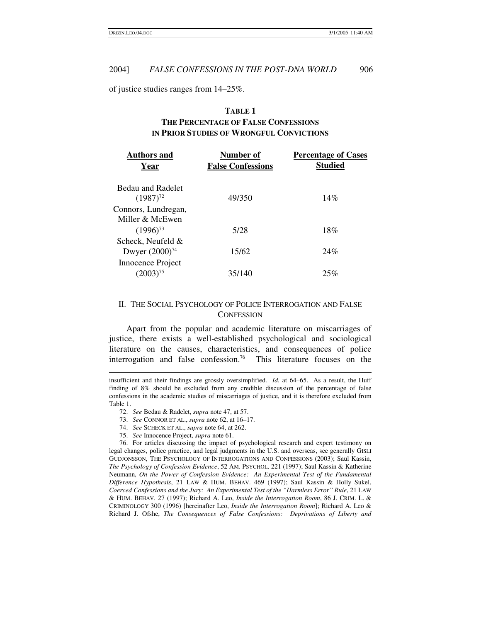of justice studies ranges from 14–25%.

# **TABLE 1**

# **THE PERCENTAGE OF FALSE CONFESSIONS IN PRIOR STUDIES OF WRONGFUL CONVICTIONS**

| <b>Authors and</b><br>Year               | Number of<br><b>False Confessions</b> | <b>Percentage of Cases</b><br><b>Studied</b> |
|------------------------------------------|---------------------------------------|----------------------------------------------|
| Bedau and Radelet<br>$(1987)^{72}$       | 49/350                                | 14%                                          |
| Connors, Lundregan,                      |                                       |                                              |
| Miller & McEwen                          |                                       |                                              |
| $(1996)^{73}$                            | 5/28                                  | 18%                                          |
| Scheck, Neufeld &<br>Dwyer $(2000)^{74}$ | 15/62                                 | 24%                                          |
| Innocence Project                        |                                       |                                              |
| $(2003)^{75}$                            | 35/140                                | 25%                                          |
|                                          |                                       |                                              |

# II. THE SOCIAL PSYCHOLOGY OF POLICE INTERROGATION AND FALSE **CONFESSION**

Apart from the popular and academic literature on miscarriages of justice, there exists a well-established psychological and sociological literature on the causes, characteristics, and consequences of police interrogation and false confession.<sup>76</sup> This literature focuses on the

- 73. *See* CONNOR ET AL., *supra* note 62, at 16–17.
- 74. *See* SCHECK ET AL., *supra* note 64, at 262.
- 75. *See* Innocence Project, *supra* note 61.

76. For articles discussing the impact of psychological research and expert testimony on legal changes, police practice, and legal judgments in the U.S. and overseas, see generally GISLI GUDJONSSON, THE PSYCHOLOGY OF INTERROGATIONS AND CONFESSIONS (2003); Saul Kassin, *The Psychology of Confession Evidence*, 52 AM. PSYCHOL. 221 (1997); Saul Kassin & Katherine Neumann, *On the Power of Confession Evidence: An Experimental Test of the Fundamental Difference Hypothesis*, 21 LAW & HUM. BEHAV. 469 (1997); Saul Kassin & Holly Sukel, *Coerced Confessions and the Jury: An Experimental Test of the "Harmless Error" Rule*, 21 LAW & HUM. BEHAV. 27 (1997); Richard A. Leo, *Inside the Interrogation Room*, 86 J. CRIM. L. & CRIMINOLOGY 300 (1996) [hereinafter Leo, *Inside the Interrogation Room*]; Richard A. Leo & Richard J. Ofshe, *The Consequences of False Confessions: Deprivations of Liberty and*

insufficient and their findings are grossly oversimplified. *Id.* at 64–65. As a result, the Huff finding of 8% should be excluded from any credible discussion of the percentage of false confessions in the academic studies of miscarriages of justice, and it is therefore excluded from Table 1.

<sup>72.</sup> *See* Bedau & Radelet, *supra* note 47, at 57.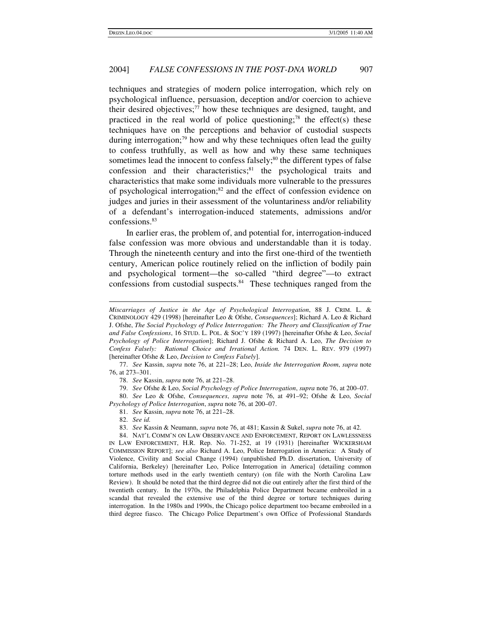techniques and strategies of modern police interrogation, which rely on psychological influence, persuasion, deception and/or coercion to achieve their desired objectives; <sup>77</sup> how these techniques are designed, taught, and practiced in the real world of police questioning;<sup>78</sup> the effect(s) these techniques have on the perceptions and behavior of custodial suspects during interrogation;<sup>79</sup> how and why these techniques often lead the guilty to confess truthfully, as well as how and why these same techniques sometimes lead the innocent to confess falsely;<sup>80</sup> the different types of false confession and their characteristics;<sup>81</sup> the psychological traits and characteristics that make some individuals more vulnerable to the pressures of psychological interrogation; 82 and the effect of confession evidence on judges and juries in their assessment of the voluntariness and/or reliability of a defendant's interrogation-induced statements, admissions and/or confessions. 83

In earlier eras, the problem of, and potential for, interrogation-induced false confession was more obvious and understandable than it is today. Through the nineteenth century and into the first one-third of the twentieth century, American police routinely relied on the infliction of bodily pain and psychological torment—the so-called "third degree"—to extract confessions from custodial suspects. <sup>84</sup> These techniques ranged from the

77. *See* Kassin, *supra* note 76, at 221–28; Leo, *Inside the Interrogation Room*, *supra* note 76, at 273–301.

78. *See* Kassin, *supra* note 76, at 221–28.

79. *See* Ofshe & Leo, *Social Psychology of Police Interrogation*, *supra* note 76, at 200–07.

80. *See* Leo & Ofshe, *Consequences*, *supra* note 76, at 491–92; Ofshe & Leo, *Social Psychology of Police Interrogation*, *supra* note 76, at 200–07.

81. *See* Kassin, *supra* note 76, at 221–28.

82. *See id.*

83. *See* Kassin & Neumann, *supra* note 76, at 481; Kassin & Sukel, *supra* note 76, at 42.

*Miscarriages of Justice in the Age of Psychological Interrogation*, 88 J. CRIM. L. & CRIMINOLOGY 429 (1998) [hereinafter Leo & Ofshe, *Consequences*]; Richard A. Leo & Richard J. Ofshe, *The Social Psychology of Police Interrogation: The Theory and Classification of True and False Confessions*, 16 STUD. L. POL. & SOC'Y 189 (1997) [hereinafter Ofshe & Leo, *Social Psychology of Police Interrogation*]; Richard J. Ofshe & Richard A. Leo, *The Decision to Confess Falsely: Rational Choice and Irrational Action.* 74 DEN. L. REV. 979 (1997) [hereinafter Ofshe & Leo, *Decision to Confess Falsely*].

<sup>84.</sup> NAT'L COMM'N ON LAW OBSERVANCE AND ENFORCEMENT, REPORT ON LAWLESSNESS IN LAW ENFORCEMENT, H.R. Rep. No. 71-252, at 19 (1931) [hereinafter WICKERSHAM COMMISSION REPORT]; *see also* Richard A. Leo, Police Interrogation in America: A Study of Violence, Civility and Social Change (1994) (unpublished Ph.D. dissertation, University of California, Berkeley) [hereinafter Leo, Police Interrogation in America] (detailing common torture methods used in the early twentieth century) (on file with the North Carolina Law Review). It should be noted that the third degree did not die out entirely after the first third of the twentieth century. In the 1970s, the Philadelphia Police Department became embroiled in a scandal that revealed the extensive use of the third degree or torture techniques during interrogation. In the 1980s and 1990s, the Chicago police department too became embroiled in a third degree fiasco. The Chicago Police Department's own Office of Professional Standards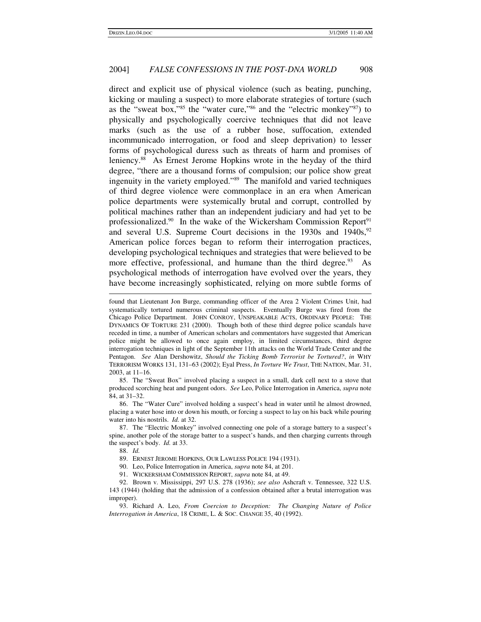direct and explicit use of physical violence (such as beating, punching, kicking or mauling a suspect) to more elaborate strategies of torture (such as the "sweat box,"<sup>85</sup> the "water cure,"<sup>86</sup> and the "electric monkey"<sup>87</sup>) to physically and psychologically coercive techniques that did not leave marks (such as the use of a rubber hose, suffocation, extended incommunicado interrogation, or food and sleep deprivation) to lesser forms of psychological duress such as threats of harm and promises of leniency.<sup>88</sup> As Ernest Jerome Hopkins wrote in the heyday of the third degree, "there are a thousand forms of compulsion; our police show great ingenuity in the variety employed." <sup>89</sup> The manifold and varied techniques of third degree violence were commonplace in an era when American police departments were systemically brutal and corrupt, controlled by political machines rather than an independent judiciary and had yet to be professionalized.<sup>90</sup> In the wake of the Wickersham Commission Report<sup>91</sup> and several U.S. Supreme Court decisions in the 1930s and 1940s,<sup>92</sup> American police forces began to reform their interrogation practices, developing psychological techniques and strategies that were believed to be more effective, professional, and humane than the third degree.<sup>93</sup> As psychological methods of interrogation have evolved over the years, they have become increasingly sophisticated, relying on more subtle forms of

85. The "Sweat Box" involved placing a suspect in a small, dark cell next to a stove that produced scorching heat and pungent odors. *See* Leo, Police Interrogation in America, *supra* note 84, at 31–32.

86. The "Water Cure" involved holding a suspect's head in water until he almost drowned, placing a water hose into or down his mouth, or forcing a suspect to lay on his back while pouring water into his nostrils. *Id.* at 32.

87. The "Electric Monkey" involved connecting one pole of a storage battery to a suspect's spine, another pole of the storage batter to a suspect's hands, and then charging currents through the suspect's body. *Id.* at 33.

90. Leo, Police Interrogation in America, *supra* note 84, at 201.

found that Lieutenant Jon Burge, commanding officer of the Area 2 Violent Crimes Unit, had systematically tortured numerous criminal suspects. Eventually Burge was fired from the Chicago Police Department. JOHN CONROY, UNSPEAKABLE ACTS, ORDINARY PEOPLE: THE DYNAMICS OF TORTURE 231 (2000). Though both of these third degree police scandals have receded in time, a number of American scholars and commentators have suggested that American police might be allowed to once again employ, in limited circumstances, third degree interrogation techniques in light of the September 11th attacks on the World Trade Center and the Pentagon. *See* Alan Dershowitz, *Should the Ticking Bomb Terrorist be Tortured?*, *in* WHY TERRORISM WORKS 131, 131–63 (2002); Eyal Press, *In Torture We Trust*, THE NATION, Mar. 31, 2003, at 11–16.

<sup>88.</sup> *Id.*

<sup>89.</sup> ERNEST JEROME HOPKINS, OUR LAWLESS POLICE 194 (1931).

<sup>91.</sup> WICKERSHAM COMMISSION REPORT, *supra* note 84, at 49.

<sup>92.</sup> Brown v. Mississippi, 297 U.S. 278 (1936); *see also* Ashcraft v. Tennessee, 322 U.S. 143 (1944) (holding that the admission of a confession obtained after a brutal interrogation was improper).

<sup>93.</sup> Richard A. Leo, *From Coercion to Deception: The Changing Nature of Police Interrogation in America*, 18 CRIME, L. & SOC. CHANGE 35, 40 (1992).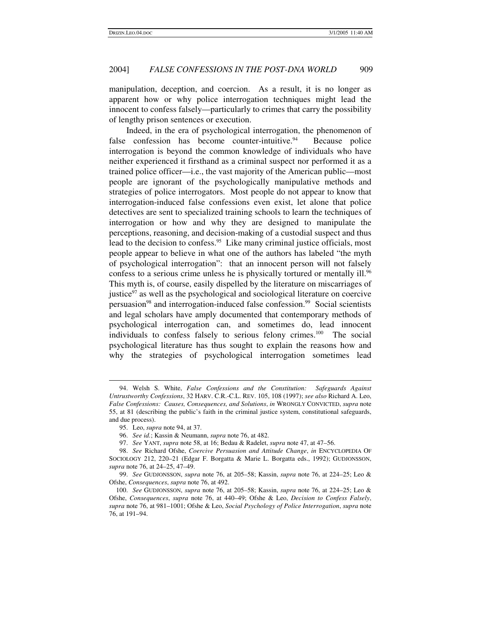manipulation, deception, and coercion. As a result, it is no longer as apparent how or why police interrogation techniques might lead the innocent to confess falsely—particularly to crimes that carry the possibility of lengthy prison sentences or execution.

Indeed, in the era of psychological interrogation, the phenomenon of false confession has become counter-intuitive.<sup>94</sup> Because police interrogation is beyond the common knowledge of individuals who have neither experienced it firsthand as a criminal suspect nor performed it as a trained police officer—i.e., the vast majority of the American public—most people are ignorant of the psychologically manipulative methods and strategies of police interrogators. Most people do not appear to know that interrogation-induced false confessions even exist, let alone that police detectives are sent to specialized training schools to learn the techniques of interrogation or how and why they are designed to manipulate the perceptions, reasoning, and decision-making of a custodial suspect and thus lead to the decision to confess. <sup>95</sup> Like many criminal justice officials, most people appear to believe in what one of the authors has labeled "the myth of psychological interrogation": that an innocent person will not falsely confess to a serious crime unless he is physically tortured or mentally ill.<sup>96</sup> This myth is, of course, easily dispelled by the literature on miscarriages of justice 97 as well as the psychological and sociological literature on coercive persuasion 98 and interrogation-induced false confession. <sup>99</sup> Social scientists and legal scholars have amply documented that contemporary methods of psychological interrogation can, and sometimes do, lead innocent individuals to confess falsely to serious felony crimes.<sup>100</sup> The social psychological literature has thus sought to explain the reasons how and why the strategies of psychological interrogation sometimes lead

<sup>94.</sup> Welsh S. White, *False Confessions and the Constitution: Safeguards Against Untrustworthy Confessions*, 32 HARV. C.R.-C.L. REV. 105, 108 (1997); *see also* Richard A. Leo, *False Confessions: Causes, Consequences, and Solutions*, *in* WRONGLY CONVICTED, *supra* note 55, at 81 (describing the public's faith in the criminal justice system, constitutional safeguards, and due process).

<sup>95.</sup> Leo, *supra* note 94, at 37.

<sup>96.</sup> *See id.*; Kassin & Neumann, *supra* note 76, at 482.

<sup>97.</sup> *See* YANT, *supra* note 58, at 16; Bedau & Radelet, *supra* note 47, at 47–56.

<sup>98.</sup> *See* Richard Ofshe, *Coercive Persuasion and Attitude Change*, *in* ENCYCLOPEDIA OF SOCIOLOGY 212, 220–21 (Edgar F. Borgatta & Marie L. Borgatta eds., 1992); GUDJONSSON, *supra* note 76, at 24–25, 47–49.

<sup>99.</sup> *See* GUDJONSSON, *supra* note 76, at 205–58; Kassin, *supra* note 76, at 224–25; Leo & Ofshe, *Consequences*, *supra* note 76, at 492.

<sup>100.</sup> *See* GUDJONSSON, *supra* note 76, at 205–58; Kassin, *supra* note 76, at 224–25; Leo & Ofshe, *Consequences*, *supra* note 76, at 440–49; Ofshe & Leo, *Decision to Confess Falsely*, *supra* note 76, at 981–1001; Ofshe & Leo, *Social Psychology of Police Interrogation*, *supra* note 76, at 191–94.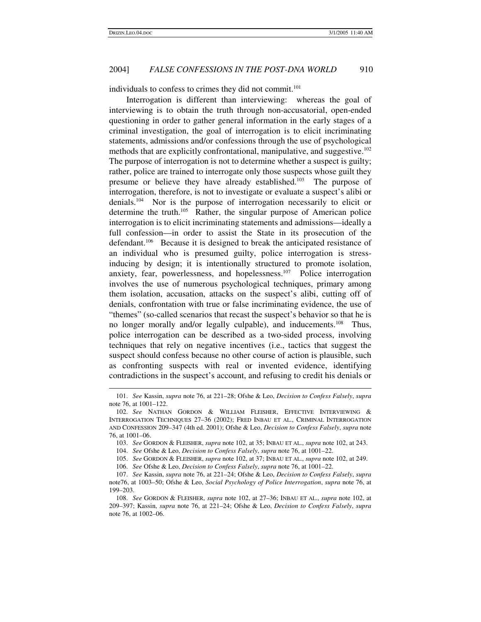individuals to confess to crimes they did not commit. 101

Interrogation is different than interviewing: whereas the goal of interviewing is to obtain the truth through non-accusatorial, open-ended questioning in order to gather general information in the early stages of a criminal investigation, the goal of interrogation is to elicit incriminating statements, admissions and/or confessions through the use of psychological methods that are explicitly confrontational, manipulative, and suggestive. 102 The purpose of interrogation is not to determine whether a suspect is guilty; rather, police are trained to interrogate only those suspects whose guilt they presume or believe they have already established.<sup>103</sup> The purpose of interrogation, therefore, is not to investigate or evaluate a suspect's alibi or denials. <sup>104</sup> Nor is the purpose of interrogation necessarily to elicit or determine the truth. <sup>105</sup> Rather, the singular purpose of American police interrogation is to elicit incriminating statements and admissions—ideally a full confession—in order to assist the State in its prosecution of the defendant.<sup>106</sup> Because it is designed to break the anticipated resistance of an individual who is presumed guilty, police interrogation is stressinducing by design; it is intentionally structured to promote isolation, anxiety, fear, powerlessness, and hopelessness.<sup>107</sup> Police interrogation involves the use of numerous psychological techniques, primary among them isolation, accusation, attacks on the suspect's alibi, cutting off of denials, confrontation with true or false incriminating evidence, the use of "themes" (so-called scenarios that recast the suspect's behavior so that he is no longer morally and/or legally culpable), and inducements.<sup>108</sup> Thus, police interrogation can be described as a two-sided process, involving techniques that rely on negative incentives (i.e., tactics that suggest the suspect should confess because no other course of action is plausible, such as confronting suspects with real or invented evidence, identifying contradictions in the suspect's account, and refusing to credit his denials or

<sup>101.</sup> *See* Kassin, *supra* note 76, at 221–28; Ofshe & Leo, *Decision to Confess Falsely*, *supra* note 76, at 1001–122.

<sup>102.</sup> *See* NATHAN GORDON & WILLIAM FLEISHER, EFFECTIVE INTERVIEWING & INTERROGATION TECHNIQUES 27–36 (2002); FRED INBAU ET AL., CRIMINAL INTERROGATION AND CONFESSION 209–347 (4th ed. 2001); Ofshe & Leo, *Decision to Confess Falsely*, *supra* note 76, at 1001–06.

<sup>103.</sup> *See* GORDON & FLEISHER, *supra* note 102, at 35; INBAU ET AL., *supra* note 102, at 243.

<sup>104.</sup> *See* Ofshe & Leo, *Decision to Confess Falsely*, *supra* note 76, at 1001–22.

<sup>105.</sup> *See* GORDON & FLEISHER, *supra* note 102, at 37; INBAU ET AL., *supra* note 102, at 249.

<sup>106.</sup> *See* Ofshe & Leo, *Decision to Confess Falsely*, *supra* note 76, at 1001–22.

<sup>107.</sup> *See* Kassin, *supra* note 76, at 221–24; Ofshe & Leo, *Decision to Confess Falsely*, *supra* note76, at 1003–50; Ofshe & Leo, *Social Psychology of Police Interrogation*, *supra* note 76, at 199–203.

<sup>108.</sup> *See* GORDON & FLEISHER, *supra* note 102, at 27–36; INBAU ET AL., *supra* note 102, at 209–397; Kassin, *supra* note 76, at 221–24; Ofshe & Leo, *Decision to Confess Falsely*, *supra* note 76, at 1002–06.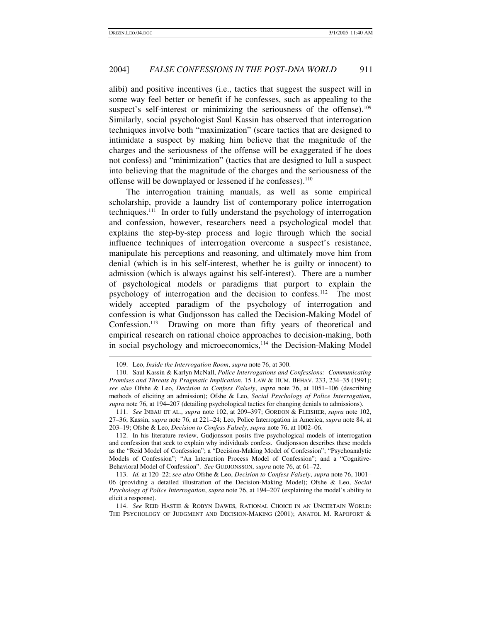alibi) and positive incentives (i.e., tactics that suggest the suspect will in some way feel better or benefit if he confesses, such as appealing to the suspect's self-interest or minimizing the seriousness of the offense).<sup>109</sup> Similarly, social psychologist Saul Kassin has observed that interrogation techniques involve both "maximization" (scare tactics that are designed to intimidate a suspect by making him believe that the magnitude of the charges and the seriousness of the offense will be exaggerated if he does not confess) and "minimization" (tactics that are designed to lull a suspect into believing that the magnitude of the charges and the seriousness of the offense will be downplayed or lessened if he confesses).<sup>110</sup>

The interrogation training manuals, as well as some empirical scholarship, provide a laundry list of contemporary police interrogation techniques. 111 In order to fully understand the psychology of interrogation and confession, however, researchers need a psychological model that explains the step-by-step process and logic through which the social influence techniques of interrogation overcome a suspect's resistance, manipulate his perceptions and reasoning, and ultimately move him from denial (which is in his self-interest, whether he is guilty or innocent) to admission (which is always against his self-interest). There are a number of psychological models or paradigms that purport to explain the psychology of interrogation and the decision to confess.<sup>112</sup> The most widely accepted paradigm of the psychology of interrogation and confession is what Gudjonsson has called the Decision-Making Model of Confession.<sup>113</sup> Drawing on more than fifty years of theoretical and empirical research on rational choice approaches to decision-making, both in social psychology and microeconomics,<sup>114</sup> the Decision-Making Model

<sup>109.</sup> Leo, *Inside the Interrogation Room*, *supra* note 76, at 300.

<sup>110.</sup> Saul Kassin & Karlyn McNall, *Police Interrogations and Confessions: Communicating Promises and Threats by Pragmatic Implication*, 15 LAW & HUM. BEHAV. 233, 234–35 (1991); *see also* Ofshe & Leo, *Decision to Confess Falsely*, *supra* note 76, at 1051–106 (describing methods of eliciting an admission); Ofshe & Leo, *Social Psychology of Police Interrogation*, *supra* note 76, at 194–207 (detailing psychological tactics for changing denials to admissions).

<sup>111.</sup> *See* INBAU ET AL., *supra* note 102, at 209–397; GORDON & FLEISHER, *supra* note 102, 27–36; Kassin, *supra* note 76, at 221–24; Leo, Police Interrogation in America, *supra* note 84, at 203–19; Ofshe & Leo, *Decision to Confess Falsely*, *supra* note 76, at 1002–06.

<sup>112.</sup> In his literature review, Gudjonsson posits five psychological models of interrogation and confession that seek to explain why individuals confess. Gudjonsson describes these models as the "Reid Model of Confession"; a "Decision-Making Model of Confession"; "Psychoanalytic Models of Confession"; "An Interaction Process Model of Confession"; and a "Cognitive-Behavioral Model of Confession". *See* GUDJONSSON, *supra* note 76, at 61–72.

<sup>113.</sup> *Id.* at 120–22; *see also* Ofshe & Leo, *Decision to Confess Falsely*, *supra* note 76, 1001– 06 (providing a detailed illustration of the Decision-Making Model); Ofshe & Leo, *Social Psychology of Police Interrogation*, *supra* note 76, at 194–207 (explaining the model's ability to elicit a response).

<sup>114.</sup> *See* REID HASTIE & ROBYN DAWES, RATIONAL CHOICE IN AN UNCERTAIN WORLD: THE PSYCHOLOGY OF JUDGMENT AND DECISION-MAKING (2001); ANATOL M. RAPOPORT &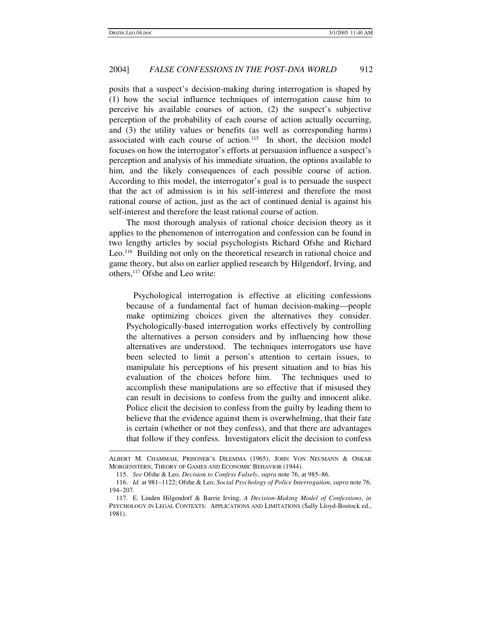posits that a suspect's decision-making during interrogation is shaped by (1) how the social influence techniques of interrogation cause him to perceive his available courses of action, (2) the suspect's subjective perception of the probability of each course of action actually occurring, and (3) the utility values or benefits (as well as corresponding harms) associated with each course of action. 115 In short, the decision model focuses on how the interrogator's efforts at persuasion influence a suspect's perception and analysis of his immediate situation, the options available to him, and the likely consequences of each possible course of action. According to this model, the interrogator's goal is to persuade the suspect that the act of admission is in his self-interest and therefore the most rational course of action, just as the act of continued denial is against his self-interest and therefore the least rational course of action.

The most thorough analysis of rational choice decision theory as it applies to the phenomenon of interrogation and confession can be found in two lengthy articles by social psychologists Richard Ofshe and Richard Leo.<sup>116</sup> Building not only on the theoretical research in rational choice and game theory, but also on earlier applied research by Hilgendorf, Irving, and others, <sup>117</sup> Ofshe and Leo write:

Psychological interrogation is effective at eliciting confessions because of a fundamental fact of human decision-making—people make optimizing choices given the alternatives they consider. Psychologically-based interrogation works effectively by controlling the alternatives a person considers and by influencing how those alternatives are understood. The techniques interrogators use have been selected to limit a person's attention to certain issues, to manipulate his perceptions of his present situation and to bias his evaluation of the choices before him. The techniques used to accomplish these manipulations are so effective that if misused they can result in decisions to confess from the guilty and innocent alike. Police elicit the decision to confess from the guilty by leading them to believe that the evidence against them is overwhelming, that their fate is certain (whether or not they confess), and that there are advantages that follow if they confess. Investigators elicit the decision to confess

ALBERT M. CHAMMAH, PRISONER'S DILEMMA (1965); JOHN VON NEUMANN & OSKAR MORGENSTERN, THEORY OF GAMES AND ECONOMIC BEHAVIOR (1944).

<sup>115.</sup> *See* Ofshe & Leo, *Decision to Confess Falsely*, *supra* note 76, at 985–86.

<sup>116.</sup> *Id.* at 981–1122; Ofshe & Leo, *Social Psychology of Police Interrogation*, *supra* note 76, 194–207.

<sup>117.</sup> E. Linden Hilgendorf & Barrie Irving, *A Decision-Making Model of Confessions*, *in* PSYCHOLOGY IN LEGAL CONTEXTS: APPLICATIONS AND LIMITATIONS (Sally Lloyd-Bostock ed., 1981).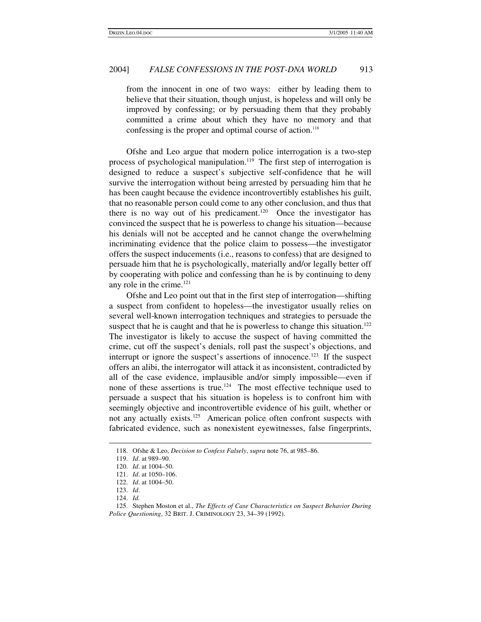from the innocent in one of two ways: either by leading them to believe that their situation, though unjust, is hopeless and will only be improved by confessing; or by persuading them that they probably committed a crime about which they have no memory and that confessing is the proper and optimal course of action. 118

Ofshe and Leo argue that modern police interrogation is a two-step process of psychological manipulation.<sup>119</sup> The first step of interrogation is designed to reduce a suspect's subjective self-confidence that he will survive the interrogation without being arrested by persuading him that he has been caught because the evidence incontrovertibly establishes his guilt, that no reasonable person could come to any other conclusion, and thus that there is no way out of his predicament. <sup>120</sup> Once the investigator has convinced the suspect that he is powerless to change his situation—because his denials will not be accepted and he cannot change the overwhelming incriminating evidence that the police claim to possess—the investigator offers the suspect inducements (i.e., reasons to confess) that are designed to persuade him that he is psychologically, materially and/or legally better off by cooperating with police and confessing than he is by continuing to deny any role in the crime. 121

Ofshe and Leo point out that in the first step of interrogation—shifting a suspect from confident to hopeless—the investigator usually relies on several well-known interrogation techniques and strategies to persuade the suspect that he is caught and that he is powerless to change this situation.<sup>122</sup> The investigator is likely to accuse the suspect of having committed the crime, cut off the suspect's denials, roll past the suspect's objections, and interrupt or ignore the suspect's assertions of innocence.<sup>123</sup> If the suspect offers an alibi, the interrogator will attack it as inconsistent, contradicted by all of the case evidence, implausible and/or simply impossible—even if none of these assertions is true.<sup>124</sup> The most effective technique used to persuade a suspect that his situation is hopeless is to confront him with seemingly objective and incontrovertible evidence of his guilt, whether or not any actually exists.<sup>125</sup> American police often confront suspects with fabricated evidence, such as nonexistent eyewitnesses, false fingerprints,

<sup>118.</sup> Ofshe & Leo, *Decision to Confess Falsely*, *supra* note 76, at 985–86.

<sup>119.</sup> *Id*. at 989–90.

<sup>120.</sup> *Id*. at 1004–50.

<sup>121.</sup> *Id*. at 1050–106.

<sup>122.</sup> *Id*. at 1004–50.

<sup>123.</sup> *Id*.

<sup>124.</sup> *Id.*

<sup>125.</sup> Stephen Moston et al., *The Effects of Case Characteristics on Suspect Behavior During Police Questioning*, 32 BRIT. J. CRIMINOLOGY 23, 34–39 (1992).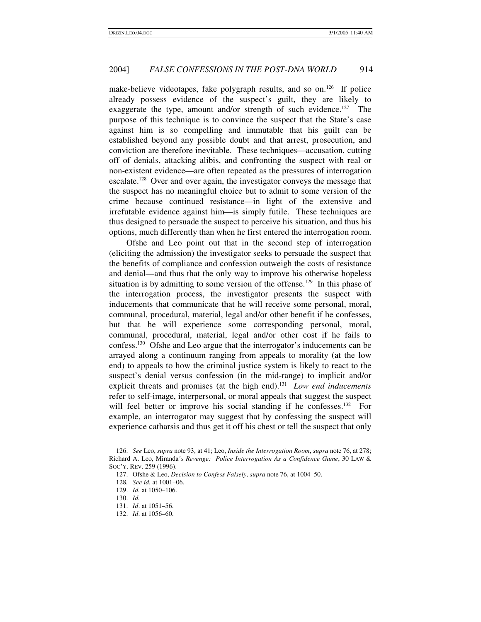make-believe videotapes, fake polygraph results, and so on.<sup>126</sup> If police already possess evidence of the suspect's guilt, they are likely to exaggerate the type, amount and/or strength of such evidence.<sup>127</sup> The purpose of this technique is to convince the suspect that the State's case against him is so compelling and immutable that his guilt can be established beyond any possible doubt and that arrest, prosecution, and conviction are therefore inevitable. These techniques—accusation, cutting off of denials, attacking alibis, and confronting the suspect with real or non-existent evidence—are often repeated as the pressures of interrogation escalate.<sup>128</sup> Over and over again, the investigator conveys the message that the suspect has no meaningful choice but to admit to some version of the crime because continued resistance—in light of the extensive and irrefutable evidence against him—is simply futile. These techniques are thus designed to persuade the suspect to perceive his situation, and thus his options, much differently than when he first entered the interrogation room.

Ofshe and Leo point out that in the second step of interrogation (eliciting the admission) the investigator seeks to persuade the suspect that the benefits of compliance and confession outweigh the costs of resistance and denial—and thus that the only way to improve his otherwise hopeless situation is by admitting to some version of the offense.<sup>129</sup> In this phase of the interrogation process, the investigator presents the suspect with inducements that communicate that he will receive some personal, moral, communal, procedural, material, legal and/or other benefit if he confesses, but that he will experience some corresponding personal, moral, communal, procedural, material, legal and/or other cost if he fails to confess. <sup>130</sup> Ofshe and Leo argue that the interrogator's inducements can be arrayed along a continuum ranging from appeals to morality (at the low end) to appeals to how the criminal justice system is likely to react to the suspect's denial versus confession (in the mid-range) to implicit and/or explicit threats and promises (at the high end). <sup>131</sup> *Low end inducements* refer to self-image, interpersonal, or moral appeals that suggest the suspect will feel better or improve his social standing if he confesses.<sup>132</sup> For example, an interrogator may suggest that by confessing the suspect will experience catharsis and thus get it off his chest or tell the suspect that only

<sup>126.</sup> *See* Leo, *supra* note 93, at 41; Leo, *Inside the Interrogation Room*, *supra* note 76, at 278; Richard A. Leo, Miranda*'s Revenge: Police Interrogation As a Confidence Game*, 30 LAW & SOC'Y. REV. 259 (1996).

<sup>127.</sup> Ofshe & Leo, *Decision to Confess Falsely*, *supra* note 76, at 1004–50.

<sup>128</sup>*. See id.* at 1001–06.

<sup>129.</sup> *Id.* at 1050–106.

<sup>130.</sup> *Id.*

<sup>131.</sup> *Id*. at 1051–56.

<sup>132.</sup> *Id*. at 1056–60.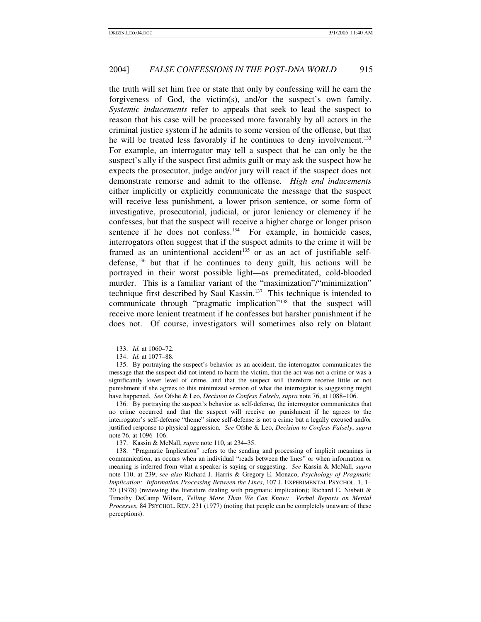the truth will set him free or state that only by confessing will he earn the forgiveness of God, the victim(s), and/or the suspect's own family. *Systemic inducements* refer to appeals that seek to lead the suspect to reason that his case will be processed more favorably by all actors in the criminal justice system if he admits to some version of the offense, but that he will be treated less favorably if he continues to deny involvement. 133 For example, an interrogator may tell a suspect that he can only be the suspect's ally if the suspect first admits guilt or may ask the suspect how he expects the prosecutor, judge and/or jury will react if the suspect does not demonstrate remorse and admit to the offense. *High end inducements* either implicitly or explicitly communicate the message that the suspect will receive less punishment, a lower prison sentence, or some form of investigative, prosecutorial, judicial, or juror leniency or clemency if he confesses, but that the suspect will receive a higher charge or longer prison sentence if he does not confess.<sup>134</sup> For example, in homicide cases, interrogators often suggest that if the suspect admits to the crime it will be framed as an unintentional accident<sup>135</sup> or as an act of justifiable selfdefense, <sup>136</sup> but that if he continues to deny guilt, his actions will be portrayed in their worst possible light—as premeditated, cold-blooded murder. This is a familiar variant of the "maximization"/"minimization" technique first described by Saul Kassin. <sup>137</sup> This technique is intended to communicate through "pragmatic implication" 138 that the suspect will receive more lenient treatment if he confesses but harsher punishment if he does not. Of course, investigators will sometimes also rely on blatant

<sup>133.</sup> *Id.* at 1060–72.

<sup>134.</sup> *Id.* at 1077–88.

<sup>135.</sup> By portraying the suspect's behavior as an accident, the interrogator communicates the message that the suspect did not intend to harm the victim, that the act was not a crime or was a significantly lower level of crime, and that the suspect will therefore receive little or not punishment if she agrees to this minimized version of what the interrogator is suggesting might have happened. *See* Ofshe & Leo, *Decision to Confess Falsely*, *supra* note 76, at 1088–106.

<sup>136.</sup> By portraying the suspect's behavior as self-defense, the interrogator communicates that no crime occurred and that the suspect will receive no punishment if he agrees to the interrogator's self-defense "theme" since self-defense is not a crime but a legally excused and/or justified response to physical aggression. *See* Ofshe & Leo, *Decision to Confess Falsely*, *supra* note 76, at 1096–106.

<sup>137.</sup> Kassin & McNall, *supra* note 110, at 234–35.

<sup>138.</sup> "Pragmatic Implication" refers to the sending and processing of implicit meanings in communication, as occurs when an individual "reads between the lines" or when information or meaning is inferred from what a speaker is saying or suggesting. *See* Kassin & McNall, *supra* note 110, at 239; *see also* Richard J. Harris & Gregory E. Monaco, *Psychology of Pragmatic Implication: Information Processing Between the Lines*, 107 J. EXPERIMENTAL PSYCHOL. 1, 1– 20 (1978) (reviewing the literature dealing with pragmatic implication); Richard E. Nisbett & Timothy DeCamp Wilson, *Telling More Than We Can Know: Verbal Reports on Mental Processes*, 84 PSYCHOL. REV. 231 (1977) (noting that people can be completely unaware of these perceptions).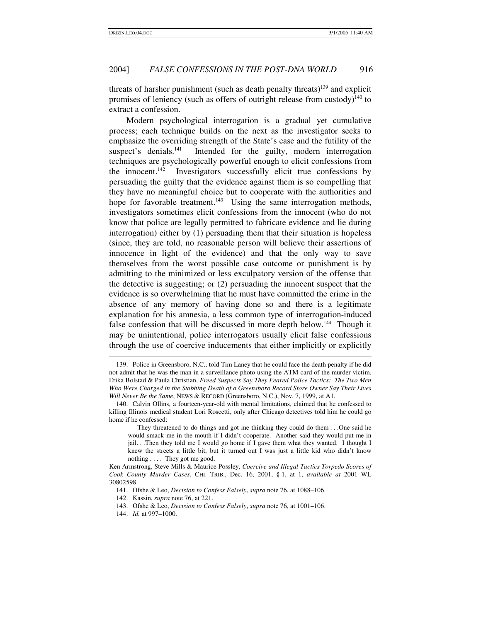threats of harsher punishment (such as death penalty threats) 139 and explicit promises of leniency (such as offers of outright release from custody)<sup>140</sup> to extract a confession.

Modern psychological interrogation is a gradual yet cumulative process; each technique builds on the next as the investigator seeks to emphasize the overriding strength of the State's case and the futility of the suspect's denials.<sup>141</sup> Intended for the guilty, modern interrogation techniques are psychologically powerful enough to elicit confessions from the innocent. 142 Investigators successfully elicit true confessions by persuading the guilty that the evidence against them is so compelling that they have no meaningful choice but to cooperate with the authorities and hope for favorable treatment.<sup>143</sup> Using the same interrogation methods, investigators sometimes elicit confessions from the innocent (who do not know that police are legally permitted to fabricate evidence and lie during interrogation) either by (1) persuading them that their situation is hopeless (since, they are told, no reasonable person will believe their assertions of innocence in light of the evidence) and that the only way to save themselves from the worst possible case outcome or punishment is by admitting to the minimized or less exculpatory version of the offense that the detective is suggesting; or (2) persuading the innocent suspect that the evidence is so overwhelming that he must have committed the crime in the absence of any memory of having done so and there is a legitimate explanation for his amnesia, a less common type of interrogation-induced false confession that will be discussed in more depth below.<sup>144</sup> Though it may be unintentional, police interrogators usually elicit false confessions through the use of coercive inducements that either implicitly or explicitly

<sup>139.</sup> Police in Greensboro, N.C., told Tim Laney that he could face the death penalty if he did not admit that he was the man in a surveillance photo using the ATM card of the murder victim. Erika Bolstad & Paula Christian, *Freed Suspects Say They Feared Police Tactics: The Two Men Who Were Charged in the Stabbing Death of a Greensboro Record Store Owner Say Their Lives Will Never Be the Same*, NEWS & RECORD (Greensboro, N.C.), Nov. 7, 1999, at A1.

<sup>140.</sup> Calvin Ollins, a fourteen-year-old with mental limitations, claimed that he confessed to killing Illinois medical student Lori Roscetti, only after Chicago detectives told him he could go home if he confessed:

They threatened to do things and got me thinking they could do them . . .One said he would smack me in the mouth if I didn't cooperate. Another said they would put me in jail. . .Then they told me I would go home if I gave them what they wanted. I thought I knew the streets a little bit, but it turned out I was just a little kid who didn't know nothing . . . . They got me good.

Ken Armstrong, Steve Mills & Maurice Possley, *Coercive and Illegal Tactics Torpedo Scores of Cook County Murder Cases*, CHI. TRIB., Dec. 16, 2001, § 1, at 1, *available at* 2001 WL 30802598.

<sup>141.</sup> Ofshe & Leo, *Decision to Confess Falsely*, *supra* note 76, at 1088–106.

<sup>142.</sup> Kassin, *supra* note 76, at 221.

<sup>143.</sup> Ofshe & Leo, *Decision to Confess Falsely*, *supra* note 76, at 1001–106.

<sup>144.</sup> *Id.* at 997–1000.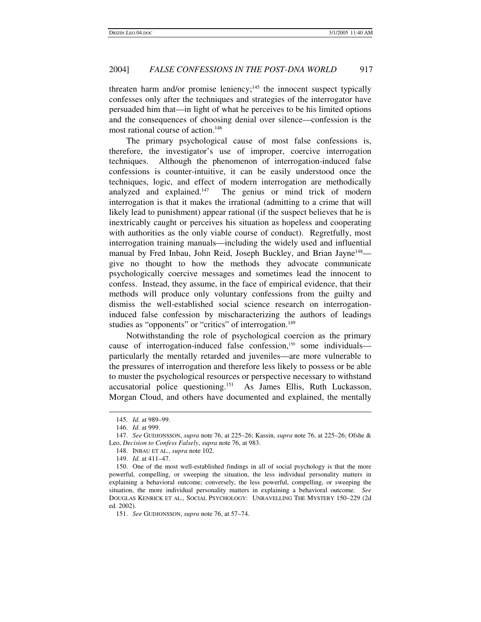threaten harm and/or promise leniency;<sup>145</sup> the innocent suspect typically confesses only after the techniques and strategies of the interrogator have persuaded him that—in light of what he perceives to be his limited options and the consequences of choosing denial over silence—confession is the most rational course of action. 146

The primary psychological cause of most false confessions is, therefore, the investigator's use of improper, coercive interrogation techniques. Although the phenomenon of interrogation-induced false confessions is counter-intuitive, it can be easily understood once the techniques, logic, and effect of modern interrogation are methodically analyzed and explained. The genius or mind trick of modern interrogation is that it makes the irrational (admitting to a crime that will likely lead to punishment) appear rational (if the suspect believes that he is inextricably caught or perceives his situation as hopeless and cooperating with authorities as the only viable course of conduct). Regretfully, most interrogation training manuals—including the widely used and influential manual by Fred Inbau, John Reid, Joseph Buckley, and Brian Jayne<sup>148</sup> give no thought to how the methods they advocate communicate psychologically coercive messages and sometimes lead the innocent to confess. Instead, they assume, in the face of empirical evidence, that their methods will produce only voluntary confessions from the guilty and dismiss the well-established social science research on interrogationinduced false confession by mischaracterizing the authors of leadings studies as "opponents" or "critics" of interrogation.<sup>149</sup>

Notwithstanding the role of psychological coercion as the primary cause of interrogation-induced false confession,<sup>150</sup> some individuals particularly the mentally retarded and juveniles—are more vulnerable to the pressures of interrogation and therefore less likely to possess or be able to muster the psychological resources or perspective necessary to withstand accusatorial police questioning. <sup>151</sup> As James Ellis, Ruth Luckasson, Morgan Cloud, and others have documented and explained, the mentally

<sup>145.</sup> *Id.* at 989–99.

<sup>146.</sup> *Id.* at 999.

<sup>147.</sup> *See* GUDJONSSON, *supra* note 76, at 225–26; Kassin, *supra* note 76, at 225–26; Ofshe & Leo, *Decision to Confess Falsely*, *supra* note 76, at 983.

<sup>148.</sup> INBAU ET AL., *supra* note 102.

<sup>149.</sup> *Id.* at 411–47.

<sup>150.</sup> One of the most well-established findings in all of social psychology is that the more powerful, compelling, or sweeping the situation, the less individual personality matters in explaining a behavioral outcome; conversely, the less powerful, compelling, or sweeping the situation, the more individual personality matters in explaining a behavioral outcome. *See* DOUGLAS KENRICK ET AL., SOCIAL PSYCHOLOGY: UNRAVELLING THE MYSTERY 150–229 (2d ed. 2002).

<sup>151.</sup> *See* GUDJONSSON, *supra* note 76, at 57–74.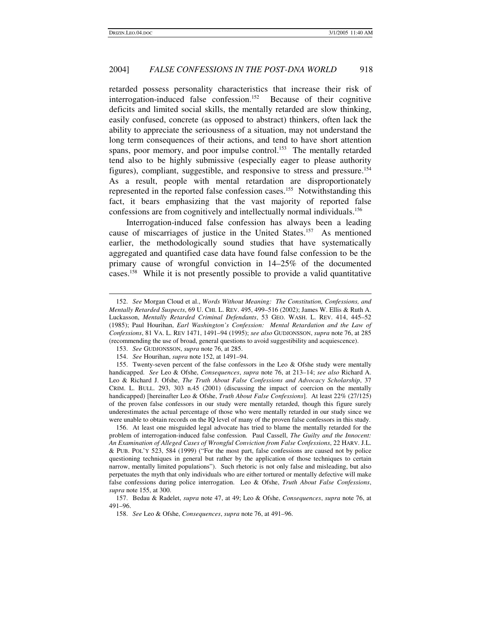retarded possess personality characteristics that increase their risk of interrogation-induced false confession. <sup>152</sup> Because of their cognitive deficits and limited social skills, the mentally retarded are slow thinking, easily confused, concrete (as opposed to abstract) thinkers, often lack the ability to appreciate the seriousness of a situation, may not understand the long term consequences of their actions, and tend to have short attention spans, poor memory, and poor impulse control.<sup>153</sup> The mentally retarded tend also to be highly submissive (especially eager to please authority figures), compliant, suggestible, and responsive to stress and pressure. 154 As a result, people with mental retardation are disproportionately represented in the reported false confession cases. <sup>155</sup> Notwithstanding this fact, it bears emphasizing that the vast majority of reported false confessions are from cognitively and intellectually normal individuals. 156

Interrogation-induced false confession has always been a leading cause of miscarriages of justice in the United States. <sup>157</sup> As mentioned earlier, the methodologically sound studies that have systematically aggregated and quantified case data have found false confession to be the primary cause of wrongful conviction in 14–25% of the documented cases. <sup>158</sup> While it is not presently possible to provide a valid quantitative

156. At least one misguided legal advocate has tried to blame the mentally retarded for the problem of interrogation-induced false confession. Paul Cassell, *The Guilty and the Innocent: An Examination of Alleged Cases of Wrongful Conviction from False Confessions*, 22 HARV. J.L. & PUB. POL'Y 523, 584 (1999) ("For the most part, false confessions are caused not by police questioning techniques in general but rather by the application of those techniques to certain narrow, mentally limited populations"). Such rhetoric is not only false and misleading, but also perpetuates the myth that only individuals who are either tortured or mentally defective will make false confessions during police interrogation. Leo & Ofshe, *Truth About False Confessions*, *supra* note 155, at 300.

<sup>152.</sup> *See* Morgan Cloud et al., *Words Without Meaning: The Constitution, Confessions, and Mentally Retarded Suspects*, 69 U. CHI. L. REV. 495, 499–516 (2002); James W. Ellis & Ruth A. Luckasson, *Mentally Retarded Criminal Defendants*, 53 GEO. WASH. L. REV. 414, 445–52 (1985); Paul Hourihan, *Earl Washington's Confession: Mental Retardation and the Law of Confessions*, 81 VA. L. REV 1471, 1491–94 (1995); *see also* GUDJONSSON, *supra* note 76, at 285 (recommending the use of broad, general questions to avoid suggestibility and acquiescence).

<sup>153.</sup> *See* GUDJONSSON, *supra* note 76, at 285.

<sup>154.</sup> *See* Hourihan, *supra* note 152, at 1491–94.

<sup>155.</sup> Twenty-seven percent of the false confessors in the Leo & Ofshe study were mentally handicapped. *See* Leo & Ofshe, *Consequences*, *supra* note 76, at 213–14; *see also* Richard A. Leo & Richard J. Ofshe, *The Truth About False Confessions and Advocacy Scholarship*, 37 CRIM. L. BULL. 293, 303 n.45 (2001) (discussing the impact of coercion on the mentally handicapped) [hereinafter Leo & Ofshe, *Truth About False Confessions*]. At least 22% (27/125) of the proven false confessors in our study were mentally retarded, though this figure surely underestimates the actual percentage of those who were mentally retarded in our study since we were unable to obtain records on the IQ level of many of the proven false confessors in this study.

<sup>157.</sup> Bedau & Radelet, *supra* note 47, at 49; Leo & Ofshe, *Consequences*, *supra* note 76, at 491–96.

<sup>158.</sup> *See* Leo & Ofshe, *Consequences*, *supra* note 76, at 491–96.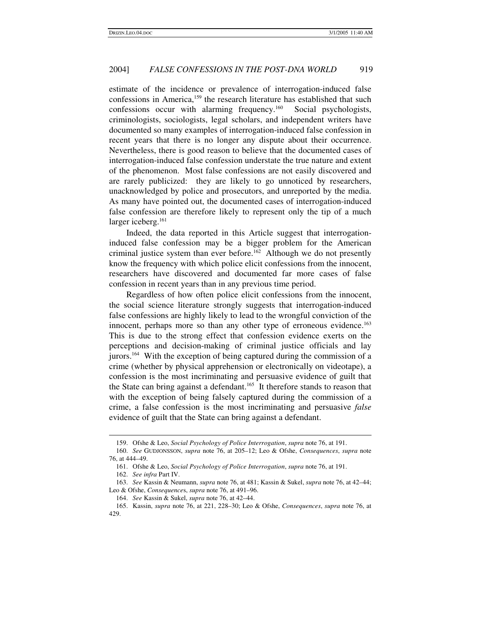estimate of the incidence or prevalence of interrogation-induced false confessions in America,<sup>159</sup> the research literature has established that such confessions occur with alarming frequency. Social psychologists, criminologists, sociologists, legal scholars, and independent writers have documented so many examples of interrogation-induced false confession in recent years that there is no longer any dispute about their occurrence. Nevertheless, there is good reason to believe that the documented cases of interrogation-induced false confession understate the true nature and extent of the phenomenon. Most false confessions are not easily discovered and are rarely publicized: they are likely to go unnoticed by researchers, unacknowledged by police and prosecutors, and unreported by the media. As many have pointed out, the documented cases of interrogation-induced false confession are therefore likely to represent only the tip of a much larger iceberg.<sup>161</sup>

Indeed, the data reported in this Article suggest that interrogationinduced false confession may be a bigger problem for the American criminal justice system than ever before. <sup>162</sup> Although we do not presently know the frequency with which police elicit confessions from the innocent, researchers have discovered and documented far more cases of false confession in recent years than in any previous time period.

Regardless of how often police elicit confessions from the innocent, the social science literature strongly suggests that interrogation-induced false confessions are highly likely to lead to the wrongful conviction of the innocent, perhaps more so than any other type of erroneous evidence. 163 This is due to the strong effect that confession evidence exerts on the perceptions and decision-making of criminal justice officials and lay jurors. <sup>164</sup> With the exception of being captured during the commission of a crime (whether by physical apprehension or electronically on videotape), a confession is the most incriminating and persuasive evidence of guilt that the State can bring against a defendant. 165 It therefore stands to reason that with the exception of being falsely captured during the commission of a crime, a false confession is the most incriminating and persuasive *false* evidence of guilt that the State can bring against a defendant.

<sup>159.</sup> Ofshe & Leo, *Social Psychology of Police Interrogation*, *supra* note 76, at 191.

<sup>160.</sup> *See* GUDJONSSON, *supra* note 76, at 205–12; Leo & Ofshe, *Consequences*, *supra* note 76, at 444–49.

<sup>161.</sup> Ofshe & Leo, *Social Psychology of Police Interrogation*, *supra* note 76, at 191.

<sup>162.</sup> *See infra* Part IV.

<sup>163.</sup> *See* Kassin & Neumann, *supra* note 76, at 481; Kassin & Sukel, *supra* note 76, at 42–44; Leo & Ofshe, *Consequence*s, *supra* note 76, at 491–96.

<sup>164.</sup> *See* Kassin & Sukel, *supra* note 76, at 42–44.

<sup>165.</sup> Kassin, *supra* note 76, at 221, 228–30; Leo & Ofshe, *Consequences*, *supra* note 76, at 429.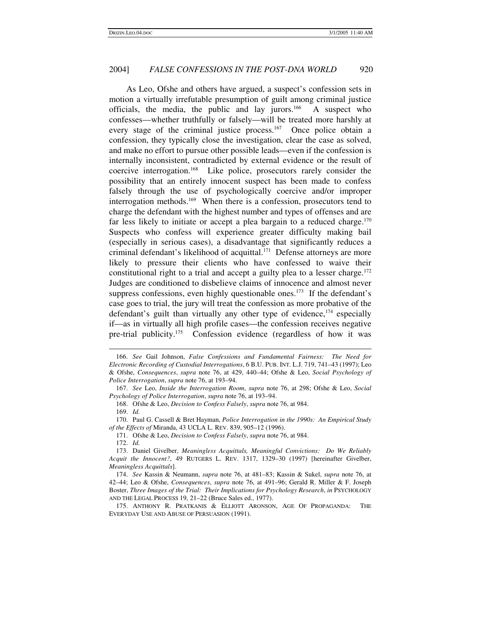As Leo, Ofshe and others have argued, a suspect's confession sets in motion a virtually irrefutable presumption of guilt among criminal justice officials, the media, the public and lay jurors. <sup>166</sup> A suspect who confesses—whether truthfully or falsely—will be treated more harshly at every stage of the criminal justice process.<sup>167</sup> Once police obtain a confession, they typically close the investigation, clear the case as solved, and make no effort to pursue other possible leads—even if the confession is internally inconsistent, contradicted by external evidence or the result of coercive interrogation. <sup>168</sup> Like police, prosecutors rarely consider the possibility that an entirely innocent suspect has been made to confess falsely through the use of psychologically coercive and/or improper interrogation methods. <sup>169</sup> When there is a confession, prosecutors tend to charge the defendant with the highest number and types of offenses and are far less likely to initiate or accept a plea bargain to a reduced charge.<sup>170</sup> Suspects who confess will experience greater difficulty making bail (especially in serious cases), a disadvantage that significantly reduces a criminal defendant's likelihood of acquittal.<sup>171</sup> Defense attorneys are more likely to pressure their clients who have confessed to waive their constitutional right to a trial and accept a guilty plea to a lesser charge.<sup>172</sup> Judges are conditioned to disbelieve claims of innocence and almost never suppress confessions, even highly questionable ones.<sup>173</sup> If the defendant's case goes to trial, the jury will treat the confession as more probative of the defendant's guilt than virtually any other type of evidence,<sup>174</sup> especially if—as in virtually all high profile cases—the confession receives negative pre-trial publicity.<sup>175</sup> Confession evidence (regardless of how it was

<sup>166.</sup> *See* Gail Johnson, *False Confessions and Fundamental Fairness: The Need for Electronic Recording of Custodial Interrogations*, 6 B.U. PUB. INT. L.J. 719, 741–43 (1997); Leo & Ofshe, *Consequences*, *supra* note 76, at 429, 440–44; Ofshe & Leo, *Social Psychology of Police Interrogation*, *supra* note 76, at 193–94.

<sup>167.</sup> *See* Leo, *Inside the Interrogation Room*, *supra* note 76, at 298; Ofshe & Leo, *Social Psychology of Police Interrogation*, *supra* note 76, at 193–94.

<sup>168.</sup> Ofshe & Leo, *Decision to Confess Falsely*, *supra* note 76, at 984.

<sup>169.</sup> *Id.*

<sup>170.</sup> Paul G. Cassell & Bret Hayman, *Police Interrogation in the 1990s: An Empirical Study of the Effects of* Miranda, 43 UCLA L. REV. 839, 905–12 (1996).

<sup>171.</sup> Ofshe & Leo, *Decision to Confess Falsely*, *supra* note 76, at 984.

<sup>172.</sup> *Id.*

<sup>173.</sup> Daniel Givelber, *Meaningless Acquittals, Meaningful Convictions: Do We Reliably Acquit the Innocent?*, 49 RUTGERS L. REV. 1317, 1329–30 (1997) [hereinafter Givelber, *Meaningless Acquittals*].

<sup>174.</sup> *See* Kassin & Neumann, *supra* note 76, at 481–83; Kassin & Sukel, *supra* note 76, at 42–44; Leo & Ofshe, *Consequences*, *supra* note 76, at 491–96; Gerald R. Miller & F. Joseph Boster, *Three Images of the Trial: Their Implications for Psychology Research*, *in* PSYCHOLOGY AND THE LEGAL PROCESS 19, 21–22 (Bruce Sales ed., 1977).

<sup>175.</sup> ANTHONY R. PRATKANIS & ELLIOTT ARONSON, AGE OF PROPAGANDA: THE EVERYDAY USE AND ABUSE OF PERSUASION (1991).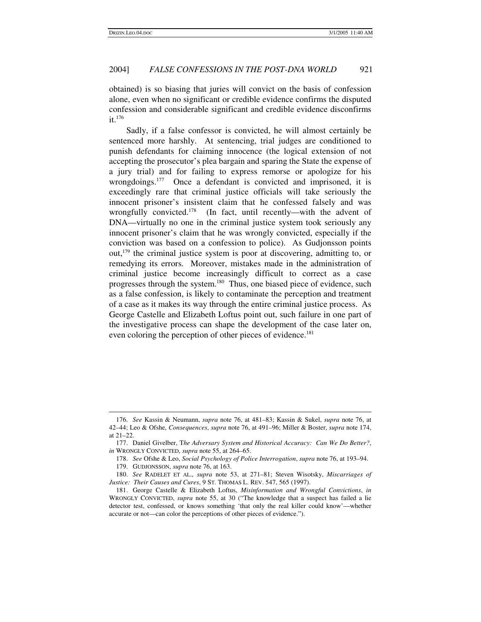obtained) is so biasing that juries will convict on the basis of confession alone, even when no significant or credible evidence confirms the disputed confession and considerable significant and credible evidence disconfirms it. 176

Sadly, if a false confessor is convicted, he will almost certainly be sentenced more harshly. At sentencing, trial judges are conditioned to punish defendants for claiming innocence (the logical extension of not accepting the prosecutor's plea bargain and sparing the State the expense of a jury trial) and for failing to express remorse or apologize for his wrongdoings.<sup>177</sup> Once a defendant is convicted and imprisoned, it is exceedingly rare that criminal justice officials will take seriously the innocent prisoner's insistent claim that he confessed falsely and was wrongfully convicted. 178 (In fact, until recently—with the advent of DNA—virtually no one in the criminal justice system took seriously any innocent prisoner's claim that he was wrongly convicted, especially if the conviction was based on a confession to police). As Gudjonsson points out, 179 the criminal justice system is poor at discovering, admitting to, or remedying its errors. Moreover, mistakes made in the administration of criminal justice become increasingly difficult to correct as a case progresses through the system.<sup>180</sup> Thus, one biased piece of evidence, such as a false confession, is likely to contaminate the perception and treatment of a case as it makes its way through the entire criminal justice process. As George Castelle and Elizabeth Loftus point out, such failure in one part of the investigative process can shape the development of the case later on, even coloring the perception of other pieces of evidence.<sup>181</sup>

<sup>176.</sup> *See* Kassin & Neumann, *supra* note 76, at 481–83; Kassin & Sukel, *supra* note 76, at 42–44; Leo & Ofshe, *Consequences*, *supra* note 76, at 491–96; Miller & Boster, *supra* note 174, at 21–22.

<sup>177.</sup> Daniel Givelber, T*he Adversary System and Historical Accuracy: Can We Do Better?*, *in* WRONGLY CONVICTED, *supra* note 55, at 264–65.

<sup>178.</sup> *See* Ofshe & Leo, *Social Psychology of Police Interrogation*, *supra* note 76, at 193–94. 179. GUDJONSSON, *supra* note 76, at 163.

<sup>180.</sup> *See* RADELET ET AL., *supra* note 53, at 271–81; Steven Wisotsky, *Miscarriages of Justice: Their Causes and Cures*, 9 ST. THOMAS L. REV. 547, 565 (1997).

<sup>181.</sup> George Castelle & Elizabeth Loftus, *Misinformation and Wrongful Convictions*, *in* WRONGLY CONVICTED, *supra* note 55, at 30 ("The knowledge that a suspect has failed a lie detector test, confessed, or knows something 'that only the real killer could know'—whether accurate or not—can color the perceptions of other pieces of evidence.").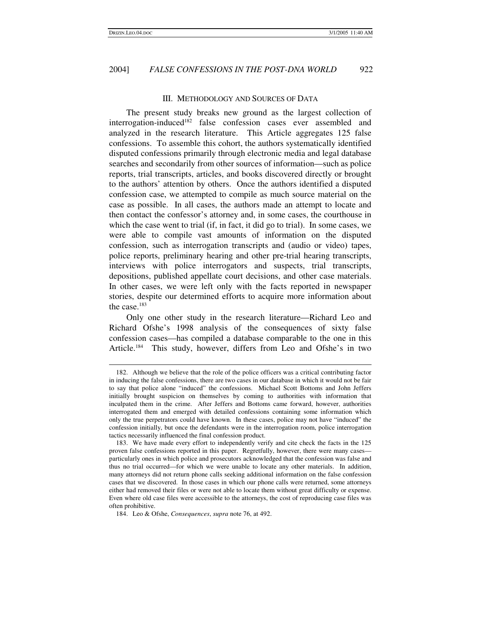#### III. METHODOLOGY AND SOURCES OF DATA

The present study breaks new ground as the largest collection of interrogation-induced 182 false confession cases ever assembled and analyzed in the research literature. This Article aggregates 125 false confessions. To assemble this cohort, the authors systematically identified disputed confessions primarily through electronic media and legal database searches and secondarily from other sources of information—such as police reports, trial transcripts, articles, and books discovered directly or brought to the authors' attention by others. Once the authors identified a disputed confession case, we attempted to compile as much source material on the case as possible. In all cases, the authors made an attempt to locate and then contact the confessor's attorney and, in some cases, the courthouse in which the case went to trial (if, in fact, it did go to trial). In some cases, we were able to compile vast amounts of information on the disputed confession, such as interrogation transcripts and (audio or video) tapes, police reports, preliminary hearing and other pre-trial hearing transcripts, interviews with police interrogators and suspects, trial transcripts, depositions, published appellate court decisions, and other case materials. In other cases, we were left only with the facts reported in newspaper stories, despite our determined efforts to acquire more information about the case.<sup>183</sup>

Only one other study in the research literature—Richard Leo and Richard Ofshe's 1998 analysis of the consequences of sixty false confession cases—has compiled a database comparable to the one in this Article.<sup>184</sup> This study, however, differs from Leo and Ofshe's in two

<sup>182.</sup> Although we believe that the role of the police officers was a critical contributing factor in inducing the false confessions, there are two cases in our database in which it would not be fair to say that police alone "induced" the confessions. Michael Scott Bottoms and John Jeffers initially brought suspicion on themselves by coming to authorities with information that inculpated them in the crime. After Jeffers and Bottoms came forward, however, authorities interrogated them and emerged with detailed confessions containing some information which only the true perpetrators could have known. In these cases, police may not have "induced" the confession initially, but once the defendants were in the interrogation room, police interrogation tactics necessarily influenced the final confession product.

<sup>183.</sup> We have made every effort to independently verify and cite check the facts in the 125 proven false confessions reported in this paper. Regretfully, however, there were many cases particularly ones in which police and prosecutors acknowledged that the confession was false and thus no trial occurred—for which we were unable to locate any other materials. In addition, many attorneys did not return phone calls seeking additional information on the false confession cases that we discovered. In those cases in which our phone calls were returned, some attorneys either had removed their files or were not able to locate them without great difficulty or expense. Even where old case files were accessible to the attorneys, the cost of reproducing case files was often prohibitive.

<sup>184.</sup> Leo & Ofshe, *Consequences*, *supra* note 76, at 492.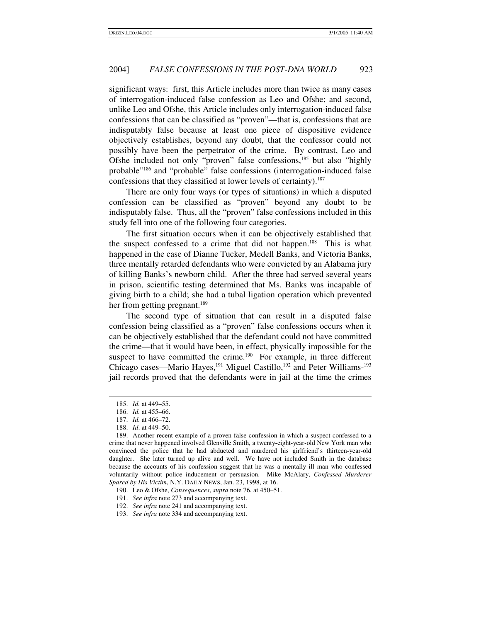significant ways: first, this Article includes more than twice as many cases of interrogation-induced false confession as Leo and Ofshe; and second, unlike Leo and Ofshe, this Article includes only interrogation-induced false confessions that can be classified as "proven"—that is, confessions that are indisputably false because at least one piece of dispositive evidence objectively establishes, beyond any doubt, that the confessor could not possibly have been the perpetrator of the crime. By contrast, Leo and Ofshe included not only "proven" false confessions,<sup>185</sup> but also "highly probable"<sup>186</sup> and "probable" false confessions (interrogation-induced false confessions that they classified at lower levels of certainty). 187

There are only four ways (or types of situations) in which a disputed confession can be classified as "proven" beyond any doubt to be indisputably false. Thus, all the "proven" false confessions included in this study fell into one of the following four categories.

The first situation occurs when it can be objectively established that the suspect confessed to a crime that did not happen.<sup>188</sup> This is what happened in the case of Dianne Tucker, Medell Banks, and Victoria Banks, three mentally retarded defendants who were convicted by an Alabama jury of killing Banks's newborn child. After the three had served several years in prison, scientific testing determined that Ms. Banks was incapable of giving birth to a child; she had a tubal ligation operation which prevented her from getting pregnant.<sup>189</sup>

The second type of situation that can result in a disputed false confession being classified as a "proven" false confessions occurs when it can be objectively established that the defendant could not have committed the crime—that it would have been, in effect, physically impossible for the suspect to have committed the crime.<sup>190</sup> For example, in three different Chicago cases—Mario Hayes,<sup>191</sup> Miguel Castillo,<sup>192</sup> and Peter Williams-<sup>193</sup> jail records proved that the defendants were in jail at the time the crimes

<sup>185.</sup> *Id.* at 449–55.

<sup>186.</sup> *Id.* at 455–66.

<sup>187.</sup> *Id.* at 466–72.

<sup>188.</sup> *Id*. at 449–50.

<sup>189.</sup> Another recent example of a proven false confession in which a suspect confessed to a crime that never happened involved Glenville Smith, a twenty-eight-year-old New York man who convinced the police that he had abducted and murdered his girlfriend's thirteen-year-old daughter. She later turned up alive and well. We have not included Smith in the database because the accounts of his confession suggest that he was a mentally ill man who confessed voluntarily without police inducement or persuasion. Mike McAlary, *Confessed Murderer Spared by His Victim*, N.Y. DAILY NEWS, Jan. 23, 1998, at 16.

<sup>190.</sup> Leo & Ofshe, *Consequences*, *supra* note 76, at 450–51.

<sup>191.</sup> *See infra* note 273 and accompanying text.

<sup>192.</sup> *See infra* note 241 and accompanying text.

<sup>193.</sup> *See infra* note 334 and accompanying text.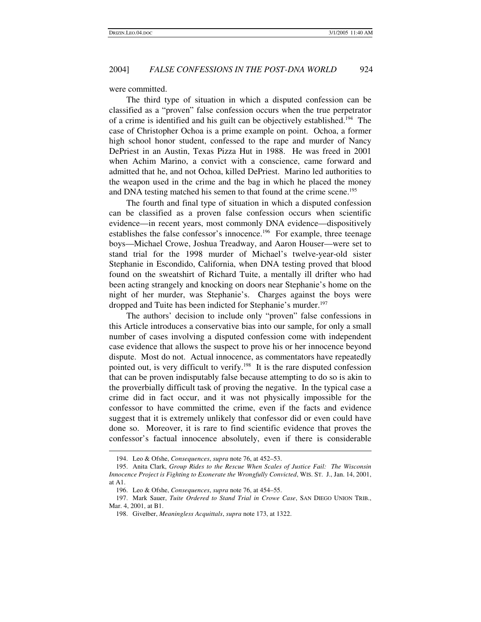were committed.

The third type of situation in which a disputed confession can be classified as a "proven" false confession occurs when the true perpetrator of a crime is identified and his guilt can be objectively established. <sup>194</sup> The case of Christopher Ochoa is a prime example on point. Ochoa, a former high school honor student, confessed to the rape and murder of Nancy DePriest in an Austin, Texas Pizza Hut in 1988. He was freed in 2001 when Achim Marino, a convict with a conscience, came forward and admitted that he, and not Ochoa, killed DePriest. Marino led authorities to the weapon used in the crime and the bag in which he placed the money and DNA testing matched his semen to that found at the crime scene. 195

The fourth and final type of situation in which a disputed confession can be classified as a proven false confession occurs when scientific evidence—in recent years, most commonly DNA evidence—dispositively establishes the false confessor's innocence.<sup>196</sup> For example, three teenage boys—Michael Crowe, Joshua Treadway, and Aaron Houser—were set to stand trial for the 1998 murder of Michael's twelve-year-old sister Stephanie in Escondido, California, when DNA testing proved that blood found on the sweatshirt of Richard Tuite, a mentally ill drifter who had been acting strangely and knocking on doors near Stephanie's home on the night of her murder, was Stephanie's. Charges against the boys were dropped and Tuite has been indicted for Stephanie's murder. 197

The authors' decision to include only "proven" false confessions in this Article introduces a conservative bias into our sample, for only a small number of cases involving a disputed confession come with independent case evidence that allows the suspect to prove his or her innocence beyond dispute. Most do not. Actual innocence, as commentators have repeatedly pointed out, is very difficult to verify. 198 It is the rare disputed confession that can be proven indisputably false because attempting to do so is akin to the proverbially difficult task of proving the negative. In the typical case a crime did in fact occur, and it was not physically impossible for the confessor to have committed the crime, even if the facts and evidence suggest that it is extremely unlikely that confessor did or even could have done so. Moreover, it is rare to find scientific evidence that proves the confessor's factual innocence absolutely, even if there is considerable

<sup>194.</sup> Leo & Ofshe, *Consequences*, *supra* note 76, at 452–53.

<sup>195.</sup> Anita Clark, *Group Rides to the Rescue When Scales of Justice Fail: The Wisconsin Innocence Project is Fighting to Exonerate the Wrongfully Convicted*, WIS. ST. J., Jan. 14, 2001, at A1.

<sup>196.</sup> Leo & Ofshe, *Consequences*, *supra* note 76, at 454–55.

<sup>197.</sup> Mark Sauer, *Tuite Ordered to Stand Trial in Crowe Case*, SAN DIEGO UNION TRIB., Mar. 4, 2001, at B1.

<sup>198.</sup> Givelber, *Meaningless Acquittals*, *supra* note 173, at 1322.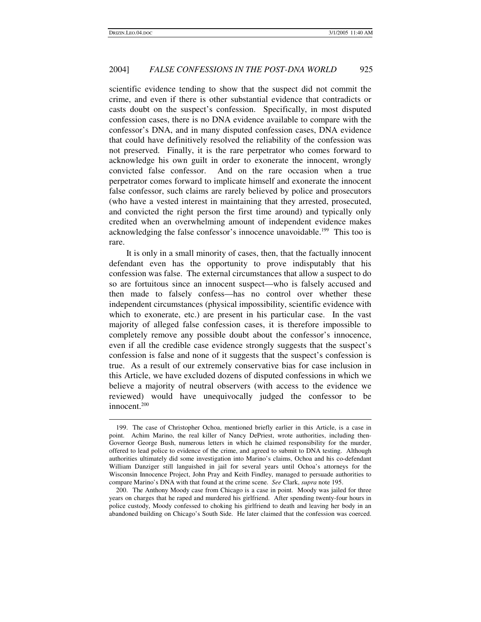scientific evidence tending to show that the suspect did not commit the crime, and even if there is other substantial evidence that contradicts or casts doubt on the suspect's confession. Specifically, in most disputed confession cases, there is no DNA evidence available to compare with the confessor's DNA, and in many disputed confession cases, DNA evidence that could have definitively resolved the reliability of the confession was not preserved. Finally, it is the rare perpetrator who comes forward to acknowledge his own guilt in order to exonerate the innocent, wrongly convicted false confessor. And on the rare occasion when a true perpetrator comes forward to implicate himself and exonerate the innocent false confessor, such claims are rarely believed by police and prosecutors (who have a vested interest in maintaining that they arrested, prosecuted, and convicted the right person the first time around) and typically only credited when an overwhelming amount of independent evidence makes acknowledging the false confessor's innocence unavoidable. <sup>199</sup> This too is rare.

It is only in a small minority of cases, then, that the factually innocent defendant even has the opportunity to prove indisputably that his confession was false. The external circumstances that allow a suspect to do so are fortuitous since an innocent suspect—who is falsely accused and then made to falsely confess—has no control over whether these independent circumstances (physical impossibility, scientific evidence with which to exonerate, etc.) are present in his particular case. In the vast majority of alleged false confession cases, it is therefore impossible to completely remove any possible doubt about the confessor's innocence, even if all the credible case evidence strongly suggests that the suspect's confession is false and none of it suggests that the suspect's confession is true. As a result of our extremely conservative bias for case inclusion in this Article, we have excluded dozens of disputed confessions in which we believe a majority of neutral observers (with access to the evidence we reviewed) would have unequivocally judged the confessor to be innocent. 200

<sup>199.</sup> The case of Christopher Ochoa, mentioned briefly earlier in this Article, is a case in point. Achim Marino, the real killer of Nancy DePriest, wrote authorities, including then-Governor George Bush, numerous letters in which he claimed responsibility for the murder, offered to lead police to evidence of the crime, and agreed to submit to DNA testing. Although authorities ultimately did some investigation into Marino's claims, Ochoa and his co-defendant William Danziger still languished in jail for several years until Ochoa's attorneys for the Wisconsin Innocence Project, John Pray and Keith Findley, managed to persuade authorities to compare Marino's DNA with that found at the crime scene. *See* Clark, *supra* note 195.

<sup>200.</sup> The Anthony Moody case from Chicago is a case in point. Moody was jailed for three years on charges that he raped and murdered his girlfriend. After spending twenty-four hours in police custody, Moody confessed to choking his girlfriend to death and leaving her body in an abandoned building on Chicago's South Side. He later claimed that the confession was coerced.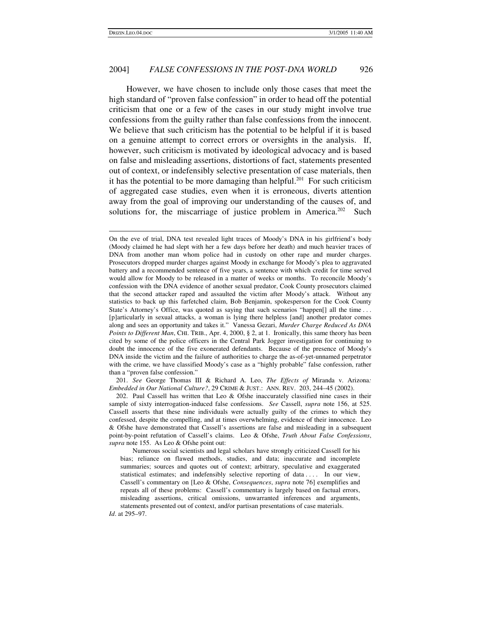However, we have chosen to include only those cases that meet the high standard of "proven false confession" in order to head off the potential criticism that one or a few of the cases in our study might involve true confessions from the guilty rather than false confessions from the innocent. We believe that such criticism has the potential to be helpful if it is based on a genuine attempt to correct errors or oversights in the analysis. If, however, such criticism is motivated by ideological advocacy and is based on false and misleading assertions, distortions of fact, statements presented out of context, or indefensibly selective presentation of case materials, then it has the potential to be more damaging than helpful.<sup>201</sup> For such criticism of aggregated case studies, even when it is erroneous, diverts attention away from the goal of improving our understanding of the causes of, and solutions for, the miscarriage of justice problem in America.<sup>202</sup> Such

201. *See* George Thomas III & Richard A. Leo, *The Effects of* Miranda v. Arizona*: Embedded in Our National Culture?*, 29 CRIME & JUST.: ANN. REV. 203, 244–45 (2002).

202. Paul Cassell has written that Leo & Ofshe inaccurately classified nine cases in their sample of sixty interrogation-induced false confessions. *See* Cassell, *supra* note 156, at 525. Cassell asserts that these nine individuals were actually guilty of the crimes to which they confessed, despite the compelling, and at times overwhelming, evidence of their innocence. Leo & Ofshe have demonstrated that Cassell's assertions are false and misleading in a subsequent point-by-point refutation of Cassell's claims. Leo & Ofshe, *Truth About False Confessions*, *supra* note 155. As Leo & Ofshe point out:

Numerous social scientists and legal scholars have strongly criticized Cassell for his bias; reliance on flawed methods, studies, and data; inaccurate and incomplete summaries; sources and quotes out of context; arbitrary, speculative and exaggerated statistical estimates; and indefensibly selective reporting of data . . . In our view, Cassell's commentary on [Leo & Ofshe, *Consequences*, *supra* note 76] exemplifies and repeats all of these problems: Cassell's commentary is largely based on factual errors, misleading assertions, critical omissions, unwarranted inferences and arguments, statements presented out of context, and/or partisan presentations of case materials.

*Id*. at 295–97.

On the eve of trial, DNA test revealed light traces of Moody's DNA in his girlfriend's body (Moody claimed he had slept with her a few days before her death) and much heavier traces of DNA from another man whom police had in custody on other rape and murder charges. Prosecutors dropped murder charges against Moody in exchange for Moody's plea to aggravated battery and a recommended sentence of five years, a sentence with which credit for time served would allow for Moody to be released in a matter of weeks or months. To reconcile Moody's confession with the DNA evidence of another sexual predator, Cook County prosecutors claimed that the second attacker raped and assaulted the victim after Moody's attack. Without any statistics to back up this farfetched claim, Bob Benjamin, spokesperson for the Cook County State's Attorney's Office, was quoted as saying that such scenarios "happen[] all the time . . . [p]articularly in sexual attacks, a woman is lying there helpless [and] another predator comes along and sees an opportunity and takes it." Vanessa Gezari, *Murder Charge Reduced As DNA Points to Different Man*, CHI. TRIB., Apr. 4, 2000, § 2, at 1. Ironically, this same theory has been cited by some of the police officers in the Central Park Jogger investigation for continuing to doubt the innocence of the five exonerated defendants. Because of the presence of Moody's DNA inside the victim and the failure of authorities to charge the as-of-yet-unnamed perpetrator with the crime, we have classified Moody's case as a "highly probable" false confession, rather than a "proven false confession."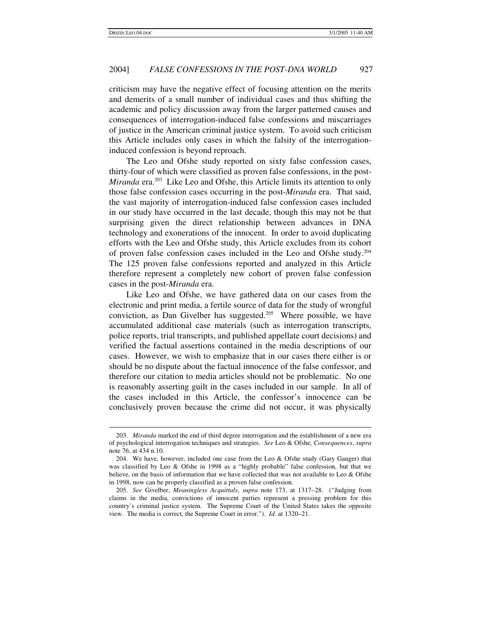criticism may have the negative effect of focusing attention on the merits and demerits of a small number of individual cases and thus shifting the academic and policy discussion away from the larger patterned causes and consequences of interrogation-induced false confessions and miscarriages of justice in the American criminal justice system. To avoid such criticism this Article includes only cases in which the falsity of the interrogationinduced confession is beyond reproach.

The Leo and Ofshe study reported on sixty false confession cases, thirty-four of which were classified as proven false confessions, in the post-*Miranda* era. <sup>203</sup> Like Leo and Ofshe, this Article limits its attention to only those false confession cases occurring in the post-*Miranda* era. That said, the vast majority of interrogation-induced false confession cases included in our study have occurred in the last decade, though this may not be that surprising given the direct relationship between advances in DNA technology and exonerations of the innocent. In order to avoid duplicating efforts with the Leo and Ofshe study, this Article excludes from its cohort of proven false confession cases included in the Leo and Ofshe study. 204 The 125 proven false confessions reported and analyzed in this Article therefore represent a completely new cohort of proven false confession cases in the post-*Miranda* era.

Like Leo and Ofshe, we have gathered data on our cases from the electronic and print media, a fertile source of data for the study of wrongful conviction, as Dan Givelber has suggested. <sup>205</sup> Where possible, we have accumulated additional case materials (such as interrogation transcripts, police reports, trial transcripts, and published appellate court decisions) and verified the factual assertions contained in the media descriptions of our cases. However, we wish to emphasize that in our cases there either is or should be no dispute about the factual innocence of the false confessor, and therefore our citation to media articles should not be problematic. No one is reasonably asserting guilt in the cases included in our sample. In all of the cases included in this Article, the confessor's innocence can be conclusively proven because the crime did not occur, it was physically

<sup>203.</sup> *Miranda* marked the end of third degree interrogation and the establishment of a new era of psychological interrogation techniques and strategies. *See* Leo & Ofshe, *Consequences*, *supra* note 76, at 434 n.10.

<sup>204.</sup> We have, however, included one case from the Leo & Ofshe study (Gary Gauger) that was classified by Leo & Ofshe in 1998 as a "highly probable" false confession, but that we believe, on the basis of information that we have collected that was not available to Leo & Ofshe in 1998, now can be properly classified as a proven false confession.

<sup>205.</sup> *See* Givelber, *Meaningless Acquittals*, *supra* note 173, at 1317–28. ("Judging from claims in the media, convictions of innocent parties represent a pressing problem for this country's criminal justice system. The Supreme Court of the United States takes the opposite view. The media is correct, the Supreme Court in error."). *Id.* at 1320–21.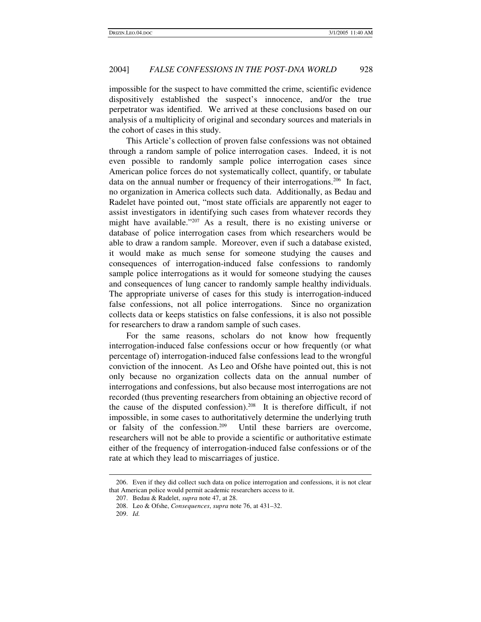impossible for the suspect to have committed the crime, scientific evidence dispositively established the suspect's innocence, and/or the true perpetrator was identified. We arrived at these conclusions based on our analysis of a multiplicity of original and secondary sources and materials in the cohort of cases in this study.

This Article's collection of proven false confessions was not obtained through a random sample of police interrogation cases. Indeed, it is not even possible to randomly sample police interrogation cases since American police forces do not systematically collect, quantify, or tabulate data on the annual number or frequency of their interrogations.<sup>206</sup> In fact, no organization in America collects such data. Additionally, as Bedau and Radelet have pointed out, "most state officials are apparently not eager to assist investigators in identifying such cases from whatever records they might have available." <sup>207</sup> As a result, there is no existing universe or database of police interrogation cases from which researchers would be able to draw a random sample. Moreover, even if such a database existed, it would make as much sense for someone studying the causes and consequences of interrogation-induced false confessions to randomly sample police interrogations as it would for someone studying the causes and consequences of lung cancer to randomly sample healthy individuals. The appropriate universe of cases for this study is interrogation-induced false confessions, not all police interrogations. Since no organization collects data or keeps statistics on false confessions, it is also not possible for researchers to draw a random sample of such cases.

For the same reasons, scholars do not know how frequently interrogation-induced false confessions occur or how frequently (or what percentage of) interrogation-induced false confessions lead to the wrongful conviction of the innocent. As Leo and Ofshe have pointed out, this is not only because no organization collects data on the annual number of interrogations and confessions, but also because most interrogations are not recorded (thus preventing researchers from obtaining an objective record of the cause of the disputed confession). 208 It is therefore difficult, if not impossible, in some cases to authoritatively determine the underlying truth or falsity of the confession. Until these barriers are overcome, researchers will not be able to provide a scientific or authoritative estimate either of the frequency of interrogation-induced false confessions or of the rate at which they lead to miscarriages of justice.

<sup>206.</sup> Even if they did collect such data on police interrogation and confessions, it is not clear that American police would permit academic researchers access to it.

<sup>207.</sup> Bedau & Radelet, *supra* note 47, at 28.

<sup>208.</sup> Leo & Ofshe, *Consequences*, *supra* note 76, at 431–32.

<sup>209.</sup> *Id.*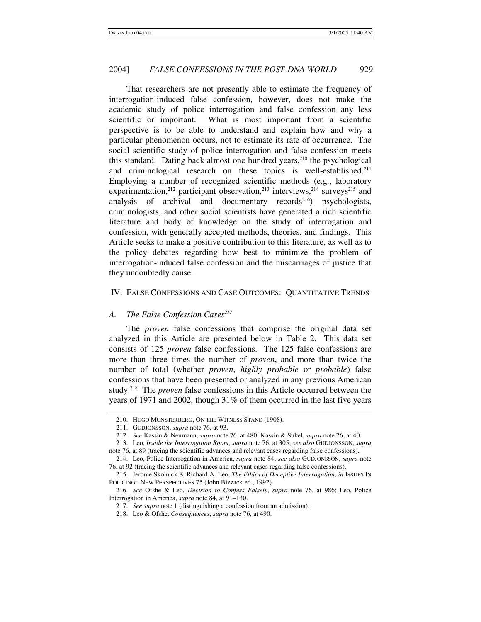That researchers are not presently able to estimate the frequency of interrogation-induced false confession, however, does not make the academic study of police interrogation and false confession any less scientific or important. What is most important from a scientific perspective is to be able to understand and explain how and why a particular phenomenon occurs, not to estimate its rate of occurrence. The social scientific study of police interrogation and false confession meets this standard. Dating back almost one hundred years,<sup>210</sup> the psychological and criminological research on these topics is well-established.<sup>211</sup> Employing a number of recognized scientific methods (e.g., laboratory experimentation,<sup>212</sup> participant observation,<sup>213</sup> interviews,<sup>214</sup> surveys<sup>215</sup> and analysis of archival and documentary records 216 ) psychologists, criminologists, and other social scientists have generated a rich scientific literature and body of knowledge on the study of interrogation and confession, with generally accepted methods, theories, and findings. This Article seeks to make a positive contribution to this literature, as well as to the policy debates regarding how best to minimize the problem of interrogation-induced false confession and the miscarriages of justice that they undoubtedly cause.

#### IV. FALSE CONFESSIONS AND CASE OUTCOMES: QUANTITATIVE TRENDS

# *A. The False Confession Cases 217*

The *proven* false confessions that comprise the original data set analyzed in this Article are presented below in Table 2. This data set consists of 125 *proven* false confessions. The 125 false confessions are more than three times the number of *proven*, and more than twice the number of total (whether *proven*, *highly probable* or *probable*) false confessions that have been presented or analyzed in any previous American study. <sup>218</sup> The *proven* false confessions in this Article occurred between the years of 1971 and 2002, though 31% of them occurred in the last five years

<sup>210.</sup> HUGO MUNSTERBERG, ON THE WITNESS STAND (1908).

<sup>211.</sup> GUDJONSSON, *supra* note 76, at 93.

<sup>212.</sup> *See* Kassin & Neumann, *supra* note 76, at 480; Kassin & Sukel, *supra* note 76, at 40.

<sup>213.</sup> Leo, *Inside the Interrogation Room*, *supra* note 76, at 305; *see also* GUDJONSSON, *supra* note 76, at 89 (tracing the scientific advances and relevant cases regarding false confessions).

<sup>214.</sup> Leo, Police Interrogation in America, *supra* note 84; *see also* GUDJONSSON, *supra* note 76, at 92 (tracing the scientific advances and relevant cases regarding false confessions).

<sup>215.</sup> Jerome Skolnick & Richard A. Leo, *The Ethics of Deceptive Interrogation*, *in* ISSUES IN POLICING: NEW PERSPECTIVES 75 (John Bizzack ed., 1992).

<sup>216.</sup> *See* Ofshe & Leo, *Decision to Confess Falsely*, *supra* note 76, at 986; Leo, Police Interrogation in America, *supra* note 84, at 91–130.

<sup>217.</sup> *See supra* note 1 (distinguishing a confession from an admission).

<sup>218.</sup> Leo & Ofshe, *Consequences*, *supra* note 76, at 490.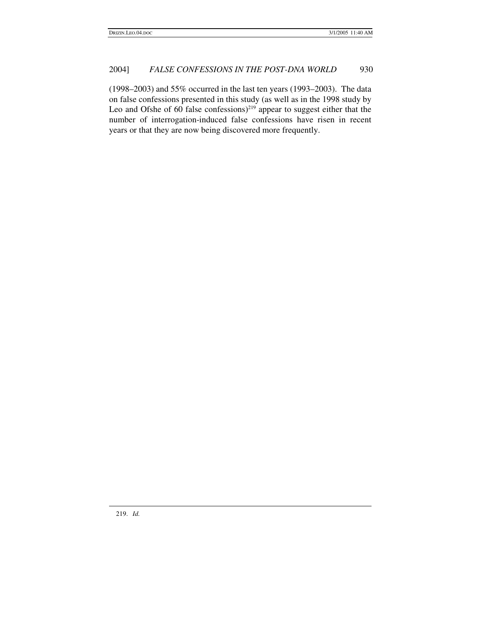(1998–2003) and 55% occurred in the last ten years (1993–2003). The data on false confessions presented in this study (as well as in the 1998 study by Leo and Ofshe of 60 false confessions)<sup>219</sup> appear to suggest either that the number of interrogation-induced false confessions have risen in recent years or that they are now being discovered more frequently.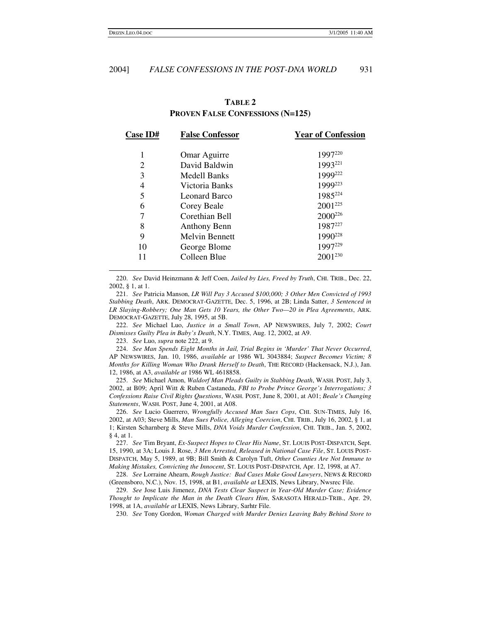| <b>Case ID#</b> | <b>False Confessor</b> | <b>Year of Confession</b> |
|-----------------|------------------------|---------------------------|
|                 | Omar Aguirre           | 1997220                   |
| 2               | David Baldwin          | 1993221                   |
| 3               | Medell Banks           | 1999222                   |
| 4               | Victoria Banks         | 1999223                   |
| 5               | Leonard Barco          | 1985 <sup>224</sup>       |
| 6               | Corey Beale            | 2001225                   |
| 7               | Corethian Bell         | $2000^{226}$              |
| 8               | Anthony Benn           | 1987227                   |
| 9               | <b>Melvin Bennett</b>  | 1990 <sup>228</sup>       |
| 10              | George Blome           | 1997229                   |
| 11              | Colleen Blue           | $2001^{230}$              |
|                 |                        |                           |

# **TABLE 2 PROVEN FALSE CONFESSIONS (N=125)**

220. *See* David Heinzmann & Jeff Coen, *Jailed by Lies, Freed by Truth*, CHI. TRIB., Dec. 22, 2002, § 1, at 1.

221. *See* Patricia Manson, *LR Will Pay 3 Accused \$100,000; 3 Other Men Convicted of 1993 Stabbing Death*, ARK. DEMOCRAT-GAZETTE, Dec. 5, 1996, at 2B; Linda Satter, *3 Sentenced in LR Slaying-Robbery; One Man Gets 10 Years, the Other Two—20 in Plea Agreements*, ARK. DEMOCRAT-GAZETTE, July 28, 1995, at 5B.

222. *See* Michael Luo, *Justice in a Small Town*, AP NEWSWIRES, July 7, 2002; *Court Dismisses Guilty Plea in Baby's Death*, N.Y. TIMES, Aug. 12, 2002, at A9.

223. *See* Luo, *supra* note 222, at 9.

224. *See Man Spends Eight Months in Jail, Trial Begins in 'Murder' That Never Occurred*, AP NEWSWIRES, Jan. 10, 1986, *available at* 1986 WL 3043884; *Suspect Becomes Victim; 8 Months for Killing Woman Who Drank Herself to Death*, THE RECORD (Hackensack, N.J.), Jan. 12, 1986, at A3, *available at* 1986 WL 4618858.

225. *See* Michael Amon, *Waldorf Man Pleads Guilty in Stabbing Death*, WASH. POST, July 3, 2002, at B09; April Witt & Ruben Castaneda, *FBI to Probe Prince George's Interrogations; 3 Confessions Raise Civil Rights Questions*, WASH. POST, June 8, 2001, at A01; *Beale's Changing Statements*, WASH. POST, June 4, 2001, at A08.

226. *See* Lucio Guerrero, *Wrongfully Accused Man Sues Cops*, CHI. SUN-TIMES, July 16, 2002, at A03; Steve Mills, *Man Sues Police, Alleging Coercion*, CHI. TRIB., July 16, 2002, § 1, at 1; Kirsten Scharnberg & Steve Mills, *DNA Voids Murder Confession*, CHI. TRIB., Jan. 5, 2002, § 4, at 1.

227. *See* Tim Bryant, *Ex-Suspect Hopes to Clear His Name*, ST. LOUIS POST-DISPATCH, Sept. 15, 1990, at 3A; Louis J. Rose, *3 Men Arrested, Released in National Case File*, ST. LOUIS POST-DISPATCH, May 5, 1989, at 9B; Bill Smith & Carolyn Tuft, *Other Counties Are Not Immune to Making Mistakes, Convicting the Innocent*, ST. LOUIS POST-DISPATCH, Apr. 12, 1998, at A7.

228. *See* Lorraine Ahearn, *Rough Justice: Bad Cases Make Good Lawyers*, NEWS & RECORD (Greensboro, N.C.), Nov. 15, 1998, at B1, *available at* LEXIS, News Library, Nwsrec File.

229. *See* Jose Luis Jimenez, *DNA Tests Clear Suspect in Year-Old Murder Case; Evidence Thought to Implicate the Man in the Death Clears Him*, SARASOTA HERALD-TRIB., Apr. 29, 1998, at 1A, *available at* LEXIS, News Library, Sarhtr File.

230. *See* Tony Gordon, *Woman Charged with Murder Denies Leaving Baby Behind Store to*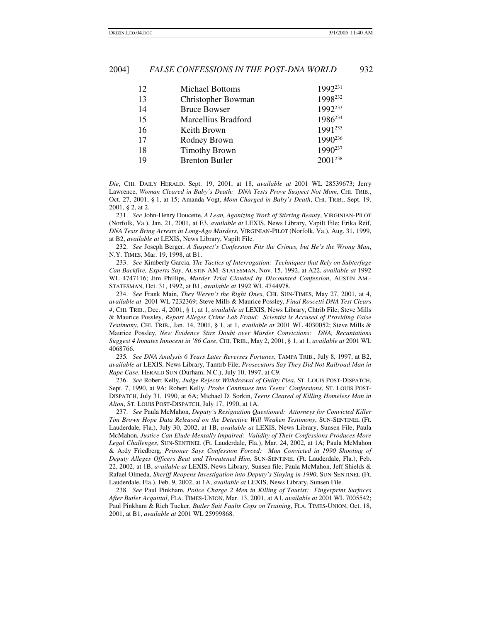| 12 | <b>Michael Bottoms</b> | 1992 <sup>231</sup> |
|----|------------------------|---------------------|
| 13 | Christopher Bowman     | 1998 <sup>232</sup> |
| 14 | <b>Bruce Bowser</b>    | 1992233             |
| 15 | Marcellius Bradford    | 1986 <sup>234</sup> |
| 16 | Keith Brown            | 1991235             |
| 17 | Rodney Brown           | 1990 <sup>236</sup> |
| 18 | <b>Timothy Brown</b>   | $1990^{237}$        |
| 19 | <b>Brenton Butler</b>  | $2001^{238}$        |
|    |                        |                     |

*Die*, CHI. DAILY HERALD, Sept. 19, 2001, at 18, *available at* 2001 WL 28539673; Jerry Lawrence, *Woman Cleared in Baby's Death: DNA Tests Prove Suspect Not Mom*, CHI. TRIB., Oct. 27, 2001, § 1, at 15; Amanda Vogt, *Mom Charged in Baby's Death*, CHI. TRIB., Sept. 19, 2001, § 2, at 2.

231. *See* John-Henry Doucette, *A Lean, Agonizing Work of Stirring Beauty*, VIRGINIAN-PILOT (Norfolk, Va.), Jan. 21, 2001, at E3, *available at* LEXIS, News Library, Vapilt File; Erika Reif, *DNA Tests Bring Arrests in Long-Ago Murders*, VIRGINIAN-PILOT (Norfolk, Va.), Aug. 31, 1999, at B2, *available at* LEXIS, News Library, Vapilt File.

232. *See* Joseph Berger, *A Suspect's Confession Fits the Crimes, but He's the Wrong Man*, N.Y. TIMES, Mar. 19, 1998, at B1.

233. *See* Kimberly Garcia, *The Tactics of Interrogation: Techniques that Rely on Subterfuge Can Backfire, Experts Say*, AUSTIN AM.-STATESMAN, Nov. 15, 1992, at A22, *available at* 1992 WL 4747116; Jim Phillips, *Murder Trial Clouded by Discounted Confession*, AUSTIN AM.- STATESMAN, Oct. 31, 1992, at B1, *available at* 1992 WL 4744978.

234. *See* Frank Main, *They Weren't the Right Ones*, CHI. SUN-TIMES, May 27, 2001, at 4, *available at* 2001 WL 7232369; Steve Mills & Maurice Possley, *Final Roscetti DNA Test Clears 4*, CHI. TRIB., Dec. 4, 2001, § 1, at 1, *available at* LEXIS, News Library, Chtrib File; Steve Mills & Maurice Possley, *Report Alleges Crime Lab Fraud: Scientist is Accused of Providing False Testimony*, CHI. TRIB., Jan. 14, 2001, § 1, at 1, *available at* 2001 WL 4030052; Steve Mills & Maurice Possley, *New Evidence Stirs Doubt over Murder Convictions: DNA, Recantations Suggest 4 Inmates Innocent in '86 Case*, CHI. TRIB., May 2, 2001, § 1, at 1, *available at* 2001 WL 4068766.

235*. See DNA Analysis 6 Years Later Reverses Fortunes*, TAMPA TRIB., July 8, 1997, at B2, *available at* LEXIS, News Library, Tamtrb File; *Prosecutors Say They Did Not Railroad Man in Rape Case*, HERALD SUN (Durham, N.C.), July 10, 1997, at C9.

236. *See* Robert Kelly, *Judge Rejects Withdrawal of Guilty Plea*, ST. LOUIS POST-DISPATCH, Sept. 7, 1990, at 9A; Robert Kelly, *Probe Continues into Teens' Confessions*, ST. LOUIS POST-DISPATCH, July 31, 1990, at 6A; Michael D. Sorkin, *Teens Cleared of Killing Homeless Man in Alton*, ST. LOUIS POST-DISPATCH, July 17, 1990, at 1A.

237. *See* Paula McMahon, *Deputy's Resignation Questioned: Attorneys for Convicted Killer Tim Brown Hope Data Released on the Detective Will Weaken Testimony*, SUN-SENTINEL (Ft. Lauderdale, Fla.), July 30, 2002, at 1B, *available at* LEXIS, News Library, Sunsen File; Paula McMahon, *Justice Can Elude Mentally Impaired: Validity of Their Confessions Produces More Legal Challenges*, SUN-SENTINEL (Ft. Lauderdale, Fla.), Mar. 24, 2002, at 1A; Paula McMahon & Ardy Friedberg, *Prisoner Says Confession Forced: Man Convicted in 1990 Shooting of Deputy Alleges Officers Beat and Threatened Him*, SUN-SENTINEL (Ft. Lauderdale, Fla.), Feb. 22, 2002, at 1B, *available at* LEXIS, News Library, Sunsen file; Paula McMahon, Jeff Shields & Rafael Olmeda, *Sheriff Reopens Investigation into Deputy's Slaying in 1990*, SUN-SENTINEL (Ft. Lauderdale, Fla.), Feb. 9, 2002, at 1A, *available at* LEXIS, News Library, Sunsen File.

238. *See* Paul Pinkham, *Police Charge 2 Men in Killing of Tourist: Fingerprint Surfaces After Butler Acquittal*, FLA. TIMES-UNION, Mar. 13, 2001, at A1, *available at* 2001 WL 7005542; Paul Pinkham & Rich Tucker, *Butler Suit Faults Cops on Training*, FLA. TIMES-UNION, Oct. 18, 2001, at B1, *available at* 2001 WL 25999868.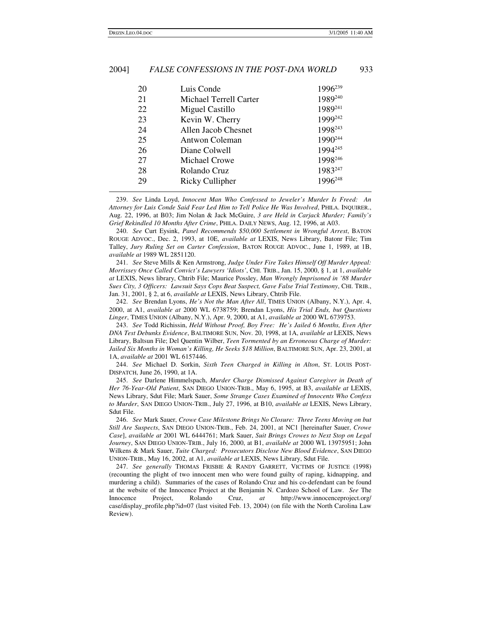| 20 | Luis Conde             | 1996 <sup>239</sup> |
|----|------------------------|---------------------|
| 21 | Michael Terrell Carter | 1989240             |
| 22 | Miguel Castillo        | 1989241             |
| 23 | Kevin W. Cherry        | 1999242             |
| 24 | Allen Jacob Chesnet    | 1998 <sup>243</sup> |
| 25 | Antwon Coleman         | 1990 <sup>244</sup> |
| 26 | Diane Colwell          | 1994 <sup>245</sup> |
| 27 | Michael Crowe          | 1998246             |
| 28 | Rolando Cruz           | 1983247             |
| 29 | Ricky Cullipher        | 1996 <sup>248</sup> |
|    |                        |                     |

239. *See* Linda Loyd, *Innocent Man Who Confessed to Jeweler's Murder Is Freed: An Attorney for Luis Conde Said Fear Led Him to Tell Police He Was Involved*, PHILA. INQUIRER., Aug. 22, 1996, at B03; Jim Nolan & Jack McGuire, *3 are Held in Carjack Murder; Family's Grief Rekindled 10 Months After Crime*, PHILA. DAILY NEWS, Aug. 12, 1996, at A03.

240. *See* Curt Eysink, *Panel Recommends \$50,000 Settlement in Wrongful Arrest*, BATON ROUGE ADVOC., Dec. 2, 1993, at 10E, *available at* LEXIS, News Library, Batonr File; Tim Talley, *Jury Ruling Set on Carter Confession*, BATON ROUGE ADVOC., June 1, 1989, at 1B, *available at* 1989 WL 2851120.

241. *See* Steve Mills & Ken Armstrong, *Judge Under Fire Takes Himself Off Murder Appeal: Morrissey Once Called Convict's Lawyers 'Idiots'*, CHI. TRIB., Jan. 15, 2000, § 1, at 1, *available at* LEXIS, News library, Chtrib File; Maurice Possley, *Man Wrongly Imprisoned in '88 Murder Sues City, 3 Officers: Lawsuit Says Cops Beat Suspect, Gave False Trial Testimony*, CHI. TRIB., Jan. 31, 2001, § 2, at 6, *available at* LEXIS, News Library, Chtrib File.

242. *See* Brendan Lyons, *He's Not the Man After All*, TIMES UNION (Albany, N.Y.), Apr. 4, 2000, at A1, *available at* 2000 WL 6738759; Brendan Lyons, *His Trial Ends, but Questions Linger*, TIMES UNION (Albany, N.Y.), Apr. 9, 2000, at A1, *available at* 2000 WL 6739753.

243. *See* Todd Richissin, *Held Without Proof, Boy Free: He's Jailed 6 Months, Even After DNA Test Debunks Evidence*, BALTIMORE SUN, Nov. 20, 1998, at 1A, *available at* LEXIS, News Library, Baltsun File; Del Quentin Wilber, *Teen Tormented by an Erroneous Charge of Murder: Jailed Six Months in Woman's Killing, He Seeks \$18 Million*, BALTIMORE SUN, Apr. 23, 2001, at 1A, *available at* 2001 WL 6157446.

244. *See* Michael D. Sorkin, *Sixth Teen Charged in Killing in Alton*, ST. LOUIS POST-DISPATCH, June 26, 1990, at 1A.

245. *See* Darlene Himmelspach, *Murder Charge Dismissed Against Caregiver in Death of Her 76-Year-Old Patient*, SAN DIEGO UNION-TRIB., May 6, 1995, at B3, *available at* LEXIS, News Library, Sdut File; Mark Sauer, *Some Strange Cases Examined of Innocents Who Confess to Murder*, SAN DIEGO UNION-TRIB., July 27, 1996, at B10, *available at* LEXIS, News Library, Sdut File.

246. *See* Mark Sauer, *Crowe Case Milestone Brings No Closure: Three Teens Moving on but Still Are Suspects*, SAN DIEGO UNION-TRIB., Feb. 24, 2001, at NC1 [hereinafter Sauer, *Crowe Case*], *available at* 2001 WL 6444761; Mark Sauer, *Suit Brings Crowes to Next Stop on Legal Journey*, SAN DIEGO UNION-TRIB., July 16, 2000, at B1, *available at* 2000 WL 13975951; John Wilkens & Mark Sauer, *Tuite Charged: Prosecutors Disclose New Blood Evidence*, SAN DIEGO UNION-TRIB., May 16, 2002, at A1, *available at* LEXIS, News Library, Sdut File.

247. *See generally* THOMAS FRISBIE & RANDY GARRETT, VICTIMS OF JUSTICE (1998) (recounting the plight of two innocent men who were found guilty of raping, kidnapping, and murdering a child). Summaries of the cases of Rolando Cruz and his co-defendant can be found at the website of the Innocence Project at the Benjamin N. Cardozo School of Law. *See* The Innocence Project, Rolando Cruz, *at* http://www.innocenceproject.org/ case/display\_profile.php?id=07 (last visited Feb. 13, 2004) (on file with the North Carolina Law Review).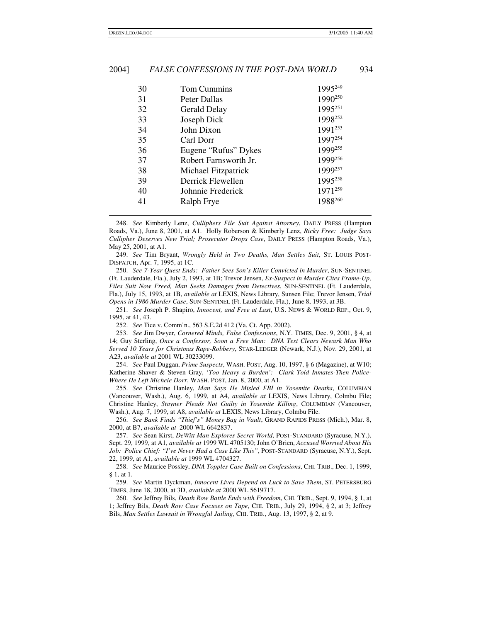| 30 | Tom Cummins           | 1995 <sup>249</sup> |
|----|-----------------------|---------------------|
| 31 | Peter Dallas          | 1990 <sup>250</sup> |
| 32 | <b>Gerald Delay</b>   | 1995 <sup>251</sup> |
| 33 | Joseph Dick           | 1998252             |
| 34 | John Dixon            | 1991253             |
| 35 | Carl Dorr             | 1997254             |
| 36 | Eugene "Rufus" Dykes  | 1999255             |
| 37 | Robert Farnsworth Jr. | 1999256             |
| 38 | Michael Fitzpatrick   | 1999257             |
| 39 | Derrick Flewellen     | 1995 <sup>258</sup> |
| 40 | Johnnie Frederick     | 1971259             |
| 41 | Ralph Frye            | 1988260             |
|    |                       |                     |

248. *See* Kimberly Lenz, *Culliphers File Suit Against Attorney*, DAILY PRESS (Hampton Roads, Va.), June 8, 2001, at A1. Holly Roberson & Kimberly Lenz, *Ricky Free: Judge Says Cullipher Deserves New Trial; Prosecutor Drops Case*, DAILY PRESS (Hampton Roads, Va.), May 25, 2001, at A1.

249. *See* Tim Bryant, *Wrongly Held in Two Deaths, Man Settles Suit*, ST. LOUIS POST-DISPATCH, Apr. 7, 1995, at 1C.

250. *See 7-Year Quest Ends: Father Sees Son's Killer Convicted in Murder*, SUN-SENTINEL (Ft. Lauderdale, Fla.), July 2, 1993, at 1B; Trevor Jensen, *Ex-Suspect in Murder Cites Frame-Up, Files Suit Now Freed, Man Seeks Damages from Detectives*, SUN-SENTINEL (Ft. Lauderdale, Fla.), July 15, 1993, at 1B, *available at* LEXIS, News Library, Sunsen File; Trevor Jensen, *Trial Opens in 1986 Murder Case*, SUN-SENTINEL (Ft. Lauderdale, Fla.), June 8, 1993, at 3B.

251. *See* Joseph P. Shapiro, *Innocent, and Free at Last*, U.S. NEWS & WORLD REP., Oct. 9, 1995, at 41, 43.

252. *See* Tice v. Comm'n., 563 S.E.2d 412 (Va. Ct. App. 2002).

253. *See* Jim Dwyer, *Cornered Minds, False Confessions*, N.Y. TIMES, Dec. 9, 2001, § 4, at 14; Guy Sterling, *Once a Confessor, Soon a Free Man: DNA Test Clears Newark Man Who Served 10 Years for Christmas Rape-Robbery*, STAR-LEDGER (Newark, N.J.), Nov. 29, 2001, at A23, *available at* 2001 WL 30233099.

254. *See* Paul Duggan, *Prime Suspects*, WASH. POST, Aug. 10, 1997, § 6 (Magazine), at W10; Katherine Shaver & Steven Gray, '*Too Heavy a Burden': Clark Told Inmates-Then Police-Where He Left Michele Dorr*, WASH. POST, Jan. 8, 2000, at A1.

255. *See* Christine Hanley, *Man Says He Misled FBI in Yosemite Deaths*, COLUMBIAN (Vancouver, Wash.), Aug. 6, 1999, at A4, *available at* LEXIS, News Library, Colmbu File; Christine Hanley, *Stayner Pleads Not Guilty in Yosemite Killing*, COLUMBIAN (Vancouver, Wash.), Aug. 7, 1999, at A8, *available at* LEXIS, News Library, Colmbu File.

256. *See Bank Finds "Thief's" Money Bag in Vault*, GRAND RAPIDS PRESS (Mich.), Mar. 8, 2000, at B7, *available at* 2000 WL 6642837.

257. *See* Sean Kirst, *DeWitt Man Explores Secret World*, POST-STANDARD (Syracuse, N.Y.), Sept. 29, 1999, at A1, *available at* 1999 WL 4705130; John O'Brien, *Accused Worried About His Job: Police Chief: "I've Never Had a Case Like This"*, POST-STANDARD (Syracuse, N.Y.), Sept. 22, 1999, at A1, *available at* 1999 WL 4704327.

258. *See* Maurice Possley, *DNA Topples Case Built on Confessions*, CHI. TRIB., Dec. 1, 1999, § 1, at 1.

259. *See* Martin Dyckman, *Innocent Lives Depend on Luck to Save Them*, ST. PETERSBURG TIMES, June 18, 2000, at 3D, *available at* 2000 WL 5619717.

260. *See* Jeffrey Bils, *Death Row Battle Ends with Freedom*, CHI. TRIB., Sept. 9, 1994, § 1, at 1; Jeffrey Bils, *Death Row Case Focuses on Tape*, CHI. TRIB., July 29, 1994, § 2, at 3; Jeffrey Bils, *Man Settles Lawsuit in Wrongful Jailing*, CHI. TRIB., Aug. 13, 1997, § 2, at 9.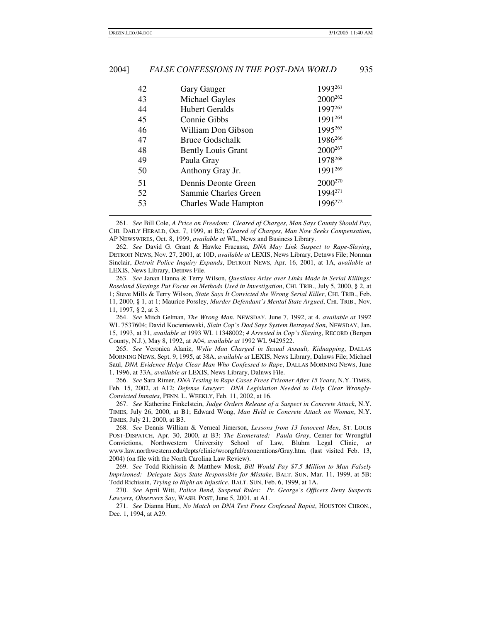| 42 | Gary Gauger               | 1993261             |
|----|---------------------------|---------------------|
| 43 | <b>Michael Gayles</b>     | $2000^{262}$        |
| 44 | Hubert Geralds            | 1997263             |
| 45 | Connie Gibbs              | 1991264             |
| 46 | William Don Gibson        | 1995265             |
| 47 | Bruce Godschalk           | 1986266             |
| 48 | <b>Bently Louis Grant</b> | $2000^{267}$        |
| 49 | Paula Gray                | 1978 <sup>268</sup> |
| 50 | Anthony Gray Jr.          | 1991269             |
| 51 | Dennis Deonte Green       | $2000^{270}$        |
| 52 | Sammie Charles Green      | 1994 <sup>271</sup> |
| 53 | Charles Wade Hampton      | 1996 <sup>272</sup> |
|    |                           |                     |

261. *See* Bill Cole, *A Price on Freedom: Cleared of Charges, Man Says County Should Pay*, CHI. DAILY HERALD, Oct. 7, 1999, at B2; *Cleared of Charges, Man Now Seeks Compensation*, AP NEWSWIRES, Oct. 8, 1999, *available at* WL, News and Business Library.

262. *See* David G. Grant & Hawke Fracassa, *DNA May Link Suspect to Rape-Slaying*, DETROIT NEWS, Nov. 27, 2001, at 10D, *available at* LEXIS, News Library, Detnws File; Norman Sinclair, *Detroit Police Inquiry Expands*, DETROIT NEWS, Apr. 16, 2001, at 1A, *available at* LEXIS, News Library, Detnws File.

263. *See* Janan Hanna & Terry Wilson, *Questions Arise over Links Made in Serial Killings: Roseland Slayings Put Focus on Methods Used in Investigation*, CHI. TRIB., July 5, 2000, § 2, at 1; Steve Mills & Terry Wilson, *State Says It Convicted the Wrong Serial Killer*, CHI. TRIB., Feb. 11, 2000, § 1, at 1; Maurice Possley, *Murder Defendant's Mental State Argued*, CHI. TRIB., Nov. 11, 1997, § 2, at 3.

264. *See* Mitch Gelman, *The Wrong Man*, NEWSDAY, June 7, 1992, at 4, *available at* 1992 WL 7537604; David Kocieniewski, *Slain Cop's Dad Says System Betrayed Son*, NEWSDAY, Jan. 15, 1993, at 31, *available at* 1993 WL 11348002; *4 Arrested in Cop's Slaying*, RECORD (Bergen County, N.J.), May 8, 1992, at A04, *available at* 1992 WL 9429522.

265. *See* Veronica Alaniz, *Wylie Man Charged in Sexual Assault, Kidnapping*, DALLAS MORNING NEWS, Sept. 9, 1995, at 38A, *available at* LEXIS, News Library, Dalnws File; Michael Saul, *DNA Evidence Helps Clear Man Who Confessed to Rape*, DALLAS MORNING NEWS, June 1, 1996, at 33A, *available at* LEXIS, News Library, Dalnws File.

266. *See* Sara Rimer, *DNA Testing in Rape Cases Frees Prisoner After 15 Years*, N.Y. TIMES, Feb. 15, 2002, at A12; *Defense Lawyer: DNA Legislation Needed to Help Clear Wrongly-Convicted Inmates*, PENN. L. WEEKLY, Feb. 11, 2002, at 16.

267. *See* Katherine Finkelstein, *Judge Orders Release of a Suspect in Concrete Attack*, N.Y. TIMES, July 26, 2000, at B1; Edward Wong, *Man Held in Concrete Attack on Woman*, N.Y. TIMES, July 21, 2000, at B3.

268. *See* Dennis William & Verneal Jimerson, *Lessons from 13 Innocent Men*, ST. LOUIS POST-DISPATCH, Apr. 30, 2000, at B3; *The Exonerated: Paula Gray*, Center for Wrongful Convictions, Northwestern University School of Law, Bluhm Legal Clinic, *at* www.law.northwestern.edu/depts/clinic/wrongful/exonerations/Gray.htm. (last visited Feb. 13, 2004) (on file with the North Carolina Law Review).

269. *See* Todd Richissin & Matthew Mosk, *Bill Would Pay \$7.5 Million to Man Falsely Imprisoned: Delegate Says State Responsible for Mistake*, BALT. SUN, Mar. 11, 1999, at 5B; Todd Richissin, *Trying to Right an Injustice*, BALT. SUN, Feb. 6, 1999, at 1A.

270. *See* April Witt, *Police Bend, Suspend Rules: Pr. George's Officers Deny Suspects Lawyers, Observers Say*, WASH. POST, June 5, 2001, at A1.

271. *See* Dianna Hunt, *No Match on DNA Test Frees Confessed Rapist*, HOUSTON CHRON., Dec. 1, 1994, at A29.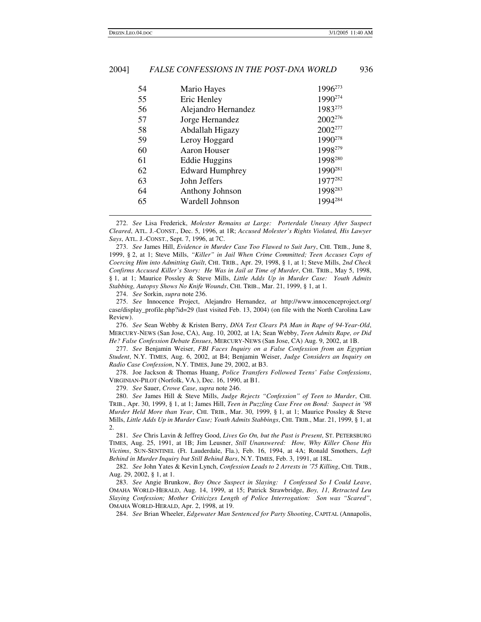| 54 | Mario Hayes            | 1996 <sup>273</sup> |
|----|------------------------|---------------------|
| 55 | Eric Henley            | 1990 <sup>274</sup> |
| 56 | Alejandro Hernandez    | 1983275             |
| 57 | Jorge Hernandez        | 2002 <sup>276</sup> |
| 58 | Abdallah Higazy        | 2002 <sup>277</sup> |
| 59 | Leroy Hoggard          | 1990 <sup>278</sup> |
| 60 | Aaron Houser           | 1998 <sup>279</sup> |
| 61 | Eddie Huggins          | 1998280             |
| 62 | <b>Edward Humphrey</b> | 1990 <sup>281</sup> |
| 63 | John Jeffers           | 1977282             |
| 64 | Anthony Johnson        | 1998 <sup>283</sup> |
| 65 | Wardell Johnson        | 1994284             |
|    |                        |                     |

272. *See* Lisa Frederick, *Molester Remains at Large: Porterdale Uneasy After Suspect Cleared*, ATL. J.-CONST., Dec. 5, 1996, at 1R; *Accused Molester's Rights Violated, His Lawyer Says*, ATL. J.-CONST., Sept. 7, 1996, at 7C.

273. *See* James Hill, *Evidence in Murder Case Too Flawed to Suit Jury*, CHI. TRIB., June 8, 1999, § 2, at 1; Steve Mills, *"Killer" in Jail When Crime Committed; Teen Accuses Cops of Coercing Him into Admitting Guilt*, CHI. TRIB., Apr. 29, 1998, § 1, at 1; Steve Mills, *2nd Check Confirms Accused Killer's Story: He Was in Jail at Time of Murder*, CHI. TRIB., May 5, 1998, § 1, at 1; Maurice Possley & Steve Mills, *Little Adds Up in Murder Case: Youth Admits Stabbing, Autopsy Shows No Knife Wounds*, CHI. TRIB., Mar. 21, 1999, § 1, at 1.

274. *See* Sorkin, *supra* note 236.

275. *See* Innocence Project, Alejandro Hernandez, *at* http://www.innocenceproject.org/ case/display\_profile.php?id=29 (last visited Feb. 13, 2004) (on file with the North Carolina Law Review).

276. *See* Sean Webby & Kristen Berry, *DNA Test Clears PA Man in Rape of 94-Year-Old*, MERCURY-NEWS (San Jose, CA), Aug. 10, 2002, at 1A; Sean Webby, *Teen Admits Rape, or Did He? False Confession Debate Ensues*, MERCURY-NEWS (San Jose, CA) Aug. 9, 2002, at 1B.

277. *See* Benjamin Weiser, *FBI Faces Inquiry on a False Confession from an Egyptian Student*, N.Y. TIMES, Aug. 6, 2002, at B4; Benjamin Weiser, *Judge Considers an Inquiry on Radio Case Confession*, N.Y. TIMES, June 29, 2002, at B3.

278. Joe Jackson & Thomas Huang, *Police Transfers Followed Teens' False Confessions*, VIRGINIAN-PILOT (Norfolk, VA.), Dec. 16, 1990, at B1.

279. *See* Sauer, *Crowe Case*, *supra* note 246.

280. *See* James Hill & Steve Mills, *Judge Rejects "Confession" of Teen to Murder*, CHI. TRIB., Apr. 30, 1999, § 1, at 1; James Hill, *Teen in Puzzling Case Free on Bond: Suspect in '98 Murder Held More than Year*, CHI. TRIB., Mar. 30, 1999, § 1, at 1; Maurice Possley & Steve Mills, *Little Adds Up in Murder Case; Youth Admits Stabbings*, CHI. TRIB., Mar. 21, 1999, § 1, at 2.

281. *See* Chris Lavin & Jeffrey Good, *Lives Go On, but the Past is Present*, ST. PETERSBURG TIMES, Aug. 25, 1991, at 1B; Jim Leusner, *Still Unanswered: How, Why Killer Chose His Victims*, SUN-SENTINEL (Ft. Lauderdale, Fla.), Feb. 16, 1994, at 4A; Ronald Smothers, *Left Behind in Murder Inquiry but Still Behind Bars*, N.Y. TIMES, Feb. 3, 1991, at 18L.

282. *See* John Yates & Kevin Lynch, *Confession Leads to 2 Arrests in '75 Killing*, CHI. TRIB., Aug. 29, 2002, § 1, at 1.

283. *See* Angie Brunkow, *Boy Once Suspect in Slaying: I Confessed So I Could Leave*, OMAHA WORLD-HERALD, Aug. 14, 1999, at 15; Patrick Strawbridge, *Boy, 11, Retracted Leu Slaying Confession; Mother Criticizes Length of Police Interrogation: Son was "Scared"*, OMAHA WORLD-HERALD, Apr. 2, 1998, at 19.

284. *See* Brian Wheeler, *Edgewater Man Sentenced for Party Shooting*, CAPITAL (Annapolis,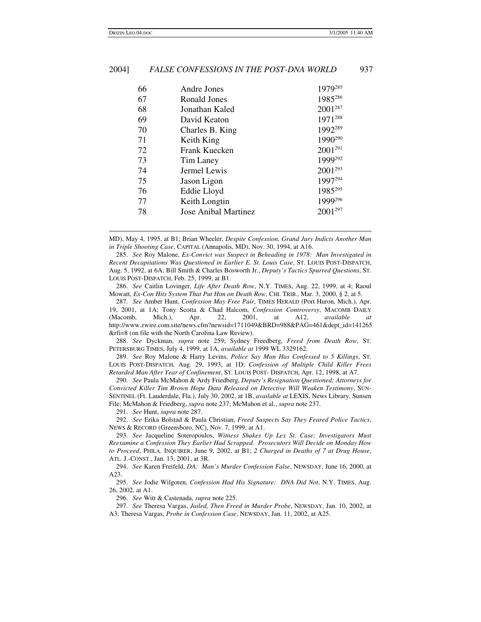| 66 | Andre Jones          | 1979285             |
|----|----------------------|---------------------|
| 67 | Ronald Jones         | 1985286             |
| 68 | Jonathan Kaled       | 2001287             |
| 69 | David Keaton         | 1971288             |
| 70 | Charles B. King      | 1992289             |
| 71 | Keith King           | 1990 <sup>290</sup> |
| 72 | Frank Kuecken        | $2001^{291}$        |
| 73 | Tim Laney            | 1999292             |
| 74 | Jermel Lewis         | 2001 <sup>293</sup> |
| 75 | Jason Ligon          | 1997 <sup>294</sup> |
| 76 | Eddie Lloyd          | 1985 <sup>295</sup> |
| 77 | Keith Longtin        | 1999296             |
| 78 | Jose Anibal Martinez | $2001^{297}$        |
|    |                      |                     |

MD), May 4, 1995, at B1; Brian Wheeler, *Despite Confession, Grand Jury Indicts Another Man in Triple Shooting Case*, CAPITAL (Annapolis, MD), Nov. 30, 1994, at A16.

285. *See* Roy Malone, *Ex-Convict was Suspect in Beheading in 1978: Man Investigated in Recent Decapitations Was Questioned in Earlier E. St. Louis Case*, ST. LOUIS POST-DISPATCH, Aug. 5, 1992, at 6A; Bill Smith & Charles Bosworth Jr., *Deputy's Tactics Spurred Questions*, ST. LOUIS POST-DISPATCH, Feb. 25, 1999, at B1.

286. *See* Caitlin Lovinger, *Life After Death Row*, N.Y. TIMES, Aug. 22, 1999, at 4; Raoul Mowatt, *Ex-Con Hits System That Put Him on Death Row*, CHI. TRIB., Mar. 3, 2000, § 2, at 5.

287. *See* Amber Hunt, *Confession May Free Pair*, TIMES HERALD (Port Huron, Mich.), Apr. 19, 2001, at 1A; Tony Scotta & Chad Halcom, *Confession Controversy*, MACOMB DAILY (Macomb, Mich.), Apr. 22, 2001, at A12, *available at* http://www.zwire.com.site/news.cfm?newsid=1711049&BRD=988&PAG=461&dept\_id=141265 &rfi=8 (on file with the North Carolina Law Review).

288. *See* Dyckman, *supra* note 259; Sydney Freedberg, *Freed from Death Row*, ST. PETERSBURG TIMES, July 4, 1999, at 1A, *available at* 1999 WL 3329162.

289. *See* Roy Malone & Harry Levins, *Police Say Man Has Confessed to 5 Killings*, ST. LOUIS POST-DISPATCH, Aug. 29, 1993, at 1D; *Confession of Multiple Child Killer Frees Retarded Man After Year of Confinement*, ST. LOUIS POST- DISPATCH, Apr. 12, 1998, at A7.

290. *See* Paula McMahon & Ardy Friedberg, *Deputy's Resignation Questioned; Attorneys for Convicted Killer Tim Brown Hope Data Released on Detective Will Weaken Testimony*, SUN-SENTINEL (Ft. Lauderdale, Fla.), July 30, 2002, at 1B, *available at* LEXIS, News Library, Sunsen File; McMahon & Friedberg, *supra* note 237; McMahon et al., *supra* note 237.

291. *See* Hunt, *supra* note 287.

292. *See* Erika Bolstad & Paula Christian, *Freed Suspects Say They Feared Police Tactics*, NEWS & RECORD (Greensboro, NC), Nov. 7, 1999, at A1.

293. *See* Jacqueline Soteropoulos, *Witness Shakes Up Lex St. Case; Investigators Must Reexamine a Confession They Earlier Had Scrapped. Prosecutors Will Decide on Monday How to Proceed*, PHILA. INQUIRER, June 9, 2002, at B1; *2 Charged in Deaths of 7 at Drug House*, ATL. J.-CONST., Jan. 13, 2001, at 3R.

294. *See* Karen Freifeld, *DA: Man's Murder Confession False*, NEWSDAY, June 16, 2000, at A23.

295. *See* Jodie Wilgoren, *Confession Had His Signature: DNA Did Not*, N.Y. TIMES, Aug. 26, 2002, at A1.

296. *See* Witt & Castenada, *supra* note 225.

297. *See* Theresa Vargas, *Jailed, Then Freed in Murder Probe*, NEWSDAY, Jan. 10, 2002, at A3; Theresa Vargas, *Probe in Confession Case*, NEWSDAY, Jan. 11, 2002, at A25.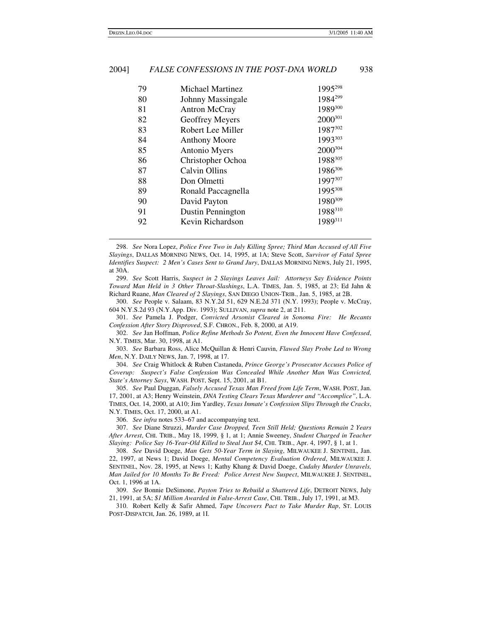| 79 | Michael Martinez     | 1995 <sup>298</sup> |
|----|----------------------|---------------------|
| 80 | Johnny Massingale    | 1984 <sup>299</sup> |
| 81 | <b>Antron McCray</b> | 1989300             |
| 82 | Geoffrey Meyers      | $2000^{301}$        |
| 83 | Robert Lee Miller    | 1987302             |
| 84 | <b>Anthony Moore</b> | 1993303             |
| 85 | Antonio Myers        | $2000^{304}$        |
| 86 | Christopher Ochoa    | 1988305             |
| 87 | Calvin Ollins        | 1986306             |
| 88 | Don Olmetti          | 1997307             |
| 89 | Ronald Paccagnella   | 1995308             |
| 90 | David Payton         | 1980309             |
| 91 | Dustin Pennington    | 1988310             |
| 92 | Kevin Richardson     | 1989311             |
|    |                      |                     |

298. *See* Nora Lopez, *Police Free Two in July Killing Spree; Third Man Accused of All Five Slayings*, DALLAS MORNING NEWS, Oct. 14, 1995, at 1A; Steve Scott, *Survivor of Fatal Spree Identifies Suspect: 2 Men's Cases Sent to Grand Jury*, DALLAS MORNING NEWS, July 21, 1995, at 30A.

299. *See* Scott Harris, *Suspect in 2 Slayings Leaves Jail: Attorneys Say Evidence Points Toward Man Held in 3 Other Throat-Slashings*, L.A. TIMES, Jan. 5, 1985, at 23; Ed Jahn & Richard Ruane, *Man Cleared of 2 Slayings*, SAN DIEGO UNION-TRIB., Jan. 5, 1985, at 2B.

300. *See* People v. Salaam, 83 N.Y.2d 51, 629 N.E.2d 371 (N.Y. 1993); People v. McCray, 604 N.Y.S.2d 93 (N.Y.App. Div. 1993); SULLIVAN, *supra* note 2, at 211.

301. *See* Pamela J. Podger, *Convicted Arsonist Cleared in Sonoma Fire: He Recants Confession After Story Disproved*, S.F. CHRON., Feb. 8, 2000, at A19.

302. *See* Jan Hoffman, *Police Refine Methods So Potent, Even the Innocent Have Confessed*, N.Y. TIMES, Mar. 30, 1998, at A1.

303. *See* Barbara Ross, Alice McQuillan & Henri Cauvin, *Flawed Slay Probe Led to Wrong Men*, N.Y. DAILY NEWS, Jan. 7, 1998, at 17.

304. *See* Craig Whitlock & Ruben Castaneda, *Prince George's Prosecutor Accuses Police of Coverup: Suspect's False Confession Was Concealed While Another Man Was Convicted, State's Attorney Says*, WASH. POST, Sept. 15, 2001, at B1.

305. *See* Paul Duggan, *Falsely Accused Texas Man Freed from Life Term*, WASH. POST, Jan. 17, 2001, at A3; Henry Weinstein, *DNA Testing Clears Texas Murderer and "Accomplice"*, L.A. TIMES, Oct. 14, 2000, at A10; Jim Yardley, *Texas Inmate's Confession Slips Through the Cracks*, N.Y. TIMES, Oct. 17, 2000, at A1.

306. *See infra* notes 533–67 and accompanying text.

307. *See* Diane Struzzi, *Murder Case Dropped, Teen Still Held; Questions Remain 2 Years After Arrest*, CHI. TRIB., May 18, 1999, § 1, at 1; Annie Sweeney, *Student Charged in Teacher Slaying: Police Say 16-Year-Old Killed to Steal Just \$4*, CHI. TRIB., Apr. 4, 1997, § 1, at 1.

308. *See* David Doege, *Man Gets 50-Year Term in Slaying*, MILWAUKEE J. SENTINEL, Jan. 22, 1997, at News 1; David Doege, *Mental Competency Evaluation Ordered*, MILWAUKEE J. SENTINEL, Nov. 28, 1995, at News 1; Kathy Khang & David Doege, *Cudahy Murder Unravels, Man Jailed for 10 Months To Be Freed: Police Arrest New Suspect*, MILWAUKEE J. SENTINEL, Oct. 1, 1996 at 1A.

309. *See* Bonnie DeSimone, *Payton Tries to Rebuild a Shattered Life*, DETROIT NEWS, July 21, 1991, at 5A; *\$1 Million Awarded in False-Arrest Case*, CHI. TRIB., July 17, 1991, at M3.

310. Robert Kelly & Safir Ahmed, *Tape Uncovers Pact to Take Murder Rap*, ST. LOUIS POST-DISPATCH, Jan. 26, 1989, at 1I.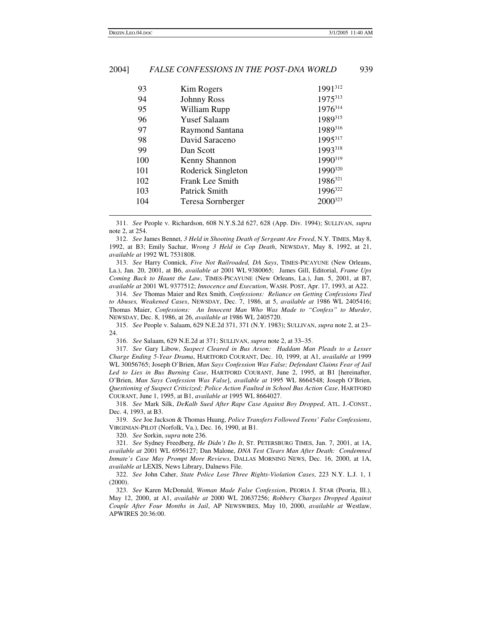| 93  | Kim Rogers          | 1991312             |
|-----|---------------------|---------------------|
| 94  | <b>Johnny Ross</b>  | 1975313             |
| 95  | William Rupp        | 1976314             |
| 96  | <b>Yusef Salaam</b> | 1989315             |
| 97  | Raymond Santana     | 1989316             |
| 98  | David Saraceno      | 1995317             |
| 99  | Dan Scott           | 1993318             |
| 100 | Kenny Shannon       | 1990 <sup>319</sup> |
| 101 | Roderick Singleton  | 1990320             |
| 102 | Frank Lee Smith     | 1986321             |
| 103 | Patrick Smith       | 1996322             |
| 104 | Teresa Sornberger   | 2000323             |
|     |                     |                     |

311. *See* People v. Richardson, 608 N.Y.S.2d 627, 628 (App. Div. 1994); SULLIVAN, *supra* note 2, at 254.

312. *See* James Bennet, *3 Held in Shooting Death of Sergeant Are Freed*, N.Y. TIMES, May 8, 1992, at B3; Emily Sachar, *Wrong 3 Held in Cop Death*, NEWSDAY, May 8, 1992, at 21, *available at* 1992 WL 7531808.

313. *See* Harry Connick, *Five Not Railroaded, DA Says*, TIMES-PICAYUNE (New Orleans, La.), Jan. 20, 2001, at B6, *available at* 2001 WL 9380065; James Gill, Editorial, *Frame Ups Coming Back to Haunt the Law*, TIMES-PICAYUNE (New Orleans, La.), Jan. 5, 2001, at B7, *available at* 2001 WL 9377512; *Innocence and Execution*, WASH. POST, Apr. 17, 1993, at A22.

314. *See* Thomas Maier and Rex Smith, *Confessions: Reliance on Getting Confessions Tied to Abuses, Weakened Cases*, NEWSDAY, Dec. 7, 1986, at 5, *available at* 1986 WL 2405416; Thomas Maier, *Confessions: An Innocent Man Who Was Made to "Confess" to Murder*, NEWSDAY, Dec. 8, 1986, at 26, *available at* 1986 WL 2405720.

315. *See* People v. Salaam, 629 N.E.2d 371, 371 (N.Y. 1983); SULLIVAN, *supra* note 2, at 23– 24.

316. *See* Salaam, 629 N.E.2d at 371; SULLIVAN, *supra* note 2, at 33–35.

317. *See* Gary Libow, *Suspect Cleared in Bus Arson: Haddam Man Pleads to a Lesser Charge Ending 5-Year Drama*, HARTFORD COURANT, Dec. 10, 1999, at A1, *available at* 1999 WL 30056765; Joseph O'Brien, *Man Says Confession Was False; Defendant Claims Fear of Jail Led to Lies in Bus Burning Case*, HARTFORD COURANT, June 2, 1995, at B1 [hereinafter, O'Brien, *Man Says Confession Was False*], *available at* 1995 WL 8664548; Joseph O'Brien, *Questioning of Suspect Criticized; Police Action Faulted in School Bus Action Case*, HARTFORD COURANT, June 1, 1995, at B1, *available at* 1995 WL 8664027.

318. *See* Mark Silk, *DeKalb Sued After Rape Case Against Boy Dropped*, ATL. J.-CONST., Dec. 4, 1993, at B3.

319. *See* Joe Jackson & Thomas Huang, *Police Transfers Followed Teens' False Confessions*, VIRGINIAN-PILOT (Norfolk, Va.), Dec. 16, 1990, at B1.

320. *See* Sorkin, *supra* note 236.

321. *See* Sydney Freedberg, *He Didn't Do It*, ST. PETERSBURG TIMES, Jan. 7, 2001, at 1A, *available at* 2001 WL 6956127; Dan Malone, *DNA Test Clears Man After Death: Condemned Inmate's Case May Prompt More Reviews*, DALLAS MORNING NEWS, Dec. 16, 2000, at 1A, *available at* LEXIS, News Library, Dalnews File.

322. *See* John Caher, *State Police Lose Three Rights-Violation Cases*, 223 N.Y. L.J. 1, 1 (2000).

323. *See* Karen McDonald, *Woman Made False Confession*, PEORIA J. STAR (Peoria, Ill.), May 12, 2000, at A1, *available at* 2000 WL 20637256; *Robbery Charges Dropped Against Couple After Four Months in Jail*, AP NEWSWIRES, May 10, 2000, *available at* Westlaw, APWIRES 20:36:00.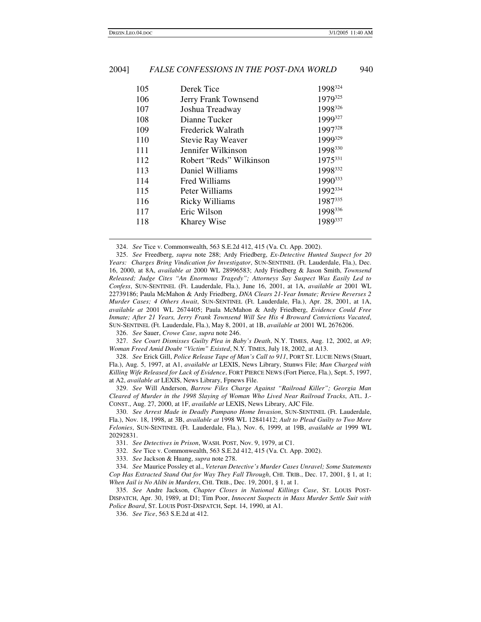| 105 | Derek Tice               | 1998324 |
|-----|--------------------------|---------|
| 106 | Jerry Frank Townsend     | 1979325 |
| 107 | Joshua Treadway          | 1998326 |
| 108 | Dianne Tucker            | 1999327 |
| 109 | Frederick Walrath        | 1997328 |
| 110 | <b>Stevie Ray Weaver</b> | 1999329 |
| 111 | Jennifer Wilkinson       | 1998330 |
| 112 | Robert "Reds" Wilkinson  | 1975331 |
| 113 | Daniel Williams          | 1998332 |
| 114 | Fred Williams            | 1990333 |
| 115 | Peter Williams           | 1992334 |
| 116 | <b>Ricky Williams</b>    | 1987335 |
| 117 | Eric Wilson              | 1998336 |
| 118 | Kharey Wise              | 1989337 |
|     |                          |         |

324. *See* Tice v. Commonwealth, 563 S.E.2d 412, 415 (Va. Ct. App. 2002).

325. *See* Freedberg, *supra* note 288; Ardy Friedberg, *Ex-Detective Hunted Suspect for 20 Years: Charges Bring Vindication for Investigator*, SUN-SENTINEL (Ft. Lauderdale, Fla.), Dec. 16, 2000, at 8A, *available at* 2000 WL 28996583; Ardy Friedberg & Jason Smith, *Townsend Released; Judge Cites "An Enormous Tragedy"; Attorneys Say Suspect Was Easily Led to Confess*, SUN-SENTINEL (Ft. Lauderdale, Fla.), June 16, 2001, at 1A, *available at* 2001 WL 22739186; Paula McMahon & Ardy Friedberg, *DNA Clears 21-Year Inmate; Review Reverses 2 Murder Cases; 4 Others Await*, SUN-SENTINEL (Ft. Lauderdale, Fla.), Apr. 28, 2001, at 1A, *available at* 2001 WL 2674405; Paula McMahon & Ardy Friedberg, *Evidence Could Free Inmate; After 21 Years, Jerry Frank Townsend Will See His 4 Broward Convictions Vacated*, SUN-SENTINEL (Ft. Lauderdale, Fla.), May 8, 2001, at 1B, *available at* 2001 WL 2676206.

326. *See* Sauer, *Crowe Case*, *supra* note 246.

327. *See Court Dismisses Guilty Plea in Baby's Death*, N.Y. TIMES, Aug. 12, 2002, at A9; *Woman Freed Amid Doubt "Victim" Existed*, N.Y. TIMES, July 18, 2002, at A13.

328. *See* Erick Gill, *Police Release Tape of Man's Call to 911*, PORT ST. LUCIE NEWS (Stuart, Fla.), Aug. 5, 1997, at A1, *available at* LEXIS, News Library, Stunws File; *Man Charged with Killing Wife Released for Lack of Evidence*, FORT PIERCE NEWS (Fort Pierce, Fla.), Sept. 5, 1997, at A2, *available at* LEXIS, News Library, Fpnews File.

329. *See* Will Anderson, *Barrow Files Charge Against "Railroad Killer"; Georgia Man Cleared of Murder in the 1998 Slaying of Woman Who Lived Near Railroad Tracks*, ATL. J.- CONST., Aug. 27, 2000, at 1F, *available at* LEXIS, News Library, AJC File.

330. *See Arrest Made in Deadly Pampano Home Invasion*, SUN-SENTINEL (Ft. Lauderdale, Fla.), Nov. 18, 1998, at 3B, *available at* 1998 WL 12841412; *Ault to Plead Guilty to Two More Felonies*, SUN-SENTINEL (Ft. Lauderdale, Fla.), Nov. 6, 1999, at 19B, *available at* 1999 WL 20292831.

331. *See Detectives in Prison*, WASH. POST, Nov. 9, 1979, at C1.

332. *See* Tice v. Commonwealth, 563 S.E.2d 412, 415 (Va. Ct. App. 2002).

333. *See* Jackson & Huang, *supra* note 278.

334. *See* Maurice Possley et al., *Veteran Detective's Murder Cases Unravel; Some Statements Cop Has Extracted Stand Out for Way They Fall Through*, CHI. TRIB., Dec. 17, 2001, § 1, at 1; *When Jail is No Alibi in Murders*, CHI. TRIB., Dec. 19, 2001, § 1, at 1.

335. *See* Andre Jackson, *Chapter Closes in National Killings Case*, ST. LOUIS POST-DISPATCH, Apr. 30, 1989, at D1; Tim Poor, *Innocent Suspects in Mass Murder Settle Suit with Police Board*, ST. LOUIS POST-DISPATCH, Sept. 14, 1990, at A1.

336. *See Tice*, 563 S.E.2d at 412.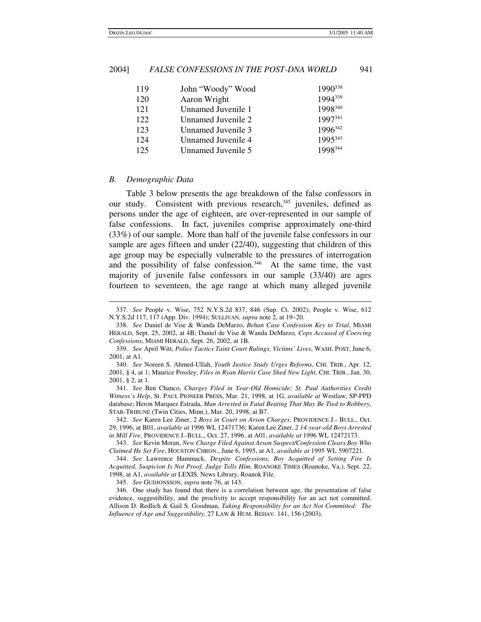| 119 | John "Woody" Wood  | $1990^{338}$        |
|-----|--------------------|---------------------|
| 120 | Aaron Wright       | 1994339             |
| 121 | Unnamed Juvenile 1 | 1998340             |
| 122 | Unnamed Juvenile 2 | 1997341             |
| 123 | Unnamed Juvenile 3 | 1996 <sup>342</sup> |
| 124 | Unnamed Juvenile 4 | 1995343             |
| 125 | Unnamed Juvenile 5 | 1998344             |

#### *B. Demographic Data*

Table 3 below presents the age breakdown of the false confessors in our study. Consistent with previous research, 345 juveniles, defined as persons under the age of eighteen, are over-represented in our sample of false confessions. In fact, juveniles comprise approximately one-third (33%) of our sample. More than half of the juvenile false confessors in our sample are ages fifteen and under (22/40), suggesting that children of this age group may be especially vulnerable to the pressures of interrogation and the possibility of false confession. <sup>346</sup> At the same time, the vast majority of juvenile false confessors in our sample (33/40) are ages fourteen to seventeen, the age range at which many alleged juvenile

341. *See* Ben Chanco, *Charges Filed in Year-Old Homicide; St. Paul Authorities Credit Witness's Help*, St. PAUL PIONEER PRESS, Mar. 21, 1998, at 1G, *available at* Westlaw, SP-PPD database; Heron Marquez Estrada, *Man Arrested in Fatal Beating That May Be Tied to Robbery*, STAR-TRIBUNE (Twin Cities, Minn.), Mar. 20, 1998, at B7.

<sup>337.</sup> *See* People v. Wise, 752 N.Y.S.2d 837, 846 (Sup. Ct. 2002); People v. Wise, 612 N.Y.S.2d 117, 117 (App. Div. 1994); SULLIVAN, *supra* note 2, at 19–20.

<sup>338.</sup> *See* Daniel de Vise & Wanda DeMarzo, *Behan Case Confession Key to Trial*, MIAMI HERALD, Sept. 25, 2002, at 4B; Daniel de Vise & Wanda DeMarzo*, Cops Accused of Coercing Confessions*, MIAMI HERALD, Sept. 26, 2002, at 1B.

<sup>339.</sup> *See* April Witt, *Police Tactics Taint Court Rulings, Victims' Lives*, WASH. POST, June 6, 2001, at A1.

<sup>340.</sup> *See* Noreen S. Ahmed-Ullah, *Youth Justice Study Urges Reforms*, CHI. TRIB., Apr. 12, 2001, § 4, at 1; Maurice Possley, *Files in Ryan Harris Case Shed New Light*, CHI. TRIB., Jan. 30, 2001, § 2, at 1.

<sup>342.</sup> *See* Karen Lee Ziner, 2 *Boys in Court on Arson Charges*, PROVIDENCE J.- BULL., Oct. 29, 1996, at B01, *available at* 1996 WL 12471736; Karen Lee Ziner, *2 14-year-old Boys Arrested in Mill Fire*, PROVIDENCE J.-BULL., Oct. 27, 1996, at A01, *available at* 1996 WL 12472173.

<sup>343.</sup> *See* Kevin Moran, *New Charge Filed Against Arson Suspect/Confession Clears Boy Who Claimed He Set Fire*, HOUSTON CHRON., June 6, 1995, at A1, *available at* 1995 WL 5907221.

<sup>344.</sup> *See* Lawrence Hammack, *Despite Confessions, Boy Acquitted of Setting Fire Is Acquitted, Suspicion Is Not Proof, Judge Tells Him*, ROANOKE TIMES (Roanoke, Va.), Sept. 22, 1998, at A1, *available at* LEXIS, News Library, Roanok File.

<sup>345.</sup> *See* GUDJONSSON, *supra* note 76, at 143.

<sup>346.</sup> One study has found that there is a correlation between age, the presentation of false evidence, suggestibility, and the proclivity to accept responsibility for an act not committed. Allison D. Redlich & Gail S. Goodman, *Taking Responsibility for an Act Not Committed: The Influence of Age and Suggestibility*, 27 LAW & HUM. BEHAV. 141, 156 (2003).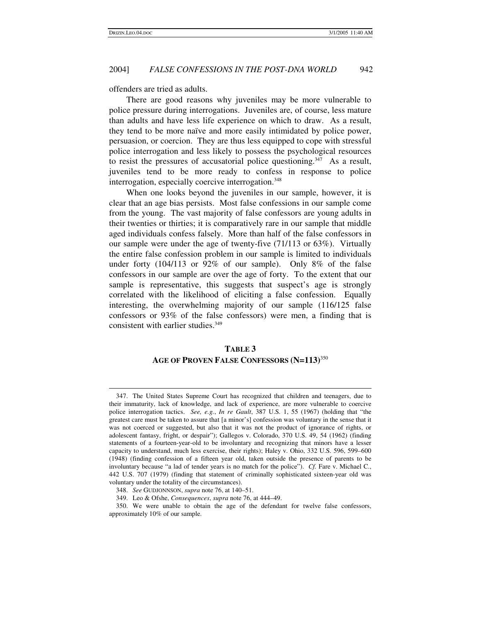offenders are tried as adults.

There are good reasons why juveniles may be more vulnerable to police pressure during interrogations. Juveniles are, of course, less mature than adults and have less life experience on which to draw. As a result, they tend to be more naïve and more easily intimidated by police power, persuasion, or coercion. They are thus less equipped to cope with stressful police interrogation and less likely to possess the psychological resources to resist the pressures of accusatorial police questioning. <sup>347</sup> As a result, juveniles tend to be more ready to confess in response to police interrogation, especially coercive interrogation. 348

When one looks beyond the juveniles in our sample, however, it is clear that an age bias persists. Most false confessions in our sample come from the young. The vast majority of false confessors are young adults in their twenties or thirties; it is comparatively rare in our sample that middle aged individuals confess falsely. More than half of the false confessors in our sample were under the age of twenty-five  $(71/113 \text{ or } 63\%)$ . Virtually the entire false confession problem in our sample is limited to individuals under forty (104/113 or 92% of our sample). Only 8% of the false confessors in our sample are over the age of forty. To the extent that our sample is representative, this suggests that suspect's age is strongly correlated with the likelihood of eliciting a false confession. Equally interesting, the overwhelming majority of our sample (116/125 false confessors or 93% of the false confessors) were men, a finding that is consistent with earlier studies. 349

# **TABLE 3 AGE OF PROVEN FALSE CONFESSORS (N=113)** 350

<sup>347.</sup> The United States Supreme Court has recognized that children and teenagers, due to their immaturity, lack of knowledge, and lack of experience, are more vulnerable to coercive police interrogation tactics. *See, e.g.*, *In re Gault*, 387 U.S. 1, 55 (1967) (holding that "the greatest care must be taken to assure that [a minor's] confession was voluntary in the sense that it was not coerced or suggested, but also that it was not the product of ignorance of rights, or adolescent fantasy, fright, or despair"); Gallegos v. Colorado, 370 U.S. 49, 54 (1962) (finding statements of a fourteen-year-old to be involuntary and recognizing that minors have a lesser capacity to understand, much less exercise, their rights); Haley v. Ohio, 332 U.S. 596, 599–600 (1948) (finding confession of a fifteen year old, taken outside the presence of parents to be involuntary because "a lad of tender years is no match for the police"). *Cf.* Fare v. Michael C., 442 U.S. 707 (1979) (finding that statement of criminally sophisticated sixteen-year old was voluntary under the totality of the circumstances).

<sup>348.</sup> *See* GUDJONNSON, *supra* note 76, at 140–51.

<sup>349.</sup> Leo & Ofshe, *Consequences*, *supra* note 76, at 444–49.

<sup>350.</sup> We were unable to obtain the age of the defendant for twelve false confessors, approximately 10% of our sample.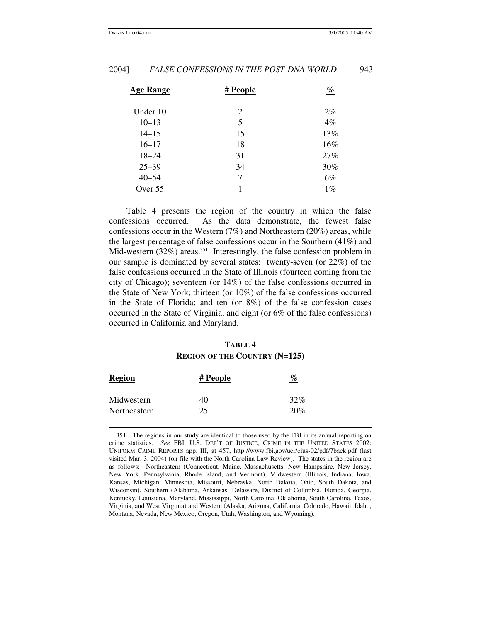| <b>Age Range</b> | # People | $\%$  |
|------------------|----------|-------|
| Under 10         | 2        | $2\%$ |
| $10 - 13$        | 5        | $4\%$ |
| $14 - 15$        | 15       | 13%   |
| $16 - 17$        | 18       | 16%   |
| $18 - 24$        | 31       | 27%   |
| $25 - 39$        | 34       | 30%   |
| $40 - 54$        | 7        | $6\%$ |
| Over $55$        | 1        | $1\%$ |

Table 4 presents the region of the country in which the false confessions occurred. As the data demonstrate, the fewest false confessions occur in the Western (7%) and Northeastern (20%) areas, while the largest percentage of false confessions occur in the Southern (41%) and Mid-western (32%) areas.<sup>351</sup> Interestingly, the false confession problem in our sample is dominated by several states: twenty-seven (or 22%) of the false confessions occurred in the State of Illinois (fourteen coming from the city of Chicago); seventeen (or 14%) of the false confessions occurred in the State of New York; thirteen (or 10%) of the false confessions occurred in the State of Florida; and ten (or 8%) of the false confession cases occurred in the State of Virginia; and eight (or 6% of the false confessions) occurred in California and Maryland.

# **TABLE 4 REGION OF THE COUNTRY (N=125)**

| <b>Region</b> | # People | $\frac{q_0}{q_0}$ |
|---------------|----------|-------------------|
| Midwestern    | 40       | 32%               |
| Northeastern  | 25       | 20%               |

<sup>351.</sup> The regions in our study are identical to those used by the FBI in its annual reporting on crime statistics. *See* FBI, U.S. DEP'T OF JUSTICE, CRIME IN THE UNITED STATES 2002: UNIFORM CRIME REPORTS app. III, at 457, http://www.fbi.gov/ucr/cius-02/pdf/7back.pdf (last visited Mar. 3, 2004) (on file with the North Carolina Law Review). The states in the region are as follows: Northeastern (Connecticut, Maine, Massachusetts, New Hampshire, New Jersey, New York, Pennsylvania, Rhode Island, and Vermont), Midwestern (Illinois, Indiana, Iowa, Kansas, Michigan, Minnesota, Missouri, Nebraska, North Dakota, Ohio, South Dakota, and Wisconsin), Southern (Alabama, Arkansas, Delaware, District of Columbia, Florida, Georgia, Kentucky, Louisiana, Maryland, Mississippi, North Carolina, Oklahoma, South Carolina, Texas, Virginia, and West Virginia) and Western (Alaska, Arizona, California, Colorado, Hawaii, Idaho, Montana, Nevada, New Mexico, Oregon, Utah, Washington, and Wyoming).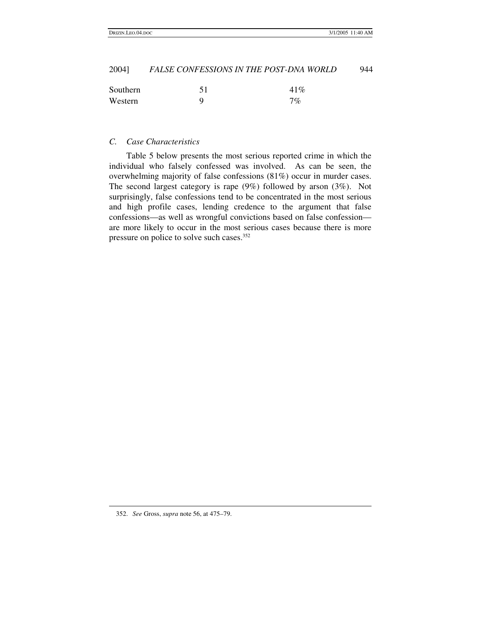| 2004] | <b>FALSE CONFESSIONS IN THE POST-DNA WORLD</b> | 944 |
|-------|------------------------------------------------|-----|
|       |                                                |     |

| Southern | 41%   |
|----------|-------|
| Western  | $7\%$ |

## *C. Case Characteristics*

Table 5 below presents the most serious reported crime in which the individual who falsely confessed was involved. As can be seen, the overwhelming majority of false confessions (81%) occur in murder cases. The second largest category is rape (9%) followed by arson (3%). Not surprisingly, false confessions tend to be concentrated in the most serious and high profile cases, lending credence to the argument that false confessions—as well as wrongful convictions based on false confession are more likely to occur in the most serious cases because there is more pressure on police to solve such cases.<sup>352</sup>

<sup>352.</sup> *See* Gross, *supra* note 56, at 475–79.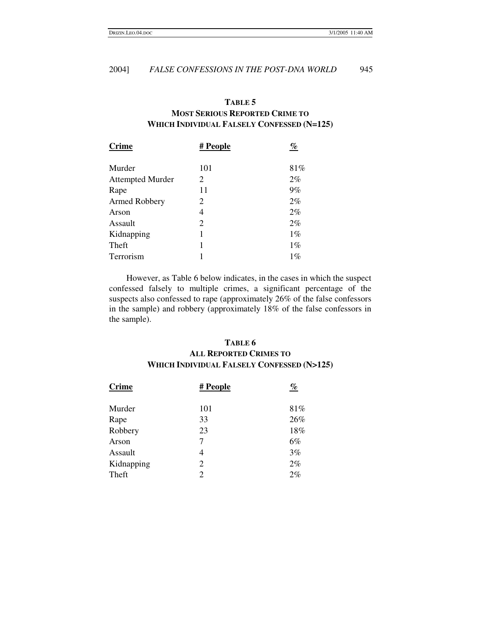# **TABLE 5 MOST SERIOUS REPORTED CRIME TO WHICH INDIVIDUAL FALSELY CONFESSED (N=125)**

| <b>Crime</b>            | # People | %     |
|-------------------------|----------|-------|
| Murder                  | 101      | 81%   |
| <b>Attempted Murder</b> | 2        | $2\%$ |
| Rape                    | 11       | 9%    |
| <b>Armed Robbery</b>    | 2        | 2%    |
| Arson                   | 4        | 2%    |
| Assault                 | 2        | 2%    |
| Kidnapping              | 1        | $1\%$ |
| Theft                   | 1        | $1\%$ |
| Terrorism               |          | 1%    |

However, as Table 6 below indicates, in the cases in which the suspect confessed falsely to multiple crimes, a significant percentage of the suspects also confessed to rape (approximately 26% of the false confessors in the sample) and robbery (approximately 18% of the false confessors in the sample).

# **TABLE 6 ALL REPORTED CRIMES TO WHICH INDIVIDUAL FALSELY CONFESSED (N>125)**

| <b>Crime</b> | # People | $\%$ |
|--------------|----------|------|
| Murder       | 101      | 81%  |
| Rape         | 33       | 26%  |
| Robbery      | 23       | 18%  |
| Arson        | 7        | 6%   |
| Assault      | 4        | 3%   |
| Kidnapping   | 2        | 2%   |
| Theft        | 2        | 2%   |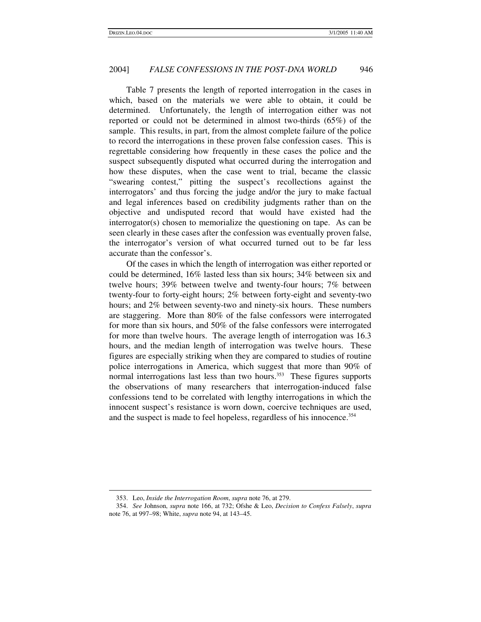Table 7 presents the length of reported interrogation in the cases in which, based on the materials we were able to obtain, it could be determined. Unfortunately, the length of interrogation either was not reported or could not be determined in almost two-thirds (65%) of the sample. This results, in part, from the almost complete failure of the police to record the interrogations in these proven false confession cases. This is regrettable considering how frequently in these cases the police and the suspect subsequently disputed what occurred during the interrogation and how these disputes, when the case went to trial, became the classic "swearing contest," pitting the suspect's recollections against the interrogators' and thus forcing the judge and/or the jury to make factual and legal inferences based on credibility judgments rather than on the objective and undisputed record that would have existed had the interrogator(s) chosen to memorialize the questioning on tape. As can be seen clearly in these cases after the confession was eventually proven false, the interrogator's version of what occurred turned out to be far less accurate than the confessor's.

Of the cases in which the length of interrogation was either reported or could be determined, 16% lasted less than six hours; 34% between six and twelve hours; 39% between twelve and twenty-four hours; 7% between twenty-four to forty-eight hours; 2% between forty-eight and seventy-two hours; and 2% between seventy-two and ninety-six hours. These numbers are staggering. More than 80% of the false confessors were interrogated for more than six hours, and 50% of the false confessors were interrogated for more than twelve hours. The average length of interrogation was 16.3 hours, and the median length of interrogation was twelve hours. These figures are especially striking when they are compared to studies of routine police interrogations in America, which suggest that more than 90% of normal interrogations last less than two hours.<sup>353</sup> These figures supports the observations of many researchers that interrogation-induced false confessions tend to be correlated with lengthy interrogations in which the innocent suspect's resistance is worn down, coercive techniques are used, and the suspect is made to feel hopeless, regardless of his innocence. 354

<sup>353.</sup> Leo, *Inside the Interrogation Room*, *supra* note 76, at 279.

<sup>354.</sup> *See* Johnson, *supra* note 166, at 732; Ofshe & Leo, *Decision to Confess Falsely*, *supra* note 76, at 997–98; White, *supra* note 94, at 143–45.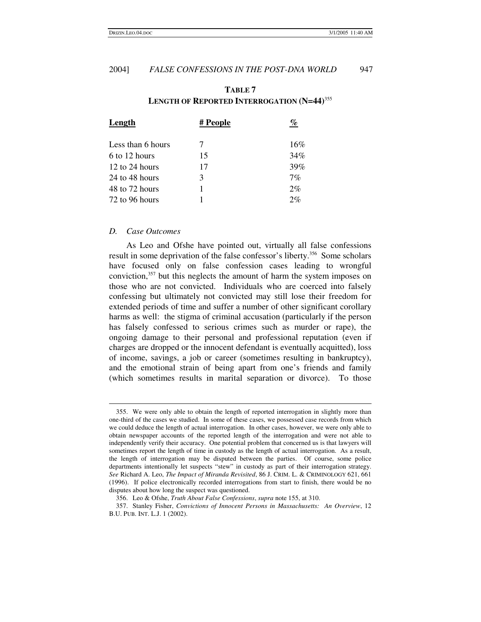| Length            | # People | $\%$  |
|-------------------|----------|-------|
| Less than 6 hours |          | 16%   |
| 6 to 12 hours     | 15       | 34%   |
| 12 to 24 hours    | 17       | 39%   |
| 24 to 48 hours    | 3        | $7\%$ |
| 48 to 72 hours    | 1        | 2%    |
| 72 to 96 hours    |          | 2%    |

# **TABLE 7 LENGTH OF REPORTED INTERROGATION (N=44)** 355

#### *D. Case Outcomes*

As Leo and Ofshe have pointed out, virtually all false confessions result in some deprivation of the false confessor's liberty. <sup>356</sup> Some scholars have focused only on false confession cases leading to wrongful conviction, <sup>357</sup> but this neglects the amount of harm the system imposes on those who are not convicted. Individuals who are coerced into falsely confessing but ultimately not convicted may still lose their freedom for extended periods of time and suffer a number of other significant corollary harms as well: the stigma of criminal accusation (particularly if the person has falsely confessed to serious crimes such as murder or rape), the ongoing damage to their personal and professional reputation (even if charges are dropped or the innocent defendant is eventually acquitted), loss of income, savings, a job or career (sometimes resulting in bankruptcy), and the emotional strain of being apart from one's friends and family (which sometimes results in marital separation or divorce). To those

<sup>355.</sup> We were only able to obtain the length of reported interrogation in slightly more than one-third of the cases we studied. In some of these cases, we possessed case records from which we could deduce the length of actual interrogation. In other cases, however, we were only able to obtain newspaper accounts of the reported length of the interrogation and were not able to independently verify their accuracy. One potential problem that concerned us is that lawyers will sometimes report the length of time in custody as the length of actual interrogation. As a result, the length of interrogation may be disputed between the parties. Of course, some police departments intentionally let suspects "stew" in custody as part of their interrogation strategy. *See* Richard A. Leo, *The Impact of Miranda Revisited*, 86 J. CRIM. L. & CRIMINOLOGY 621, 661 (1996). If police electronically recorded interrogations from start to finish, there would be no disputes about how long the suspect was questioned.

<sup>356.</sup> Leo & Ofshe, *Truth About False Confessions*, *supra* note 155, at 310.

<sup>357.</sup> Stanley Fisher, *Convictions of Innocent Persons in Massachusetts: An Overview*, 12 B.U. PUB. INT. L.J. 1 (2002).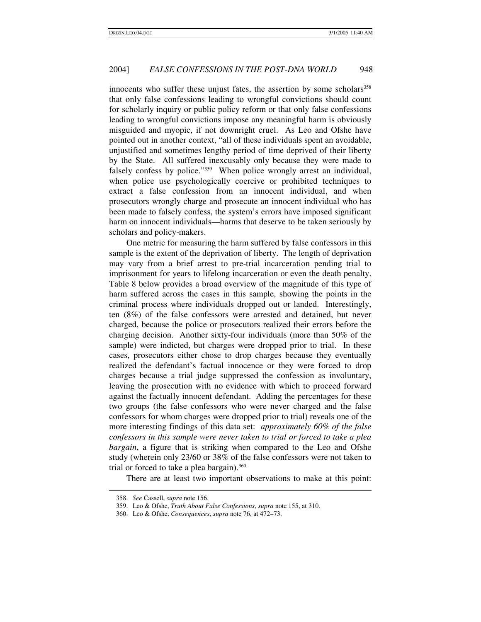innocents who suffer these unjust fates, the assertion by some scholars 358 that only false confessions leading to wrongful convictions should count for scholarly inquiry or public policy reform or that only false confessions leading to wrongful convictions impose any meaningful harm is obviously misguided and myopic, if not downright cruel. As Leo and Ofshe have pointed out in another context, "all of these individuals spent an avoidable, unjustified and sometimes lengthy period of time deprived of their liberty by the State. All suffered inexcusably only because they were made to falsely confess by police."<sup>359</sup> When police wrongly arrest an individual, when police use psychologically coercive or prohibited techniques to extract a false confession from an innocent individual, and when prosecutors wrongly charge and prosecute an innocent individual who has been made to falsely confess, the system's errors have imposed significant harm on innocent individuals—harms that deserve to be taken seriously by scholars and policy-makers.

One metric for measuring the harm suffered by false confessors in this sample is the extent of the deprivation of liberty. The length of deprivation may vary from a brief arrest to pre-trial incarceration pending trial to imprisonment for years to lifelong incarceration or even the death penalty. Table 8 below provides a broad overview of the magnitude of this type of harm suffered across the cases in this sample, showing the points in the criminal process where individuals dropped out or landed. Interestingly, ten (8%) of the false confessors were arrested and detained, but never charged, because the police or prosecutors realized their errors before the charging decision. Another sixty-four individuals (more than 50% of the sample) were indicted, but charges were dropped prior to trial. In these cases, prosecutors either chose to drop charges because they eventually realized the defendant's factual innocence or they were forced to drop charges because a trial judge suppressed the confession as involuntary, leaving the prosecution with no evidence with which to proceed forward against the factually innocent defendant. Adding the percentages for these two groups (the false confessors who were never charged and the false confessors for whom charges were dropped prior to trial) reveals one of the more interesting findings of this data set: *approximately 60% of the false confessors in this sample were never taken to trial or forced to take a plea bargain*, a figure that is striking when compared to the Leo and Ofshe study (wherein only 23/60 or 38% of the false confessors were not taken to trial or forced to take a plea bargain). 360

There are at least two important observations to make at this point:

<sup>358.</sup> *See* Cassell, *supra* note 156.

<sup>359.</sup> Leo & Ofshe, *Truth About False Confessions*, *supra* note 155, at 310.

<sup>360.</sup> Leo & Ofshe, *Consequences*, *supra* note 76, at 472–73.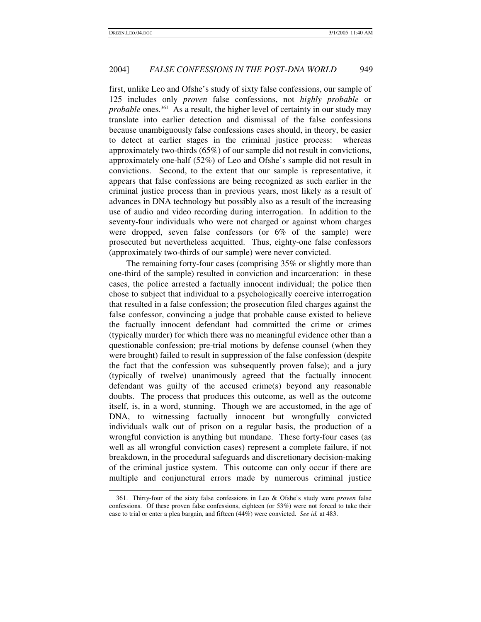first, unlike Leo and Ofshe's study of sixty false confessions, our sample of 125 includes only *proven* false confessions, not *highly probable* or *probable* ones. <sup>361</sup> As a result, the higher level of certainty in our study may translate into earlier detection and dismissal of the false confessions because unambiguously false confessions cases should, in theory, be easier to detect at earlier stages in the criminal justice process: whereas approximately two-thirds (65%) of our sample did not result in convictions, approximately one-half (52%) of Leo and Ofshe's sample did not result in convictions. Second, to the extent that our sample is representative, it appears that false confessions are being recognized as such earlier in the criminal justice process than in previous years, most likely as a result of advances in DNA technology but possibly also as a result of the increasing use of audio and video recording during interrogation. In addition to the seventy-four individuals who were not charged or against whom charges were dropped, seven false confessors (or 6% of the sample) were prosecuted but nevertheless acquitted. Thus, eighty-one false confessors (approximately two-thirds of our sample) were never convicted.

The remaining forty-four cases (comprising 35% or slightly more than one-third of the sample) resulted in conviction and incarceration: in these cases, the police arrested a factually innocent individual; the police then chose to subject that individual to a psychologically coercive interrogation that resulted in a false confession; the prosecution filed charges against the false confessor, convincing a judge that probable cause existed to believe the factually innocent defendant had committed the crime or crimes (typically murder) for which there was no meaningful evidence other than a questionable confession; pre-trial motions by defense counsel (when they were brought) failed to result in suppression of the false confession (despite the fact that the confession was subsequently proven false); and a jury (typically of twelve) unanimously agreed that the factually innocent defendant was guilty of the accused crime(s) beyond any reasonable doubts. The process that produces this outcome, as well as the outcome itself, is, in a word, stunning. Though we are accustomed, in the age of DNA, to witnessing factually innocent but wrongfully convicted individuals walk out of prison on a regular basis, the production of a wrongful conviction is anything but mundane. These forty-four cases (as well as all wrongful conviction cases) represent a complete failure, if not breakdown, in the procedural safeguards and discretionary decision-making of the criminal justice system. This outcome can only occur if there are multiple and conjunctural errors made by numerous criminal justice

<sup>361.</sup> Thirty-four of the sixty false confessions in Leo & Ofshe's study were *proven* false confessions. Of these proven false confessions, eighteen (or 53%) were not forced to take their case to trial or enter a plea bargain, and fifteen (44%) were convicted. *See id.* at 483.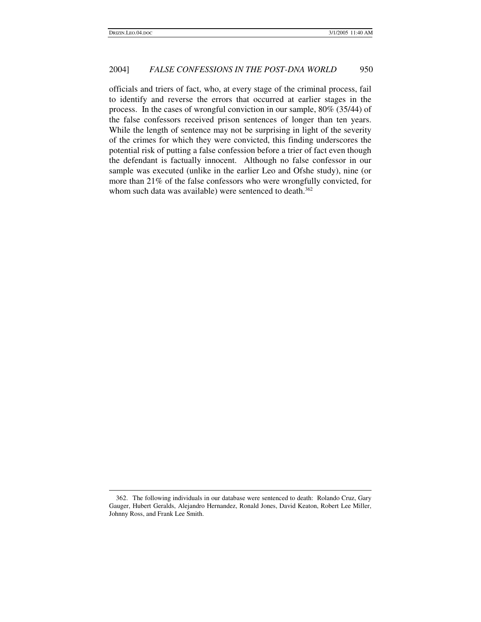officials and triers of fact, who, at every stage of the criminal process, fail to identify and reverse the errors that occurred at earlier stages in the process. In the cases of wrongful conviction in our sample, 80% (35/44) of the false confessors received prison sentences of longer than ten years. While the length of sentence may not be surprising in light of the severity of the crimes for which they were convicted, this finding underscores the potential risk of putting a false confession before a trier of fact even though the defendant is factually innocent. Although no false confessor in our sample was executed (unlike in the earlier Leo and Ofshe study), nine (or more than 21% of the false confessors who were wrongfully convicted, for whom such data was available) were sentenced to death. 362

<sup>362.</sup> The following individuals in our database were sentenced to death: Rolando Cruz, Gary Gauger, Hubert Geralds, Alejandro Hernandez, Ronald Jones, David Keaton, Robert Lee Miller, Johnny Ross, and Frank Lee Smith.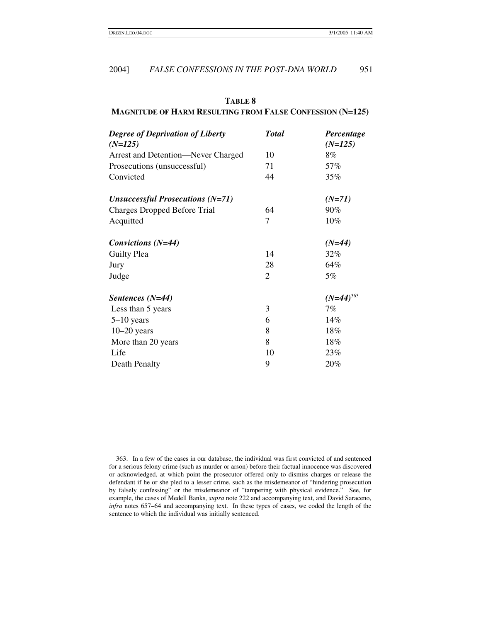| <b>MAGNITUDE OF HARM RESULTING FROM FALSE CONFESSION (N=125)</b> |                |                         |  |
|------------------------------------------------------------------|----------------|-------------------------|--|
| <b>Degree of Deprivation of Liberty</b><br>$(N=125)$             | <b>Total</b>   | Percentage<br>$(N=125)$ |  |
| Arrest and Detention—Never Charged                               | 10             | 8%                      |  |
| Prosecutions (unsuccessful)                                      | 71             | 57%                     |  |
| Convicted                                                        | 44             | 35%                     |  |
| Unsuccessful Prosecutions $(N=71)$                               |                | $(N=71)$                |  |
| <b>Charges Dropped Before Trial</b>                              | 64             | $90\%$                  |  |
| Acquitted                                                        | 7              | 10%                     |  |
| Convictions (N=44)                                               |                | $(N=44)$                |  |
| Guilty Plea                                                      | 14             | 32%                     |  |
| Jury                                                             | 28             | 64%                     |  |
| Judge                                                            | $\overline{2}$ | 5%                      |  |
| Sentences (N=44)                                                 |                | $(N=44)^{363}$          |  |
| Less than 5 years                                                | 3              | $7\%$                   |  |
| $5-10$ years                                                     | 6              | 14%                     |  |
| $10-20$ years                                                    | 8              | 18%                     |  |
| More than 20 years                                               | 8              | 18%                     |  |
| Life                                                             | 10             | 23%                     |  |
| Death Penalty                                                    | 9              | 20%                     |  |

# **TABLE 8**

<sup>363.</sup> In a few of the cases in our database, the individual was first convicted of and sentenced for a serious felony crime (such as murder or arson) before their factual innocence was discovered or acknowledged, at which point the prosecutor offered only to dismiss charges or release the defendant if he or she pled to a lesser crime, such as the misdemeanor of "hindering prosecution by falsely confessing" or the misdemeanor of "tampering with physical evidence." See, for example, the cases of Medell Banks, *supra* note 222 and accompanying text, and David Saraceno, *infra* notes 657–64 and accompanying text. In these types of cases, we coded the length of the sentence to which the individual was initially sentenced.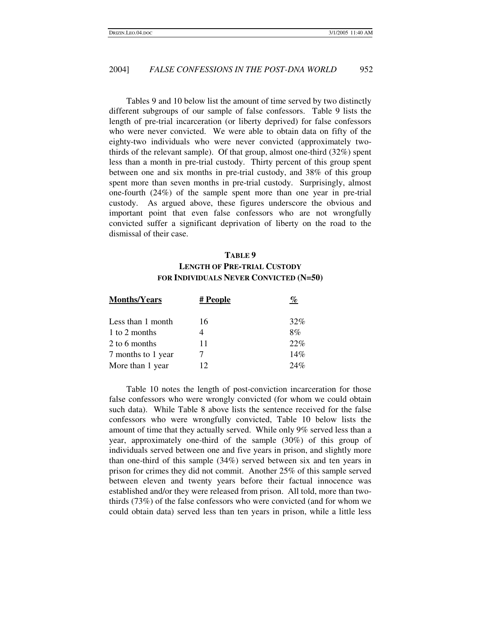Tables 9 and 10 below list the amount of time served by two distinctly different subgroups of our sample of false confessors. Table 9 lists the length of pre-trial incarceration (or liberty deprived) for false confessors who were never convicted. We were able to obtain data on fifty of the eighty-two individuals who were never convicted (approximately twothirds of the relevant sample). Of that group, almost one-third (32%) spent less than a month in pre-trial custody. Thirty percent of this group spent between one and six months in pre-trial custody, and 38% of this group spent more than seven months in pre-trial custody. Surprisingly, almost one-fourth (24%) of the sample spent more than one year in pre-trial custody. As argued above, these figures underscore the obvious and important point that even false confessors who are not wrongfully convicted suffer a significant deprivation of liberty on the road to the dismissal of their case.

# **TABLE 9 LENGTH OF PRE-TRIAL CUSTODY FOR INDIVIDUALS NEVER CONVICTED (N=50)**

| <b>Months/Years</b> | # People | $\%$ |
|---------------------|----------|------|
| Less than 1 month   | 16       | 32%  |
| 1 to 2 months       |          | 8%   |
| 2 to 6 months       | 11       | 22%  |
| 7 months to 1 year  |          | 14%  |
| More than 1 year    | 12       | 24%  |

Table 10 notes the length of post-conviction incarceration for those false confessors who were wrongly convicted (for whom we could obtain such data). While Table 8 above lists the sentence received for the false confessors who were wrongfully convicted, Table 10 below lists the amount of time that they actually served. While only 9% served less than a year, approximately one-third of the sample (30%) of this group of individuals served between one and five years in prison, and slightly more than one-third of this sample (34%) served between six and ten years in prison for crimes they did not commit. Another 25% of this sample served between eleven and twenty years before their factual innocence was established and/or they were released from prison. All told, more than twothirds (73%) of the false confessors who were convicted (and for whom we could obtain data) served less than ten years in prison, while a little less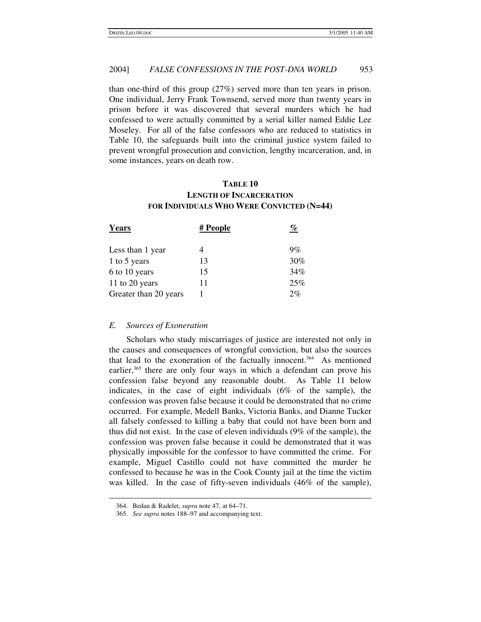than one-third of this group (27%) served more than ten years in prison. One individual, Jerry Frank Townsend, served more than twenty years in prison before it was discovered that several murders which he had confessed to were actually committed by a serial killer named Eddie Lee Moseley. For all of the false confessors who are reduced to statistics in Table 10, the safeguards built into the criminal justice system failed to prevent wrongful prosecution and conviction, lengthy incarceration, and, in some instances, years on death row.

# **TABLE 10 LENGTH OF INCARCERATION FOR INDIVIDUALS WHO WERE CONVICTED (N=44)**

| <b>Years</b>          | # People | %   |
|-----------------------|----------|-----|
| Less than 1 year      |          | 9%  |
| 1 to 5 years          | 13       | 30% |
| 6 to 10 years         | 15       | 34% |
| 11 to 20 years        | 11       | 25% |
| Greater than 20 years |          | 2%  |

### *E. Sources of Exoneration*

Scholars who study miscarriages of justice are interested not only in the causes and consequences of wrongful conviction, but also the sources that lead to the exoneration of the factually innocent. <sup>364</sup> As mentioned earlier,<sup>365</sup> there are only four ways in which a defendant can prove his confession false beyond any reasonable doubt. As Table 11 below indicates, in the case of eight individuals (6% of the sample), the confession was proven false because it could be demonstrated that no crime occurred. For example, Medell Banks, Victoria Banks, and Dianne Tucker all falsely confessed to killing a baby that could not have been born and thus did not exist. In the case of eleven individuals (9% of the sample), the confession was proven false because it could be demonstrated that it was physically impossible for the confessor to have committed the crime. For example, Miguel Castillo could not have committed the murder he confessed to because he was in the Cook County jail at the time the victim was killed. In the case of fifty-seven individuals (46% of the sample),

<sup>364.</sup> Bedau & Radelet, *supra* note 47, at 64–71.

<sup>365.</sup> *See supra* notes 188–97 and accompanying text.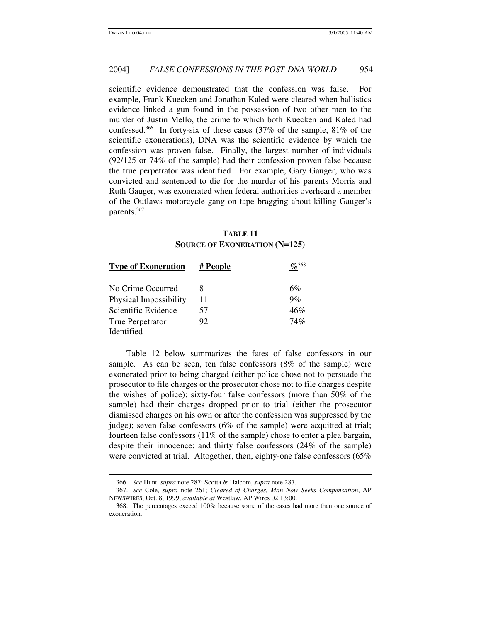scientific evidence demonstrated that the confession was false. For example, Frank Kuecken and Jonathan Kaled were cleared when ballistics evidence linked a gun found in the possession of two other men to the murder of Justin Mello, the crime to which both Kuecken and Kaled had confessed.<sup>366</sup> In forty-six of these cases (37% of the sample, 81% of the scientific exonerations), DNA was the scientific evidence by which the confession was proven false. Finally, the largest number of individuals (92/125 or 74% of the sample) had their confession proven false because the true perpetrator was identified. For example, Gary Gauger, who was convicted and sentenced to die for the murder of his parents Morris and Ruth Gauger, was exonerated when federal authorities overheard a member of the Outlaws motorcycle gang on tape bragging about killing Gauger's parents. 367

# **TABLE 11 SOURCE OF EXONERATION (N=125)**

| <b>Type of Exoneration</b> | # People | $\% ^{368}$ |
|----------------------------|----------|-------------|
| No Crime Occurred          |          | 6%          |
| Physical Impossibility     | 11       | 9%          |
| Scientific Evidence        | 57       | 46%         |
| True Perpetrator           | 92       | 74%         |
| Identified                 |          |             |

Table 12 below summarizes the fates of false confessors in our sample. As can be seen, ten false confessors (8% of the sample) were exonerated prior to being charged (either police chose not to persuade the prosecutor to file charges or the prosecutor chose not to file charges despite the wishes of police); sixty-four false confessors (more than 50% of the sample) had their charges dropped prior to trial (either the prosecutor dismissed charges on his own or after the confession was suppressed by the judge); seven false confessors (6% of the sample) were acquitted at trial; fourteen false confessors (11% of the sample) chose to enter a plea bargain, despite their innocence; and thirty false confessors (24% of the sample) were convicted at trial. Altogether, then, eighty-one false confessors (65%

<sup>366.</sup> *See* Hunt, *supra* note 287; Scotta & Halcom, *supra* note 287.

<sup>367.</sup> *See* Cole, *supra* note 261; *Cleared of Charges, Man Now Seeks Compensation*, AP NEWSWIRES, Oct. 8, 1999, *available at* Westlaw, AP Wires 02:13:00.

<sup>368.</sup> The percentages exceed 100% because some of the cases had more than one source of exoneration.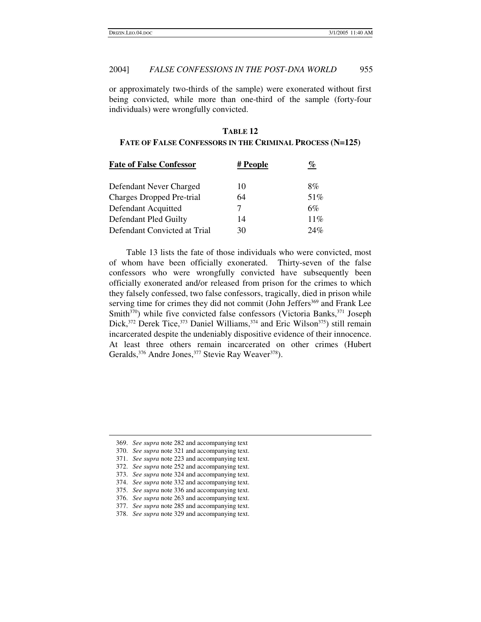or approximately two-thirds of the sample) were exonerated without first being convicted, while more than one-third of the sample (forty-four individuals) were wrongfully convicted.

# **TABLE 12**

### **FATE OF FALSE CONFESSORS IN THE CRIMINAL PROCESS (N=125)**

| <b>Fate of False Confessor</b> | # People | $\%$ |
|--------------------------------|----------|------|
| Defendant Never Charged        | 10       | 8%   |
| Charges Dropped Pre-trial      | 64       | 51%  |
| Defendant Acquitted            |          | 6%   |
| Defendant Pled Guilty          | 14       | 11%  |
| Defendant Convicted at Trial   | 30       | 24%  |

Table 13 lists the fate of those individuals who were convicted, most of whom have been officially exonerated. Thirty-seven of the false confessors who were wrongfully convicted have subsequently been officially exonerated and/or released from prison for the crimes to which they falsely confessed, two false confessors, tragically, died in prison while serving time for crimes they did not commit (John Jeffers<sup>369</sup> and Frank Lee Smith<sup>370</sup>) while five convicted false confessors (Victoria Banks, <sup>371</sup> Joseph Dick,<sup>372</sup> Derek Tice,<sup>373</sup> Daniel Williams,<sup>374</sup> and Eric Wilson<sup>375</sup>) still remain incarcerated despite the undeniably dispositive evidence of their innocence. At least three others remain incarcerated on other crimes (Hubert Geralds,<sup>376</sup> Andre Jones,<sup>377</sup> Stevie Ray Weaver<sup>378</sup>).

<sup>369.</sup> *See supra* note 282 and accompanying text

<sup>370.</sup> *See supra* note 321 and accompanying text.

<sup>371.</sup> *See supra* note 223 and accompanying text.

<sup>372.</sup> *See supra* note 252 and accompanying text.

<sup>373.</sup> *See supra* note 324 and accompanying text.

<sup>374.</sup> *See supra* note 332 and accompanying text.

<sup>375.</sup> *See supra* note 336 and accompanying text.

<sup>376.</sup> *See supra* note 263 and accompanying text.

<sup>377.</sup> *See supra* note 285 and accompanying text.

<sup>378.</sup> *See supra* note 329 and accompanying text.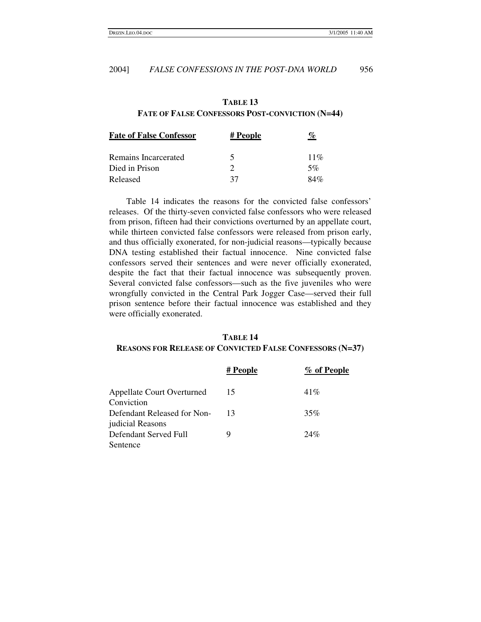# **TABLE 13 FATE OF FALSE CONFESSORS POST-CONVICTION (N=44)**

| <b>Fate of False Confessor</b> | # People | $\mathcal{G}_{\mathcal{O}}$ |
|--------------------------------|----------|-----------------------------|
| Remains Incarcerated           | ↖        | $11\%$                      |
| Died in Prison                 |          | 5%                          |
| Released                       | 37       | 84%                         |

Table 14 indicates the reasons for the convicted false confessors' releases. Of the thirty-seven convicted false confessors who were released from prison, fifteen had their convictions overturned by an appellate court, while thirteen convicted false confessors were released from prison early, and thus officially exonerated, for non-judicial reasons—typically because DNA testing established their factual innocence. Nine convicted false confessors served their sentences and were never officially exonerated, despite the fact that their factual innocence was subsequently proven. Several convicted false confessors—such as the five juveniles who were wrongfully convicted in the Central Park Jogger Case—served their full prison sentence before their factual innocence was established and they were officially exonerated.

# **TABLE 14**

# **REASONS FOR RELEASE OF CONVICTED FALSE CONFESSORS (N=37)**

| # People | % of People |
|----------|-------------|
| 15       | 41%         |
| 13       | 35%         |
| Q        | 24%         |
|          |             |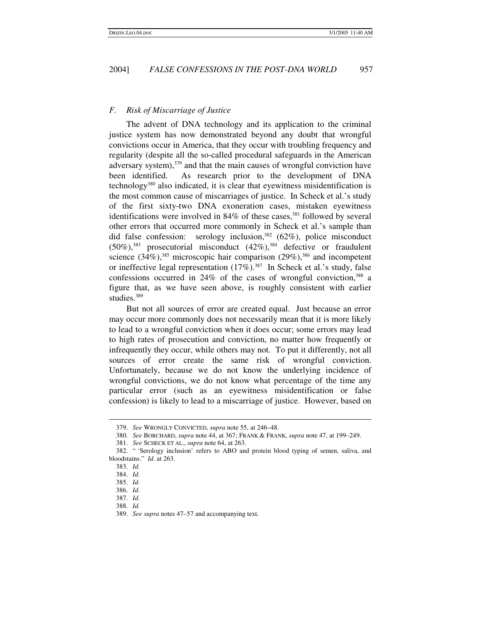## *F. Risk of Miscarriage of Justice*

The advent of DNA technology and its application to the criminal justice system has now demonstrated beyond any doubt that wrongful convictions occur in America, that they occur with troubling frequency and regularity (despite all the so-called procedural safeguards in the American adversary system),<sup>379</sup> and that the main causes of wrongful conviction have been identified. As research prior to the development of DNA technology 380 also indicated, it is clear that eyewitness misidentification is the most common cause of miscarriages of justice. In Scheck et al.'s study of the first sixty-two DNA exoneration cases, mistaken eyewitness identifications were involved in 84% of these cases, 381 followed by several other errors that occurred more commonly in Scheck et al.'s sample than did false confession: serology inclusion, 382 (62%), police misconduct  $(50\%)$ ,<sup>383</sup> prosecutorial misconduct  $(42\%)$ ,<sup>384</sup> defective or fraudulent science (34%),<sup>385</sup> microscopic hair comparison (29%),<sup>386</sup> and incompetent or ineffective legal representation (17%). 387 In Scheck et al.'s study, false confessions occurred in 24% of the cases of wrongful conviction, 388 a figure that, as we have seen above, is roughly consistent with earlier studies. 389

But not all sources of error are created equal. Just because an error may occur more commonly does not necessarily mean that it is more likely to lead to a wrongful conviction when it does occur; some errors may lead to high rates of prosecution and conviction, no matter how frequently or infrequently they occur, while others may not. To put it differently, not all sources of error create the same risk of wrongful conviction. Unfortunately, because we do not know the underlying incidence of wrongful convictions, we do not know what percentage of the time any particular error (such as an eyewitness misidentification or false confession) is likely to lead to a miscarriage of justice. However, based on

<sup>379.</sup> *See* WRONGLY CONVICTED, *supra* note 55, at 246–48.

<sup>380.</sup> *See* BORCHARD, *supra* note 44, at 367; FRANK & FRANK, *supra* note 47, at 199–249.

<sup>381.</sup> *See* SCHECK ET AL., *supra* note 64, at 263.

<sup>382.</sup> " 'Serology inclusion' refers to ABO and protein blood typing of semen, saliva, and bloodstains." *Id*. at 263.

<sup>383.</sup> *Id.*

<sup>384.</sup> *Id.*

<sup>385.</sup> *Id.*

<sup>386.</sup> *Id.*

<sup>387.</sup> *Id.*

<sup>388.</sup> *Id.*

<sup>389.</sup> *See supra* notes 47–57 and accompanying text.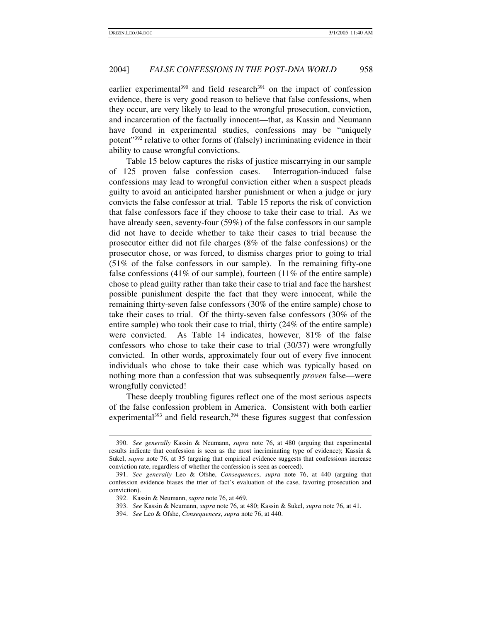earlier experimental<sup>390</sup> and field research<sup>391</sup> on the impact of confession evidence, there is very good reason to believe that false confessions, when they occur, are very likely to lead to the wrongful prosecution, conviction, and incarceration of the factually innocent—that, as Kassin and Neumann have found in experimental studies, confessions may be "uniquely potent"<sup>392</sup> relative to other forms of (falsely) incriminating evidence in their ability to cause wrongful convictions.

Table 15 below captures the risks of justice miscarrying in our sample of 125 proven false confession cases. Interrogation-induced false confessions may lead to wrongful conviction either when a suspect pleads guilty to avoid an anticipated harsher punishment or when a judge or jury convicts the false confessor at trial. Table 15 reports the risk of conviction that false confessors face if they choose to take their case to trial. As we have already seen, seventy-four (59%) of the false confessors in our sample did not have to decide whether to take their cases to trial because the prosecutor either did not file charges (8% of the false confessions) or the prosecutor chose, or was forced, to dismiss charges prior to going to trial (51% of the false confessors in our sample). In the remaining fifty-one false confessions (41% of our sample), fourteen (11% of the entire sample) chose to plead guilty rather than take their case to trial and face the harshest possible punishment despite the fact that they were innocent, while the remaining thirty-seven false confessors (30% of the entire sample) chose to take their cases to trial. Of the thirty-seven false confessors (30% of the entire sample) who took their case to trial, thirty (24% of the entire sample) were convicted. As Table 14 indicates, however, 81% of the false confessors who chose to take their case to trial (30/37) were wrongfully convicted. In other words, approximately four out of every five innocent individuals who chose to take their case which was typically based on nothing more than a confession that was subsequently *proven* false—were wrongfully convicted!

These deeply troubling figures reflect one of the most serious aspects of the false confession problem in America. Consistent with both earlier experimental<sup>393</sup> and field research,<sup>394</sup> these figures suggest that confession

<sup>390.</sup> *See generally* Kassin & Neumann, *supra* note 76, at 480 (arguing that experimental results indicate that confession is seen as the most incriminating type of evidence); Kassin & Sukel, *supra* note 76, at 35 (arguing that empirical evidence suggests that confessions increase conviction rate, regardless of whether the confession is seen as coerced).

<sup>391.</sup> *See generally* Leo & Ofshe, *Consequences*, *supra* note 76, at 440 (arguing that confession evidence biases the trier of fact's evaluation of the case, favoring prosecution and conviction).

<sup>392.</sup> Kassin & Neumann, *supra* note 76, at 469.

<sup>393.</sup> *See* Kassin & Neumann, *supra* note 76, at 480; Kassin & Sukel, *supra* note 76, at 41.

<sup>394.</sup> *See* Leo & Ofshe, *Consequences*, *supra* note 76, at 440.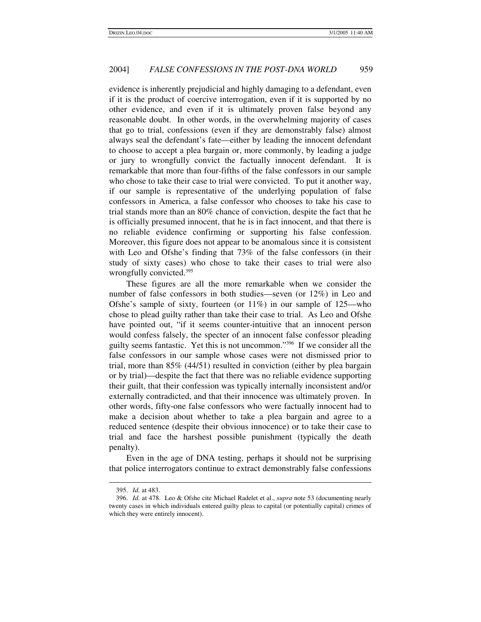evidence is inherently prejudicial and highly damaging to a defendant, even if it is the product of coercive interrogation, even if it is supported by no other evidence, and even if it is ultimately proven false beyond any reasonable doubt. In other words, in the overwhelming majority of cases that go to trial, confessions (even if they are demonstrably false) almost always seal the defendant's fate—either by leading the innocent defendant to choose to accept a plea bargain or, more commonly, by leading a judge or jury to wrongfully convict the factually innocent defendant. It is remarkable that more than four-fifths of the false confessors in our sample who chose to take their case to trial were convicted. To put it another way, if our sample is representative of the underlying population of false confessors in America, a false confessor who chooses to take his case to trial stands more than an 80% chance of conviction, despite the fact that he is officially presumed innocent, that he is in fact innocent, and that there is no reliable evidence confirming or supporting his false confession. Moreover, this figure does not appear to be anomalous since it is consistent with Leo and Ofshe's finding that 73% of the false confessors (in their study of sixty cases) who chose to take their cases to trial were also wrongfully convicted.<sup>395</sup>

These figures are all the more remarkable when we consider the number of false confessors in both studies—seven (or 12%) in Leo and Ofshe's sample of sixty, fourteen (or  $11\%$ ) in our sample of 125—who chose to plead guilty rather than take their case to trial. As Leo and Ofshe have pointed out, "if it seems counter-intuitive that an innocent person would confess falsely, the specter of an innocent false confessor pleading guilty seems fantastic. Yet this is not uncommon." 396 If we consider all the false confessors in our sample whose cases were not dismissed prior to trial, more than 85% (44/51) resulted in conviction (either by plea bargain or by trial)—despite the fact that there was no reliable evidence supporting their guilt, that their confession was typically internally inconsistent and/or externally contradicted, and that their innocence was ultimately proven. In other words, fifty-one false confessors who were factually innocent had to make a decision about whether to take a plea bargain and agree to a reduced sentence (despite their obvious innocence) or to take their case to trial and face the harshest possible punishment (typically the death penalty).

Even in the age of DNA testing, perhaps it should not be surprising that police interrogators continue to extract demonstrably false confessions

<sup>395.</sup> *Id.* at 483.

<sup>396.</sup> *Id.* at 478. Leo & Ofshe cite Michael Radelet et al., *supra* note 53 (documenting nearly twenty cases in which individuals entered guilty pleas to capital (or potentially capital) crimes of which they were entirely innocent).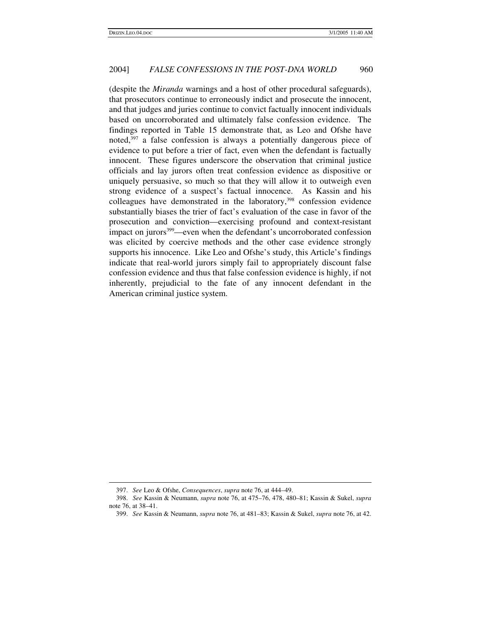(despite the *Miranda* warnings and a host of other procedural safeguards), that prosecutors continue to erroneously indict and prosecute the innocent, and that judges and juries continue to convict factually innocent individuals based on uncorroborated and ultimately false confession evidence. The findings reported in Table 15 demonstrate that, as Leo and Ofshe have noted, 397 a false confession is always a potentially dangerous piece of evidence to put before a trier of fact, even when the defendant is factually innocent. These figures underscore the observation that criminal justice officials and lay jurors often treat confession evidence as dispositive or uniquely persuasive, so much so that they will allow it to outweigh even strong evidence of a suspect's factual innocence. As Kassin and his colleagues have demonstrated in the laboratory, 398 confession evidence substantially biases the trier of fact's evaluation of the case in favor of the prosecution and conviction—exercising profound and context-resistant impact on jurors <sup>399</sup>—even when the defendant's uncorroborated confession was elicited by coercive methods and the other case evidence strongly supports his innocence. Like Leo and Ofshe's study, this Article's findings indicate that real-world jurors simply fail to appropriately discount false confession evidence and thus that false confession evidence is highly, if not inherently, prejudicial to the fate of any innocent defendant in the American criminal justice system.

<sup>397.</sup> *See* Leo & Ofshe, *Consequences*, *supra* note 76, at 444–49.

<sup>398.</sup> *See* Kassin & Neumann, *supra* note 76, at 475–76, 478, 480–81; Kassin & Sukel, *supra* note 76, at 38–41.

<sup>399.</sup> *See* Kassin & Neumann, *supra* note 76, at 481–83; Kassin & Sukel, *supra* note 76, at 42.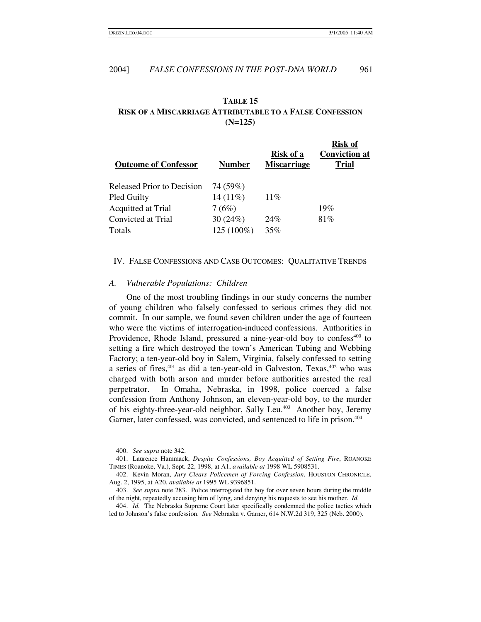# **TABLE 15 RISK OF A MISCARRIAGE ATTRIBUTABLE TO A FALSE CONFESSION (N=125)**

|                                   |               | Risk of a          | <b>Risk of</b><br><b>Conviction at</b> |
|-----------------------------------|---------------|--------------------|----------------------------------------|
| <b>Outcome of Confessor</b>       | <b>Number</b> | <b>Miscarriage</b> | <b>Trial</b>                           |
| <b>Released Prior to Decision</b> | 74 (59%)      |                    |                                        |
| Pled Guilty                       | $14(11\%)$    | 11%                |                                        |
| <b>Acquitted at Trial</b>         | 7(6%)         |                    | 19%                                    |
| Convicted at Trial                | 30(24%)       | 24%                | 81%                                    |
| Totals                            | 125 (100%)    | 35%                |                                        |

#### IV. FALSE CONFESSIONS AND CASE OUTCOMES: QUALITATIVE TRENDS

### *A. Vulnerable Populations: Children*

One of the most troubling findings in our study concerns the number of young children who falsely confessed to serious crimes they did not commit. In our sample, we found seven children under the age of fourteen who were the victims of interrogation-induced confessions. Authorities in Providence, Rhode Island, pressured a nine-year-old boy to confess<sup>400</sup> to setting a fire which destroyed the town's American Tubing and Webbing Factory; a ten-year-old boy in Salem, Virginia, falsely confessed to setting a series of fires, 401 as did a ten-year-old in Galveston, Texas, <sup>402</sup> who was charged with both arson and murder before authorities arrested the real perpetrator. In Omaha, Nebraska, in 1998, police coerced a false confession from Anthony Johnson, an eleven-year-old boy, to the murder of his eighty-three-year-old neighbor, Sally Leu. <sup>403</sup> Another boy, Jeremy Garner, later confessed, was convicted, and sentenced to life in prison.<sup>404</sup>

<sup>400.</sup> *See supra* note 342.

<sup>401.</sup> Laurence Hammack, *Despite Confessions, Boy Acquitted of Setting Fire*, ROANOKE TIMES (Roanoke, Va.), Sept. 22, 1998, at A1, *available at* 1998 WL 5908531.

<sup>402.</sup> Kevin Moran, *Jury Clears Policemen of Forcing Confession*, HOUSTON CHRONICLE, Aug. 2, 1995, at A20, *available at* 1995 WL 9396851.

<sup>403.</sup> *See supra* note 283. Police interrogated the boy for over seven hours during the middle of the night, repeatedly accusing him of lying, and denying his requests to see his mother. *Id.*

<sup>404.</sup> *Id.* The Nebraska Supreme Court later specifically condemned the police tactics which led to Johnson's false confession. *See* Nebraska v. Garner, 614 N.W.2d 319, 325 (Neb. 2000).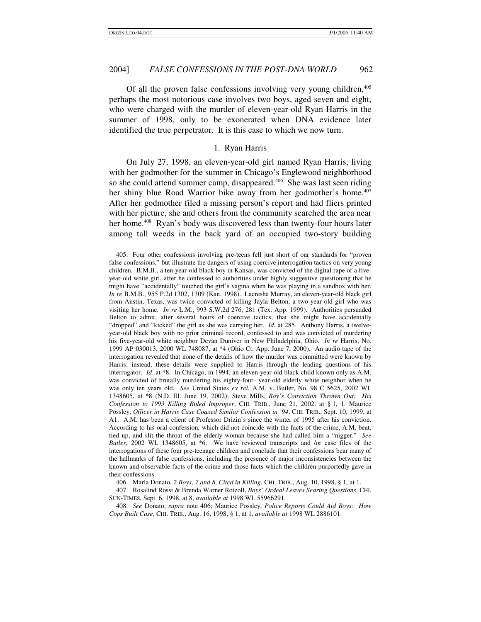Of all the proven false confessions involving very young children, 405 perhaps the most notorious case involves two boys, aged seven and eight, who were charged with the murder of eleven-year-old Ryan Harris in the summer of 1998, only to be exonerated when DNA evidence later identified the true perpetrator. It is this case to which we now turn.

## 1. Ryan Harris

On July 27, 1998, an eleven-year-old girl named Ryan Harris, living with her godmother for the summer in Chicago's Englewood neighborhood so she could attend summer camp, disappeared.<sup>406</sup> She was last seen riding her shiny blue Road Warrior bike away from her godmother's home.<sup>407</sup> After her godmother filed a missing person's report and had fliers printed with her picture, she and others from the community searched the area near her home.<sup>408</sup> Ryan's body was discovered less than twenty-four hours later among tall weeds in the back yard of an occupied two-story building

406. Marla Donato, *2 Boys, 7 and 8, Cited in Killing*, CHI. TRIB., Aug. 10, 1998, § 1, at 1.

407. Rosalind Rossi & Brenda Warner Rotzoll, *Boys' Ordeal Leaves Searing Questions*, CHI. SUN-TIMES, Sept. 6, 1998, at 8, *available at* 1998 WL 55966291.

408. *See* Donato, *supra* note 406; Maurice Possley, *Police Reports Could Aid Boys: How Cops Built Case*, CHI. TRIB., Aug. 16, 1998, § 1, at 1, *available at* 1998 WL 2886101.

<sup>405.</sup> Four other confessions involving pre-teens fell just short of our standards for "proven false confessions," but illustrate the dangers of using coercive interrogation tactics on very young children. B.M.B., a ten-year-old black boy in Kansas, was convicted of the digital rape of a fiveyear-old white girl, after he confessed to authorities under highly suggestive questioning that he might have "accidentally" touched the girl's vagina when he was playing in a sandbox with her. *In re* B.M.B., 955 P.2d 1302, 1309 (Kan. 1998). Lacresha Murray, an eleven-year-old black girl from Austin, Texas, was twice convicted of killing Jayla Belton, a two-year-old girl who was visiting her home. *In re* L.M., 993 S.W.2d 276, 281 (Tex. App. 1999). Authorities persuaded Belton to admit, after several hours of coercive tactics, that she might have accidentally "dropped" and "kicked" the girl as she was carrying her. *Id.* at 285. Anthony Harris, a twelveyear-old black boy with no prior criminal record, confessed to and was convicted of murdering his five-year-old white neighbor Devan Duniver in New Philadelphia, Ohio. *In re* Harris, No. 1999 AP 030013, 2000 WL 748087, at \*4 (Ohio Ct. App. June 7, 2000). An audio tape of the interrogation revealed that none of the details of how the murder was committed were known by Harris; instead, these details were supplied to Harris through the leading questions of his interrogator. *Id*. at \*8. In Chicago, in 1994, an eleven-year-old black child known only as A.M. was convicted of brutally murdering his eighty-four- year-old elderly white neighbor when he was only ten years old. *See* United States *ex rel.* A.M. v. Butler, No. 98 C 5625, 2002 WL 1348605, at \*8 (N.D. Ill. June 19, 2002); Steve Mills, *Boy's Conviction Thrown Out: His Confession to 1993 Killing Ruled Improper*, CHI. TRIB., June 21, 2002, at § 1, 1. Maurice Possley, *Officer in Harris Case Coaxed Similar Confession in '94*, CHI. TRIB., Sept. 10, 1999, at A1. A.M. has been a client of Professor Drizin's since the winter of 1995 after his conviction. According to his oral confession, which did not coincide with the facts of the crime, A.M. beat, tied up, and slit the throat of the elderly woman because she had called him a "nigger." *See Butler*, 2002 WL 1348605, at \*6. We have reviewed transcripts and /or case files of the interrogations of these four pre-teenage children and conclude that their confessions bear many of the hallmarks of false confessions, including the presence of major inconsistencies between the known and observable facts of the crime and those facts which the children purportedly gave in their confessions.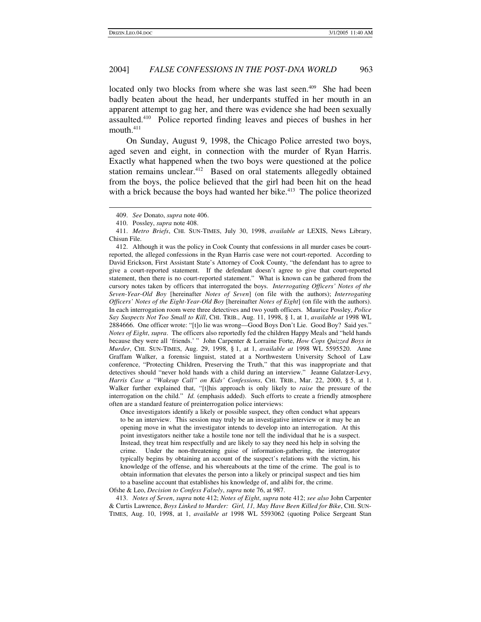located only two blocks from where she was last seen.<sup>409</sup> She had been badly beaten about the head, her underpants stuffed in her mouth in an apparent attempt to gag her, and there was evidence she had been sexually assaulted. <sup>410</sup> Police reported finding leaves and pieces of bushes in her mouth. 411

On Sunday, August 9, 1998, the Chicago Police arrested two boys, aged seven and eight, in connection with the murder of Ryan Harris. Exactly what happened when the two boys were questioned at the police station remains unclear.<sup>412</sup> Based on oral statements allegedly obtained from the boys, the police believed that the girl had been hit on the head with a brick because the boys had wanted her bike.<sup>413</sup> The police theorized

412. Although it was the policy in Cook County that confessions in all murder cases be courtreported, the alleged confessions in the Ryan Harris case were not court-reported. According to David Erickson, First Assistant State's Attorney of Cook County, "the defendant has to agree to give a court-reported statement. If the defendant doesn't agree to give that court-reported statement, then there is no court-reported statement." What is known can be gathered from the cursory notes taken by officers that interrogated the boys. *Interrogating Officers' Notes of the Seven-Year-Old Boy* [hereinafter *Notes of Seven*] (on file with the authors); *Interrogating Officers' Notes of the Eight-Year-Old Boy* [hereinafter *Notes of Eight*] (on file with the authors). In each interrogation room were three detectives and two youth officers. Maurice Possley, *Police Say Suspects Not Too Small to Kill*, CHI. TRIB., Aug. 11, 1998, § 1, at 1, *available at* 1998 WL 2884666. One officer wrote: "[t]o lie was wrong—Good Boys Don't Lie. Good Boy? Said yes." *Notes of Eight*, *supra*. The officers also reportedly fed the children Happy Meals and "held hands because they were all 'friends.' " John Carpenter & Lorraine Forte, *How Cops Quizzed Boys in Murder*, CHI. SUN-TIMES, Aug. 29, 1998, § 1, at 1, *available at* 1998 WL 5595520. Anne Graffam Walker, a forensic linguist, stated at a Northwestern University School of Law conference, "Protecting Children, Preserving the Truth," that this was inappropriate and that detectives should "never hold hands with a child during an interview." Jeanne Galatzer-Levy, *Harris Case a "Wakeup Call" on Kids' Confessions*, CHI. TRIB., Mar. 22, 2000, § 5, at 1. Walker further explained that, "[t]his approach is only likely to *raise* the pressure of the interrogation on the child." *Id.* (emphasis added). Such efforts to create a friendly atmosphere often are a standard feature of preinterrogation police interviews:

Once investigators identify a likely or possible suspect, they often conduct what appears to be an interview. This session may truly be an investigative interview or it may be an opening move in what the investigator intends to develop into an interrogation. At this point investigators neither take a hostile tone nor tell the individual that he is a suspect. Instead, they treat him respectfully and are likely to say they need his help in solving the crime. Under the non-threatening guise of information-gathering, the interrogator typically begins by obtaining an account of the suspect's relations with the victim, his knowledge of the offense, and his whereabouts at the time of the crime. The goal is to obtain information that elevates the person into a likely or principal suspect and ties him to a baseline account that establishes his knowledge of, and alibi for, the crime.

Ofshe & Leo, *Decision to Confess Falsely*, *supra* note 76, at 987.

413. *Notes of Seven*, *supra* note 412; *Notes of Eight*, *supra* note 412; *see also* John Carpenter & Curtis Lawrence, *Boys Linked to Murder: Girl, 11, May Have Been Killed for Bike*, CHI. SUN-TIMES, Aug. 10, 1998, at 1, *available at* 1998 WL 5593062 (quoting Police Sergeant Stan

<sup>409.</sup> *See* Donato, *supra* note 406.

<sup>410.</sup> Possley, *supra* note 408.

<sup>411.</sup> *Metro Briefs*, CHI. SUN-TIMES, July 30, 1998, *available at* LEXIS, News Library, Chisun File.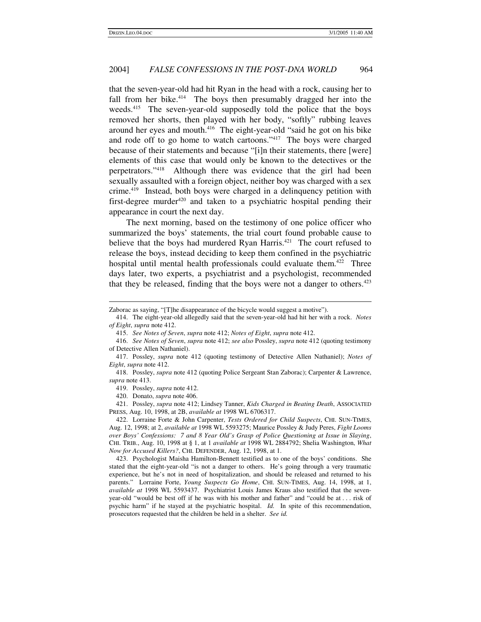that the seven-year-old had hit Ryan in the head with a rock, causing her to fall from her bike.<sup>414</sup> The boys then presumably dragged her into the weeds.<sup>415</sup> The seven-year-old supposedly told the police that the boys removed her shorts, then played with her body, "softly" rubbing leaves around her eyes and mouth. <sup>416</sup> The eight-year-old "said he got on his bike and rode off to go home to watch cartoons." <sup>417</sup> The boys were charged because of their statements and because "[i]n their statements, there [were] elements of this case that would only be known to the detectives or the perpetrators." <sup>418</sup> Although there was evidence that the girl had been sexually assaulted with a foreign object, neither boy was charged with a sex crime. 419 Instead, both boys were charged in a delinquency petition with first-degree murder<sup>420</sup> and taken to a psychiatric hospital pending their appearance in court the next day.

The next morning, based on the testimony of one police officer who summarized the boys' statements, the trial court found probable cause to believe that the boys had murdered Ryan Harris.<sup>421</sup> The court refused to release the boys, instead deciding to keep them confined in the psychiatric hospital until mental health professionals could evaluate them.<sup>422</sup> Three days later, two experts, a psychiatrist and a psychologist, recommended that they be released, finding that the boys were not a danger to others. 423

420. Donato, *supra* note 406.

421. Possley, *supra* note 412; Lindsey Tanner, *Kids Charged in Beating Death*, ASSOCIATED PRESS, Aug. 10, 1998, at 2B, *available at* 1998 WL 6706317.

Zaborac as saying, "[T]he disappearance of the bicycle would suggest a motive").

<sup>414.</sup> The eight-year-old allegedly said that the seven-year-old had hit her with a rock. *Notes of Eight*, *supra* note 412.

<sup>415.</sup> *See Notes of Seven*, *supra* note 412; *Notes of Eight*, *supra* note 412.

<sup>416.</sup> *See Notes of Seven*, *supra* note 412; *see also* Possley, *supra* note 412 (quoting testimony of Detective Allen Nathaniel).

<sup>417.</sup> Possley, *supra* note 412 (quoting testimony of Detective Allen Nathaniel); *Notes of Eight*, *supra* note 412.

<sup>418.</sup> Possley, *supra* note 412 (quoting Police Sergeant Stan Zaborac); Carpenter & Lawrence, *supra* note 413.

<sup>419.</sup> Possley, *supra* note 412.

<sup>422.</sup> Lorraine Forte & John Carpenter, *Tests Ordered for Child Suspects*, CHI. SUN-TIMES, Aug. 12, 1998; at 2, *available at* 1998 WL 5593275; Maurice Possley & Judy Peres, *Fight Looms over Boys' Confessions: 7 and 8 Year Old's Grasp of Police Questioning at Issue in Slaying*, CHI. TRIB., Aug. 10, 1998 at § 1, at 1 *available at* 1998 WL 2884792; Shelia Washington, *What Now for Accused Killers?*, CHI. DEFENDER, Aug. 12, 1998, at 1.

<sup>423.</sup> Psychologist Maisha Hamilton-Bennett testified as to one of the boys' conditions. She stated that the eight-year-old "is not a danger to others. He's going through a very traumatic experience, but he's not in need of hospitalization, and should be released and returned to his parents." Lorraine Forte, *Young Suspects Go Home*, CHI. SUN-TIMES, Aug. 14, 1998, at 1, *available at* 1998 WL 5593437. Psychiatrist Louis James Kraus also testified that the sevenyear-old "would be best off if he was with his mother and father" and "could be at . . . risk of psychic harm" if he stayed at the psychiatric hospital. *Id.* In spite of this recommendation, prosecutors requested that the children be held in a shelter. *See id.*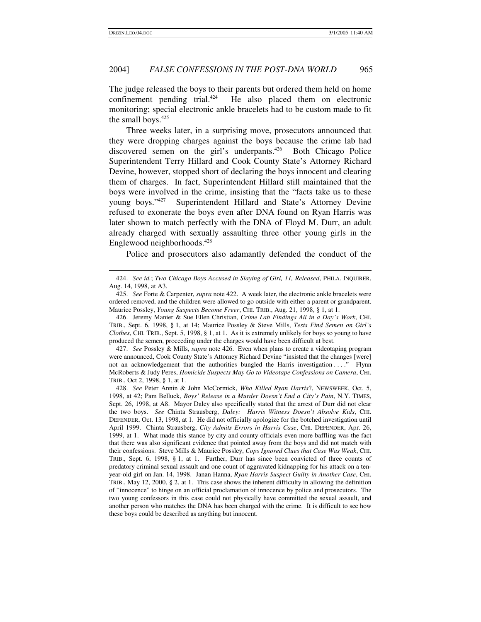The judge released the boys to their parents but ordered them held on home confinement pending trial. He also placed them on electronic monitoring; special electronic ankle bracelets had to be custom made to fit the small boys. 425

Three weeks later, in a surprising move, prosecutors announced that they were dropping charges against the boys because the crime lab had discovered semen on the girl's underpants.<sup>426</sup> Both Chicago Police Superintendent Terry Hillard and Cook County State's Attorney Richard Devine, however, stopped short of declaring the boys innocent and clearing them of charges. In fact, Superintendent Hillard still maintained that the boys were involved in the crime, insisting that the "facts take us to these young boys." Superintendent Hillard and State's Attorney Devine refused to exonerate the boys even after DNA found on Ryan Harris was later shown to match perfectly with the DNA of Floyd M. Durr, an adult already charged with sexually assaulting three other young girls in the Englewood neighborhoods. 428

Police and prosecutors also adamantly defended the conduct of the

426. Jeremy Manier & Sue Ellen Christian, *Crime Lab Findings All in a Day's Work*, CHI. TRIB., Sept. 6, 1998, § 1, at 14; Maurice Possley & Steve Mills, *Tests Find Semen on Girl's Clothes*, CHI. TRIB., Sept. 5, 1998, § 1, at 1. As it is extremely unlikely for boys so young to have produced the semen, proceeding under the charges would have been difficult at best.

427. *See* Possley & Mills, *supra* note 426. Even when plans to create a videotaping program were announced, Cook County State's Attorney Richard Devine "insisted that the changes [were] not an acknowledgement that the authorities bungled the Harris investigation . . . ." Flynn McRoberts & Judy Peres, *Homicide Suspects May Go to Videotape Confessions on Camera*, CHI. TRIB., Oct 2, 1998, § 1, at 1.

<sup>424.</sup> *See id.*; *Two Chicago Boys Accused in Slaying of Girl, 11, Released*, PHILA. INQUIRER, Aug. 14, 1998, at A3.

<sup>425.</sup> *See* Forte & Carpenter, *supra* note 422. A week later, the electronic ankle bracelets were ordered removed, and the children were allowed to go outside with either a parent or grandparent. Maurice Possley, *Young Suspects Become Freer*, CHI. TRIB., Aug. 21, 1998, § 1, at 1.

<sup>428.</sup> *See* Peter Annin & John McCormick, *Who Killed Ryan Harris*?, NEWSWEEK, Oct. 5, 1998, at 42; Pam Belluck, *Boys' Release in a Murder Doesn't End a City's Pain*, N.Y. TIMES, Sept. 26, 1998, at A8. Mayor Daley also specifically stated that the arrest of Durr did not clear the two boys. *See* Chinta Strausberg, *Daley: Harris Witness Doesn't Absolve Kids*, CHI. DEFENDER, Oct. 13, 1998, at 1. He did not officially apologize for the botched investigation until April 1999. Chinta Strausberg, *City Admits Errors in Harris Case*, CHI. DEFENDER, Apr. 26, 1999, at 1. What made this stance by city and county officials even more baffling was the fact that there was also significant evidence that pointed away from the boys and did not match with their confessions. Steve Mills & Maurice Possley, *Cops Ignored Clues that Case Was Weak*, CHI. TRIB., Sept. 6, 1998, § 1, at 1. Further, Durr has since been convicted of three counts of predatory criminal sexual assault and one count of aggravated kidnapping for his attack on a tenyear-old girl on Jan. 14, 1998. Janan Hanna, *Ryan Harris Suspect Guilty in Another Case*, CHI. TRIB., May 12, 2000, § 2, at 1. This case shows the inherent difficulty in allowing the definition of "innocence" to hinge on an official proclamation of innocence by police and prosecutors. The two young confessors in this case could not physically have committed the sexual assault, and another person who matches the DNA has been charged with the crime. It is difficult to see how these boys could be described as anything but innocent.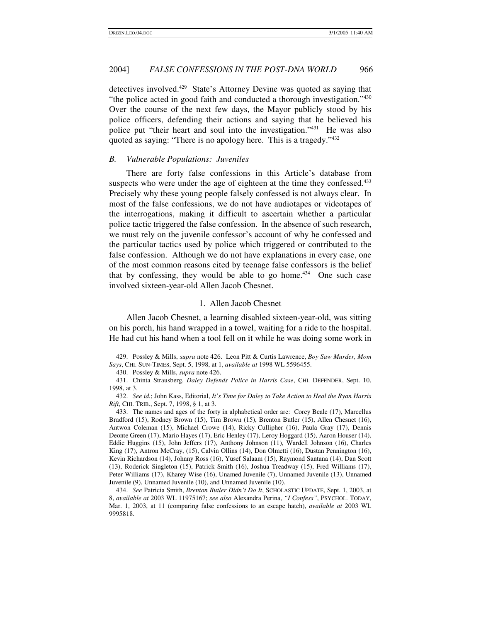detectives involved.<sup>429</sup> State's Attorney Devine was quoted as saying that "the police acted in good faith and conducted a thorough investigation."430 Over the course of the next few days, the Mayor publicly stood by his police officers, defending their actions and saying that he believed his police put "their heart and soul into the investigation." <sup>431</sup> He was also quoted as saying: "There is no apology here. This is a tragedy."<sup>432</sup>

## *B. Vulnerable Populations: Juveniles*

There are forty false confessions in this Article's database from suspects who were under the age of eighteen at the time they confessed.<sup>433</sup> Precisely why these young people falsely confessed is not always clear. In most of the false confessions, we do not have audiotapes or videotapes of the interrogations, making it difficult to ascertain whether a particular police tactic triggered the false confession. In the absence of such research, we must rely on the juvenile confessor's account of why he confessed and the particular tactics used by police which triggered or contributed to the false confession. Although we do not have explanations in every case, one of the most common reasons cited by teenage false confessors is the belief that by confessing, they would be able to go home.<sup>434</sup> One such case involved sixteen-year-old Allen Jacob Chesnet.

## 1. Allen Jacob Chesnet

Allen Jacob Chesnet, a learning disabled sixteen-year-old, was sitting on his porch, his hand wrapped in a towel, waiting for a ride to the hospital. He had cut his hand when a tool fell on it while he was doing some work in

<sup>429.</sup> Possley & Mills, *supra* note 426. Leon Pitt & Curtis Lawrence, *Boy Saw Murder, Mom Says*, CHI. SUN-TIMES, Sept. 5, 1998, at 1, *available at* 1998 WL 5596455.

<sup>430.</sup> Possley & Mills, *supra* note 426.

<sup>431.</sup> Chinta Strausberg, *Daley Defends Police in Harris Case*, CHI. DEFENDER, Sept. 10, 1998, at 3.

<sup>432.</sup> *See id.*; John Kass, Editorial, *It's Time for Daley to Take Action to Heal the Ryan Harris Rift*, CHI. TRIB., Sept. 7, 1998, § 1, at 3.

<sup>433.</sup> The names and ages of the forty in alphabetical order are: Corey Beale (17), Marcellus Bradford (15), Rodney Brown (15), Tim Brown (15), Brenton Butler (15), Allen Chesnet (16), Antwon Coleman (15), Michael Crowe (14), Ricky Cullipher (16), Paula Gray (17), Dennis Deonte Green (17), Mario Hayes (17), Eric Henley (17), Leroy Hoggard (15), Aaron Houser (14), Eddie Huggins (15), John Jeffers (17), Anthony Johnson (11), Wardell Johnson (16), Charles King (17), Antron McCray, (15), Calvin Ollins (14), Don Olmetti (16), Dustan Pennington (16), Kevin Richardson (14), Johnny Ross (16), Yusef Salaam (15), Raymond Santana (14), Dan Scott (13), Roderick Singleton (15), Patrick Smith (16), Joshua Treadway (15), Fred Williams (17), Peter Williams (17), Kharey Wise (16), Unamed Juvenile (7), Unnamed Juvenile (13), Unnamed Juvenile (9), Unnamed Juvenile (10), and Unnamed Juvenile (10).

<sup>434.</sup> *See* Patricia Smith, *Brenton Butler Didn't Do It*, SCHOLASTIC UPDATE, Sept. 1, 2003, at 8, *available at* 2003 WL 11975167; *see also* Alexandra Perina, *"I Confess"*, PSYCHOL. TODAY, Mar. 1, 2003, at 11 (comparing false confessions to an escape hatch), *available at* 2003 WL 9995818.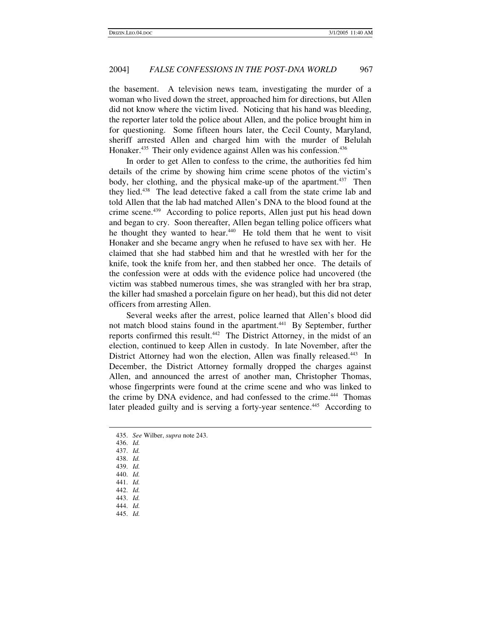the basement. A television news team, investigating the murder of a woman who lived down the street, approached him for directions, but Allen did not know where the victim lived. Noticing that his hand was bleeding, the reporter later told the police about Allen, and the police brought him in for questioning. Some fifteen hours later, the Cecil County, Maryland, sheriff arrested Allen and charged him with the murder of Belulah Honaker.<sup>435</sup> Their only evidence against Allen was his confession.<sup>436</sup>

In order to get Allen to confess to the crime, the authorities fed him details of the crime by showing him crime scene photos of the victim's body, her clothing, and the physical make-up of the apartment. <sup>437</sup> Then they lied. <sup>438</sup> The lead detective faked a call from the state crime lab and told Allen that the lab had matched Allen's DNA to the blood found at the crime scene. <sup>439</sup> According to police reports, Allen just put his head down and began to cry. Soon thereafter, Allen began telling police officers what he thought they wanted to hear.<sup>440</sup> He told them that he went to visit Honaker and she became angry when he refused to have sex with her. He claimed that she had stabbed him and that he wrestled with her for the knife, took the knife from her, and then stabbed her once. The details of the confession were at odds with the evidence police had uncovered (the victim was stabbed numerous times, she was strangled with her bra strap, the killer had smashed a porcelain figure on her head), but this did not deter officers from arresting Allen.

Several weeks after the arrest, police learned that Allen's blood did not match blood stains found in the apartment. <sup>441</sup> By September, further reports confirmed this result.<sup>442</sup> The District Attorney, in the midst of an election, continued to keep Allen in custody. In late November, after the District Attorney had won the election, Allen was finally released.<sup>443</sup> In December, the District Attorney formally dropped the charges against Allen, and announced the arrest of another man, Christopher Thomas, whose fingerprints were found at the crime scene and who was linked to the crime by DNA evidence, and had confessed to the crime. <sup>444</sup> Thomas later pleaded guilty and is serving a forty-year sentence.<sup>445</sup> According to

- 436. *Id.*
- 437. *Id.*
- 438. *Id.* 439. *Id.*
- 
- 440. *Id.*
- 441. *Id.*
- 442. *Id.*
- 443. *Id.*
- 444. *Id.*
- 445. *Id.*

<sup>435.</sup> *See* Wilber, *supra* note 243.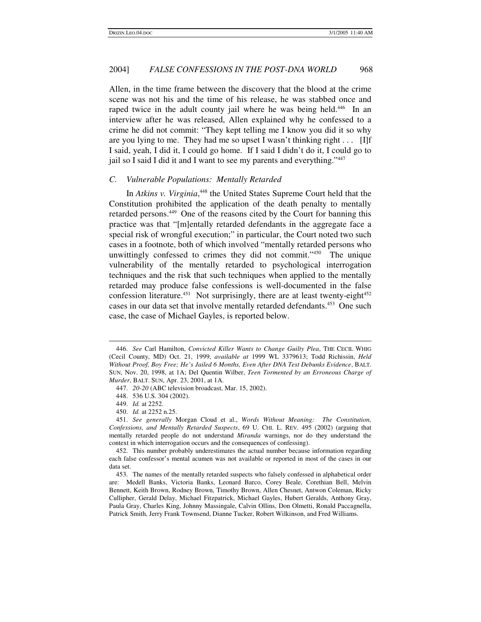Allen, in the time frame between the discovery that the blood at the crime scene was not his and the time of his release, he was stabbed once and raped twice in the adult county jail where he was being held.<sup>446</sup> In an interview after he was released, Allen explained why he confessed to a crime he did not commit: "They kept telling me I know you did it so why are you lying to me. They had me so upset I wasn't thinking right  $\dots$  [I]f I said, yeah, I did it, I could go home. If I said I didn't do it, I could go to jail so I said I did it and I want to see my parents and everything." <sup>447</sup>

### *C. Vulnerable Populations: Mentally Retarded*

In *Atkins v. Virginia*, 448 the United States Supreme Court held that the Constitution prohibited the application of the death penalty to mentally retarded persons.<sup>449</sup> One of the reasons cited by the Court for banning this practice was that "[m]entally retarded defendants in the aggregate face a special risk of wrongful execution;" in particular, the Court noted two such cases in a footnote, both of which involved "mentally retarded persons who unwittingly confessed to crimes they did not commit." <sup>450</sup> The unique vulnerability of the mentally retarded to psychological interrogation techniques and the risk that such techniques when applied to the mentally retarded may produce false confessions is well-documented in the false confession literature.<sup>451</sup> Not surprisingly, there are at least twenty-eight<sup>452</sup> cases in our data set that involve mentally retarded defendants. <sup>453</sup> One such case, the case of Michael Gayles, is reported below.

<sup>446.</sup> *See* Carl Hamilton, *Convicted Killer Wants to Change Guilty Plea*, THE CECIL WHIG (Cecil County, MD) Oct. 21, 1999, *available at* 1999 WL 3379613; Todd Richissin, *Held Without Proof, Boy Free; He's Jailed 6 Months, Even After DNA Test Debunks Evidence*, BALT. SUN, Nov. 20, 1998, at 1A; Del Quentin Wilber, *Teen Tormented by an Erroneous Charge of Murder*, BALT. SUN, Apr. 23, 2001, at 1A.

<sup>447.</sup> *20-20* (ABC television broadcast, Mar. 15, 2002).

<sup>448.</sup> 536 U.S. 304 (2002).

<sup>449.</sup> *Id.* at 2252.

<sup>450.</sup> *Id.* at 2252 n.25.

<sup>451.</sup> *See generally* Morgan Cloud et al., *Words Without Meaning: The Constitution, Confessions, and Mentally Retarded Suspects*, 69 U. CHI. L. REV. 495 (2002) (arguing that mentally retarded people do not understand *Miranda* warnings, nor do they understand the context in which interrogation occurs and the consequences of confessing).

<sup>452.</sup> This number probably underestimates the actual number because information regarding each false confessor's mental acumen was not available or reported in most of the cases in our data set.

<sup>453.</sup> The names of the mentally retarded suspects who falsely confessed in alphabetical order are: Medell Banks, Victoria Banks, Leonard Barco, Corey Beale, Corethian Bell, Melvin Bennett, Keith Brown, Rodney Brown, Timothy Brown, Allen Chesnet, Antwon Coleman, Ricky Cullipher, Gerald Delay, Michael Fitzpatrick, Michael Gayles, Hubert Geralds, Anthony Gray, Paula Gray, Charles King, Johnny Massingale, Calvin Ollins, Don Olmetti, Ronald Paccagnella, Patrick Smith, Jerry Frank Townsend, Dianne Tucker, Robert Wilkinson, and Fred Williams.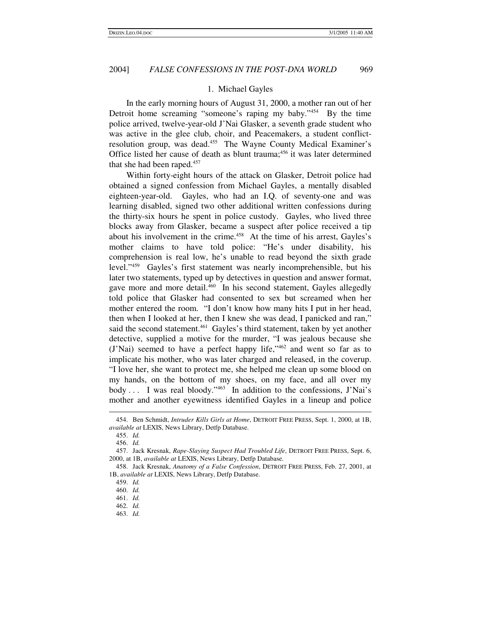#### 1. Michael Gayles

In the early morning hours of August 31, 2000, a mother ran out of her Detroit home screaming "someone's raping my baby."<sup>454</sup> By the time police arrived, twelve-year-old J'Nai Glasker, a seventh grade student who was active in the glee club, choir, and Peacemakers, a student conflictresolution group, was dead.<sup>455</sup> The Wayne County Medical Examiner's Office listed her cause of death as blunt trauma; 456 it was later determined that she had been raped. 457

Within forty-eight hours of the attack on Glasker, Detroit police had obtained a signed confession from Michael Gayles, a mentally disabled eighteen-year-old. Gayles, who had an I.Q. of seventy-one and was learning disabled, signed two other additional written confessions during the thirty-six hours he spent in police custody. Gayles, who lived three blocks away from Glasker, became a suspect after police received a tip about his involvement in the crime. <sup>458</sup> At the time of his arrest, Gayles's mother claims to have told police: "He's under disability, his comprehension is real low, he's unable to read beyond the sixth grade level." <sup>459</sup> Gayles's first statement was nearly incomprehensible, but his later two statements, typed up by detectives in question and answer format, gave more and more detail.<sup>460</sup> In his second statement, Gayles allegedly told police that Glasker had consented to sex but screamed when her mother entered the room. "I don't know how many hits I put in her head, then when I looked at her, then I knew she was dead, I panicked and ran," said the second statement.<sup>461</sup> Gayles's third statement, taken by yet another detective, supplied a motive for the murder, "I was jealous because she (J'Nai) seemed to have a perfect happy life," 462 and went so far as to implicate his mother, who was later charged and released, in the coverup. "I love her, she want to protect me, she helped me clean up some blood on my hands, on the bottom of my shoes, on my face, and all over my body . . . I was real bloody." 463 In addition to the confessions, J'Nai's mother and another eyewitness identified Gayles in a lineup and police

<sup>454.</sup> Ben Schmidt, *Intruder Kills Girls at Home*, DETROIT FREE PRESS, Sept. 1, 2000, at 1B, *available at* LEXIS, News Library, Detfp Database.

<sup>455.</sup> *Id.*

<sup>456.</sup> *Id.*

<sup>457.</sup> Jack Kresnak, *Rape-Slaying Suspect Had Troubled Life*, DETROIT FREE PRESS, Sept. 6, 2000, at 1B, *available at* LEXIS, News Library, Detfp Database.

<sup>458.</sup> Jack Kresnak, *Anatomy of a False Confession*, DETROIT FREE PRESS, Feb. 27, 2001, at 1B, *available at* LEXIS, News Library, Detfp Database.

<sup>459.</sup> *Id.*

<sup>460.</sup> *Id.*

<sup>461.</sup> *Id.*

<sup>462.</sup> *Id.*

<sup>463.</sup> *Id.*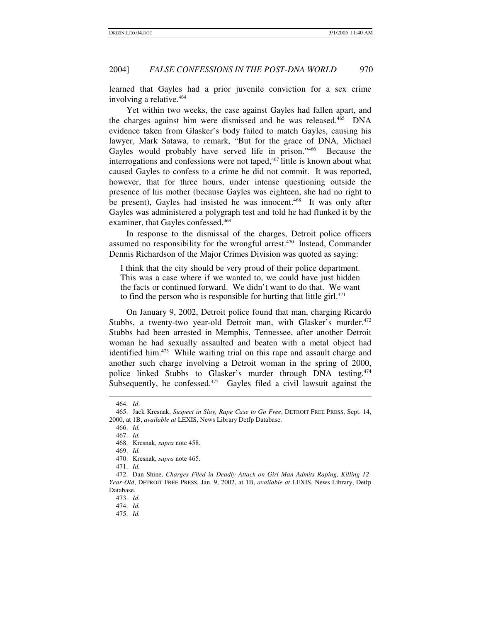learned that Gayles had a prior juvenile conviction for a sex crime involving a relative. 464

Yet within two weeks, the case against Gayles had fallen apart, and the charges against him were dismissed and he was released.<sup>465</sup> DNA evidence taken from Glasker's body failed to match Gayles, causing his lawyer, Mark Satawa, to remark, "But for the grace of DNA, Michael Gayles would probably have served life in prison."<sup>466</sup> Because the interrogations and confessions were not taped, 467 little is known about what caused Gayles to confess to a crime he did not commit. It was reported, however, that for three hours, under intense questioning outside the presence of his mother (because Gayles was eighteen, she had no right to be present), Gayles had insisted he was innocent. 468 It was only after Gayles was administered a polygraph test and told he had flunked it by the examiner, that Gayles confessed. 469

In response to the dismissal of the charges, Detroit police officers assumed no responsibility for the wrongful arrest. 470 Instead, Commander Dennis Richardson of the Major Crimes Division was quoted as saying:

I think that the city should be very proud of their police department. This was a case where if we wanted to, we could have just hidden the facts or continued forward. We didn't want to do that. We want to find the person who is responsible for hurting that little girl. 471

On January 9, 2002, Detroit police found that man, charging Ricardo Stubbs, a twenty-two year-old Detroit man, with Glasker's murder.<sup>472</sup> Stubbs had been arrested in Memphis, Tennessee, after another Detroit woman he had sexually assaulted and beaten with a metal object had identified him. <sup>473</sup> While waiting trial on this rape and assault charge and another such charge involving a Detroit woman in the spring of 2000, police linked Stubbs to Glasker's murder through DNA testing.<sup>474</sup> Subsequently, he confessed.<sup>475</sup> Gayles filed a civil lawsuit against the

<sup>464.</sup> *Id*.

<sup>465.</sup> Jack Kresnak, *Suspect in Slay, Rape Case to Go Free*, DETROIT FREE PRESS, Sept. 14, 2000, at 1B, *available at* LEXIS, News Library Detfp Database.

<sup>466.</sup> *Id.*

<sup>467.</sup> *Id.*

<sup>468.</sup> Kresnak, *supra* note 458.

<sup>469.</sup> *Id.*

<sup>470.</sup> Kresnak, *supra* note 465.

<sup>471.</sup> *Id.*

<sup>472.</sup> Dan Shine, *Charges Filed in Deadly Attack on Girl Man Admits Raping, Killing 12- Year-Old*, DETROIT FREE PRESS, Jan. 9, 2002, at 1B, *available at* LEXIS, News Library, Detfp Database.

<sup>473.</sup> *Id.*

<sup>474.</sup> *Id.*

<sup>475.</sup> *Id.*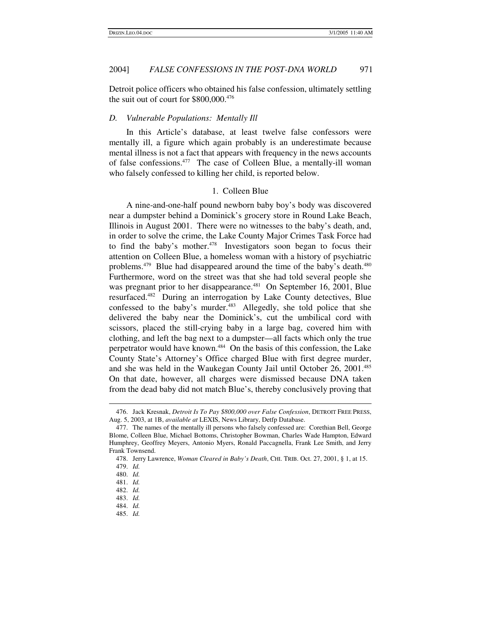Detroit police officers who obtained his false confession, ultimately settling the suit out of court for \$800,000. 476

#### *D. Vulnerable Populations: Mentally Ill*

In this Article's database, at least twelve false confessors were mentally ill, a figure which again probably is an underestimate because mental illness is not a fact that appears with frequency in the news accounts of false confessions. <sup>477</sup> The case of Colleen Blue, a mentally-ill woman who falsely confessed to killing her child, is reported below.

# 1. Colleen Blue

A nine-and-one-half pound newborn baby boy's body was discovered near a dumpster behind a Dominick's grocery store in Round Lake Beach, Illinois in August 2001. There were no witnesses to the baby's death, and, in order to solve the crime, the Lake County Major Crimes Task Force had to find the baby's mother. 478 Investigators soon began to focus their attention on Colleen Blue, a homeless woman with a history of psychiatric problems.<sup>479</sup> Blue had disappeared around the time of the baby's death.<sup>480</sup> Furthermore, word on the street was that she had told several people she was pregnant prior to her disappearance.<sup>481</sup> On September 16, 2001, Blue resurfaced. <sup>482</sup> During an interrogation by Lake County detectives, Blue confessed to the baby's murder. <sup>483</sup> Allegedly, she told police that she delivered the baby near the Dominick's, cut the umbilical cord with scissors, placed the still-crying baby in a large bag, covered him with clothing, and left the bag next to a dumpster—all facts which only the true perpetrator would have known. <sup>484</sup> On the basis of this confession, the Lake County State's Attorney's Office charged Blue with first degree murder, and she was held in the Waukegan County Jail until October 26, 2001. 485 On that date, however, all charges were dismissed because DNA taken from the dead baby did not match Blue's, thereby conclusively proving that

<sup>476.</sup> Jack Kresnak, *Detroit Is To Pay \$800,000 over False Confession*, DETROIT FREE PRESS, Aug. 5, 2003, at 1B, *available at* LEXIS, News Library, Detfp Database.

<sup>477.</sup> The names of the mentally ill persons who falsely confessed are: Corethian Bell, George Blome, Colleen Blue, Michael Bottoms, Christopher Bowman, Charles Wade Hampton, Edward Humphrey, Geoffrey Meyers, Antonio Myers, Ronald Paccagnella, Frank Lee Smith, and Jerry Frank Townsend.

<sup>478.</sup> Jerry Lawrence, *Woman Cleared in Baby's Death*, CHI. TRIB. Oct. 27, 2001, § 1, at 15. 479. *Id.*

<sup>480.</sup> *Id.*

<sup>481.</sup> *Id.*

<sup>482.</sup> *Id.* 483. *Id.*

<sup>484.</sup> *Id.*

<sup>485.</sup> *Id.*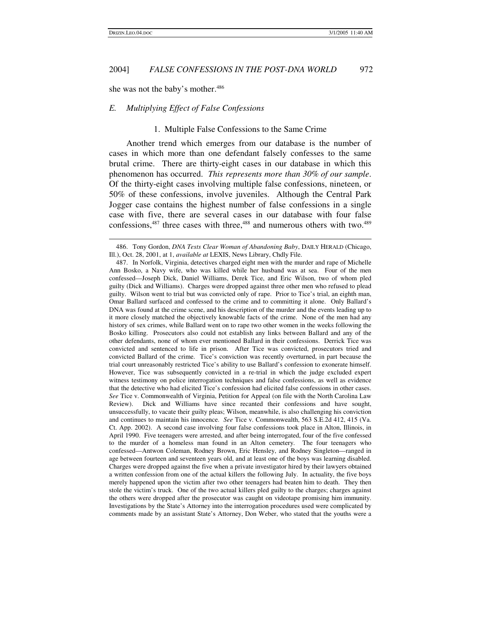she was not the baby's mother. 486

# *E. Multiplying Effect of False Confessions*

### 1. Multiple False Confessions to the Same Crime

Another trend which emerges from our database is the number of cases in which more than one defendant falsely confesses to the same brutal crime. There are thirty-eight cases in our database in which this phenomenon has occurred. *This represents more than 30% of our sample*. Of the thirty-eight cases involving multiple false confessions, nineteen, or 50% of these confessions, involve juveniles. Although the Central Park Jogger case contains the highest number of false confessions in a single case with five, there are several cases in our database with four false confessions,<sup>487</sup> three cases with three,<sup>488</sup> and numerous others with two.<sup>489</sup>

<sup>486.</sup> Tony Gordon, *DNA Tests Clear Woman of Abandoning Baby*, DAILY HERALD (Chicago, Ill.), Oct. 28, 2001, at 1, *available at* LEXIS, News Library, Chdly File.

<sup>487.</sup> In Norfolk, Virginia, detectives charged eight men with the murder and rape of Michelle Ann Bosko, a Navy wife, who was killed while her husband was at sea. Four of the men confessed—Joseph Dick, Daniel Williams, Derek Tice, and Eric Wilson, two of whom pled guilty (Dick and Williams). Charges were dropped against three other men who refused to plead guilty. Wilson went to trial but was convicted only of rape. Prior to Tice's trial, an eighth man, Omar Ballard surfaced and confessed to the crime and to committing it alone. Only Ballard's DNA was found at the crime scene, and his description of the murder and the events leading up to it more closely matched the objectively knowable facts of the crime. None of the men had any history of sex crimes, while Ballard went on to rape two other women in the weeks following the Bosko killing. Prosecutors also could not establish any links between Ballard and any of the other defendants, none of whom ever mentioned Ballard in their confessions. Derrick Tice was convicted and sentenced to life in prison. After Tice was convicted, prosecutors tried and convicted Ballard of the crime. Tice's conviction was recently overturned, in part because the trial court unreasonably restricted Tice's ability to use Ballard's confession to exonerate himself. However, Tice was subsequently convicted in a re-trial in which the judge excluded expert witness testimony on police interrogation techniques and false confessions, as well as evidence that the detective who had elicited Tice's confession had elicited false confessions in other cases. *See* Tice v. Commonwealth of Virginia, Petition for Appeal (on file with the North Carolina Law Review). Dick and Williams have since recanted their confessions and have sought, unsuccessfully, to vacate their guilty pleas; Wilson, meanwhile, is also challenging his conviction and continues to maintain his innocence. *See* Tice v. Commonwealth, 563 S.E.2d 412, 415 (Va. Ct. App. 2002). A second case involving four false confessions took place in Alton, Illinois, in April 1990. Five teenagers were arrested, and after being interrogated, four of the five confessed to the murder of a homeless man found in an Alton cemetery. The four teenagers who confessed—Antwon Coleman, Rodney Brown, Eric Hensley, and Rodney Singleton—ranged in age between fourteen and seventeen years old, and at least one of the boys was learning disabled. Charges were dropped against the five when a private investigator hired by their lawyers obtained a written confession from one of the actual killers the following July. In actuality, the five boys merely happened upon the victim after two other teenagers had beaten him to death. They then stole the victim's truck. One of the two actual killers pled guilty to the charges; charges against the others were dropped after the prosecutor was caught on videotape promising him immunity. Investigations by the State's Attorney into the interrogation procedures used were complicated by comments made by an assistant State's Attorney, Don Weber, who stated that the youths were a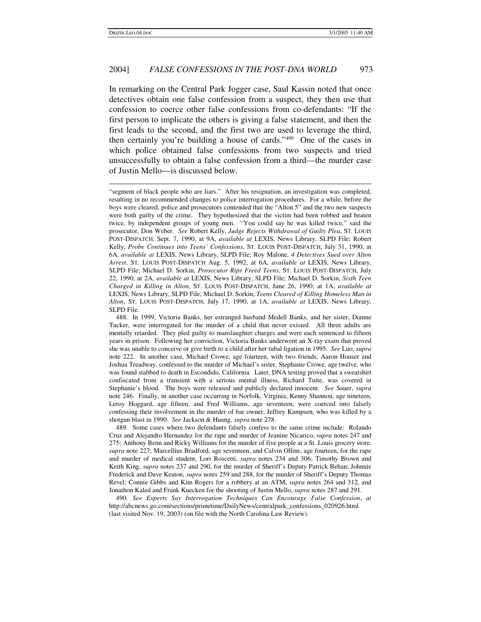In remarking on the Central Park Jogger case, Saul Kassin noted that once detectives obtain one false confession from a suspect, they then use that confession to coerce other false confessions from co-defendants: "If the first person to implicate the others is giving a false statement, and then the first leads to the second, and the first two are used to leverage the third, then certainly you're building a house of cards." <sup>490</sup> One of the cases in which police obtained false confessions from two suspects and tried unsuccessfully to obtain a false confession from a third—the murder case of Justin Mello—is discussed below.

489. Some cases where two defendants falsely confess to the same crime include: Rolando Cruz and Alejandro Hernandez for the rape and murder of Jeanine Nicarico, *supra* notes 247 and 275; Anthony Benn and Ricky Williams for the murder of five people at a St. Louis grocery store, *supra* note 227; Marcellius Bradford, age seventeen, and Calvin Ollins, age fourteen, for the rape and murder of medical student, Lori Roscetti, *supra* notes 234 and 306; Timothy Brown and Keith King, *supra* notes 237 and 290, for the murder of Sheriff's Deputy Patrick Behan; Johnnie Frederick and Dave Keaton, *supra* notes 259 and 288, for the murder of Sheriff's Deputy Thomas Revel; Connie Gibbs and Kim Rogers for a robbery at an ATM, *supra* notes 264 and 312, and Jonathon Kaled and Frank Kuecken for the shooting of Justin Mello, *supra* notes 287 and 291.

490. *See Experts Say Interrogation Techniques Can Encourage False Confession*, *at* http://abcnews.go.com/sections/primetime/DailyNews/centralpark\_confessions\_020926.html. (last visited Nov. 19, 2003) (on file with the North Carolina Law Review).

<sup>&</sup>quot;segment of black people who are liars." After his resignation, an investigation was completed, resulting in no recommended changes to police interrogation procedures. For a while, before the boys were cleared, police and prosecutors contended that the "Alton 5" and the two new suspects were both guilty of the crime. They hypothesized that the victim had been robbed and beaten twice, by independent groups of young men. "You could say he was killed twice," said the prosecutor, Don Weber. *See* Robert Kelly, *Judge Rejects Withdrawal of Guilty Plea*, ST. LOUIS POST-DISPATCH, Sept. 7, 1990, at 9A, *available at* LEXIS, News Library, SLPD File; Robert Kelly, *Probe Continues into Teens' Confessions*, ST. LOUIS POST-DISPATCH, July 31, 1990, at 6A, *available at* LEXIS, News Library, SLPD File; Roy Malone, *4 Detectives Sued over Alton Arrest*, ST. LOUIS POST-DISPATCH Aug. 5, 1992, at 6A, *available at* LEXIS, News Library, SLPD File; Michael D. Sorkin, *Prosecutor Rips Freed Teens*, ST. LOUIS POST-DISPATCH, July 22, 1990, at 2A, *available at* LEXIS, News Library, SLPD File; Michael D. Sorkin, *Sixth Teen Charged in Killing in Alton*, ST. LOUIS POST-DISPATCH, June 26, 1990, at 1A, *available at* LEXIS, News Library, SLPD File; Michael D. Sorkin, *Teens Cleared of Killing Homeless Man in Alton*, ST. LOUIS POST-DISPATCH, July 17, 1990, at 1A, *available at* LEXIS, News Library, SLPD File.

<sup>488.</sup> In 1999, Victoria Banks, her estranged husband Medell Banks, and her sister, Dianne Tucker, were interrogated for the murder of a child that never existed. All three adults are mentally retarded. They pled guilty to manslaughter charges and were each sentenced to fifteen years in prison. Following her conviction, Victoria Banks underwent an X-ray exam that proved she was unable to conceive or give birth to a child after her tubal ligation in 1995. *See* Luo, *supra* note 222. In another case, Michael Crowe, age fourteen, with two friends, Aaron Houser and Joshua Treadway, confessed to the murder of Michael's sister, Stephanie Crowe, age twelve, who was found stabbed to death in Escondido, California. Later, DNA testing proved that a sweatshirt confiscated from a transient with a serious mental illness, Richard Tuite, was covered in Stephanie's blood. The boys were released and publicly declared innocent. *See* Sauer, *supra* note 246. Finally, in another case occurring in Norfolk, Virginia, Kenny Shannon, age nineteen, Leroy Hoggard, age fifteen, and Fred Williams, age seventeen, were coerced into falsely confessing their involvement in the murder of bar owner, Jeffrey Kampsen, who was killed by a shotgun blast in 1990. *See* Jackson & Huang, *supra* note 278.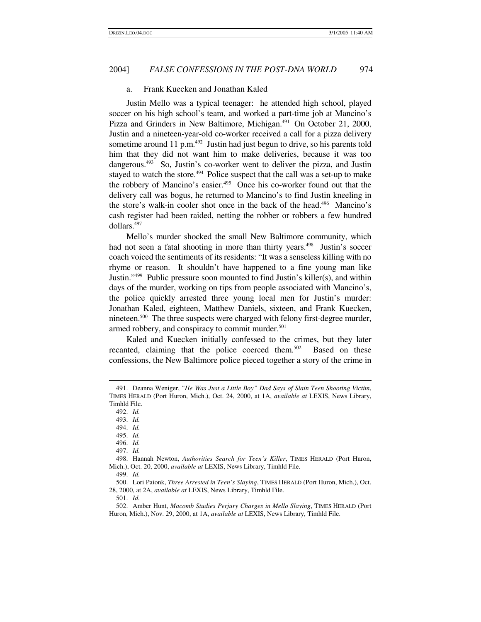#### a. Frank Kuecken and Jonathan Kaled

Justin Mello was a typical teenager: he attended high school, played soccer on his high school's team, and worked a part-time job at Mancino's Pizza and Grinders in New Baltimore, Michigan.<sup>491</sup> On October 21, 2000, Justin and a nineteen-year-old co-worker received a call for a pizza delivery sometime around 11 p.m.<sup>492</sup> Justin had just begun to drive, so his parents told him that they did not want him to make deliveries, because it was too dangerous.<sup>493</sup> So, Justin's co-worker went to deliver the pizza, and Justin stayed to watch the store.<sup>494</sup> Police suspect that the call was a set-up to make the robbery of Mancino's easier. <sup>495</sup> Once his co-worker found out that the delivery call was bogus, he returned to Mancino's to find Justin kneeling in the store's walk-in cooler shot once in the back of the head. <sup>496</sup> Mancino's cash register had been raided, netting the robber or robbers a few hundred dollars. 497

Mello's murder shocked the small New Baltimore community, which had not seen a fatal shooting in more than thirty years.<sup>498</sup> Justin's soccer coach voiced the sentiments of its residents: "It was a senseless killing with no rhyme or reason. It shouldn't have happened to a fine young man like Justin." <sup>499</sup> Public pressure soon mounted to find Justin's killer(s), and within days of the murder, working on tips from people associated with Mancino's, the police quickly arrested three young local men for Justin's murder: Jonathan Kaled, eighteen, Matthew Daniels, sixteen, and Frank Kuecken, nineteen.<sup>500</sup> The three suspects were charged with felony first-degree murder, armed robbery, and conspiracy to commit murder. 501

Kaled and Kuecken initially confessed to the crimes, but they later recanted, claiming that the police coerced them.<sup>502</sup> Based on these confessions, the New Baltimore police pieced together a story of the crime in

499. *Id.*

501. *Id.*

<sup>491.</sup> Deanna Weniger, "*He Was Just a Little Boy" Dad Says of Slain Teen Shooting Victim*, TIMES HERALD (Port Huron, Mich.), Oct. 24, 2000, at 1A, *available at* LEXIS, News Library, Timhld File.

<sup>492.</sup> *Id.*

<sup>493.</sup> *Id.*

<sup>494.</sup> *Id.*

<sup>495.</sup> *Id.*

<sup>496.</sup> *Id.*

<sup>497.</sup> *Id.*

<sup>498.</sup> Hannah Newton, *Authorities Search for Teen's Killer*, TIMES HERALD (Port Huron, Mich.), Oct. 20, 2000, *available at* LEXIS, News Library, Timhld File.

<sup>500.</sup> Lori Paionk, *Three Arrested in Teen's Slaying*, TIMES HERALD (Port Huron, Mich.), Oct. 28, 2000, at 2A, *available at* LEXIS, News Library, Timhld File.

<sup>502.</sup> Amber Hunt, *Macomb Studies Perjury Charges in Mello Slaying*, TIMES HERALD (Port Huron, Mich.), Nov. 29, 2000, at 1A, *available at* LEXIS, News Library, Timhld File.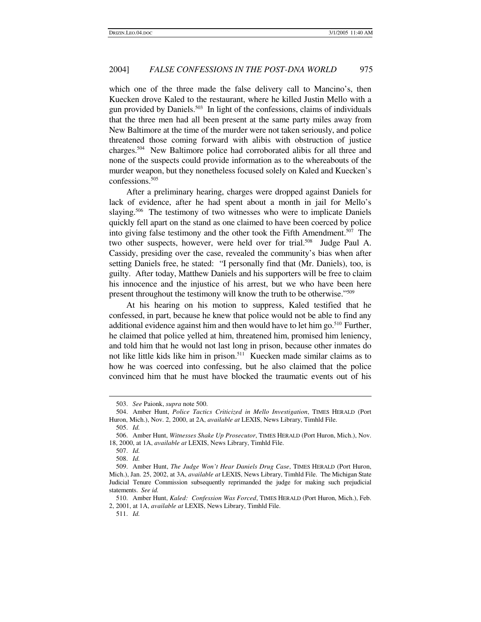which one of the three made the false delivery call to Mancino's, then Kuecken drove Kaled to the restaurant, where he killed Justin Mello with a gun provided by Daniels. 503 In light of the confessions, claims of individuals that the three men had all been present at the same party miles away from New Baltimore at the time of the murder were not taken seriously, and police threatened those coming forward with alibis with obstruction of justice charges. <sup>504</sup> New Baltimore police had corroborated alibis for all three and none of the suspects could provide information as to the whereabouts of the murder weapon, but they nonetheless focused solely on Kaled and Kuecken's confessions. 505

After a preliminary hearing, charges were dropped against Daniels for lack of evidence, after he had spent about a month in jail for Mello's slaying.<sup>506</sup> The testimony of two witnesses who were to implicate Daniels quickly fell apart on the stand as one claimed to have been coerced by police into giving false testimony and the other took the Fifth Amendment. <sup>507</sup> The two other suspects, however, were held over for trial.<sup>508</sup> Judge Paul A. Cassidy, presiding over the case, revealed the community's bias when after setting Daniels free, he stated: "I personally find that (Mr. Daniels), too, is guilty. After today, Matthew Daniels and his supporters will be free to claim his innocence and the injustice of his arrest, but we who have been here present throughout the testimony will know the truth to be otherwise."<sup>509</sup>

At his hearing on his motion to suppress, Kaled testified that he confessed, in part, because he knew that police would not be able to find any additional evidence against him and then would have to let him go.<sup>510</sup> Further, he claimed that police yelled at him, threatened him, promised him leniency, and told him that he would not last long in prison, because other inmates do not like little kids like him in prison. <sup>511</sup> Kuecken made similar claims as to how he was coerced into confessing, but he also claimed that the police convinced him that he must have blocked the traumatic events out of his

<sup>503.</sup> *See* Paionk, *supra* note 500.

<sup>504.</sup> Amber Hunt, *Police Tactics Criticized in Mello Investigation*, TIMES HERALD (Port Huron, Mich.), Nov. 2, 2000, at 2A, *available at* LEXIS, News Library, Timhld File.

<sup>505.</sup> *Id.*

<sup>506.</sup> Amber Hunt, *Witnesses Shake Up Prosecutor*, TIMES HERALD (Port Huron, Mich.), Nov. 18, 2000, at 1A, *available at* LEXIS, News Library, Timhld File.

<sup>507.</sup> *Id.*

<sup>508.</sup> *Id.*

<sup>509.</sup> Amber Hunt, *The Judge Won't Hear Daniels Drug Case*, TIMES HERALD (Port Huron, Mich.), Jan. 25, 2002, at 3A, *available at* LEXIS, News Library, Timhld File. The Michigan State Judicial Tenure Commission subsequently reprimanded the judge for making such prejudicial statements. *See id.*

<sup>510.</sup> Amber Hunt, *Kaled: Confession Was Forced*, TIMES HERALD (Port Huron, Mich.), Feb. 2, 2001, at 1A, *available at* LEXIS, News Library, Timhld File.

<sup>511.</sup> *Id.*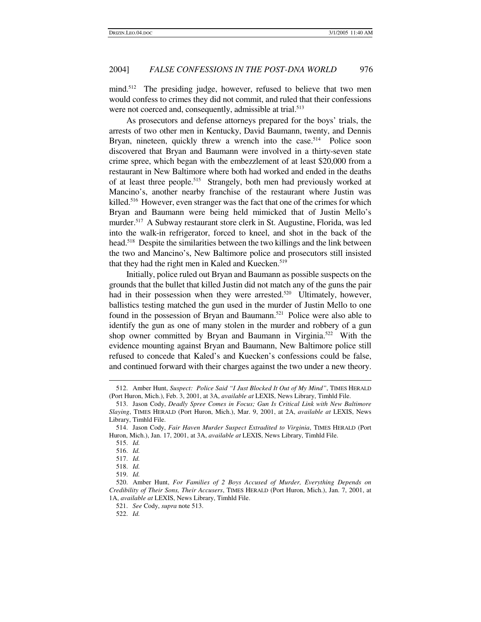mind.<sup>512</sup> The presiding judge, however, refused to believe that two men would confess to crimes they did not commit, and ruled that their confessions were not coerced and, consequently, admissible at trial.<sup>513</sup>

As prosecutors and defense attorneys prepared for the boys' trials, the arrests of two other men in Kentucky, David Baumann, twenty, and Dennis Bryan, nineteen, quickly threw a wrench into the case.<sup>514</sup> Police soon discovered that Bryan and Baumann were involved in a thirty-seven state crime spree, which began with the embezzlement of at least \$20,000 from a restaurant in New Baltimore where both had worked and ended in the deaths of at least three people.<sup>515</sup> Strangely, both men had previously worked at Mancino's, another nearby franchise of the restaurant where Justin was killed.<sup>516</sup> However, even stranger was the fact that one of the crimes for which Bryan and Baumann were being held mimicked that of Justin Mello's murder. <sup>517</sup> A Subway restaurant store clerk in St. Augustine, Florida, was led into the walk-in refrigerator, forced to kneel, and shot in the back of the head. <sup>518</sup> Despite the similarities between the two killings and the link between the two and Mancino's, New Baltimore police and prosecutors still insisted that they had the right men in Kaled and Kuecken. 519

Initially, police ruled out Bryan and Baumann as possible suspects on the grounds that the bullet that killed Justin did not match any of the guns the pair had in their possession when they were arrested.<sup>520</sup> Ultimately, however, ballistics testing matched the gun used in the murder of Justin Mello to one found in the possession of Bryan and Baumann.<sup>521</sup> Police were also able to identify the gun as one of many stolen in the murder and robbery of a gun shop owner committed by Bryan and Baumann in Virginia.<sup>522</sup> With the evidence mounting against Bryan and Baumann, New Baltimore police still refused to concede that Kaled's and Kuecken's confessions could be false, and continued forward with their charges against the two under a new theory.

521. *See* Cody, *supra* note 513.

<sup>512.</sup> Amber Hunt, *Suspect: Police Said "I Just Blocked It Out of My Mind"*, TIMES HERALD (Port Huron, Mich.), Feb. 3, 2001, at 3A, *available at* LEXIS, News Library, Timhld File.

<sup>513.</sup> Jason Cody, *Deadly Spree Comes in Focus; Gun Is Critical Link with New Baltimore Slaying*, TIMES HERALD (Port Huron, Mich.), Mar. 9, 2001, at 2A, *available at* LEXIS, News Library, Timhld File.

<sup>514.</sup> Jason Cody, *Fair Haven Murder Suspect Extradited to Virginia*, TIMES HERALD (Port Huron, Mich.), Jan. 17, 2001, at 3A, *available at* LEXIS, News Library, Timhld File.

<sup>515.</sup> *Id.*

<sup>516.</sup> *Id.*

<sup>517.</sup> *Id.*

<sup>518.</sup> *Id.*

<sup>519.</sup> *Id.*

<sup>520.</sup> Amber Hunt, *For Families of 2 Boys Accused of Murder, Everything Depends on Credibility of Their Sons, Their Accusers*, TIMES HERALD (Port Huron, Mich.), Jan. 7, 2001, at 1A, *available at* LEXIS, News Library, Timhld File.

<sup>522.</sup> *Id.*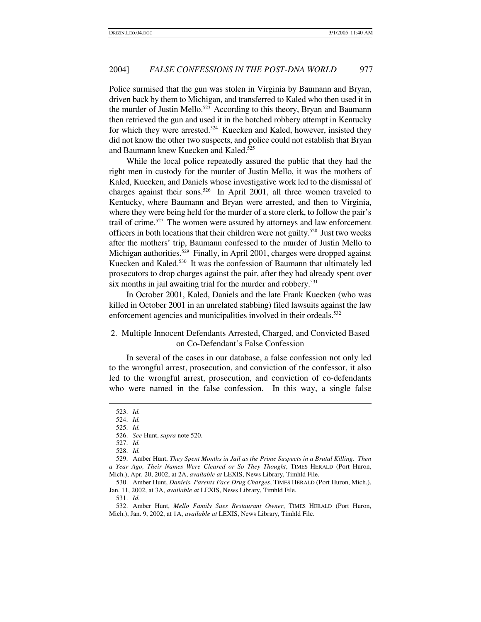Police surmised that the gun was stolen in Virginia by Baumann and Bryan, driven back by them to Michigan, and transferred to Kaled who then used it in the murder of Justin Mello.<sup>523</sup> According to this theory, Bryan and Baumann then retrieved the gun and used it in the botched robbery attempt in Kentucky for which they were arrested.<sup>524</sup> Kuecken and Kaled, however, insisted they did not know the other two suspects, and police could not establish that Bryan and Baumann knew Kuecken and Kaled. 525

While the local police repeatedly assured the public that they had the right men in custody for the murder of Justin Mello, it was the mothers of Kaled, Kuecken, and Daniels whose investigative work led to the dismissal of charges against their sons. 526 In April 2001, all three women traveled to Kentucky, where Baumann and Bryan were arrested, and then to Virginia, where they were being held for the murder of a store clerk, to follow the pair's trail of crime.<sup>527</sup> The women were assured by attorneys and law enforcement officers in both locations that their children were not guilty. 528 Just two weeks after the mothers' trip, Baumann confessed to the murder of Justin Mello to Michigan authorities.<sup>529</sup> Finally, in April 2001, charges were dropped against Kuecken and Kaled. 530 It was the confession of Baumann that ultimately led prosecutors to drop charges against the pair, after they had already spent over six months in jail awaiting trial for the murder and robbery. 531

In October 2001, Kaled, Daniels and the late Frank Kuecken (who was killed in October 2001 in an unrelated stabbing) filed lawsuits against the law enforcement agencies and municipalities involved in their ordeals.<sup>532</sup>

# 2. Multiple Innocent Defendants Arrested, Charged, and Convicted Based on Co-Defendant's False Confession

In several of the cases in our database, a false confession not only led to the wrongful arrest, prosecution, and conviction of the confessor, it also led to the wrongful arrest, prosecution, and conviction of co-defendants who were named in the false confession. In this way, a single false

<sup>523.</sup> *Id.*

<sup>524.</sup> *Id.*

<sup>525.</sup> *Id.*

<sup>526.</sup> *See* Hunt, *supra* note 520.

<sup>527.</sup> *Id.*

<sup>528.</sup> *Id.*

<sup>529.</sup> Amber Hunt, *They Spent Months in Jail as the Prime Suspects in a Brutal Killing. Then a Year Ago, Their Names Were Cleared or So They Thought*, TIMES HERALD (Port Huron, Mich.), Apr. 20, 2002, at 2A, *available at* LEXIS, News Library, Timhld File.

<sup>530.</sup> Amber Hunt, *Daniels, Parents Face Drug Charges*, TIMES HERALD (Port Huron, Mich.), Jan. 11, 2002, at 3A, *available at* LEXIS, News Library, Timhld File.

<sup>531.</sup> *Id.*

<sup>532.</sup> Amber Hunt, *Mello Family Sues Restaurant Owner*, TIMES HERALD (Port Huron, Mich.), Jan. 9, 2002, at 1A, *available at* LEXIS, News Library, Timhld File.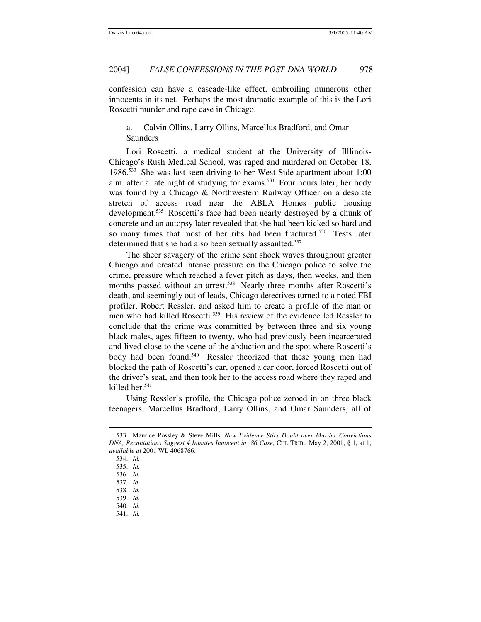confession can have a cascade-like effect, embroiling numerous other innocents in its net. Perhaps the most dramatic example of this is the Lori Roscetti murder and rape case in Chicago.

# a. Calvin Ollins, Larry Ollins, Marcellus Bradford, and Omar Saunders

Lori Roscetti, a medical student at the University of Illlinois-Chicago's Rush Medical School, was raped and murdered on October 18, 1986. <sup>533</sup> She was last seen driving to her West Side apartment about 1:00 a.m. after a late night of studying for exams. <sup>534</sup> Four hours later, her body was found by a Chicago & Northwestern Railway Officer on a desolate stretch of access road near the ABLA Homes public housing development. <sup>535</sup> Roscetti's face had been nearly destroyed by a chunk of concrete and an autopsy later revealed that she had been kicked so hard and so many times that most of her ribs had been fractured.<sup>536</sup> Tests later determined that she had also been sexually assaulted. 537

The sheer savagery of the crime sent shock waves throughout greater Chicago and created intense pressure on the Chicago police to solve the crime, pressure which reached a fever pitch as days, then weeks, and then months passed without an arrest.<sup>538</sup> Nearly three months after Roscetti's death, and seemingly out of leads, Chicago detectives turned to a noted FBI profiler, Robert Ressler, and asked him to create a profile of the man or men who had killed Roscetti.<sup>539</sup> His review of the evidence led Ressler to conclude that the crime was committed by between three and six young black males, ages fifteen to twenty, who had previously been incarcerated and lived close to the scene of the abduction and the spot where Roscetti's body had been found. <sup>540</sup> Ressler theorized that these young men had blocked the path of Roscetti's car, opened a car door, forced Roscetti out of the driver's seat, and then took her to the access road where they raped and killed her. 541

Using Ressler's profile, the Chicago police zeroed in on three black teenagers, Marcellus Bradford, Larry Ollins, and Omar Saunders, all of

<sup>533.</sup> Maurice Possley & Steve Mills, *New Evidence Stirs Doubt over Murder Convictions DNA, Recantations Suggest 4 Inmates Innocent in '86 Case*, CHI. TRIB., May 2, 2001, § 1, at 1, *available at* 2001 WL 4068766.

<sup>534.</sup> *Id.*

<sup>535.</sup> *Id.*

<sup>536.</sup> *Id.*

<sup>537.</sup> *Id.*

<sup>538.</sup> *Id.*

<sup>539.</sup> *Id.*

<sup>540.</sup> *Id.*

<sup>541.</sup> *Id.*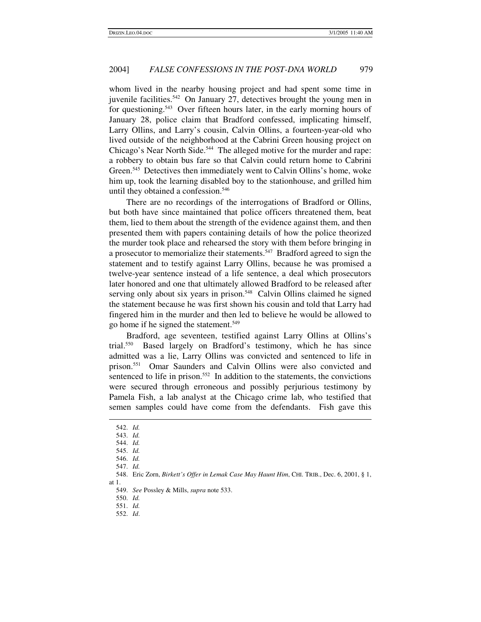whom lived in the nearby housing project and had spent some time in juvenile facilities.<sup>542</sup> On January 27, detectives brought the young men in for questioning. <sup>543</sup> Over fifteen hours later, in the early morning hours of January 28, police claim that Bradford confessed, implicating himself, Larry Ollins, and Larry's cousin, Calvin Ollins, a fourteen-year-old who lived outside of the neighborhood at the Cabrini Green housing project on Chicago's Near North Side.<sup>544</sup> The alleged motive for the murder and rape: a robbery to obtain bus fare so that Calvin could return home to Cabrini Green. <sup>545</sup> Detectives then immediately went to Calvin Ollins's home, woke him up, took the learning disabled boy to the stationhouse, and grilled him until they obtained a confession. 546

There are no recordings of the interrogations of Bradford or Ollins, but both have since maintained that police officers threatened them, beat them, lied to them about the strength of the evidence against them, and then presented them with papers containing details of how the police theorized the murder took place and rehearsed the story with them before bringing in a prosecutor to memorialize their statements.<sup>547</sup> Bradford agreed to sign the statement and to testify against Larry Ollins, because he was promised a twelve-year sentence instead of a life sentence, a deal which prosecutors later honored and one that ultimately allowed Bradford to be released after serving only about six years in prison.<sup>548</sup> Calvin Ollins claimed he signed the statement because he was first shown his cousin and told that Larry had fingered him in the murder and then led to believe he would be allowed to go home if he signed the statement. 549

Bradford, age seventeen, testified against Larry Ollins at Ollins's trial. <sup>550</sup> Based largely on Bradford's testimony, which he has since admitted was a lie, Larry Ollins was convicted and sentenced to life in prison. <sup>551</sup> Omar Saunders and Calvin Ollins were also convicted and sentenced to life in prison.<sup>552</sup> In addition to the statements, the convictions were secured through erroneous and possibly perjurious testimony by Pamela Fish, a lab analyst at the Chicago crime lab, who testified that semen samples could have come from the defendants. Fish gave this

<sup>542.</sup> *Id.*

<sup>543.</sup> *Id.*

<sup>544.</sup> *Id.*

<sup>545.</sup> *Id.*

<sup>546.</sup> *Id.*

<sup>547.</sup> *Id.*

<sup>548.</sup> Eric Zorn, *Birkett's Offer in Lemak Case May Haunt Him*, CHI. TRIB., Dec. 6, 2001, § 1, at 1.

<sup>549.</sup> *See* Possley & Mills, *supra* note 533.

<sup>550.</sup> *Id.*

<sup>551.</sup> *Id.*

<sup>552.</sup> *Id*.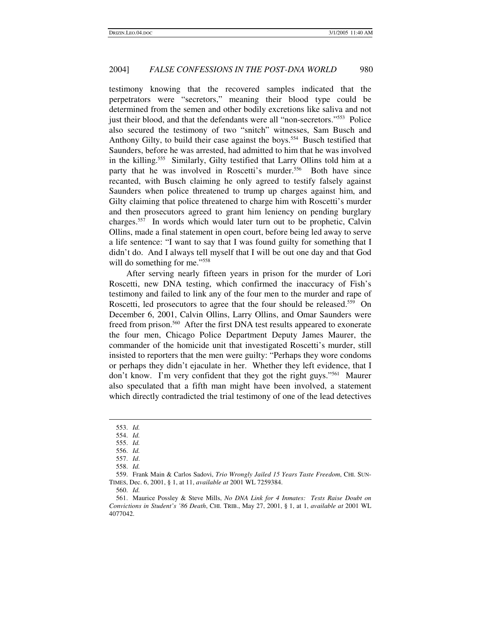testimony knowing that the recovered samples indicated that the perpetrators were "secretors," meaning their blood type could be determined from the semen and other bodily excretions like saliva and not just their blood, and that the defendants were all "non-secretors." <sup>553</sup> Police also secured the testimony of two "snitch" witnesses, Sam Busch and Anthony Gilty, to build their case against the boys. <sup>554</sup> Busch testified that Saunders, before he was arrested, had admitted to him that he was involved in the killing. <sup>555</sup> Similarly, Gilty testified that Larry Ollins told him at a party that he was involved in Roscetti's murder. <sup>556</sup> Both have since recanted, with Busch claiming he only agreed to testify falsely against Saunders when police threatened to trump up charges against him, and Gilty claiming that police threatened to charge him with Roscetti's murder and then prosecutors agreed to grant him leniency on pending burglary charges. 557 In words which would later turn out to be prophetic, Calvin Ollins, made a final statement in open court, before being led away to serve a life sentence: "I want to say that I was found guilty for something that I didn't do. And I always tell myself that I will be out one day and that God will do something for me." 558

After serving nearly fifteen years in prison for the murder of Lori Roscetti, new DNA testing, which confirmed the inaccuracy of Fish's testimony and failed to link any of the four men to the murder and rape of Roscetti, led prosecutors to agree that the four should be released.<sup>559</sup> On December 6, 2001, Calvin Ollins, Larry Ollins, and Omar Saunders were freed from prison.<sup>560</sup> After the first DNA test results appeared to exonerate the four men, Chicago Police Department Deputy James Maurer, the commander of the homicide unit that investigated Roscetti's murder, still insisted to reporters that the men were guilty: "Perhaps they wore condoms or perhaps they didn't ejaculate in her. Whether they left evidence, that I don't know. I'm very confident that they got the right guys." <sup>561</sup> Maurer also speculated that a fifth man might have been involved, a statement which directly contradicted the trial testimony of one of the lead detectives

<sup>553.</sup> *Id.*

<sup>554.</sup> *Id.*

<sup>555.</sup> *Id.*

<sup>556.</sup> *Id.*

<sup>557.</sup> *Id*.

<sup>558.</sup> *Id.*

<sup>559.</sup> Frank Main & Carlos Sadovi, *Trio Wrongly Jailed 15 Years Taste Freedom*, CHI. SUN-TIMES, Dec. 6, 2001, § 1, at 11, *available at* 2001 WL 7259384.

<sup>560.</sup> *Id.*

<sup>561.</sup> Maurice Possley & Steve Mills, *No DNA Link for 4 Inmates: Tests Raise Doubt on Convictions in Student's '86 Death*, CHI. TRIB., May 27, 2001, § 1, at 1, *available at* 2001 WL 4077042.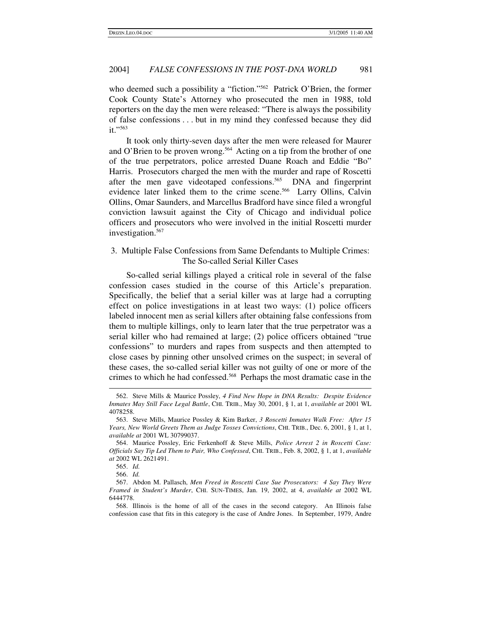who deemed such a possibility a "fiction." <sup>562</sup> Patrick O'Brien, the former Cook County State's Attorney who prosecuted the men in 1988, told reporters on the day the men were released: "There is always the possibility of false confessions . . . but in my mind they confessed because they did it." 563

It took only thirty-seven days after the men were released for Maurer and O'Brien to be proven wrong.<sup>564</sup> Acting on a tip from the brother of one of the true perpetrators, police arrested Duane Roach and Eddie "Bo" Harris. Prosecutors charged the men with the murder and rape of Roscetti after the men gave videotaped confessions. <sup>565</sup> DNA and fingerprint evidence later linked them to the crime scene. <sup>566</sup> Larry Ollins, Calvin Ollins, Omar Saunders, and Marcellus Bradford have since filed a wrongful conviction lawsuit against the City of Chicago and individual police officers and prosecutors who were involved in the initial Roscetti murder investigation. 567

# 3. Multiple False Confessions from Same Defendants to Multiple Crimes: The So-called Serial Killer Cases

So-called serial killings played a critical role in several of the false confession cases studied in the course of this Article's preparation. Specifically, the belief that a serial killer was at large had a corrupting effect on police investigations in at least two ways: (1) police officers labeled innocent men as serial killers after obtaining false confessions from them to multiple killings, only to learn later that the true perpetrator was a serial killer who had remained at large; (2) police officers obtained "true confessions" to murders and rapes from suspects and then attempted to close cases by pinning other unsolved crimes on the suspect; in several of these cases, the so-called serial killer was not guilty of one or more of the crimes to which he had confessed. <sup>568</sup> Perhaps the most dramatic case in the

568. Illinois is the home of all of the cases in the second category. An Illinois false confession case that fits in this category is the case of Andre Jones. In September, 1979, Andre

<sup>562.</sup> Steve Mills & Maurice Possley, *4 Find New Hope in DNA Results: Despite Evidence Inmates May Still Face Legal Battle*, CHI. TRIB., May 30, 2001, § 1, at 1, *available at* 2001 WL 4078258.

<sup>563.</sup> Steve Mills, Maurice Possley & Kim Barker, *3 Roscetti Inmates Walk Free: After 15 Years, New World Greets Them as Judge Tosses Convictions*, CHI. TRIB., Dec. 6, 2001, § 1, at 1, *available at* 2001 WL 30799037.

<sup>564.</sup> Maurice Possley, Eric Ferkenhoff & Steve Mills, *Police Arrest 2 in Roscetti Case: Officials Say Tip Led Them to Pair, Who Confessed*, CHI. TRIB., Feb. 8, 2002, § 1, at 1, *available at* 2002 WL 2621491.

<sup>565.</sup> *Id.*

<sup>566.</sup> *Id.*

<sup>567.</sup> Abdon M. Pallasch, *Men Freed in Roscetti Case Sue Prosecutors: 4 Say They Were Framed in Student's Murder*, CHI. SUN-TIMES, Jan. 19, 2002, at 4, *available at* 2002 WL 6444778.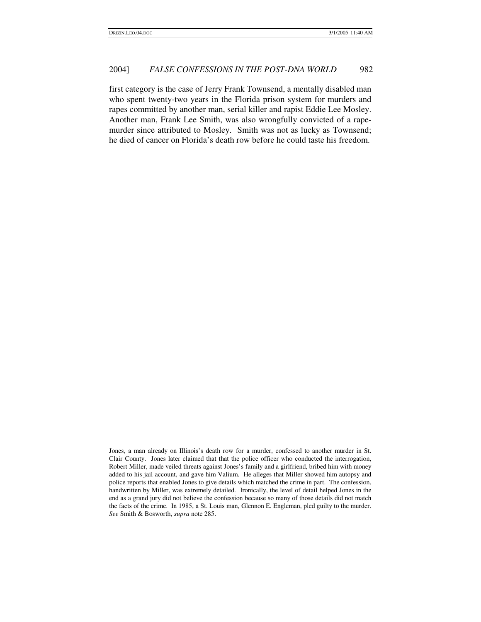first category is the case of Jerry Frank Townsend, a mentally disabled man who spent twenty-two years in the Florida prison system for murders and rapes committed by another man, serial killer and rapist Eddie Lee Mosley. Another man, Frank Lee Smith, was also wrongfully convicted of a rapemurder since attributed to Mosley. Smith was not as lucky as Townsend; he died of cancer on Florida's death row before he could taste his freedom.

Jones, a man already on Illinois's death row for a murder, confessed to another murder in St. Clair County. Jones later claimed that that the police officer who conducted the interrogation, Robert Miller, made veiled threats against Jones's family and a girlfriend, bribed him with money added to his jail account, and gave him Valium. He alleges that Miller showed him autopsy and police reports that enabled Jones to give details which matched the crime in part. The confession, handwritten by Miller, was extremely detailed. Ironically, the level of detail helped Jones in the end as a grand jury did not believe the confession because so many of those details did not match the facts of the crime. In 1985, a St. Louis man, Glennon E. Engleman, pled guilty to the murder. *See* Smith & Bosworth, *supra* note 285.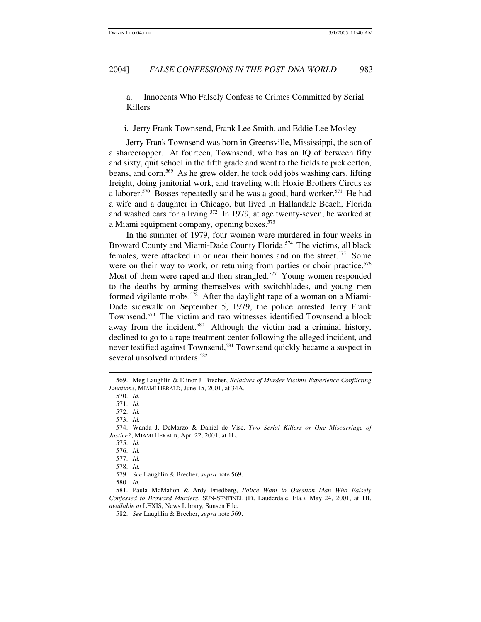a. Innocents Who Falsely Confess to Crimes Committed by Serial Killers

i. Jerry Frank Townsend, Frank Lee Smith, and Eddie Lee Mosley

Jerry Frank Townsend was born in Greensville, Mississippi, the son of a sharecropper. At fourteen, Townsend, who has an IQ of between fifty and sixty, quit school in the fifth grade and went to the fields to pick cotton, beans, and corn. <sup>569</sup> As he grew older, he took odd jobs washing cars, lifting freight, doing janitorial work, and traveling with Hoxie Brothers Circus as a laborer.<sup>570</sup> Bosses repeatedly said he was a good, hard worker.<sup>571</sup> He had a wife and a daughter in Chicago, but lived in Hallandale Beach, Florida and washed cars for a living. 572 In 1979, at age twenty-seven, he worked at a Miami equipment company, opening boxes. 573

In the summer of 1979, four women were murdered in four weeks in Broward County and Miami-Dade County Florida. <sup>574</sup> The victims, all black females, were attacked in or near their homes and on the street. <sup>575</sup> Some were on their way to work, or returning from parties or choir practice.<sup>576</sup> Most of them were raped and then strangled.<sup>577</sup> Young women responded to the deaths by arming themselves with switchblades, and young men formed vigilante mobs. <sup>578</sup> After the daylight rape of a woman on a Miami-Dade sidewalk on September 5, 1979, the police arrested Jerry Frank Townsend. <sup>579</sup> The victim and two witnesses identified Townsend a block away from the incident.<sup>580</sup> Although the victim had a criminal history, declined to go to a rape treatment center following the alleged incident, and never testified against Townsend, <sup>581</sup> Townsend quickly became a suspect in several unsolved murders. 582

571. *Id.*

580. *Id.*

<sup>569.</sup> Meg Laughlin & Elinor J. Brecher, *Relatives of Murder Victims Experience Conflicting Emotions*, MIAMI HERALD, June 15, 2001, at 34A.

<sup>570.</sup> *Id.*

<sup>572.</sup> *Id.*

<sup>573.</sup> *Id.*

<sup>574.</sup> Wanda J. DeMarzo & Daniel de Vise, *Two Serial Killers or One Miscarriage of Justice?*, MIAMI HERALD, Apr. 22, 2001, at 1L.

<sup>575.</sup> *Id.*

<sup>576.</sup> *Id.*

<sup>577.</sup> *Id.*

<sup>578.</sup> *Id.*

<sup>579.</sup> *See* Laughlin & Brecher, *supra* note 569.

<sup>581.</sup> Paula McMahon & Ardy Friedberg, *Police Want to Question Man Who Falsely Confessed to Broward Murders*, SUN-SENTINEL (Ft. Lauderdale, Fla.), May 24, 2001, at 1B, *available at* LEXIS, News Library, Sunsen File.

<sup>582.</sup> *See* Laughlin & Brecher, *supra* note 569.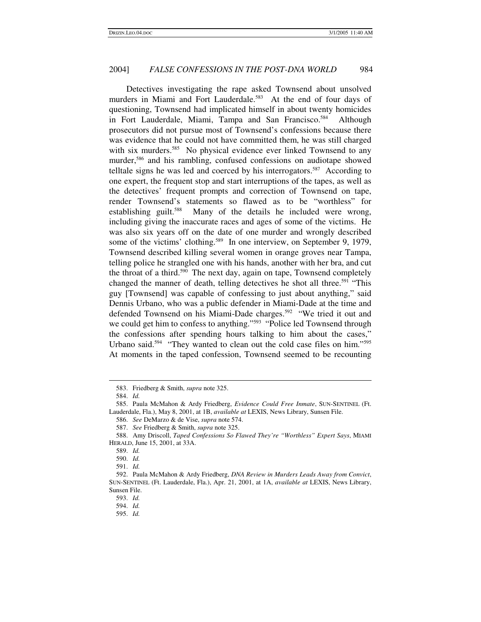Detectives investigating the rape asked Townsend about unsolved murders in Miami and Fort Lauderdale.<sup>583</sup> At the end of four days of questioning, Townsend had implicated himself in about twenty homicides in Fort Lauderdale, Miami, Tampa and San Francisco. <sup>584</sup> Although prosecutors did not pursue most of Townsend's confessions because there was evidence that he could not have committed them, he was still charged with six murders.<sup>585</sup> No physical evidence ever linked Townsend to any murder, 586 and his rambling, confused confessions on audiotape showed telltale signs he was led and coerced by his interrogators. <sup>587</sup> According to one expert, the frequent stop and start interruptions of the tapes, as well as the detectives' frequent prompts and correction of Townsend on tape, render Townsend's statements so flawed as to be "worthless" for establishing guilt. Many of the details he included were wrong, including giving the inaccurate races and ages of some of the victims. He was also six years off on the date of one murder and wrongly described some of the victims' clothing.<sup>589</sup> In one interview, on September 9, 1979, Townsend described killing several women in orange groves near Tampa, telling police he strangled one with his hands, another with her bra, and cut the throat of a third.<sup>590</sup> The next day, again on tape, Townsend completely changed the manner of death, telling detectives he shot all three.<sup>591</sup> "This guy [Townsend] was capable of confessing to just about anything," said Dennis Urbano, who was a public defender in Miami-Dade at the time and defended Townsend on his Miami-Dade charges.<sup>592</sup> "We tried it out and we could get him to confess to anything."<sup>593</sup> "Police led Townsend through the confessions after spending hours talking to him about the cases," Urbano said.<sup>594</sup> "They wanted to clean out the cold case files on him."<sup>595</sup> At moments in the taped confession, Townsend seemed to be recounting

<sup>583.</sup> Friedberg & Smith, *supra* note 325.

<sup>584.</sup> *Id.*

<sup>585.</sup> Paula McMahon & Ardy Friedberg, *Evidence Could Free Inmate*, SUN-SENTINEL (Ft. Lauderdale, Fla.), May 8, 2001, at 1B, *available at* LEXIS, News Library, Sunsen File.

<sup>586.</sup> *See* DeMarzo & de Vise, *supra* note 574.

<sup>587.</sup> *See* Friedberg & Smith, *supra* note 325.

<sup>588.</sup> Amy Driscoll, *Taped Confessions So Flawed They're "Worthless" Expert Says*, MIAMI HERALD, June 15, 2001, at 33A.

<sup>589.</sup> *Id.*

<sup>590.</sup> *Id.*

<sup>591.</sup> *Id.*

<sup>592.</sup> Paula McMahon & Ardy Friedberg, *DNA Review in Murders Leads Away from Convict*, SUN-SENTINEL (Ft. Lauderdale, Fla.), Apr. 21, 2001, at 1A, *available at* LEXIS, News Library, Sunsen File.

<sup>593.</sup> *Id.*

<sup>594.</sup> *Id.*

<sup>595.</sup> *Id.*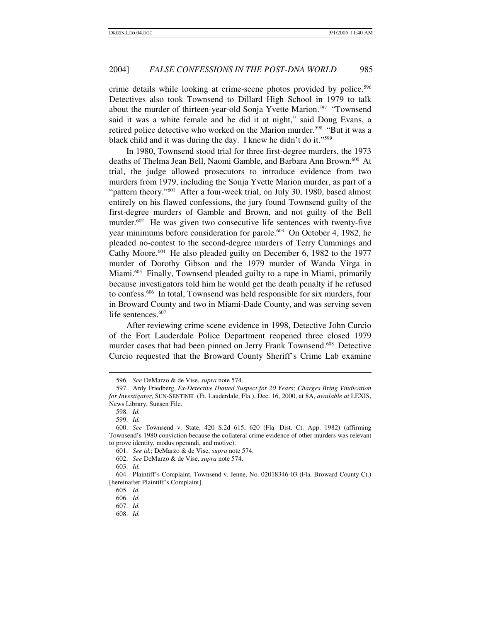crime details while looking at crime-scene photos provided by police. 596 Detectives also took Townsend to Dillard High School in 1979 to talk about the murder of thirteen-year-old Sonja Yvette Marion.<sup>597</sup> "Townsend said it was a white female and he did it at night," said Doug Evans, a retired police detective who worked on the Marion murder.<sup>598</sup> "But it was a black child and it was during the day. I knew he didn't do it."<sup>599</sup>

In 1980, Townsend stood trial for three first-degree murders, the 1973 deaths of Thelma Jean Bell, Naomi Gamble, and Barbara Ann Brown. <sup>600</sup> At trial, the judge allowed prosecutors to introduce evidence from two murders from 1979, including the Sonja Yvette Marion murder, as part of a "pattern theory."<sup>601</sup> After a four-week trial, on July 30, 1980, based almost entirely on his flawed confessions, the jury found Townsend guilty of the first-degree murders of Gamble and Brown, and not guilty of the Bell murder.<sup>602</sup> He was given two consecutive life sentences with twenty-five year minimums before consideration for parole. <sup>603</sup> On October 4, 1982, he pleaded no-contest to the second-degree murders of Terry Cummings and Cathy Moore. <sup>604</sup> He also pleaded guilty on December 6, 1982 to the 1977 murder of Dorothy Gibson and the 1979 murder of Wanda Virga in Miami.<sup>605</sup> Finally, Townsend pleaded guilty to a rape in Miami, primarily because investigators told him he would get the death penalty if he refused to confess. 606 In total, Townsend was held responsible for six murders, four in Broward County and two in Miami-Dade County, and was serving seven life sentences. 607

After reviewing crime scene evidence in 1998, Detective John Curcio of the Fort Lauderdale Police Department reopened three closed 1979 murder cases that had been pinned on Jerry Frank Townsend. <sup>608</sup> Detective Curcio requested that the Broward County Sheriff's Crime Lab examine

<sup>596.</sup> *See* DeMarzo & de Vise, *supra* note 574.

<sup>597.</sup> Ardy Friedberg, *Ex-Detective Hunted Suspect for 20 Years; Charges Bring Vindication for Investigator*, SUN-SENTINEL (Ft. Lauderdale, Fla.), Dec. 16, 2000, at 8A, *available at* LEXIS, News Library, Sunsen File.

<sup>598.</sup> *Id.*

<sup>599.</sup> *Id.*

<sup>600.</sup> *See* Townsend v. State, 420 S.2d 615, 620 (Fla. Dist. Ct. App. 1982) (affirming Townsend's 1980 conviction because the collateral crime evidence of other murders was relevant to prove identity, modus operandi, and motive).

<sup>601.</sup> *See id.*; DeMarzo & de Vise, *supra* note 574.

<sup>602.</sup> *See* DeMarzo & de Vise, *supra* note 574.

<sup>603.</sup> *Id.*

<sup>604.</sup> Plaintiff's Complaint, Townsend v. Jenne, No. 02018346-03 (Fla. Broward County Ct.) [hereinafter Plaintiff's Complaint].

<sup>605.</sup> *Id.*

<sup>606.</sup> *Id.*

<sup>607.</sup> *Id.*

<sup>608.</sup> *Id.*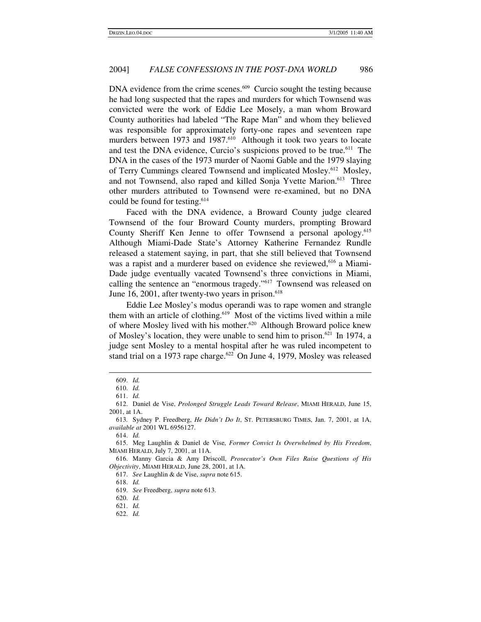DNA evidence from the crime scenes. <sup>609</sup> Curcio sought the testing because he had long suspected that the rapes and murders for which Townsend was convicted were the work of Eddie Lee Mosely, a man whom Broward County authorities had labeled "The Rape Man" and whom they believed was responsible for approximately forty-one rapes and seventeen rape murders between 1973 and 1987.<sup>610</sup> Although it took two years to locate and test the DNA evidence, Curcio's suspicions proved to be true. <sup>611</sup> The DNA in the cases of the 1973 murder of Naomi Gable and the 1979 slaying of Terry Cummings cleared Townsend and implicated Mosley.<sup>612</sup> Mosley, and not Townsend, also raped and killed Sonja Yvette Marion.<sup>613</sup> Three other murders attributed to Townsend were re-examined, but no DNA could be found for testing. 614

Faced with the DNA evidence, a Broward County judge cleared Townsend of the four Broward County murders, prompting Broward County Sheriff Ken Jenne to offer Townsend a personal apology. 615 Although Miami-Dade State's Attorney Katherine Fernandez Rundle released a statement saying, in part, that she still believed that Townsend was a rapist and a murderer based on evidence she reviewed,<sup>616</sup> a Miami-Dade judge eventually vacated Townsend's three convictions in Miami, calling the sentence an "enormous tragedy." <sup>617</sup> Townsend was released on June 16, 2001, after twenty-two years in prison.<sup>618</sup>

Eddie Lee Mosley's modus operandi was to rape women and strangle them with an article of clothing. <sup>619</sup> Most of the victims lived within a mile of where Mosley lived with his mother.<sup>620</sup> Although Broward police knew of Mosley's location, they were unable to send him to prison.<sup>621</sup> In 1974, a judge sent Mosley to a mental hospital after he was ruled incompetent to stand trial on a 1973 rape charge.<sup>622</sup> On June 4, 1979, Mosley was released

614. *Id.*

617. *See* Laughlin & de Vise, *supra* note 615.

<sup>609.</sup> *Id.*

<sup>610.</sup> *Id.*

<sup>611.</sup> *Id.*

<sup>612.</sup> Daniel de Vise, *Prolonged Struggle Leads Toward Release*, MIAMI HERALD, June 15, 2001, at 1A.

<sup>613</sup>*.* Sydney P. Freedberg, *He Didn't Do It*, ST. PETERSBURG TIMES, Jan. 7, 2001, at 1A, *available at* 2001 WL 6956127.

<sup>615.</sup> Meg Laughlin & Daniel de Vise, *Former Convict Is Overwhelmed by His Freedom*, MIAMI HERALD, July 7, 2001, at 11A.

<sup>616.</sup> Manny Garcia & Amy Driscoll, *Prosecutor's Own Files Raise Questions of His Objectivity*, MIAMI HERALD, June 28, 2001, at 1A.

<sup>618.</sup> *Id.*

<sup>619.</sup> *See* Freedberg, *supra* note 613.

<sup>620.</sup> *Id.*

<sup>621.</sup> *Id.*

<sup>622.</sup> *Id.*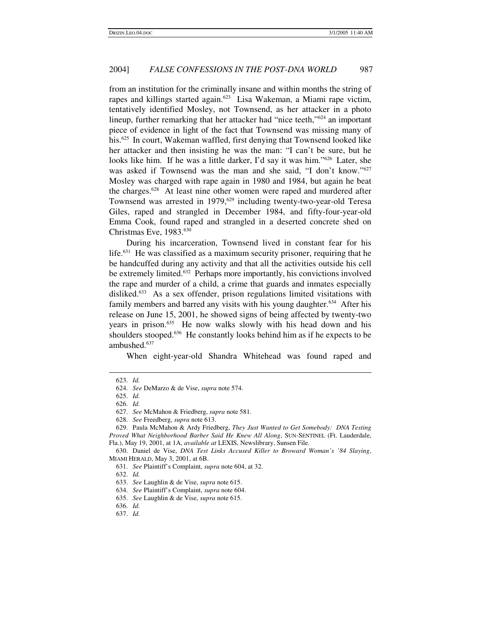from an institution for the criminally insane and within months the string of rapes and killings started again. <sup>623</sup> Lisa Wakeman, a Miami rape victim, tentatively identified Mosley, not Townsend, as her attacker in a photo lineup, further remarking that her attacker had "nice teeth,"<sup>624</sup> an important piece of evidence in light of the fact that Townsend was missing many of his. 625 In court, Wakeman waffled, first denying that Townsend looked like her attacker and then insisting he was the man: "I can't be sure, but he looks like him. If he was a little darker, I'd say it was him." <sup>626</sup> Later, she was asked if Townsend was the man and she said, "I don't know." 627 Mosley was charged with rape again in 1980 and 1984, but again he beat the charges.<sup>628</sup> At least nine other women were raped and murdered after Townsend was arrested in 1979, 629 including twenty-two-year-old Teresa Giles, raped and strangled in December 1984, and fifty-four-year-old Emma Cook, found raped and strangled in a deserted concrete shed on Christmas Eve, 1983. 630

During his incarceration, Townsend lived in constant fear for his life. <sup>631</sup> He was classified as a maximum security prisoner, requiring that he be handcuffed during any activity and that all the activities outside his cell be extremely limited.<sup>632</sup> Perhaps more importantly, his convictions involved the rape and murder of a child, a crime that guards and inmates especially disliked. <sup>633</sup> As a sex offender, prison regulations limited visitations with family members and barred any visits with his young daughter.<sup>634</sup> After his release on June 15, 2001, he showed signs of being affected by twenty-two years in prison. <sup>635</sup> He now walks slowly with his head down and his shoulders stooped.<sup>636</sup> He constantly looks behind him as if he expects to be ambushed. 637

When eight-year-old Shandra Whitehead was found raped and

<sup>623.</sup> *Id.*

<sup>624.</sup> *See* DeMarzo & de Vise, *supra* note 574.

<sup>625.</sup> *Id.*

<sup>626.</sup> *Id.*

<sup>627.</sup> *See* McMahon & Friedberg, *supra* note 581.

<sup>628.</sup> *See* Freedberg, *supra* note 613.

<sup>629.</sup> Paula McMahon & Ardy Friedberg, *They Just Wanted to Get Somebody: DNA Testing Proved What Neighborhood Barber Said He Knew All Along*, SUN-SENTINEL (Ft. Lauderdale, Fla.), May 19, 2001, at 1A, *available at* LEXIS, Newslibrary, Sunsen File.

<sup>630.</sup> Daniel de Vise, *DNA Test Links Accused Killer to Broward Woman's '84 Slaying*, MIAMI HERALD, May 3, 2001, at 6B.

<sup>631.</sup> *See* Plaintiff's Complaint, *supra* note 604, at 32.

<sup>632.</sup> *Id.*

<sup>633.</sup> *See* Laughlin & de Vise, *supra* note 615.

<sup>634.</sup> *See* Plaintiff's Complaint, *supra* note 604.

<sup>635.</sup> *See* Laughlin & de Vise, *supra* note 615.

<sup>636.</sup> *Id.*

<sup>637.</sup> *Id.*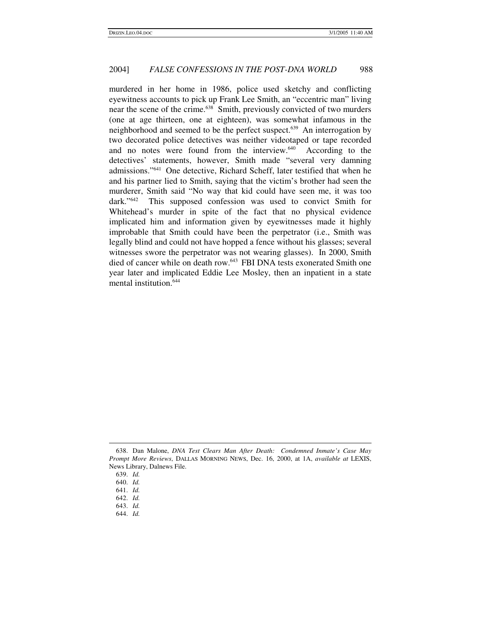murdered in her home in 1986, police used sketchy and conflicting eyewitness accounts to pick up Frank Lee Smith, an "eccentric man" living near the scene of the crime. <sup>638</sup> Smith, previously convicted of two murders (one at age thirteen, one at eighteen), was somewhat infamous in the neighborhood and seemed to be the perfect suspect. <sup>639</sup> An interrogation by two decorated police detectives was neither videotaped or tape recorded and no notes were found from the interview.<sup>640</sup> According to the detectives' statements, however, Smith made "several very damning admissions." <sup>641</sup> One detective, Richard Scheff, later testified that when he and his partner lied to Smith, saying that the victim's brother had seen the murderer, Smith said "No way that kid could have seen me, it was too dark." <sup>642</sup> This supposed confession was used to convict Smith for Whitehead's murder in spite of the fact that no physical evidence implicated him and information given by eyewitnesses made it highly improbable that Smith could have been the perpetrator (i.e., Smith was legally blind and could not have hopped a fence without his glasses; several witnesses swore the perpetrator was not wearing glasses). In 2000, Smith died of cancer while on death row. <sup>643</sup> FBI DNA tests exonerated Smith one year later and implicated Eddie Lee Mosley, then an inpatient in a state mental institution. 644

<sup>638.</sup> Dan Malone, *DNA Test Clears Man After Death: Condemned Inmate's Case May Prompt More Reviews*, DALLAS MORNING NEWS, Dec. 16, 2000, at 1A, *available at* LEXIS, News Library, Dalnews File.

<sup>639.</sup> *Id.*

<sup>640.</sup> *Id.*

<sup>641.</sup> *Id.*

<sup>642.</sup> *Id.*

<sup>643.</sup> *Id.*

<sup>644.</sup> *Id.*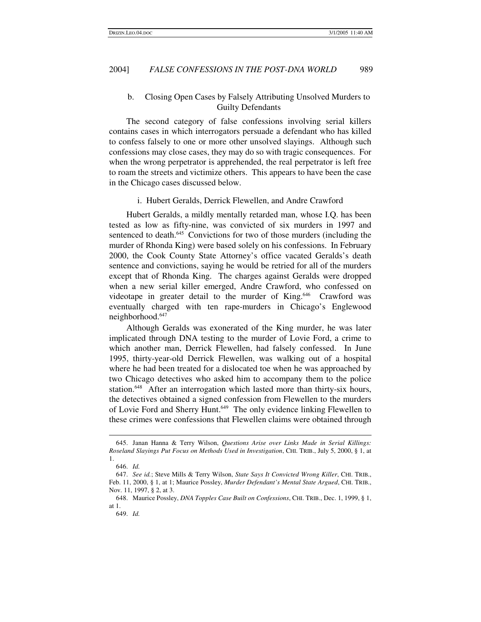# b. Closing Open Cases by Falsely Attributing Unsolved Murders to Guilty Defendants

The second category of false confessions involving serial killers contains cases in which interrogators persuade a defendant who has killed to confess falsely to one or more other unsolved slayings. Although such confessions may close cases, they may do so with tragic consequences. For when the wrong perpetrator is apprehended, the real perpetrator is left free to roam the streets and victimize others. This appears to have been the case in the Chicago cases discussed below.

#### i. Hubert Geralds, Derrick Flewellen, and Andre Crawford

Hubert Geralds, a mildly mentally retarded man, whose I.Q. has been tested as low as fifty-nine, was convicted of six murders in 1997 and sentenced to death.<sup>645</sup> Convictions for two of those murders (including the murder of Rhonda King) were based solely on his confessions. In February 2000, the Cook County State Attorney's office vacated Geralds's death sentence and convictions, saying he would be retried for all of the murders except that of Rhonda King. The charges against Geralds were dropped when a new serial killer emerged, Andre Crawford, who confessed on videotape in greater detail to the murder of King.<sup>646</sup> Crawford was eventually charged with ten rape-murders in Chicago's Englewood neighborhood. 647

Although Geralds was exonerated of the King murder, he was later implicated through DNA testing to the murder of Lovie Ford, a crime to which another man, Derrick Flewellen, had falsely confessed. In June 1995, thirty-year-old Derrick Flewellen, was walking out of a hospital where he had been treated for a dislocated toe when he was approached by two Chicago detectives who asked him to accompany them to the police station.<sup>648</sup> After an interrogation which lasted more than thirty-six hours, the detectives obtained a signed confession from Flewellen to the murders of Lovie Ford and Sherry Hunt.<sup>649</sup> The only evidence linking Flewellen to these crimes were confessions that Flewellen claims were obtained through

<sup>645.</sup> Janan Hanna & Terry Wilson, *Questions Arise over Links Made in Serial Killings: Roseland Slayings Put Focus on Methods Used in Investigation*, CHI. TRIB., July 5, 2000, § 1, at 1.

<sup>646.</sup> *Id.*

<sup>647.</sup> *See id.*; Steve Mills & Terry Wilson, *State Says It Convicted Wrong Killer*, CHI. TRIB., Feb. 11, 2000, § 1, at 1; Maurice Possley, *Murder Defendant's Mental State Argued*, CHI. TRIB., Nov. 11, 1997, § 2, at 3.

<sup>648.</sup> Maurice Possley, *DNA Topples Case Built on Confessions*, CHI. TRIB., Dec. 1, 1999, § 1, at 1.

<sup>649.</sup> *Id.*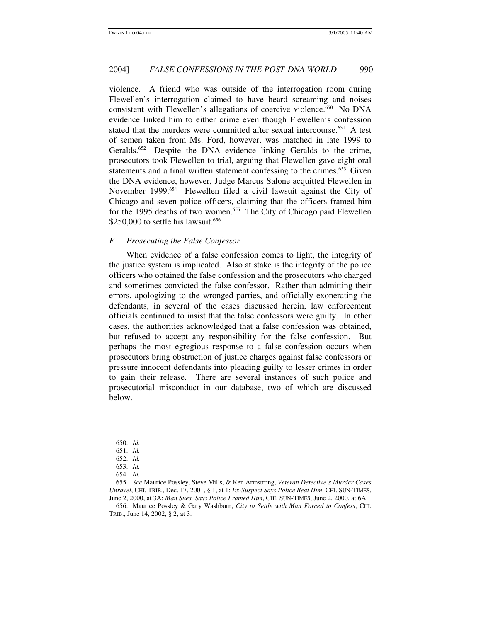violence. A friend who was outside of the interrogation room during Flewellen's interrogation claimed to have heard screaming and noises consistent with Flewellen's allegations of coercive violence. <sup>650</sup> No DNA evidence linked him to either crime even though Flewellen's confession stated that the murders were committed after sexual intercourse.<sup>651</sup> A test of semen taken from Ms. Ford, however, was matched in late 1999 to Geralds.<sup>652</sup> Despite the DNA evidence linking Geralds to the crime, prosecutors took Flewellen to trial, arguing that Flewellen gave eight oral statements and a final written statement confessing to the crimes. <sup>653</sup> Given the DNA evidence, however, Judge Marcus Salone acquitted Flewellen in November 1999.<sup>654</sup> Flewellen filed a civil lawsuit against the City of Chicago and seven police officers, claiming that the officers framed him for the 1995 deaths of two women. <sup>655</sup> The City of Chicago paid Flewellen \$250,000 to settle his lawsuit.<sup>656</sup>

#### *F. Prosecuting the False Confessor*

When evidence of a false confession comes to light, the integrity of the justice system is implicated. Also at stake is the integrity of the police officers who obtained the false confession and the prosecutors who charged and sometimes convicted the false confessor. Rather than admitting their errors, apologizing to the wronged parties, and officially exonerating the defendants, in several of the cases discussed herein, law enforcement officials continued to insist that the false confessors were guilty. In other cases, the authorities acknowledged that a false confession was obtained, but refused to accept any responsibility for the false confession. But perhaps the most egregious response to a false confession occurs when prosecutors bring obstruction of justice charges against false confessors or pressure innocent defendants into pleading guilty to lesser crimes in order to gain their release. There are several instances of such police and prosecutorial misconduct in our database, two of which are discussed below.

656. Maurice Possley & Gary Washburn, *City to Settle with Man Forced to Confess*, CHI. TRIB., June 14, 2002, § 2, at 3.

<sup>650.</sup> *Id.*

<sup>651.</sup> *Id.*

<sup>652.</sup> *Id.*

<sup>653.</sup> *Id.*

<sup>654.</sup> *Id.*

<sup>655.</sup> *See* Maurice Possley, Steve Mills, & Ken Armstrong, *Veteran Detective's Murder Cases Unravel*, CHI. TRIB., Dec. 17, 2001, § 1, at 1; *Ex-Suspect Says Police Beat Him*, CHI. SUN-TIMES, June 2, 2000, at 3A; *Man Sues, Says Police Framed Him*, CHI. SUN-TIMES, June 2, 2000, at 6A.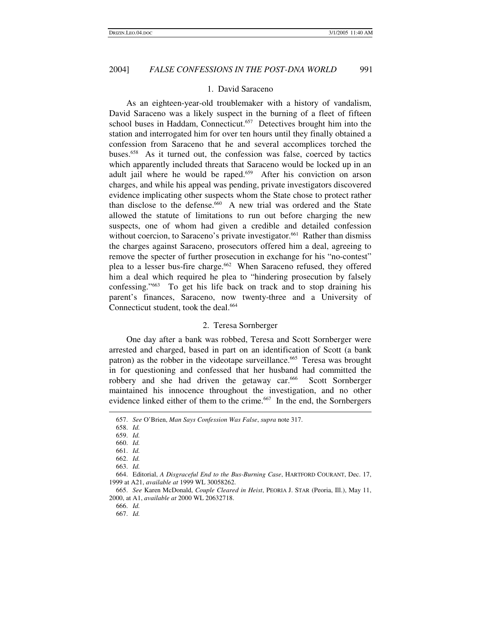#### 1. David Saraceno

As an eighteen-year-old troublemaker with a history of vandalism, David Saraceno was a likely suspect in the burning of a fleet of fifteen school buses in Haddam, Connecticut.<sup>657</sup> Detectives brought him into the station and interrogated him for over ten hours until they finally obtained a confession from Saraceno that he and several accomplices torched the buses. <sup>658</sup> As it turned out, the confession was false, coerced by tactics which apparently included threats that Saraceno would be locked up in an adult jail where he would be raped. <sup>659</sup> After his conviction on arson charges, and while his appeal was pending, private investigators discovered evidence implicating other suspects whom the State chose to protect rather than disclose to the defense. <sup>660</sup> A new trial was ordered and the State allowed the statute of limitations to run out before charging the new suspects, one of whom had given a credible and detailed confession without coercion, to Saraceno's private investigator.<sup>661</sup> Rather than dismiss the charges against Saraceno, prosecutors offered him a deal, agreeing to remove the specter of further prosecution in exchange for his "no-contest" plea to a lesser bus-fire charge.<sup>662</sup> When Saraceno refused, they offered him a deal which required he plea to "hindering prosecution by falsely confessing." <sup>663</sup> To get his life back on track and to stop draining his parent's finances, Saraceno, now twenty-three and a University of Connecticut student, took the deal. 664

# 2. Teresa Sornberger

One day after a bank was robbed, Teresa and Scott Sornberger were arrested and charged, based in part on an identification of Scott (a bank patron) as the robber in the videotape surveillance. <sup>665</sup> Teresa was brought in for questioning and confessed that her husband had committed the robbery and she had driven the getaway car.<sup>666</sup> Scott Sornberger maintained his innocence throughout the investigation, and no other evidence linked either of them to the crime.<sup>667</sup> In the end, the Sornbergers

666. *Id.*

<sup>657.</sup> *See* O'Brien, *Man Says Confession Was False*, *supra* note 317.

<sup>658.</sup> *Id.*

<sup>659.</sup> *Id.*

<sup>660.</sup> *Id.* 661. *Id.*

<sup>662.</sup> *Id.*

<sup>663.</sup> *Id.*

<sup>664.</sup> Editorial, *A Disgraceful End to the Bus-Burning Case*, HARTFORD COURANT, Dec. 17, 1999 at A21, *available at* 1999 WL 30058262.

<sup>665.</sup> *See* Karen McDonald, *Couple Cleared in Heist*, PEORIA J. STAR (Peoria, Ill.), May 11, 2000, at A1, *available at* 2000 WL 20632718.

<sup>667.</sup> *Id.*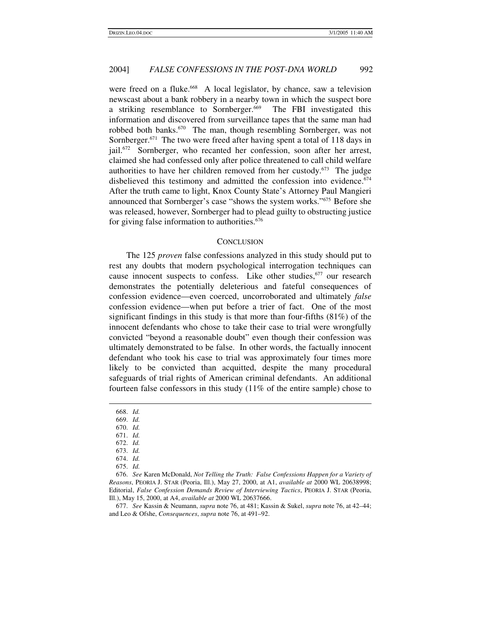were freed on a fluke.<sup>668</sup> A local legislator, by chance, saw a television newscast about a bank robbery in a nearby town in which the suspect bore a striking resemblance to Sornberger.<sup>669</sup> The FBI investigated this information and discovered from surveillance tapes that the same man had robbed both banks.<sup>670</sup> The man, though resembling Sornberger, was not Sornberger.<sup>671</sup> The two were freed after having spent a total of 118 days in jail.<sup>672</sup> Sornberger, who recanted her confession, soon after her arrest, claimed she had confessed only after police threatened to call child welfare authorities to have her children removed from her custody. <sup>673</sup> The judge disbelieved this testimony and admitted the confession into evidence. 674 After the truth came to light, Knox County State's Attorney Paul Mangieri announced that Sornberger's case "shows the system works." <sup>675</sup> Before she was released, however, Sornberger had to plead guilty to obstructing justice for giving false information to authorities. 676

#### **CONCLUSION**

The 125 *proven* false confessions analyzed in this study should put to rest any doubts that modern psychological interrogation techniques can cause innocent suspects to confess. Like other studies, <sup>677</sup> our research demonstrates the potentially deleterious and fateful consequences of confession evidence—even coerced, uncorroborated and ultimately *false* confession evidence—when put before a trier of fact. One of the most significant findings in this study is that more than four-fifths (81%) of the innocent defendants who chose to take their case to trial were wrongfully convicted "beyond a reasonable doubt" even though their confession was ultimately demonstrated to be false. In other words, the factually innocent defendant who took his case to trial was approximately four times more likely to be convicted than acquitted, despite the many procedural safeguards of trial rights of American criminal defendants. An additional fourteen false confessors in this study (11% of the entire sample) chose to

677. *See* Kassin & Neumann, *supra* note 76, at 481; Kassin & Sukel, *supra* note 76, at 42–44; and Leo & Ofshe, *Consequences*, *supra* note 76, at 491–92.

<sup>668.</sup> *Id.*

<sup>669.</sup> *Id.*

<sup>670.</sup> *Id.*

<sup>671.</sup> *Id.*

<sup>672.</sup> *Id.*

<sup>673.</sup> *Id.*

<sup>674.</sup> *Id.*

<sup>675.</sup> *Id.*

<sup>676.</sup> *See* Karen McDonald, *Not Telling the Truth: False Confessions Happen for a Variety of Reasons*, PEORIA J. STAR (Peoria, Ill.), May 27, 2000, at A1, *available at* 2000 WL 20638998; Editorial, *False Confession Demands Review of Interviewing Tactics*, PEORIA J. STAR (Peoria, Ill.), May 15, 2000, at A4, *available at* 2000 WL 20637666.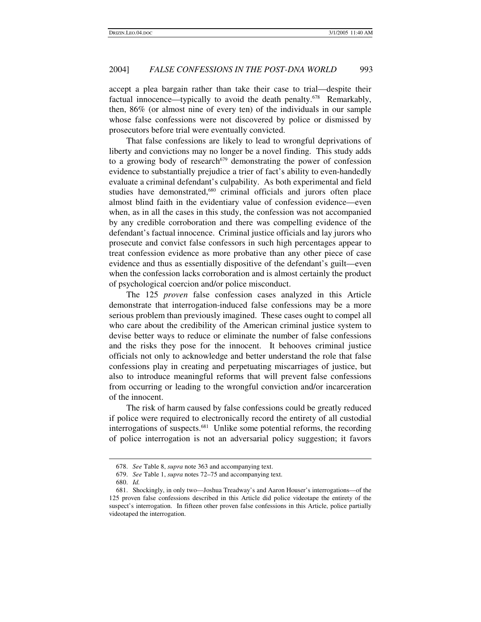accept a plea bargain rather than take their case to trial—despite their factual innocence—typically to avoid the death penalty.<sup>678</sup> Remarkably, then, 86% (or almost nine of every ten) of the individuals in our sample whose false confessions were not discovered by police or dismissed by prosecutors before trial were eventually convicted.

That false confessions are likely to lead to wrongful deprivations of liberty and convictions may no longer be a novel finding. This study adds to a growing body of research <sup>679</sup> demonstrating the power of confession evidence to substantially prejudice a trier of fact's ability to even-handedly evaluate a criminal defendant's culpability. As both experimental and field studies have demonstrated,<sup>680</sup> criminal officials and jurors often place almost blind faith in the evidentiary value of confession evidence—even when, as in all the cases in this study, the confession was not accompanied by any credible corroboration and there was compelling evidence of the defendant's factual innocence. Criminal justice officials and lay jurors who prosecute and convict false confessors in such high percentages appear to treat confession evidence as more probative than any other piece of case evidence and thus as essentially dispositive of the defendant's guilt—even when the confession lacks corroboration and is almost certainly the product of psychological coercion and/or police misconduct.

The 125 *proven* false confession cases analyzed in this Article demonstrate that interrogation-induced false confessions may be a more serious problem than previously imagined. These cases ought to compel all who care about the credibility of the American criminal justice system to devise better ways to reduce or eliminate the number of false confessions and the risks they pose for the innocent. It behooves criminal justice officials not only to acknowledge and better understand the role that false confessions play in creating and perpetuating miscarriages of justice, but also to introduce meaningful reforms that will prevent false confessions from occurring or leading to the wrongful conviction and/or incarceration of the innocent.

The risk of harm caused by false confessions could be greatly reduced if police were required to electronically record the entirety of all custodial interrogations of suspects. <sup>681</sup> Unlike some potential reforms, the recording of police interrogation is not an adversarial policy suggestion; it favors

<sup>678.</sup> *See* Table 8, *supra* note 363 and accompanying text.

<sup>679.</sup> *See* Table 1, *supra* notes 72–75 and accompanying text.

<sup>680.</sup> *Id.*

<sup>681.</sup> Shockingly, in only two—Joshua Treadway's and Aaron Houser's interrogations—of the 125 proven false confessions described in this Article did police videotape the entirety of the suspect's interrogation. In fifteen other proven false confessions in this Article, police partially videotaped the interrogation.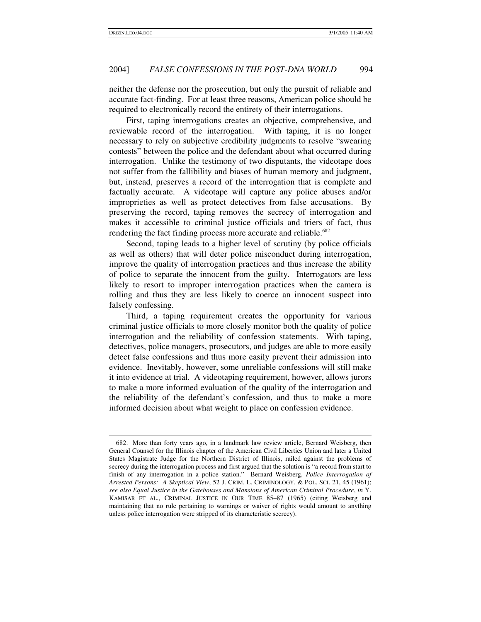neither the defense nor the prosecution, but only the pursuit of reliable and accurate fact-finding. For at least three reasons, American police should be required to electronically record the entirety of their interrogations.

First, taping interrogations creates an objective, comprehensive, and reviewable record of the interrogation. With taping, it is no longer necessary to rely on subjective credibility judgments to resolve "swearing contests" between the police and the defendant about what occurred during interrogation. Unlike the testimony of two disputants, the videotape does not suffer from the fallibility and biases of human memory and judgment, but, instead, preserves a record of the interrogation that is complete and factually accurate. A videotape will capture any police abuses and/or improprieties as well as protect detectives from false accusations. By preserving the record, taping removes the secrecy of interrogation and makes it accessible to criminal justice officials and triers of fact, thus rendering the fact finding process more accurate and reliable.<sup>682</sup>

Second, taping leads to a higher level of scrutiny (by police officials as well as others) that will deter police misconduct during interrogation, improve the quality of interrogation practices and thus increase the ability of police to separate the innocent from the guilty. Interrogators are less likely to resort to improper interrogation practices when the camera is rolling and thus they are less likely to coerce an innocent suspect into falsely confessing.

Third, a taping requirement creates the opportunity for various criminal justice officials to more closely monitor both the quality of police interrogation and the reliability of confession statements. With taping, detectives, police managers, prosecutors, and judges are able to more easily detect false confessions and thus more easily prevent their admission into evidence. Inevitably, however, some unreliable confessions will still make it into evidence at trial. A videotaping requirement, however, allows jurors to make a more informed evaluation of the quality of the interrogation and the reliability of the defendant's confession, and thus to make a more informed decision about what weight to place on confession evidence.

<sup>682.</sup> More than forty years ago, in a landmark law review article, Bernard Weisberg, then General Counsel for the Illinois chapter of the American Civil Liberties Union and later a United States Magistrate Judge for the Northern District of Illinois, railed against the problems of secrecy during the interrogation process and first argued that the solution is "a record from start to finish of any interrogation in a police station." Bernard Weisberg, *Police Interrogation of Arrested Persons: A Skeptical View*, 52 J. CRIM. L. CRIMINOLOGY. & POL. SCI. 21, 45 (1961); *see also Equal Justice in the Gatehouses and Mansions of American Criminal Procedure*, *in* Y. KAMISAR ET AL., CRIMINAL JUSTICE IN OUR TIME 85–87 (1965) (citing Weisberg and maintaining that no rule pertaining to warnings or waiver of rights would amount to anything unless police interrogation were stripped of its characteristic secrecy).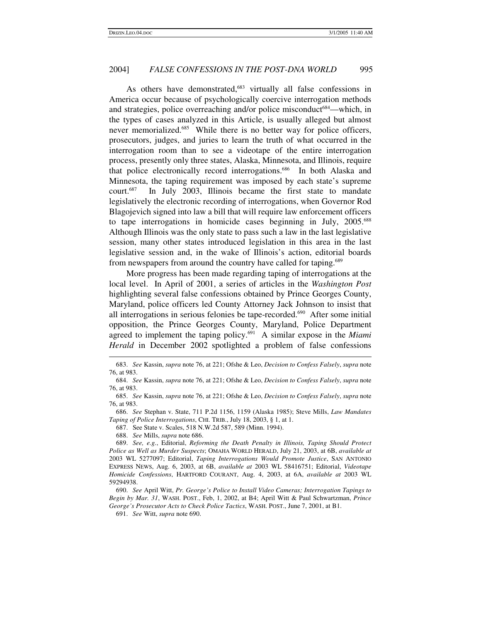As others have demonstrated, <sup>683</sup> virtually all false confessions in America occur because of psychologically coercive interrogation methods and strategies, police overreaching and/or police misconduct <sup>684</sup>—which, in the types of cases analyzed in this Article, is usually alleged but almost never memorialized.<sup>685</sup> While there is no better way for police officers, prosecutors, judges, and juries to learn the truth of what occurred in the interrogation room than to see a videotape of the entire interrogation process, presently only three states, Alaska, Minnesota, and Illinois, require that police electronically record interrogations. 686 In both Alaska and Minnesota, the taping requirement was imposed by each state's supreme court. 687 In July 2003, Illinois became the first state to mandate legislatively the electronic recording of interrogations, when Governor Rod Blagojevich signed into law a bill that will require law enforcement officers to tape interrogations in homicide cases beginning in July, 2005. 688 Although Illinois was the only state to pass such a law in the last legislative session, many other states introduced legislation in this area in the last legislative session and, in the wake of Illinois's action, editorial boards from newspapers from around the country have called for taping.<sup>689</sup>

More progress has been made regarding taping of interrogations at the local level. In April of 2001, a series of articles in the *Washington Post* highlighting several false confessions obtained by Prince Georges County, Maryland, police officers led County Attorney Jack Johnson to insist that all interrogations in serious felonies be tape-recorded. <sup>690</sup> After some initial opposition, the Prince Georges County, Maryland, Police Department agreed to implement the taping policy. <sup>691</sup> A similar expose in the *Miami Herald* in December 2002 spotlighted a problem of false confessions

686. *See* Stephan v. State, 711 P.2d 1156, 1159 (Alaska 1985); Steve Mills, *Law Mandates Taping of Police Interrogations*, CHI. TRIB., July 18, 2003, § 1, at 1.

687. See State v. Scales, 518 N.W.2d 587, 589 (Minn. 1994).

688. *See* Mills, *supra* note 686.

690. *See* April Witt, *Pr. George's Police to Install Video Cameras; Interrogation Tapings to Begin by Mar. 31*, WASH. POST., Feb, 1, 2002, at B4; April Witt & Paul Schwartzman, *Prince George's Prosecutor Acts to Check Police Tactics*, WASH. POST., June 7, 2001, at B1.

691. *See* Witt, *supra* note 690.

<sup>683.</sup> *See* Kassin, *supra* note 76, at 221; Ofshe & Leo, *Decision to Confess Falsely*, *supra* note 76, at 983.

<sup>684.</sup> *See* Kassin, *supra* note 76, at 221; Ofshe & Leo, *Decision to Confess Falsely*, *supra* note 76, at 983.

<sup>685.</sup> *See* Kassin, *supra* note 76, at 221; Ofshe & Leo, *Decision to Confess Falsely*, *supra* note 76, at 983.

<sup>689.</sup> *See, e.g.*, Editorial, *Reforming the Death Penalty in Illinois, Taping Should Protect Police as Well as Murder Suspects*; OMAHA WORLD HERALD, July 21, 2003, at 6B, *available at* 2003 WL 5277097; Editorial, *Taping Interrogations Would Promote Justice*, SAN ANTONIO EXPRESS NEWS, Aug. 6, 2003, at 6B, *available at* 2003 WL 58416751; Editorial, *Videotape Homicide Confessions*, HARTFORD COURANT, Aug. 4, 2003, at 6A, *available at* 2003 WL 59294938.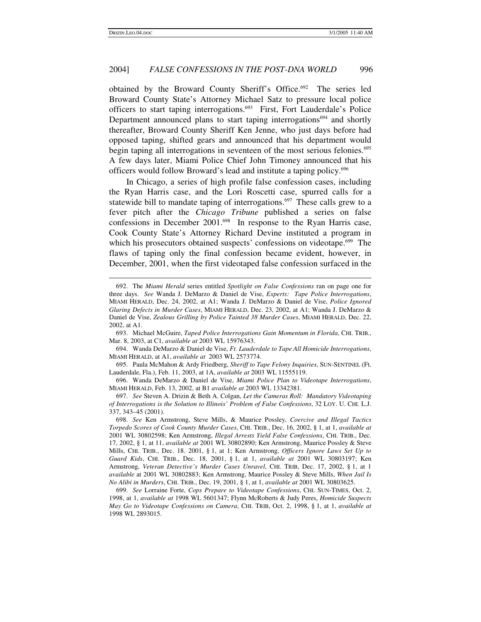obtained by the Broward County Sheriff's Office. <sup>692</sup> The series led Broward County State's Attorney Michael Satz to pressure local police officers to start taping interrogations. <sup>693</sup> First, Fort Lauderdale's Police Department announced plans to start taping interrogations<sup>694</sup> and shortly thereafter, Broward County Sheriff Ken Jenne, who just days before had opposed taping, shifted gears and announced that his department would begin taping all interrogations in seventeen of the most serious felonies. 695 A few days later, Miami Police Chief John Timoney announced that his officers would follow Broward's lead and institute a taping policy. 696

In Chicago, a series of high profile false confession cases, including the Ryan Harris case, and the Lori Roscetti case, spurred calls for a statewide bill to mandate taping of interrogations.<sup>697</sup> These calls grew to a fever pitch after the *Chicago Tribune* published a series on false confessions in December 2001.<sup>698</sup> In response to the Ryan Harris case, Cook County State's Attorney Richard Devine instituted a program in which his prosecutors obtained suspects' confessions on videotape.<sup>699</sup> The flaws of taping only the final confession became evident, however, in December, 2001, when the first videotaped false confession surfaced in the

<sup>692.</sup> The *Miami Herald* series entitled *Spotlight on False Confessions* ran on page one for three days. *See* Wanda J. DeMarzo & Daniel de Vise, *Experts: Tape Police Interrogations*, MIAMI HERALD, Dec. 24, 2002, at A1; Wanda J. DeMarzo & Daniel de Vise, *Police Ignored Glaring Defects in Murder Cases*, MIAMI HERALD, Dec. 23, 2002, at A1; Wanda J. DeMarzo & Daniel de Vise, *Zealous Grilling by Police Tainted 38 Murder Cases*, MIAMI HERALD, Dec. 22, 2002, at A1.

<sup>693.</sup> Michael McGuire, *Taped Police Interrogations Gain Momentum in Florida*, CHI. TRIB., Mar. 8, 2003, at C1, *available at* 2003 WL 15976343.

<sup>694.</sup> Wanda DeMarzo & Daniel de Vise, *Ft. Lauderdale to Tape All Homicide Interrogations*, MIAMI HERALD, at A1, *available at* 2003 WL 2573774.

<sup>695.</sup> Paula McMahon & Ardy Friedberg, *Sheriff to Tape Felony Inquiries*, SUN-SENTINEL (Ft. Lauderdale, Fla.), Feb. 11, 2003, at 1A, *available at* 2003 WL 11555119.

<sup>696.</sup> Wanda DeMarzo & Daniel de Vise, *Miami Police Plan to Videotape Interrogations*, MIAMI HERALD, Feb. 13, 2002, at B1 *available at* 2003 WL 13342381.

<sup>697.</sup> *See* Steven A. Drizin & Beth A. Colgan, *Let the Cameras Roll: Mandatory Videotaping of Interrogations is the Solution to Illinois' Problem of False Confessions*, 32 LOY. U. CHI. L.J. 337, 343–45 (2001).

<sup>698.</sup> *See* Ken Armstrong, Steve Mills, & Maurice Possley, *Coercive and Illegal Tactics Torpedo Scores of Cook County Murder Cases*, CHI. TRIB., Dec. 16, 2002, § 1, at 1, *available at* 2001 WL 30802598; Ken Armstrong, *Illegal Arrests Yield False Confessions*, CHI. TRIB., Dec. 17, 2002, § 1, at 11, *available at* 2001 WL 30802890; Ken Armstrong, Maurice Possley & Steve Mills, CHI. TRIB., Dec. 18. 2001, § 1, at 1; Ken Armstrong, *Officers Ignore Laws Set Up to Guard Kids*, CHI. TRIB., Dec. 18, 2001, § 1, at 1, *available at* 2001 WL 30803197; Ken Armstrong, *Veteran Detective's Murder Cases Unravel*, CHI. TRIB, Dec. 17, 2002, § 1, at 1 *available* at 2001 WL 30802883; Ken Armstrong, Maurice Possley & Steve Mills, *When Jail Is No Alibi in Murders*, CHI. TRIB., Dec. 19, 2001, § 1, at 1, *available at* 2001 WL 30803625.

<sup>699.</sup> *See* Lorraine Forte, *Cops Prepare to Videotape Confessions*, CHI. SUN-TIMES, Oct. 2, 1998, at 1, *available at* 1998 WL 5601347; Flynn McRoberts & Judy Peres, *Homicide Suspects May Go to Videotape Confessions on Camera*, CHI. TRIB, Oct. 2, 1998, § 1, at 1, *available at* 1998 WL 2893015.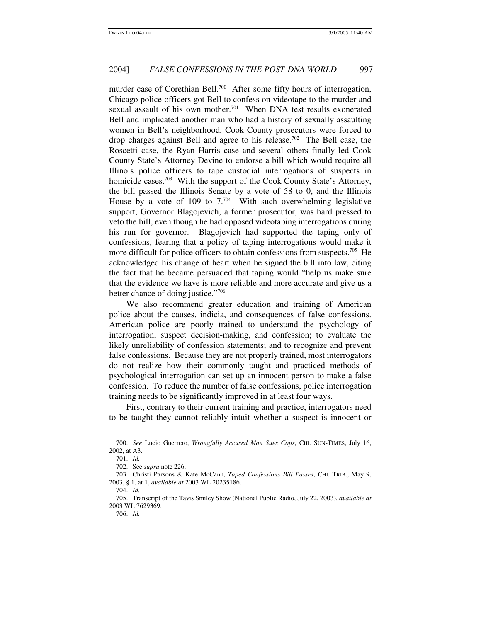murder case of Corethian Bell.<sup>700</sup> After some fifty hours of interrogation, Chicago police officers got Bell to confess on videotape to the murder and sexual assault of his own mother.<sup>701</sup> When DNA test results exonerated Bell and implicated another man who had a history of sexually assaulting women in Bell's neighborhood, Cook County prosecutors were forced to drop charges against Bell and agree to his release. <sup>702</sup> The Bell case, the Roscetti case, the Ryan Harris case and several others finally led Cook County State's Attorney Devine to endorse a bill which would require all Illinois police officers to tape custodial interrogations of suspects in homicide cases.<sup>703</sup> With the support of the Cook County State's Attorney, the bill passed the Illinois Senate by a vote of 58 to 0, and the Illinois House by a vote of 109 to  $7.^{704}$  With such overwhelming legislative support, Governor Blagojevich, a former prosecutor, was hard pressed to veto the bill, even though he had opposed videotaping interrogations during his run for governor. Blagojevich had supported the taping only of confessions, fearing that a policy of taping interrogations would make it more difficult for police officers to obtain confessions from suspects.<sup>705</sup> He acknowledged his change of heart when he signed the bill into law, citing the fact that he became persuaded that taping would "help us make sure that the evidence we have is more reliable and more accurate and give us a better chance of doing justice." 706

We also recommend greater education and training of American police about the causes, indicia, and consequences of false confessions. American police are poorly trained to understand the psychology of interrogation, suspect decision-making, and confession; to evaluate the likely unreliability of confession statements; and to recognize and prevent false confessions. Because they are not properly trained, most interrogators do not realize how their commonly taught and practiced methods of psychological interrogation can set up an innocent person to make a false confession. To reduce the number of false confessions, police interrogation training needs to be significantly improved in at least four ways.

First, contrary to their current training and practice, interrogators need to be taught they cannot reliably intuit whether a suspect is innocent or

<sup>700.</sup> *See* Lucio Guerrero, *Wrongfully Accused Man Sues Cops*, CHI. SUN-TIMES, July 16, 2002, at A3.

<sup>701.</sup> *Id.*

<sup>702.</sup> See *supra* note 226.

<sup>703.</sup> Christi Parsons & Kate McCann, *Taped Confessions Bill Passes*, CHI. TRIB., May 9, 2003, § 1, at 1, *available at* 2003 WL 20235186.

<sup>704.</sup> *Id.*

<sup>705.</sup> Transcript of the Tavis Smiley Show (National Public Radio, July 22, 2003), *available at* 2003 WL 7629369.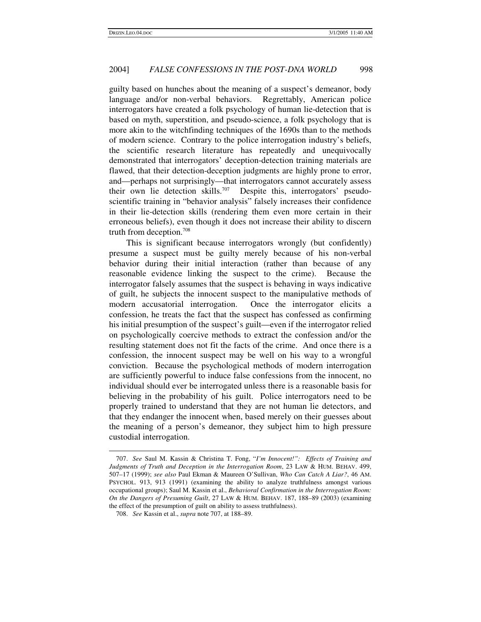guilty based on hunches about the meaning of a suspect's demeanor, body language and/or non-verbal behaviors. Regrettably, American police interrogators have created a folk psychology of human lie-detection that is based on myth, superstition, and pseudo-science, a folk psychology that is more akin to the witchfinding techniques of the 1690s than to the methods of modern science. Contrary to the police interrogation industry's beliefs, the scientific research literature has repeatedly and unequivocally demonstrated that interrogators' deception-detection training materials are flawed, that their detection-deception judgments are highly prone to error, and—perhaps not surprisingly—that interrogators cannot accurately assess their own lie detection skills.<sup>707</sup> Despite this, interrogators' pseudoscientific training in "behavior analysis" falsely increases their confidence in their lie-detection skills (rendering them even more certain in their erroneous beliefs), even though it does not increase their ability to discern truth from deception. 708

This is significant because interrogators wrongly (but confidently) presume a suspect must be guilty merely because of his non-verbal behavior during their initial interaction (rather than because of any reasonable evidence linking the suspect to the crime). Because the interrogator falsely assumes that the suspect is behaving in ways indicative of guilt, he subjects the innocent suspect to the manipulative methods of modern accusatorial interrogation. Once the interrogator elicits a confession, he treats the fact that the suspect has confessed as confirming his initial presumption of the suspect's guilt—even if the interrogator relied on psychologically coercive methods to extract the confession and/or the resulting statement does not fit the facts of the crime. And once there is a confession, the innocent suspect may be well on his way to a wrongful conviction. Because the psychological methods of modern interrogation are sufficiently powerful to induce false confessions from the innocent, no individual should ever be interrogated unless there is a reasonable basis for believing in the probability of his guilt. Police interrogators need to be properly trained to understand that they are not human lie detectors, and that they endanger the innocent when, based merely on their guesses about the meaning of a person's demeanor, they subject him to high pressure custodial interrogation.

<sup>707.</sup> *See* Saul M. Kassin & Christina T. Fong, "*I'm Innocent!": Effects of Training and Judgments of Truth and Deception in the Interrogation Room*, 23 LAW & HUM. BEHAV. 499, 507–17 (1999); *see also* Paul Ekman & Maureen O'Sullivan, *Who Can Catch A Liar?*, 46 AM. PSYCHOL. 913, 913 (1991) (examining the ability to analyze truthfulness amongst various occupational groups); Saul M. Kassin et al., *Behavioral Confirmation in the Interrogation Room: On the Dangers of Presuming Guilt*, 27 LAW & HUM. BEHAV. 187, 188–89 (2003) (examining the effect of the presumption of guilt on ability to assess truthfulness).

<sup>708.</sup> *See* Kassin et al., *supra* note 707, at 188–89.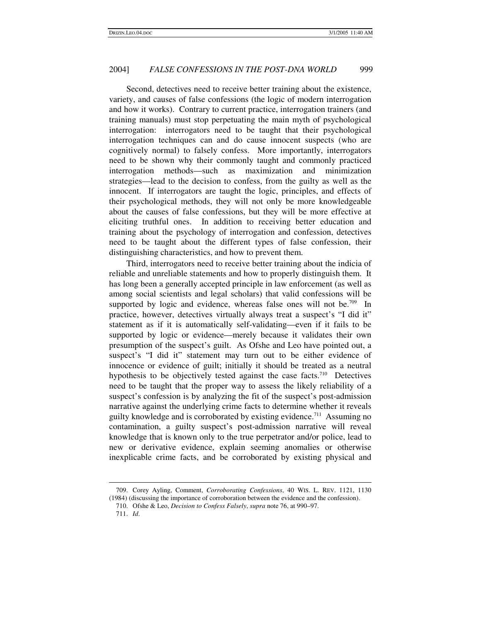Second, detectives need to receive better training about the existence, variety, and causes of false confessions (the logic of modern interrogation and how it works). Contrary to current practice, interrogation trainers (and training manuals) must stop perpetuating the main myth of psychological interrogation: interrogators need to be taught that their psychological interrogation techniques can and do cause innocent suspects (who are cognitively normal) to falsely confess. More importantly, interrogators need to be shown why their commonly taught and commonly practiced interrogation methods—such as maximization and minimization strategies—lead to the decision to confess, from the guilty as well as the innocent. If interrogators are taught the logic, principles, and effects of their psychological methods, they will not only be more knowledgeable about the causes of false confessions, but they will be more effective at eliciting truthful ones. In addition to receiving better education and training about the psychology of interrogation and confession, detectives need to be taught about the different types of false confession, their distinguishing characteristics, and how to prevent them.

Third, interrogators need to receive better training about the indicia of reliable and unreliable statements and how to properly distinguish them. It has long been a generally accepted principle in law enforcement (as well as among social scientists and legal scholars) that valid confessions will be supported by logic and evidence, whereas false ones will not be.<sup>709</sup> In practice, however, detectives virtually always treat a suspect's "I did it" statement as if it is automatically self-validating—even if it fails to be supported by logic or evidence—merely because it validates their own presumption of the suspect's guilt. As Ofshe and Leo have pointed out, a suspect's "I did it" statement may turn out to be either evidence of innocence or evidence of guilt; initially it should be treated as a neutral hypothesis to be objectively tested against the case facts.<sup>710</sup> Detectives need to be taught that the proper way to assess the likely reliability of a suspect's confession is by analyzing the fit of the suspect's post-admission narrative against the underlying crime facts to determine whether it reveals guilty knowledge and is corroborated by existing evidence. <sup>711</sup> Assuming no contamination, a guilty suspect's post-admission narrative will reveal knowledge that is known only to the true perpetrator and/or police, lead to new or derivative evidence, explain seeming anomalies or otherwise inexplicable crime facts, and be corroborated by existing physical and

<sup>709.</sup> Corey Ayling, Comment, *Corroborating Confessions*, 40 WIS. L. REV. 1121, 1130 (1984) (discussing the importance of corroboration between the evidence and the confession).

<sup>710.</sup> Ofshe & Leo, *Decision to Confess Falsely*, *supra* note 76, at 990–97.

<sup>711.</sup> *Id*.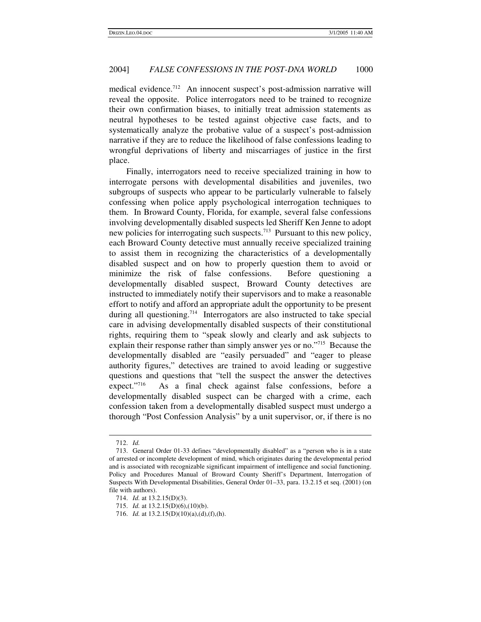medical evidence.<sup>712</sup> An innocent suspect's post-admission narrative will reveal the opposite. Police interrogators need to be trained to recognize their own confirmation biases, to initially treat admission statements as neutral hypotheses to be tested against objective case facts, and to systematically analyze the probative value of a suspect's post-admission narrative if they are to reduce the likelihood of false confessions leading to wrongful deprivations of liberty and miscarriages of justice in the first place.

Finally, interrogators need to receive specialized training in how to interrogate persons with developmental disabilities and juveniles, two subgroups of suspects who appear to be particularly vulnerable to falsely confessing when police apply psychological interrogation techniques to them. In Broward County, Florida, for example, several false confessions involving developmentally disabled suspects led Sheriff Ken Jenne to adopt new policies for interrogating such suspects.<sup>713</sup> Pursuant to this new policy, each Broward County detective must annually receive specialized training to assist them in recognizing the characteristics of a developmentally disabled suspect and on how to properly question them to avoid or minimize the risk of false confessions. Before questioning a developmentally disabled suspect, Broward County detectives are instructed to immediately notify their supervisors and to make a reasonable effort to notify and afford an appropriate adult the opportunity to be present during all questioning.<sup>714</sup> Interrogators are also instructed to take special care in advising developmentally disabled suspects of their constitutional rights, requiring them to "speak slowly and clearly and ask subjects to explain their response rather than simply answer yes or no."<sup>715</sup> Because the developmentally disabled are "easily persuaded" and "eager to please authority figures," detectives are trained to avoid leading or suggestive questions and questions that "tell the suspect the answer the detectives expect."716 As a final check against false confessions, before a developmentally disabled suspect can be charged with a crime, each confession taken from a developmentally disabled suspect must undergo a thorough "Post Confession Analysis" by a unit supervisor, or, if there is no

<sup>712.</sup> *Id.*

<sup>713.</sup> General Order 01-33 defines "developmentally disabled" as a "person who is in a state of arrested or incomplete development of mind, which originates during the developmental period and is associated with recognizable significant impairment of intelligence and social functioning. Policy and Procedures Manual of Broward County Sheriff's Department, Interrogation of Suspects With Developmental Disabilities, General Order 01–33, para. 13.2.15 et seq. (2001) (on file with authors).

<sup>714.</sup> *Id.* at 13.2.15(D)(3).

<sup>715.</sup> *Id.* at 13.2.15(D)(6),(10)(b).

<sup>716.</sup> *Id.* at 13.2.15(D)(10)(a),(d),(f),(h).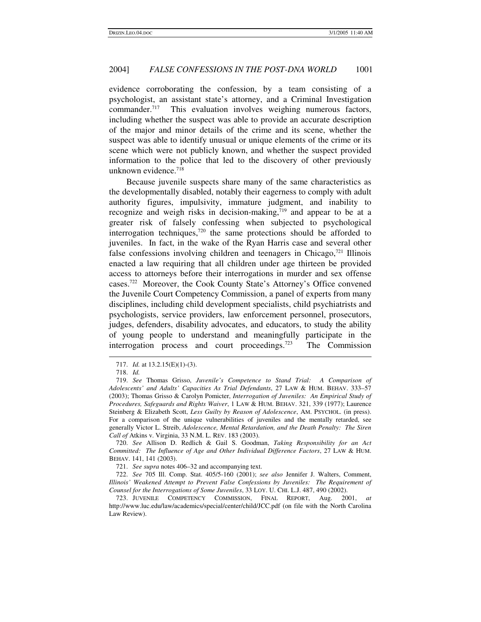evidence corroborating the confession, by a team consisting of a psychologist, an assistant state's attorney, and a Criminal Investigation commander. <sup>717</sup> This evaluation involves weighing numerous factors, including whether the suspect was able to provide an accurate description of the major and minor details of the crime and its scene, whether the suspect was able to identify unusual or unique elements of the crime or its scene which were not publicly known, and whether the suspect provided information to the police that led to the discovery of other previously unknown evidence. 718

Because juvenile suspects share many of the same characteristics as the developmentally disabled, notably their eagerness to comply with adult authority figures, impulsivity, immature judgment, and inability to recognize and weigh risks in decision-making,<sup>719</sup> and appear to be at a greater risk of falsely confessing when subjected to psychological interrogation techniques,<sup>720</sup> the same protections should be afforded to juveniles. In fact, in the wake of the Ryan Harris case and several other false confessions involving children and teenagers in Chicago,<sup>721</sup> Illinois enacted a law requiring that all children under age thirteen be provided access to attorneys before their interrogations in murder and sex offense cases. <sup>722</sup> Moreover, the Cook County State's Attorney's Office convened the Juvenile Court Competency Commission, a panel of experts from many disciplines, including child development specialists, child psychiatrists and psychologists, service providers, law enforcement personnel, prosecutors, judges, defenders, disability advocates, and educators, to study the ability of young people to understand and meaningfully participate in the interrogation process and court proceedings.<sup>723</sup> The Commission

<sup>717.</sup> *Id.* at 13.2.15(E)(1)-(3).

<sup>718.</sup> *Id.*

<sup>719.</sup> *See* Thomas Grisso, *Juvenile's Competence to Stand Trial: A Comparison of Adolescents' and Adults' Capacities As Trial Defendants*, 27 LAW & HUM. BEHAV. 333–57 (2003); Thomas Grisso & Carolyn Pomicter, *Interrogation of Juveniles: An Empirical Study of Procedures, Safeguards and Rights Waiver*, 1 LAW & HUM. BEHAV. 321, 339 (1977); Laurence Steinberg & Elizabeth Scott, *Less Guilty by Reason of Adolescence*, AM. PSYCHOL. (in press). For a comparison of the unique vulnerabilities of juveniles and the mentally retarded, see generally Victor L. Streib, *Adolescence, Mental Retardation, and the Death Penalty: The Siren Call of* Atkins v. Virginia, 33 N.M. L. REV. 183 (2003).

<sup>720.</sup> *See* Allison D. Redlich & Gail S. Goodman, *Taking Responsibility for an Act Committed: The Influence of Age and Other Individual Difference Factors*, 27 LAW & HUM. BEHAV. 141, 141 (2003).

<sup>721.</sup> *See supra* notes 406–32 and accompanying text.

<sup>722.</sup> *See* 705 Ill. Comp. Stat. 405/5-160 (2001); *see also* Jennifer J. Walters, Comment, *Illinois' Weakened Attempt to Prevent False Confessions by Juveniles: The Requirement of Counsel for the Interrogations of Some Juveniles*, 33 LOY. U. CHI. L.J. 487, 490 (2002).

<sup>723.</sup> JUVENILE COMPETENCY COMMISSION, FINAL REPORT, Aug. 2001, *at* http://www.luc.edu/law/academics/special/center/child/JCC.pdf (on file with the North Carolina Law Review).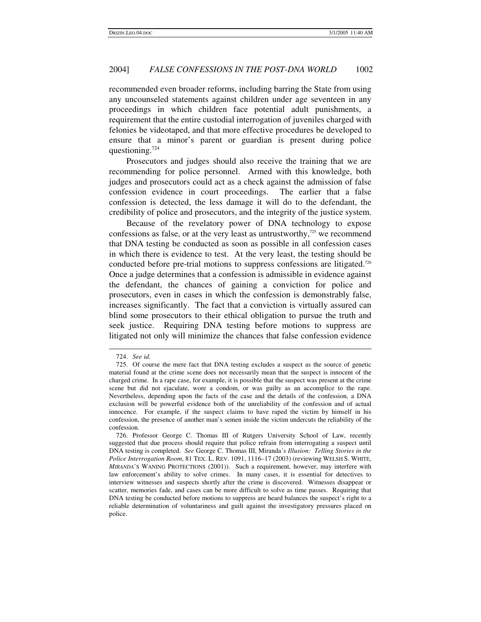recommended even broader reforms, including barring the State from using any uncounseled statements against children under age seventeen in any proceedings in which children face potential adult punishments, a requirement that the entire custodial interrogation of juveniles charged with felonies be videotaped, and that more effective procedures be developed to ensure that a minor's parent or guardian is present during police questioning.<sup>724</sup>

Prosecutors and judges should also receive the training that we are recommending for police personnel. Armed with this knowledge, both judges and prosecutors could act as a check against the admission of false confession evidence in court proceedings. The earlier that a false confession is detected, the less damage it will do to the defendant, the credibility of police and prosecutors, and the integrity of the justice system.

Because of the revelatory power of DNA technology to expose confessions as false, or at the very least as untrustworthy, <sup>725</sup> we recommend that DNA testing be conducted as soon as possible in all confession cases in which there is evidence to test. At the very least, the testing should be conducted before pre-trial motions to suppress confessions are litigated. 726 Once a judge determines that a confession is admissible in evidence against the defendant, the chances of gaining a conviction for police and prosecutors, even in cases in which the confession is demonstrably false, increases significantly. The fact that a conviction is virtually assured can blind some prosecutors to their ethical obligation to pursue the truth and seek justice. Requiring DNA testing before motions to suppress are litigated not only will minimize the chances that false confession evidence

<sup>724.</sup> *See id.*

<sup>725.</sup> Of course the mere fact that DNA testing excludes a suspect as the source of genetic material found at the crime scene does not necessarily mean that the suspect is innocent of the charged crime. In a rape case, for example, it is possible that the suspect was present at the crime scene but did not ejaculate, wore a condom, or was guilty as an accomplice to the rape. Nevertheless, depending upon the facts of the case and the details of the confession, a DNA exclusion will be powerful evidence both of the unreliability of the confession and of actual innocence. For example, if the suspect claims to have raped the victim by himself in his confession, the presence of another man's semen inside the victim undercuts the reliability of the confession.

<sup>726.</sup> Professor George C. Thomas III of Rutgers University School of Law, recently suggested that due process should require that police refrain from interrogating a suspect until DNA testing is completed. *See* George C. Thomas III, Miranda*'s Illusion: Telling Stories in the Police Interrogation Room*, 81 TEX. L. REV. 1091, 1116–17 (2003) (reviewing WELSH S. WHITE, *MIRANDA*'S WANING PROTECTIONS (2001)). Such a requirement, however, may interfere with law enforcement's ability to solve crimes. In many cases, it is essential for detectives to interview witnesses and suspects shortly after the crime is discovered. Witnesses disappear or scatter, memories fade, and cases can be more difficult to solve as time passes. Requiring that DNA testing be conducted before motions to suppress are heard balances the suspect's right to a reliable determination of voluntariness and guilt against the investigatory pressures placed on police.